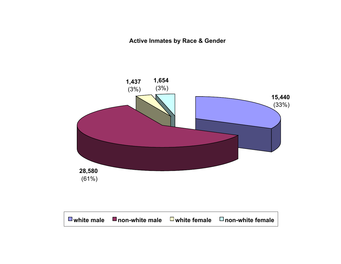**Active Inmates by Race & Gender**

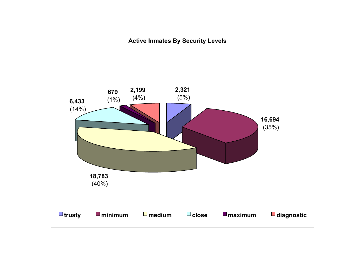**Active Inmates By Security Levels**

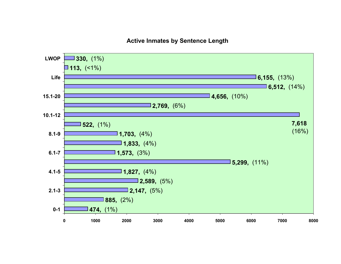### **Active Inmates by Sentence Length**

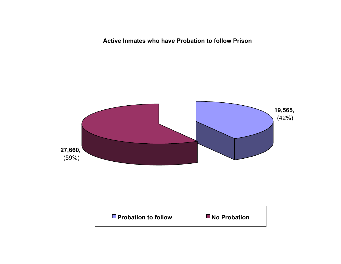**Active Inmates who have Probation to follow Prison**



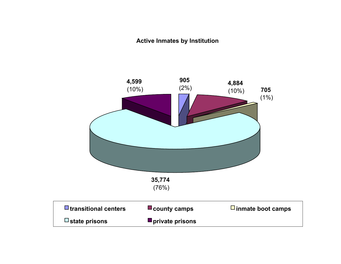### **Active Inmates by Institution**

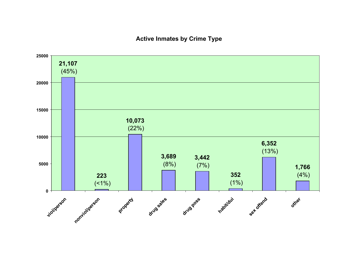### **Active Inmates by Crime Type**

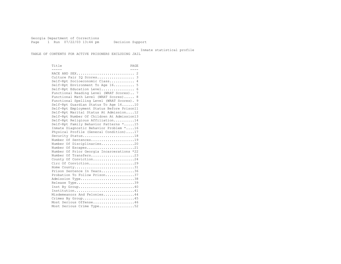Georgia Department of Corrections Page 1 Run 07/22/03 13:44 pm Decision Support

Inmate statistical profile

TABLE OF CONTENTS FOR ACTIVE PRISONERS EXCLUDING JAIL

Title PAGE ----- ---- RACE AND SEX............................ 2 Culture Fair IQ Scores.................. 3 Self-Rpt Socioeconomic Class............ 4 Self-Rpt Environment To Age 16.......... 5 Self-Rpt Education Level................ 6 Functional Reading Level (WRAT Scores).. 7 Functional Math Level (WRAT Scores)..... 8 Functional Spelling Level (WRAT Scores). 9 Self-Rpt Guardian Status To Age 16......10 Self-Rpt Employment Status Before Prison11 Self-Rpt Marital Status At Admission....12 Self-Rpt Number Of Children At Admission13 Self-Rpt Religious Affiliation..........14 Self-Rpt Family Behavior Patterns \*.....15 Inmate Diagnostic Behavior Problem \*....16 Physical Profile (General Condition)....17 Security Status...........................18 Number Of Sentences......................19 Number Of Disciplinaries................20 Number Of Escapes........................21 Number Of Prior Georgia Incarcerations \*22 Number Of Transfers.............................23 County Of Conviction....................24 Circ Of Conviction........................29 Home County...............................31 Prison Sentence In Years................36 Probation To Follow Prison..............37 Admission Type............................38 Release Type...............................39 Inst By Group.............................40 Institution.............................41 Misdemeanors And Felonies...............44 Crimes By Group..........................45 Most Serious Offense....................46 Most Serious Crime Type..................52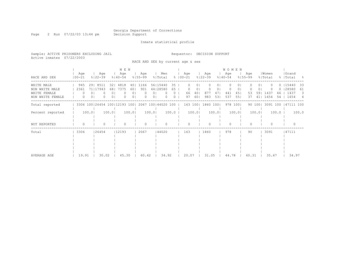Page 2 Run 07/22/03 13:44 pm Decision Support

### Inmate statistical profile

Sample: ACTIVE PRISONERS EXCLUDING JAIL Requestor: DECISION SUPPORT Active inmates 07/22/2003

RACE AND SEX by current age & sex

|                                                    |                   |                                 | M E N                                                 |                                    |                                       |              |                    |                 |                    |                         | <b>WOMEN</b>           |                    |                 |                  |          |                             |                |
|----------------------------------------------------|-------------------|---------------------------------|-------------------------------------------------------|------------------------------------|---------------------------------------|--------------|--------------------|-----------------|--------------------|-------------------------|------------------------|--------------------|-----------------|------------------|----------|-----------------------------|----------------|
| RACE AND SEX                                       | Age<br>$100 - 21$ | Age<br>$8122 - 39$              | Age<br>$8140 - 54$                                    | Age<br>$8155 - 99$                 | Men<br>% Total                        |              | Age<br>$8100 - 21$ |                 | Age<br>$8122 - 39$ | Age<br>$8140 - 54$      |                        | Age<br>$8155 - 99$ |                 | Women<br>% Total |          | Grand<br>%   Total          | - 양            |
| WHITE MALE                                         | 945               | $29$  <br>8511                  | 4818<br>321                                           | 1166<br>401                        | 56115440                              | 35           |                    | 0 <sub>1</sub>  | 0                  | 01                      | $\left( \right)$<br>() |                    | 01              |                  |          | $0$   15440                 | -33            |
| NON WHITE MALE<br>WHITE FEMALE<br>NON WHITE FEMALE | 2361<br>0<br>0    | 71 17943<br>0<br>0 <sup>1</sup> | 681<br>7375<br>$\Omega$<br>0 <sup>1</sup><br>$\Omega$ | 901<br>601<br>01<br>01<br>$\Omega$ | 44128580<br>01<br>0 <sub>1</sub><br>0 | 65<br>0<br>0 | 66<br>97           | 01<br>40<br>601 | 877<br>983         | 47<br>441<br>531<br>537 | $\circ$<br>45<br>551   | 53<br>37           | 01<br>591<br>41 | 1437<br>1654     | 46<br>54 | $0$   28580<br>1437<br>1654 | -61<br>3.<br>4 |
| Total reported                                     |                   |                                 | 3306 100 26454 100 12193 100                          |                                    | 2067 100 44020 100                    |              | 163 1001           |                 | 1860               | 1001<br>978             | 1001                   |                    | 90 100          | 3091 100         |          | 47111 100                   |                |
| Percent reported                                   | 100.0             | 100.0                           | 100.0                                                 | 100.0                              |                                       | $100.0$      |                    | 100.0           | 100.0              |                         | 100.0                  |                    | 100.0           |                  | $100.0$  |                             | 100.0          |
| NOT REPORTED                                       | $\Omega$          |                                 | O                                                     | $\Omega$                           |                                       |              |                    |                 |                    |                         |                        |                    |                 |                  |          |                             |                |
| Total                                              | 3306              | 26454                           | 12193                                                 | 2067                               | 144020                                |              | 163                |                 | 1860               | 978                     |                        | 90                 |                 | 3091             |          | 47111                       |                |
| AVERAGE AGE                                        | 19.91             | 30.02                           | 45.30                                                 | 60.42                              | 34.92                                 |              | 20.07              |                 | 31.05              |                         | 44.78                  | 60.31              |                 | 35.67            |          | 34.97                       |                |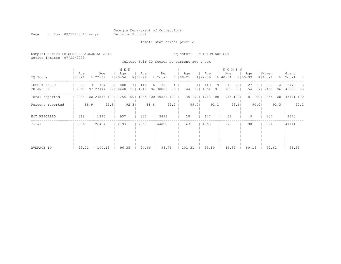# Georgia Department of Corrections<br>Decision Support

Page 3 Run 07/22/03 13:44 pm

Inmate statistical profile

| Sample: ACTIVE PRISONERS EXCLUDING JAIL<br>Active inmates 07/22/2003 |                                                                      |       |                     |      |                             |       |                     |       |                                             |                |               |        |       | Requestor: DECISION SUPPORT |          |                                    |            |                    |       |                  |                   |                              |      |
|----------------------------------------------------------------------|----------------------------------------------------------------------|-------|---------------------|------|-----------------------------|-------|---------------------|-------|---------------------------------------------|----------------|---------------|--------|-------|-----------------------------|----------|------------------------------------|------------|--------------------|-------|------------------|-------------------|------------------------------|------|
|                                                                      |                                                                      |       |                     |      |                             |       |                     |       | Culture Fair IQ Scores by current age & sex |                |               |        |       |                             |          |                                    |            |                    |       |                  |                   |                              |      |
| IQ Score                                                             | Age<br>$100 - 21$                                                    |       | Age<br>$8122 - 39$  |      | M E N<br>  Age<br>$%140-54$ |       | Age<br>$8155 - 99$  |       | Men<br>% Total                              |                | $8   00 - 21$ | Age    |       | Age<br>$8122 - 39$          |          | <b>WOMEN</b><br>Age<br>$8140 - 54$ |            | Age<br>$8155 - 99$ |       | Women<br>% Total |                   | Grand<br>%   Total           | - 왕  |
| LESS THAN 70<br>70 AND UP                                            | 78<br>2860                                                           |       | 3   784<br>97123774 |      | 3 808<br>97110448           |       | 7   116<br>93  1719 |       | 6   1786<br>94   38801                      | 4<br>$96 \mid$ |               | 144    | 991   | 149<br>1564                 | 91<br>91 | 212<br>703                         | 231<br>771 | 27<br>54           | 331   | 389<br>671 2465  |                   | 14   2175<br>86   41266 95   | b.   |
| Total reported                                                       | 2938 100 24558 100 11256 100  1835 100 40587 100   145 100  1713 100 |       |                     |      |                             |       |                     |       |                                             |                |               |        |       |                             |          |                                    | 915 100    |                    |       |                  |                   | 81 100  2854 100   43441 100 |      |
| Percent reported                                                     |                                                                      | 88.91 |                     | 92.8 |                             | 92.31 |                     | 88.81 |                                             | $92.2$         |               |        | 89.01 |                             | 92.1     |                                    | 93.6       |                    | 90.01 |                  | $92.3 \text{ }  $ |                              | 92.2 |
| NOT REPORTED                                                         | 368                                                                  |       | 1896                |      | 937                         |       | 232                 |       | 3433                                        |                |               | 18     |       | 147                         |          | 63                                 |            | 9                  |       | 237              |                   | 3670                         |      |
| Total                                                                | 3306                                                                 |       | 126454              |      | 12193                       |       | 2067                |       | 144020                                      |                |               | 163    |       | 1860                        |          | 978                                |            | 90                 |       | 3091             |                   | 47111                        |      |
| AVERAGE IO                                                           | 99.01                                                                |       | 100.13              |      | 96.35                       |       | 94.66               |       | 98.76                                       |                |               | 101.31 |       | 95.80                       |          | 86.39                              |            | 80.16              |       | 92.62            |                   | 98.35                        |      |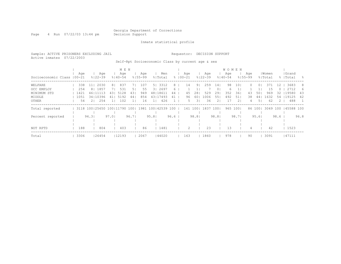Page 4 Run 07/22/03 13:44 pm Decision Support

#### Inmate statistical profile

Sample: ACTIVE PRISONERS EXCLUDING JAIL Requestor: DECISION SUPPORT Active inmates 07/22/2003 Self-Rpt Socioeconomic Class by current age & sex

 | M E N | W O M E N | | Age | Age | Age | Age | Men | Age | Age | Age | Age |Women |Grand Socioeconomic Class |00-21 %|22-39 %|40-54 %|55-99 %|Total % |00-21 %|22-39 %|40-54 %|55-99 %|Total % |Total % ------------------------------------------------------------------------------------------------------------------------------------ WELFARE | 338 11| 2030 8| 837 7| 107 5| 3312 8 | 14 9| 259 14| 98 10| 0 0| 371 12 | 3683 8 OCC EMPLOY | 254 8| 1857 7| 531 5| 55 3| 2697 6 | 1 1| 7 0| 6 1| 1 1| 15 0 | 2712 6 MINIMUM STD | 1421 46|11113 43| 5128 43| 949 48|18611 44 | 45 28| 529 29| 352 36| 43 50| 969 32 |19580 43 MIDDLE | 1051 34|10396 41| 5192 44| 854 43|17493 41 | 96 60| 1006 55| 492 51| 38 44| 1632 54 |19125 42 OTHER | 54 2| 254 1| 102 1| 16 1| 426 1 | 5 3| 36 2| 17 2| 4 5| 62 2 | 488 1 ------------------------------------------------------------------------------------------------------------------------------------ Total reported | 3118 100|25650 100|11790 100| 1981 100|42539 100 | 161 100| 1837 100| 965 100| 86 100| 3049 100 |45588 100 | | | | | | | | | | | Percent reported | 94.3| 97.0| 96.7| 95.8| 96.6 | 98.8| 98.8| 98.7| 95.6| 98.6 | 96.8 | | | | | | | | | | | | | | | | | | | | | | NOT RPTD | 188 | 804 | 403 | 86 | 1481 | 2 | 23 | 13 | 4 | 42 | 1523 ------------------------------------------------------------------------------------------------------------------------------------ Total | 3306 |26454 |12193 | 2067 |44020 | 163 | 1860 | 978 | 90 | 3091 |47111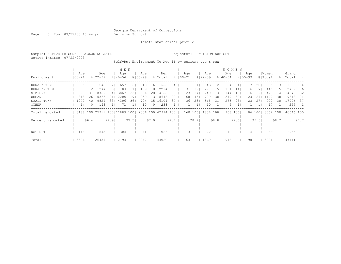Page 5 Run 07/22/03 13:44 pm Decision Support

### Inmate statistical profile

Sample: ACTIVE PRISONERS EXCLUDING JAIL Requestor: DECISION SUPPORT Active inmates 07/22/2003

Self-Rpt Environment To Age 16 by current age & sex

|                  |                   |                |                              |       | M E N              |      |                    |                |                    |      |             |         |       |                    |                  | <b>WOMEN</b>       |                |                    |        |                  |      |                    |      |
|------------------|-------------------|----------------|------------------------------|-------|--------------------|------|--------------------|----------------|--------------------|------|-------------|---------|-------|--------------------|------------------|--------------------|----------------|--------------------|--------|------------------|------|--------------------|------|
| Environment      | Age<br>$100 - 21$ |                | Aqe<br>$8122 - 39$           |       | Age<br>$8140 - 54$ |      | Aqe<br>$8155 - 99$ |                | Men<br>% Total     |      | $8100 - 21$ | Aqe     |       | Age<br>$8122 - 39$ |                  | Age<br>$8140 - 54$ |                | Age<br>$8155 - 99$ |        | Women<br>% Total |      | Grand<br>%   Total | - 옹  |
| RURAL/FARM       | 35                |                | 545                          | 21    | 657                | 61   | 318                | 161            | 1555               | 4    |             |         |       | 43                 | 21               | 34                 | 4              | 17                 | 201    | 95               | 3.   | 1650               | 4    |
| RURAL/NFARM      | 78                | 21             | 1274                         | 51    | 783                |      | 159                | 8 <sup>1</sup> | 2294               | 5.   |             | 31      | 19    | 277                | 151              | 131                | 141            | 6.                 |        | 445              | 15   | 2739               | 6    |
| S.M.S.A          | 973               | 31 I           | 8759                         | 341   | 3867               | 33   | 556                | 281            | 14155              | 33   |             | 23      | 14    | 240                | 131              | 144                | 151            | 16                 | 19     | 423              | 14   | 14578              | -32  |
| URBAN            | 818               | 261            | 5366                         |       | 2205               | 19'  | 259                | 131            | 8648               | 20   |             | 68      | 431   | 700                | 381              | 379                | 391            | 23                 |        | 1170             | 38   | 9818               | -21  |
| SMALL TOWN       | 1270              | 401            | 9824                         | 381   | 4306               | 361  | 704                |                | 35   16104         | 37   |             | 36      | 231   | 568                | 31               | 275                | 281            | 23                 | 271    | 902              | 30   | 117006             | -37  |
| OTHER            | 14                | 0 <sup>1</sup> | 143                          |       | 71                 |      | 10                 | 0 <sub>1</sub> | 238                |      |             |         |       | 10                 |                  |                    | 1 <sup>1</sup> |                    |        | 17               |      | 255                |      |
| Total reported   |                   |                | 3188 100 25911 100 11889 100 |       |                    |      |                    |                | 2006 100 42994 100 |      |             | 160 100 |       | 1838               | 100 <sub>1</sub> | 968                | $100$          |                    | 86 100 | 3052 100         |      | 146046 100         |      |
| Percent reported |                   | 96.4           |                              | 97.91 |                    | 97.5 |                    | 97.01          |                    | 97.7 |             |         | 98.21 |                    | 98.8             |                    | 99.01          |                    | 95.61  |                  | 98.7 |                    | 97.7 |
| NOT RPTD         | 118               |                | 543                          |       | 304                |      | 61                 |                | 1026               |      |             |         |       | 22                 |                  | 10                 |                |                    |        | 39               |      | 1065               |      |
| Total            | 3306              |                | 26454                        |       | 12193              |      | 2067               |                | 44020              |      |             | 163     |       | 1860               |                  | 978                |                | 90                 |        | 3091             |      | 47111              |      |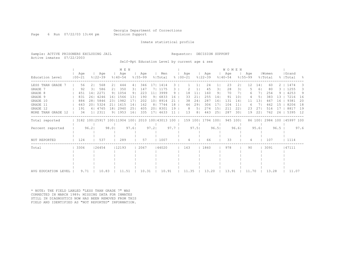Page 6 Run 07/22/03 13:44 pm Decision Support

### Inmate statistical profile

Sample: ACTIVE PRISONERS EXCLUDING JAIL **Requestor: DECISION SUPPORT** Active inmates 07/22/2003

Self-Rpt Education Level by current age & sex

|                       |                   |                 |                                                         |                | M E N              |                 |                    |                 |                |        |                      |      |                    |                 | <b>WOMEN</b>       |          |                    |                 |                  |        |                     |      |
|-----------------------|-------------------|-----------------|---------------------------------------------------------|----------------|--------------------|-----------------|--------------------|-----------------|----------------|--------|----------------------|------|--------------------|-----------------|--------------------|----------|--------------------|-----------------|------------------|--------|---------------------|------|
| Education Level       | Aqe<br>$100 - 21$ |                 | Age<br>$8122 - 39$                                      |                | Age<br>$8140 - 54$ |                 | Age<br>$8155 - 99$ |                 | Men<br>% Total |        | Age<br>$8   00 - 21$ |      | Aqe<br>$8122 - 39$ |                 | Age<br>$8140 - 54$ |          | Age<br>$8155 - 99$ |                 | Women<br>% Total |        | Grand<br>%   Total  | - 옹  |
| LESS THAN GRADE       | 56                | 21              | 568                                                     | 21             | 444                | 4               | 346                | 17 <sup>1</sup> | 1414           | З.     |                      |      | 24                 |                 | 23                 | 21       | 12                 | 14 <sub>1</sub> | 60               |        | 1474                | 3.   |
| GRADE 7               | 92                | 31              | 586                                                     | 21             | 350                | 31              | 147                | 71              | 1175           |        |                      |      | 45                 | 31              | 28                 | 31       |                    | 61              | 80               |        | 1255                | 3.   |
| GRADE 8               | 451               | 14 <sub>1</sub> | 2271                                                    | 9 <sub>1</sub> | 1054               | 91              | 223                | 11 <sub>1</sub> | 3999           | 9      | 18                   | 11   | 160                | 9 <sub>1</sub>  | 70                 | 71       | 6                  |                 | 254              | 9.     | 4253                | 9    |
| GRADE 9               | 831               | 261             | 4246                                                    | 161            | 1566               | 131             | 190                | 9 <sub>1</sub>  | 6833           | 16     | 33                   | 21   | 255                | 14 <sub>1</sub> | 91                 | 101      |                    | 51              | 383              | 13     | 7216                | 16   |
| GRADE 10              | 884               | 281             | 5846                                                    | 231            | 1982               | 171             | 202                | 10 <sub>1</sub> | 8914           | 21     | 38                   | 241  | 287                | 161             | 131                | 14       | 11                 | 131             | 467              | 16     | 9381                | 20   |
| GRADE 11              | 643               |                 | 20   5324                                               | 211            | 1615               | 14 <sub>1</sub> | 162                | 8 <sub>1</sub>  | 7744           | 18     | 46                   | 291  | 306                | 171             | 104                | 11       | 6                  |                 | 462              | 15     | 8206                | 18   |
| GRADE 12              | 191               |                 | 6   4765                                                | 181            | 2940               | 25              | 405                | 201             | 8301           | 19     | 8                    | 51   | 274                | 15 <sup>1</sup> | 211                | 22       | 23                 | 27              | 516              |        | 8817                | 19   |
| MORE THAN GRADE<br>12 | 34                | 11              | 2311                                                    | 9 <sub>1</sub> | 1953               | 161             | 335                | 171             | 4633           |        | 13                   | 81   | 443                | 25              | 287                | 301      | 19                 | 22              | 762              | 26     | 5395                | 12   |
| Total reported        |                   |                 | 3182 100   25917 100   11904 100   2010 100   43013 100 |                |                    |                 |                    |                 |                |        |                      |      | 159 100  1794 100  |                 |                    | 945 1001 |                    | 86 100          |                  |        | 2984 100 145997 100 |      |
| Percent reported      | 96.2              |                 |                                                         | 98.01          |                    | 97.6            |                    | 97.2            |                | $97.7$ |                      | 97.5 |                    | 96.5            |                    | 96.61    |                    | 95.61           |                  | $96.5$ |                     | 97.6 |
| NOT REPORTED          | 124               |                 | 537                                                     |                | 289                |                 | 57                 |                 | 1007           |        | 4                    |      | 66                 |                 | 33                 |          |                    |                 | 107              |        | 1114                |      |
| Total                 | 3306              |                 | 126454                                                  |                | 12193              |                 | 2067               |                 | 144020         |        | 163                  |      | 1860               |                 | 978                |          | 90                 |                 | 3091             |        | 47111               |      |
|                       |                   |                 |                                                         |                |                    |                 |                    |                 |                |        |                      |      |                    |                 |                    |          |                    |                 |                  |        |                     |      |
|                       |                   |                 |                                                         |                |                    |                 |                    |                 |                |        |                      |      |                    |                 |                    |          |                    |                 |                  |        |                     |      |
|                       |                   |                 |                                                         |                |                    |                 |                    |                 |                |        |                      |      |                    |                 |                    |          |                    |                 |                  |        |                     |      |
| AVG EDUCATION LEVEL   | 9.71              |                 | 10.83                                                   |                | 11.51              |                 | 10.31              |                 | 10.91          |        | 11.35                |      | 13.20              |                 | 13.91              |          | 11.70              |                 | 13.28            |        | 11.07               |      |

\* NOTE: THE FIELD LABLED "LESS THAN GRADE 7" WAS CORRECTED IN MARCH 1989: MISSING DATA FOR INMATES STILL IN DIAGNOSTICS NOW HAS BEEN REMOVED FROM THIS FIELD AND IDENTIFIED AS "NOT REPORTED" INFORMATION.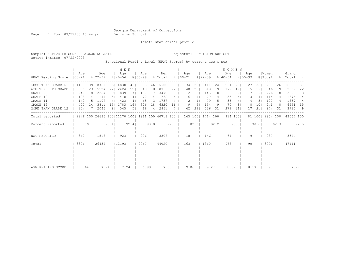Page 7 Run 07/22/03 13:44 pm Decision Support

Inmate statistical profile

Active inmates 07/22/2003

Sample: ACTIVE PRISONERS EXCLUDING JAIL Requestor: DECISION SUPPORT

Functional Reading Level (WRAT Scores) by current age & sex

|                                  |                   |                 |                                                         |           | M E N              |           |                    |          |                      |         |                      |                      |                    |          | WOMEN              |          |                    |           |                  |      |                    |           |
|----------------------------------|-------------------|-----------------|---------------------------------------------------------|-----------|--------------------|-----------|--------------------|----------|----------------------|---------|----------------------|----------------------|--------------------|----------|--------------------|----------|--------------------|-----------|------------------|------|--------------------|-----------|
| WRAT Reading Score               | Age<br>$100 - 21$ |                 | Age<br>$8122 - 39$                                      |           | Age<br>$8140 - 54$ |           | Age<br>$8155 - 99$ |          | Men<br>% Total       |         | Aqe<br>$8   00 - 21$ |                      | Age<br>$8122 - 39$ |          | Age<br>$8140 - 54$ |          | Age<br>$8155 - 99$ |           | Women<br>% Total |      | Grand<br>%   Total | - 옹       |
| LESS THAN GRADE 6                | 1157              | 391             | 8750                                                    | 361       | 4838               | 431       | 855                |          | 46 15600             | 38      | 34                   | 23                   | 411                | 24       | 261                | 291      | 27                 | 331       | 733              | 26   | 16333              | 37        |
| 8TH GRADE<br>6TH THRU<br>GRADE 9 | 675<br>240        | 231             | 5524<br>8   2254                                        | 221<br>91 | 2424<br>839        | 22        | 340<br>137         |          | 18 8963<br>7  3470   | 22<br>9 | 40<br>12             | 28<br>8 <sup>1</sup> | 319<br>145         | 19<br>8  | 172<br>62          | 191      | 15                 | 191<br>91 | 546<br>226       | 19   | 9509<br>3696       | 22<br>8   |
| GRADE 10<br>GRADE 11             | 128<br>142        |                 | 4   1144<br>5   1107                                    | 51<br>4   | 418<br>423         | 4 I<br>41 | 72<br>65           |          | 4   1762<br>3   1737 |         | 6                    | 4                    | 70<br>79           | 4  <br>5 | 35<br>35           | 4<br>4   | 3                  | 4<br>5    | 114<br>120       |      | 1876<br>1857       | 4         |
| GRADE 12<br>MORE THAN GRADE 12   | 400<br>204        | 14 <sub>1</sub> | 3811<br>7  2046                                         | 151<br>81 | 1783<br>545        | 161<br>51 | 326<br>66          | 181<br>4 | 6320<br>2861         | 16      | 9<br>42              | 6<br>29              | 154<br>536         | 91<br>31 | 70<br>279          | 8<br>31  | 8<br>17            | 101<br>21 | 241<br>874       | 31   | 6561<br>3735       | 15<br>- 9 |
| Total reported                   |                   |                 | 2946 100   24636 100   11270 100   1861 100   40713 100 |           |                    |           |                    |          |                      |         | 145 100              |                      | 1714 100           |          |                    | 914 1001 |                    | 81 100    | 2854 100         |      | 43567 100          |           |
| Percent reported                 |                   | 89.1            |                                                         | 93.1      |                    | 92.4      |                    | 90.01    |                      | 92.5    |                      | 89.01                |                    | 92.2     |                    | 93.51    |                    | 90.01     |                  | 92.3 |                    | 92.5      |
| NOT REPORTED                     | 360               |                 | 1818                                                    |           | 923                |           | 206                |          | 3307                 |         | 18                   |                      | 146                |          | 64                 |          | 9                  |           | 237              |      | 3544               |           |
| Total                            | 3306              |                 | 26454                                                   |           | 12193              |           | 2067               |          | 44020                |         | 163                  |                      | 1860               |          | 978                |          | 90                 |           | 3091             |      | 47111              |           |
|                                  |                   |                 |                                                         |           |                    |           |                    |          |                      |         |                      |                      |                    |          |                    |          |                    |           |                  |      |                    |           |
|                                  |                   |                 |                                                         |           |                    |           |                    |          |                      |         |                      |                      |                    |          |                    |          |                    |           |                  |      |                    |           |
| AVG READING SCORE                | 7.64              |                 | 7.94                                                    |           | 7.24               |           | 6.99               |          | 7.68                 |         | 9.06                 |                      | 9.27               |          | 8.89               |          | 8.17               |           | 9.11             |      | 7.77               |           |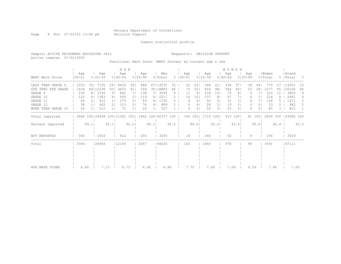Page 8 Run 07/22/03 13:44 pm Decision Support

Inmate statistical profile

Sample: ACTIVE PRISONERS EXCLUDING JAIL Requestor: DECISION SUPPORT Active inmates 07/22/2003

Functional Math Level (WRAT Scores) by current age & sex

|                    |                   |      |                              |                | M E N              |       |                    |                |                    |      |                      |                |                    |                | WOMEN              |          |                    |        |                  |      |                    |      |
|--------------------|-------------------|------|------------------------------|----------------|--------------------|-------|--------------------|----------------|--------------------|------|----------------------|----------------|--------------------|----------------|--------------------|----------|--------------------|--------|------------------|------|--------------------|------|
| WRAT Math Score    | Age<br>$100 - 21$ |      | Age<br>$8122 - 39$           |                | Age<br>$8140 - 54$ |       | Aqe<br>$8155 - 99$ |                | Men<br>% Total     |      | Aqe<br>$8   00 - 21$ |                | Aqe<br>$8122 - 39$ |                | Age<br>$8140 - 54$ |          | Age<br>$8155 - 99$ |        | Women<br>% Total |      | Grand<br>%   Total | - 양  |
| LESS THAN GRADE 6  | 1033              |      | 35   7195                    | 291            | 4435               | 391   | 868                |                | 47   13531         | 33   | 32                   | 22             | 368                | 21             | 334                | 371      | 36                 | 441    | 770              | 27   | 14301              | 33   |
| 6TH THRU 8TH GRADE | 1434              |      | 49   12238                   | 501            | 4653               | 41    | 558                |                | 30   18883         | 46   | 72                   | 50             | 818                | 48             | 364                | 40       | 23                 | 281    | 1277             | 45   | 20160              | 46   |
| GRADE 9            | 230               |      | 8   2336                     | 91             | 841                |       | 138                |                | 7  3545            | 9    | 11                   | 8              | 218                | 131            | 75                 | 81       | 6                  |        | 310              | 11   | 3855               | 9    |
| GRADE 10           | 122               |      | 4   1383                     | 6              | 593                | 5     | 119                | 6 <sup>1</sup> | 2217               | 5.   | 14                   | 10             | 137                | 8 <sup>1</sup> | 67                 |          | 6                  |        | 224              |      | 2441               | 6    |
| GRADE 11           | 65                |      | 812                          | 3 <sup>1</sup> | 375                | 31    | 83                 | 41             | 1335               | 3.   | 6                    | 4 <sub>1</sub> | 93                 | 5 <sub>1</sub> | 31                 | 31       | 6                  |        | 136              |      | 1471               | 3    |
| GRADE 12           | 38                |      | 462                          | 21             | 313                | 31    | 76                 | 41             | 889                |      | 6                    | 4              | 28                 | 2 <sub>1</sub> | 19                 | 21       | 0                  | 01     | 53               |      | 942                | 2    |
| MORE THAN GRADE 12 | 24                |      | 212                          |                | 71                 |       | 20                 |                | 327                |      |                      | 31             | 52                 | 31             | 25                 | 31       | 4                  | 51     | 85               | 3.   | 412                |      |
| Total reported     |                   |      | 2946 100 24638 100 11281 100 |                |                    |       |                    |                | 1862 100 40727 100 |      | 145 100              |                | 1714 100           |                |                    | 915 1001 |                    | 81 100 | 2855 100         |      | 43582 100          |      |
| Percent reported   |                   | 89.1 |                              | 93.1           |                    | 92.51 |                    | 90.1           |                    | 92.5 |                      | 89.01          |                    | 92.21          |                    | 93.61    |                    | 90.01  |                  | 92.4 |                    | 92.5 |
| NOT REPORTED       | 360               |      | 1816                         |                | 912                |       | 205                |                | 3293               |      | 18                   |                | 146                |                | 63                 |          | 9                  |        | 236              |      | 3529               |      |
| Total              | 3306              |      | 26454                        |                | 12193              |       | 2067               |                | 144020             |      | 163                  |                | 1860               |                | 978                |          | 90                 |        | 3091             |      | 47111              |      |
|                    |                   |      |                              |                |                    |       |                    |                |                    |      |                      |                |                    |                |                    |          |                    |        |                  |      |                    |      |
|                    |                   |      |                              |                |                    |       |                    |                |                    |      |                      |                |                    |                |                    |          |                    |        |                  |      |                    |      |
|                    |                   |      |                              |                |                    |       |                    |                |                    |      |                      |                |                    |                |                    |          |                    |        |                  |      |                    |      |
|                    |                   |      |                              |                |                    |       |                    |                |                    |      |                      |                |                    |                |                    |          |                    |        |                  |      |                    |      |
| AVG MATH SCORE     | 6.80              |      | 7.13                         |                | 6.73               |       | 6.45               |                |                    | 6.96 | 7.75                 |                | 7.69               |                | 7.06               |          | 6.59               |        | 7.46             |      | 7.00               |      |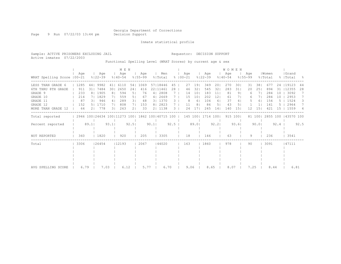Page 9 Run 07/22/03 13:44 pm Decision Support

Inmate statistical profile

Sample: ACTIVE PRISONERS EXCLUDING JAIL Requestor: DECISION SUPPORT Active inmates 07/22/2003

Functional Spelling Level (WRAT Scores) by current age & sex

|                             |      |      |                              |                | M E N              |                |                    |      |                |           |            |          |                 |                    |                 | <b>WOMEN</b>       |                |                    |                 |                  |      |                    |      |
|-----------------------------|------|------|------------------------------|----------------|--------------------|----------------|--------------------|------|----------------|-----------|------------|----------|-----------------|--------------------|-----------------|--------------------|----------------|--------------------|-----------------|------------------|------|--------------------|------|
| WRAT Spelling Score   00-21 | Aqe  |      | Age<br>$8122 - 39$           |                | Age<br>$8140 - 54$ |                | Age<br>$8155 - 99$ |      | Men<br>% Total | $\approx$ | $100 - 21$ | Aqe      |                 | Age<br>$8122 - 39$ |                 | Age<br>$8140 - 54$ |                | Age<br>$8155 - 99$ |                 | Women<br>% Total |      | Grand<br>%   Total | - 옹  |
| LESS THAN GRADE 6           | 1285 | 44   | 9982                         | 41             | 6110               | 541            | 1069               |      | 57118446       | 45        |            | 27       | 19              | 349                | 20              | 270                | 30             | 31                 | 381             | 677              | 24   | 19123              | 44   |
| 8TH GRADE<br>6TH THRU       | 911  | 311  | 7484                         | 30             | 2650               | 241            | 416                |      | 22   11461     | 28        |            | 46       | 32              | 545                | 32              | 283                | 31             | 20                 | 251             | 894              | 31   | 12355              | 28   |
| GRADE 9                     | 233  |      | 8   1905                     | 8 <sub>1</sub> | 594                | 51             | 76                 |      | 4   2808       |           |            | 14       | 10              | 183                | 11              | 81                 | 9 <sub>1</sub> | 6                  |                 | 284              | 10   | 3092               |      |
| GRADE 10                    | 214  |      | 7  1829                      | 71             | 559                | 5 <sub>1</sub> | 67                 |      | 4   2669       |           |            | 15       | 10 <sub>1</sub> | 202                | 12 <sub>1</sub> | 61                 |                | 6                  |                 | 284              | 10   | 2953               |      |
| GRADE 11                    | 87   | .3 L | 946                          | 4 <sub>1</sub> | 289                | 3 <sub>1</sub> | 48                 |      | 3   1370       | 3.        |            | 8        | 6               | 104                | 61              | 37                 | 4              | 5                  | 61              | 154              |      | 1524               | 3    |
| GRADE 12                    | 152  |      | 1710                         | 71             | 808                | 7 <sub>1</sub> | 153                |      | 8   2823       |           |            | 11       | 8               | 86                 | 5               | 43                 | 5              |                    |                 | 141              |      | 2964               | 7    |
| MORE THAN GRADE 12          | 64   |      | 778                          | 31             | 263                | 2 <sub>1</sub> | 33                 |      | 2  1138        | 3         |            | 24       | 17              | 245                | 14              | 140                | 15             | 12                 | 15 <sub>1</sub> | 421              | 1.5  | 1559               | 4    |
| Total reported              |      |      | 2946 100 24634 100 11273 100 |                |                    |                | 1862 100 40715 100 |      |                |           |            | 145 1001 |                 | 1714 100           |                 |                    | 915 100        |                    | 81 100          | 2855 100         |      | 143570 100         |      |
| Percent reported            |      | 89.1 |                              | 93.1           |                    | 92.51          |                    | 90.1 |                | 92.5      |            |          | 89.01           |                    | 92.2            |                    | 93.61          |                    | 90.01           |                  | 92.4 |                    | 92.5 |
| NOT REPORTED                | 360  |      | 1820                         |                | 920                |                | 205                |      | 3305           |           |            | 18       |                 | 146                |                 | 63                 |                | 9                  |                 | 236              |      | 3541               |      |
| Total                       | 3306 |      | 26454                        |                | 12193              |                | 2067               |      | 144020         |           |            | 163      |                 | 1860               |                 | 978                |                | 90                 |                 | 3091             |      | 47111              |      |
|                             |      |      |                              |                |                    |                |                    |      |                |           |            |          |                 |                    |                 |                    |                |                    |                 |                  |      |                    |      |
|                             |      |      |                              |                |                    |                |                    |      |                |           |            |          |                 |                    |                 |                    |                |                    |                 |                  |      |                    |      |
|                             |      |      |                              |                |                    |                |                    |      |                |           |            |          |                 |                    |                 |                    |                |                    |                 |                  |      |                    |      |
|                             |      |      |                              |                |                    |                |                    |      |                |           |            |          |                 |                    |                 |                    |                |                    |                 |                  |      |                    |      |
| AVG SPELLING SCORE          | 6.79 |      | 7.03                         |                | 6.12               |                | 5.77               |      | 6.70           |           |            | 9.06     |                 | 8.65               |                 | 8.07               |                | 7.25               |                 | 8.44             |      | 6.81               |      |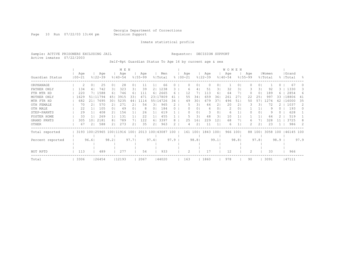Page 10 Run 07/22/03 13:44 pm Decision Support

### Inmate statistical profile

Sample: ACTIVE PRISONERS EXCLUDING JAIL Requestor: DECISION SUPPORT Active inmates 07/22/2003

Self-Rpt Guardian Status To Age 16 by current age & sex

|                  |            |                          |                | M E N                |                    |      |            |      |             |                |             |      | <b>WOMEN</b> |                |             |                |          |      |           |               |
|------------------|------------|--------------------------|----------------|----------------------|--------------------|------|------------|------|-------------|----------------|-------------|------|--------------|----------------|-------------|----------------|----------|------|-----------|---------------|
|                  | Age        | Age                      |                | Age                  | Age                |      | Men        |      | Age         |                | Age         |      | Age          |                | Age         |                | Women    |      | Grand     |               |
| Guardian Status  | $100 - 21$ | $8122 - 39$              | $8140 - 54$    |                      | $8155 - 99$        |      | % Total    |      | $8100 - 21$ |                | $8122 - 39$ |      | $8140 - 54$  |                | $8155 - 99$ |                | % Total  |      | %   Total | $\approx$     |
| ORPHANAGE        | 2          | 25<br>0                  | 0 <sup>1</sup> | 28<br>01             | 11                 |      | 66         |      |             | 0              |             | 0.   |              |                |             | 0 <sub>1</sub> |          |      | 67        |               |
| FATHER ONLY      | 134        | 742<br>4                 | 31             | 323<br>31            | 39                 | 21   | 1238       | 3.   | 6           |                | 51          | 31   | 32           | 31             |             | 31             | 92       |      | 1330      | 3             |
| FTR MTR HD       | 220        | 7  1588                  | 61             | 746<br>61            | 111                | 61   | 2665       | 6.   | 12          |                | 113         | 61   | 64           |                |             | $\circ$        | 189      | 6    | 2854      | 6             |
| MOTHER ONLY      | 1629       | 51 11794                 | 451            | 3915<br>33           | 471                |      | 23117809   | 41   | 55          | 34             | 659         | 361  | 261          | 27             | 22          | 251            | 997      | 33   | 18806     | 41            |
| MTR FTR HD       | 682        | 7695<br>211              | 301            | 5235<br>44           | 1114               |      | 55   14726 | 34   | 49          | 30             | 679         | 371  | 496          | 51             | 50          | 571            | 1274     | 42   | 16000     | 35            |
| OTH FEMALE       | 70         | 570<br>21                | 21             | 271<br>2.            | 54                 | 31   | 965        | 2.   | 5           | 31             | 44          | 21   | 20           | $\overline{2}$ |             | 31             | 72       |      | 1037      | $\mathcal{L}$ |
| OTH MALE         | 22         | 105                      | 0 <sub>1</sub> | 49<br>0 <sub>1</sub> | 8                  | 0    | 184        | 0    |             | $\circ$        | 6           | 01   | 2            | 0              |             |                | 9        | 0.   | 193       | $\Omega$      |
| STEP-PARNTS      | 29         | 408                      | 21             | 156                  | 26                 |      | 619        |      |             | 0              | 3           | 01   | 6            |                |             | $\circ$        | 9        |      | 628       |               |
| FOSTER HOME      | 33         | 269                      | 1 <sub>1</sub> | 131                  | 22                 |      | 455        |      |             | 3              | 48          | 31   | 10           |                |             |                | 64       |      | 519       |               |
| GRAND PRNTS      | 305        | 2181<br>101              | 8 <sup>1</sup> | 789                  | 122                | 6    | 3397       | 8    | 25          | 16             | 229         | 12   | 68           |                | 6           | 7 <sub>1</sub> | 328      |      | 3725      |               |
| OTHER            | 67         | 588                      | 21             | 273<br>2             | 35                 | 2    | 963        |      |             | $\overline{2}$ | 11          |      | 6            |                |             | 2 <sub>1</sub> | 23       |      | 986       | $\mathcal{L}$ |
| Total reported   |            | 3193 100 25965 100 11916 |                | 1001                 | 2013 100 43087 100 |      |            |      |             | 161 100        | 1843 100    |      |              | 966 1001       |             | 88 100         | 3058 100 |      | 46145 100 |               |
| Percent reported |            | 96.6                     | 98.2           | 97.7                 |                    | 97.4 |            | 97.9 |             | 98.81          |             | 99.1 |              | 98.8           |             | 97.8           |          | 98.9 |           | 97.9          |
|                  |            |                          |                |                      |                    |      |            |      |             |                |             |      |              |                |             |                |          |      |           |               |
| NOT RPTD         | 113        | 489                      |                | 277                  | 54                 |      | 933        |      | 2           |                | 17          |      | 12           |                | 2           |                | 33       |      | 966       |               |
| Total            | 3306       | 26454                    | 12193          |                      | 2067               |      | 44020      |      | 163         |                | 1860        |      | 978          |                | 90          |                | 3091     |      | 47111     |               |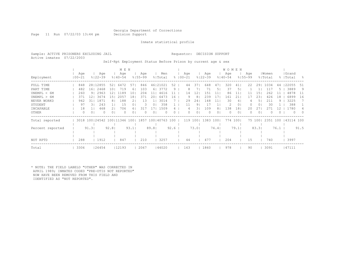Page 11 Run 07/22/03 13:44 pm Decision Support

Inmate statistical profile

Sample: ACTIVE PRISONERS EXCLUDING JAIL Requestor: DECISION SUPPORT Active inmates 07/22/2003

Self-Rpt Employment Status Before Prison by current age & sex

|                  |                   |                |                              |                | M E N              |      |                    |       |                |      |             |     |                |                    |                | <b>WOMEN</b>       |                |                    |                |                  |      |                    |          |
|------------------|-------------------|----------------|------------------------------|----------------|--------------------|------|--------------------|-------|----------------|------|-------------|-----|----------------|--------------------|----------------|--------------------|----------------|--------------------|----------------|------------------|------|--------------------|----------|
| Employment       | Age<br>$100 - 21$ |                | Age<br>$8122 - 39$           |                | Age<br>$8140 - 54$ |      | Aqe<br>$8155 - 99$ |       | Men<br>% Total |      | $8100 - 21$ | Aqe |                | Age<br>$8122 - 39$ |                | Age<br>$8140 - 54$ |                | Age<br>$8155 - 99$ |                | Women<br>% Total |      | Grand<br>%   Total | - 옹      |
| FULL TIME        | 848               |                | 28   12855                   | 521            | 6472               | 57   | 846                | 461   | 21021          | 52   |             | 44  | 37             | 648                | 47             | 320                | 41             | 22                 | 291            | 1034             | 44   | 22055              | -51      |
| PART TIME        | 482               | 161            | 2468                         | 101            | 719                | 61   | 103                | 61    | 3772           | 9    |             | 8   |                | 71                 | 51             | 37                 | 5              |                    |                | 117              | b.   | 3889               | 9        |
| UNEMPL < 6M      | 260               | 9 <sub>1</sub> | 2963                         |                | 1189               | 10   | 204                | 11    | 4616           |      |             | 14  | 12             | 151                | 11             | 86                 | 11             | 11                 | 15             | 2.62             |      | 4878               | -11      |
| UNEMPL > 6M      | 371               | 121            | 3674                         | 15 I           | 2057               | 18   | 371                | 20    | 6473           | 16   |             | 9   | 8              | 239                | 17             | 161                | 21             | 17                 | 231            | 426              | 18   | 6899               | 16       |
| NEVER WORKD      | 942               | 31 I           | 1871                         | 81             | 188                |      | 13                 |       | 3014           |      |             | 29  | 24             | 148                | 11             | 30                 | 4              |                    | .5             | 211              | 9.   | 3225               |          |
| STUDENT          | 97                | 31             | 243                          |                | 15                 |      | 3                  | 0     | 358            |      |             | 11  | 9              | 17                 |                |                    | 0 <sub>1</sub> |                    | 01             | 30               |      | 388                |          |
| INCAPABLE        | 18                |                | 468                          |                | 706                | 6    | 317                |       | 1509           |      |             |     |                | 109                |                | 138                | 181            | 20                 |                |                  |      | .780               |          |
| OTHER            | $\Omega$          | 0 <sub>1</sub> |                              | 0 <sub>1</sub> | O                  | 0    | $\Omega$           | 0     | $\Omega$       | 0    |             | 0   | 0 <sup>1</sup> | $\Omega$           | 0 <sub>1</sub> |                    | 0 <sub>1</sub> |                    | 0 <sub>1</sub> |                  | 0    | $\Omega$           | $\Omega$ |
| Total reported   |                   |                | 3018 100 24542 100 11346 100 |                |                    |      | 1857               |       | 100140763 100  |      |             | 119 | 1001           | 1383               | 1001           | 774                | $100$          |                    | 75 100         | 2351 100         |      | 43114 100          |          |
| Percent reported |                   | 91.3           |                              | 92.81          |                    | 93.1 |                    | 89.81 |                | 92.6 |             |     | 73.01          |                    | 74.4           |                    | 79.1           |                    | 83.3           |                  | 76.1 |                    | 91.5     |
|                  |                   |                |                              |                |                    |      |                    |       |                |      |             |     |                |                    |                |                    |                |                    |                |                  |      |                    |          |
| NOT RPTD         | 288               |                | 1912                         |                | 847                |      | 210                |       | 3257           |      |             | 44  |                | 477                |                | 204                |                | 15                 |                | 740              |      | 3997               |          |
| Total            | 3306              |                | 26454                        |                | 12193              |      | 2067               |       | 44020          |      |             | 163 |                | 1860               |                | 978                |                | 90                 |                | 3091             |      | 47111              |          |

\* NOTE: THE FIELD LABELD "OTHER" WAS CORRECTED IN APRIL 1989; INMATES CODED "PRE-OTIS NOT REPORTED" NOW HAVE BEEN REMOVED FROM THIS FIELD AND IDENTIFIED AS "NOT REPORTED".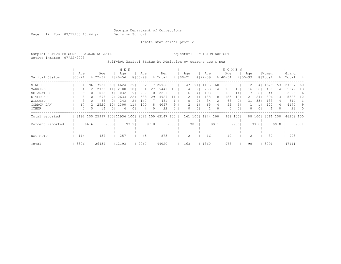Page 12 Run 07/22/03 13:44 pm Decision Support

Inmate statistical profile

Sample: ACTIVE PRISONERS EXCLUDING JAIL Requestor: DECISION SUPPORT Active inmates 07/22/2003

Self-Rpt Marital Status At Admission by current age & sex

|                  |            |                |             |                | M E N       |       |             |                |           |          |             |         |             |                 | WOMEN       |       |             |                 |         |      |           |          |
|------------------|------------|----------------|-------------|----------------|-------------|-------|-------------|----------------|-----------|----------|-------------|---------|-------------|-----------------|-------------|-------|-------------|-----------------|---------|------|-----------|----------|
|                  | Age        |                | Age         |                | Age         |       | Aqe         |                | Men       |          | Age         |         | Age         |                 | Age         |       | Age         |                 | Women   |      | Grand     |          |
| Marital Status   | $100 - 21$ |                | $8122 - 39$ |                | $8140 - 54$ |       | $8155 - 99$ |                | % Total   |          | $8100 - 21$ |         | $8122 - 39$ |                 | $8140 - 54$ |       | $8155 - 99$ |                 | % Total |      | %   Total | - 옹      |
| SINGLE           | 3051       | 96   17931     |             | 69             | 4624        | 39    | 352         | 17             | 25958     | 60       | 147         | 91.     | 105         | 60.             | 365         | 38    | 12          | 14 I            | 1629    | 53   | 27587     | 60       |
| MARRIED          | 54         |                | 2   2733    |                | 2100        | 18    | 554         | 27             | 5441      | 3        |             |         | 253         | 14              | 165         | 17    | 16          | 18 <sup>1</sup> | 438     | 14   | 5879      | 13       |
| SEPARATED        | 9          | 0 <sup>1</sup> | 1013        | 41             | 1032        | 9     | 207         | 10             | 2261      | h        | 6           | 4       | 198         |                 | 133         | 14    |             | 8               | 344     |      | 2605      | 6        |
| DIVORCED         | 8          | 0 <sup>1</sup> | 1698        |                | 2633        | 22    | 588         | 29             | 4927      |          |             |         | 188         | 10 <sup>1</sup> | 185         | 19    | 21          | 24              | 396     | 13   | 5323      | 12       |
| WIDOWED          | 3          |                | 88          | 01             | 243         |       | 147         |                | 481       |          |             | 0       | 34          | 2.              | 68          |       | 31          | 35              | 133     |      | 614       |          |
| COMMON LAW       | 67         |                | 2520        | 10             | 1300        |       | 170         | 8              | 4057      | 9.       |             |         | 65          | 4               | 52          | 5.    |             |                 | 120     |      | 4177      | 9        |
| OTHER            | $\Omega$   | 01             | 14          | 0 <sup>1</sup> | 4           |       | 4           | 0 <sub>1</sub> | 22        | $\Omega$ | 0           | $\circ$ |             | 0 <sub>1</sub>  | $\Omega$    | 0     |             | 01              |         | ()   | 23        | $\Omega$ |
| Total reported   |            | 3192 100 25997 |             | 100111936      |             | 1001  | 2022        |                | 100143147 | 100      | 161         | 1001    | 1844        | 1001            | 968         | 1001  |             | 88 100          | 3061    | 100  | 46208 100 |          |
|                  |            |                |             |                |             |       |             |                |           |          |             |         |             |                 |             |       |             |                 |         |      |           |          |
| Percent reported |            | 96.61          |             | 98.31          |             | 97.91 |             | 97.81          |           | 98.0     |             | 98.81   |             | 99.1            |             | 99.01 |             | 97.81           |         | 99.0 |           | 98.1     |
|                  |            |                |             |                |             |       |             |                |           |          |             |         |             |                 |             |       |             |                 |         |      |           |          |
| NOT RPTD         | 114        |                | 457         |                | 257         |       | 45          |                | 873       |          | 2           |         | 16          |                 | 10          |       |             |                 | 30      |      | 903       |          |
| Total            | 3306       |                | 26454       |                | 12193       |       | 2067        |                | 44020     |          | 163         |         | 1860        |                 | 978         |       | 90          |                 | 3091    |      | 47111     |          |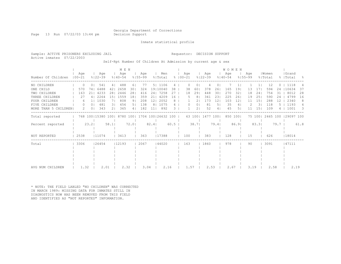Page 13 Run 07/22/03 13:44 pm Decision Support

Inmate statistical profile

Active inmates 07/22/2003

#### Sample: ACTIVE PRISONERS EXCLUDING JAIL Requestor: DECISION SUPPORT

Self-Rpt Number Of Children At Admission by current age & sex

|                      |                   |                |                                                       |                | MEN                |                |                    |                 |                |      |                      |        |                |                    |                 | <b>WOMEN</b>       |                 |                    |                 |                  |      |                     |      |
|----------------------|-------------------|----------------|-------------------------------------------------------|----------------|--------------------|----------------|--------------------|-----------------|----------------|------|----------------------|--------|----------------|--------------------|-----------------|--------------------|-----------------|--------------------|-----------------|------------------|------|---------------------|------|
| Number Of Children   | Age<br>$100 - 21$ |                | Age<br>$8122 - 39$                                    |                | Age<br>$8140 - 54$ |                | Aqe<br>$8155 - 99$ |                 | Men<br>% Total |      | Age<br>$8   00 - 21$ |        |                | Age<br>$8122 - 39$ |                 | Age<br>$8140 - 54$ |                 | Aqe<br>$8155 - 99$ |                 | Women<br>% Total |      | Grand<br>%   Total  | - 양  |
| NO CHILDREN          | $\Omega$          | $\cap$         | 541                                                   | 4 <sub>1</sub> | 488                | 61             | -77                |                 | 5   1106       | 4    |                      |        | 0              | 4                  |                 |                    |                 |                    |                 | 12               |      | 1118                |      |
| ONE CHILD            | 570               | 741            | 6488                                                  | 421            | 2658               | 301            | 324                |                 | 19 10040       | 38   |                      | 38     | 60             | 378                | 26              | 165                | 19              | 13                 | 17              | 594              | 24   | 10634               | 37   |
| TWO CHILDREN         | 163               | 211            | 4233                                                  | 281            | 2446               | 281            | 416                |                 | 24   7258      | 27   |                      | 18     | 291            | 448                | 301             | 270                | 32              | 18                 | 24              | 754              | 31   | 8012                | 28   |
| THREE CHILDREN       | 27                | 4              | 2264                                                  | 151            | 1559               | 181            | 359                | 211             | 4209           | 16   |                      | 5      | 8              | 341                | 231             | 225                | 261             | 19                 | 251             | 590              | 24   | 4799                | 16   |
| FOUR CHILDREN        | 6                 |                | 1030                                                  | 71             | 808                | 91             | 208                | 12 <sub>1</sub> | 2052           | 8    |                      |        | 21             | 173                | 12 <sub>2</sub> | 103                | 12 <sub>1</sub> | 11                 | 15 <sub>1</sub> | 288              |      | 2340                | 8    |
| FIVE CHILDREN        | $\left( \right)$  | 0 <sub>1</sub> | 481                                                   | 31             | 456                | 5 <sub>1</sub> | 138                |                 | 8   1075       | 4    |                      | 0      | 01             | 81                 | 51              | 35                 | 4               |                    | 31              | 118              |      | 1193                | 4    |
| MORE THAN 5 CHILDREN | 2                 | 0 <sub>1</sub> | 343                                                   | 21             | 365                | 4 <sub>1</sub> | 182                | 11 <sub>1</sub> | 892            | 3    |                      |        | 2 <sub>1</sub> | 52                 | 4               | 45                 | 51              | 11                 | 151             | 109              |      | 1001                | - 3  |
| Total reported       |                   |                | 768 100   15380 100   8780 100   1704 100   26632 100 |                |                    |                |                    |                 |                |      |                      | 63 100 |                | 1477 100           |                 |                    | 850 1001        |                    | 75 1001         |                  |      | 2465 100 129097 100 |      |
| Percent reported     |                   | 23.2           |                                                       | 58.1           |                    | $72.0$         |                    | $82.4$          |                | 60.5 |                      |        | 38.7           |                    | 79.4            |                    | 86.9            |                    | 83.3            |                  | 79.7 |                     | 61.8 |
| NOT REPORTED         | 2538              |                | 11074                                                 |                | 3413               |                | 363                |                 | 17388          |      | 100                  |        |                | 383                |                 | 128                |                 | 15                 |                 | 626              |      | 18014               |      |
| Total                | 3306              |                | 26454                                                 |                | 12193              |                | 2067               |                 | 144020         |      | 163                  |        |                | 1860               |                 | 978                |                 | 90                 |                 | 3091             |      | 47111               |      |
|                      |                   |                |                                                       |                |                    |                |                    |                 |                |      |                      |        |                |                    |                 |                    |                 |                    |                 |                  |      |                     |      |
|                      |                   |                |                                                       |                |                    |                |                    |                 |                |      |                      |        |                |                    |                 |                    |                 |                    |                 |                  |      |                     |      |
|                      |                   |                |                                                       |                |                    |                |                    |                 |                |      |                      |        |                |                    |                 |                    |                 |                    |                 |                  |      |                     |      |
|                      |                   |                |                                                       |                |                    |                |                    |                 |                |      |                      |        |                |                    |                 |                    |                 |                    |                 |                  |      |                     |      |
| AVG NUM CHILDREN     | 1.32              |                | 2.01                                                  |                | 2.32               |                | 3.04               |                 | 2.16           |      |                      | 1.57   |                | 2.53               |                 | 2.67               |                 | 3.19               |                 | 2.58             |      | 2.19                |      |

\* NOTE: THE FIELD LABLED "NO CHILDREN" WAS CORRECTED IN MARCH 1989: MISSING DATA FOR INMATES STILL IN DIAGNOSTICS NOW HAS BEEN REMOVED FROM THIS FIELD AND IDENTIFIED AS "NOT REPORTED" INFORMATION.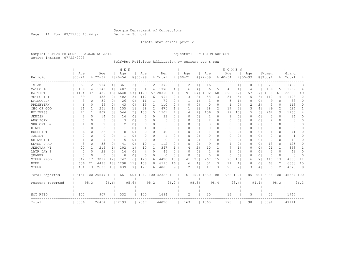Page 14 Run 07/22/03 13:44 pm Decision Support

### Inmate statistical profile

Sample: ACTIVE PRISONERS EXCLUDING JAIL Requestor: DECISION SUPPORT Active inmates 07/22/2003

Self-Rpt Religious Affiliation by current age & sex

|                  |            |                |                                                         |                   | M E N       |                |             |                |          |          |             |                |                   |                 | <b>WOMEN</b> |                 |             |                |          |                |                     |          |
|------------------|------------|----------------|---------------------------------------------------------|-------------------|-------------|----------------|-------------|----------------|----------|----------|-------------|----------------|-------------------|-----------------|--------------|-----------------|-------------|----------------|----------|----------------|---------------------|----------|
|                  | Age        |                | Age                                                     |                   | Age         |                | Age         |                | Men      |          | Age         |                | Age               |                 | Age          |                 | Age         |                | Women    |                | Grand               |          |
| Religion         | $100 - 21$ |                | $8122 - 39$                                             |                   | $8140 - 54$ |                | $8155 - 99$ |                | % Total  |          | $8100 - 21$ |                | $8122 - 39$       |                 | $8140 - 54$  |                 | $8155 - 99$ |                | % Total  |                | %   Total           | ႜ        |
| ISLAM            | 67         | 21             | 914                                                     | 4                 | 361         | 31             | 37          |                | 2   1379 | 3        |             | 1 <sup>1</sup> | 16                | 11              | 5            | $\mathbf{1}$    | 0           | 0 I            | 23       | 1 <sup>1</sup> | 1402                | 3        |
| CATHOLIC         | 139        |                | 4   1140                                                | 4                 | 407         | 3 <sup>1</sup> | 84          |                | 4   1770 | 4        | 6           | 4              | 86                | 5.              | 43           | 4               | 4           | 51             | 139      | 5              | 1909                | 4        |
| BAPTIST          | 1174       |                | 37111439                                                | 451               | 6648        | 571            | 1129        |                | 57120390 | 48       | 91          | 57             | 1092              | 601             | 598          | 62              | 57          | 671            | 1838     | 61             | 22228               | 49       |
| METHODIST        | 39         | 1 <sup>1</sup> | 433                                                     | 21                | 402         | 31             | 117         | 61             | 991      | 2        | 3           | 2 <sub>1</sub> | 58                | 3 <sup>1</sup>  | 51           | 5 <sub>1</sub>  | 5           | 61             | 117      | 4              | 1108                | 2        |
| EPISCOPLN        | 3          | 0 <sub>1</sub> | 39                                                      | 0 <sub>1</sub>    | 26          | 0 <sub>1</sub> | 11          | 1 <sup>1</sup> | 79       | 0        |             | 1 <sup>1</sup> | 3                 | 0 <sub>1</sub>  | 5            | $1\vert$        | 0           | 0 <sup>1</sup> | 9        | 0              | 88                  | 0        |
| PRESBYTRN        | 6          | 0 <sub>1</sub> | 46                                                      | 0 <sub>1</sub>    | 43          | 0 <sub>1</sub> | 15          | 1 <sup>1</sup> | 110      | 0        | 0           | 0              | 0                 | 01              | -1           | 0               | 2           | 2 <sub>1</sub> | 3        | $\Omega$       | 113                 | $\Omega$ |
| CHC OF GOD       | 31         | 11             | 251                                                     | 1 <sup>1</sup>    | 155         | 1 <sub>1</sub> | 38          | $\overline{2}$ | 475      |          |             | 1 <sup>1</sup> | 28                | 2 <sub>1</sub>  | 17           | 2               | 3           | 4 <sub>1</sub> | 49       | 2              | 524                 |          |
| HOLINESS         | 47         | 1 <sub>1</sub> | 807                                                     | 31                | 544         | 51             | 103         | 5 I            | 1501     | 4        | 4           | 21             | 156               | 91              | 99           | 10 <sub>1</sub> | 5           | 61             | 264      | 9              | 1765                | 4        |
| <b>JEWISH</b>    | 2          | 0              | 14                                                      | 0 <sub>1</sub>    | 14          | 0 <sub>1</sub> | 3           | 0              | 33       | 0        | O           | 0              | $\overline{c}$    | 01              | -1           | $\circ$         | 0           | 0 <sup>1</sup> | 3        | 0              | 36                  | 0        |
| ANGLICAN         | $\Omega$   | 0              | 3                                                       | 0 <sub>1</sub>    | 3           | 0 <sub>1</sub> | $\Omega$    | 0              | 6        | 0        | O           | $\circ$        | $\overline{c}$    | 01              | 0            | $\circ$         | 0           | 0 <sup>1</sup> | 2        | 0              | 8                   | 0        |
| GRK ORTHDX       |            | 0              | 2                                                       | 0 <sub>1</sub>    | 2           | 0 <sub>1</sub> | $\Omega$    | 0              |          | 0        | O           | $\Omega$       | 0                 | 01              | 0            | $\circ$         | 0           | 0 <sup>1</sup> | 0        | 0              |                     | 0        |
| HINDU            | $\Omega$   | 0 <sup>1</sup> | 3                                                       | 0 <sub>1</sub>    |             | 0 <sub>1</sub> |             | 0              | 5        | $\Omega$ | O           | $\circ$        | $\circ$           | 0 <sub>1</sub>  | 0            | $\circ$         | 0           | 0 <sup>1</sup> | O        | 0              | 5                   | 0        |
| <b>BUDDHIST</b>  | 6          | 0 <sub>1</sub> | 26                                                      | 0 <sub>1</sub>    | 8           | 0 <sub>1</sub> | $\Omega$    | 0 <sub>1</sub> | 40       | 0        | 0           | $\circ$        | $\mathbf{1}$      | 01              | $\circ$      | $\circ$         | 0           | 0 <sup>1</sup> |          | 0              | 41                  | O        |
| TAOIST           | 0          | $\Omega$       | 0                                                       | 0 <sub>1</sub>    |             | 0 <sub>1</sub> | $\Omega$    | 0 <sub>1</sub> |          | $\Omega$ | O           | $\Omega$       | 0                 | 01              | 0            | $\circ$         | 0           | 0 <sup>1</sup> | $\Omega$ | 0              |                     | 0        |
| SHINTOIST        |            | 0              | 4                                                       | 0 <sub>1</sub>    | 5           | 0 <sub>1</sub> | $\Omega$    | 0              | 10       | 0        | n           | $\Omega$       | 0                 | 01              | 0            | 0               | $\Omega$    | 0 <sup>1</sup> | $\Omega$ | $\Omega$       | 10                  | 0        |
| SEVEN D AD       | 8          | 0              | 53                                                      | 0 <sup>1</sup>    | 41          | 0 <sub>1</sub> | 10          | 1 <sup>1</sup> | 112      | 0        | O           | 0              | 9                 | 0 <sub>1</sub>  | 4            | 0               | 0           | 0 <sup>1</sup> | 13       | 0              | 125                 | 0        |
| JEHOVAH WT       | 20         |                | 215                                                     | 1 <sup>1</sup>    | 102         | 1 <sub>1</sub> | 10          | 1 <sup>1</sup> | 347      |          | 4           | $\overline{2}$ | 10                | 11              | 7            | $\mathbf{1}$    | 0           | 0 <sup>1</sup> | 21       |                | 368                 |          |
| LATR DAY S       | .5         | 0              | 23                                                      | 0 <sub>1</sub>    | 14          | 0 <sub>1</sub> | 4           | 0              | 46       | 0        | O           | 0              | 2                 | $\circ$         | -1           | 0               | 0           | 0 <sup>1</sup> | 3        | 0              | 49                  | 0        |
| OUAKER           | $\Omega$   | 0              | 0                                                       | 0 <sup>1</sup>    | $\Omega$    | 0 <sub>1</sub> | 0           | 0              | $\Omega$ | $\Omega$ | $\Omega$    | $\Omega$       | 0                 | $\circ$         | $\circ$      | $\circ$         | 0           | 0 <sup>1</sup> | 0        | $\Omega$       | $\Omega$            | $\Omega$ |
| OTHER PROD       | 542        | 17             | 3019                                                    | $12 \overline{ }$ | 747         | 61             | 120         | 6              | 4428     | 10       | 41          | 25             | 267               | 15 <sub>1</sub> | 96           | 101             | 6           | 71             | 410      | 13             | 4838                | 11       |
| <b>NONE</b>      | 656        | 21             | 4483                                                    | 181               | 1298        | 11             | 158         | 8              | 6595     | 16       | 6           | 4              | 51                | 31              | 11           | $1\vert$        | 0           | 0 <sup>1</sup> | 68       | $\mathcal{D}$  | 6663                | 15       |
| OTHER            | 404        |                | 13   2633                                               | 101               | 839         |                | 127         | 61             | 4003     | 9        | 2           | $\mathbf{1}$   | 47                | 31              | 23           | $\overline{2}$  | 3           | 41             | 75       | 2              | 4078                | 9        |
| Total reported   |            |                | 3151 100   25547 100   11661 100   1967 100   42326 100 |                   |             |                |             |                |          |          |             |                | 161 100  1830 100 |                 |              | 962 100         |             | 85 100         |          |                | 3038 100 145364 100 |          |
|                  |            |                |                                                         |                   |             |                |             |                |          |          |             |                |                   |                 |              |                 |             |                |          |                |                     |          |
| Percent reported |            | 95.31          |                                                         | 96.6              |             | 95.6           |             | 95.2           |          | 96.2     |             | 98.8           |                   | 98.4            |              | 98.4            |             | 94.4           |          | 98.3           |                     | 96.3     |
|                  |            |                |                                                         |                   |             |                |             |                |          |          |             |                |                   |                 |              |                 |             |                |          |                |                     |          |
| NOT RPTD         | 155        |                | 907                                                     |                   | 532         |                | 100         |                | 1694     |          | 2           |                | 30                |                 | 16           |                 | 5           |                | 53       |                | 1747                |          |
| Total            | 3306       |                | 26454                                                   |                   | 12193       |                | 2067        |                | 44020    |          | 163         |                | 1860              |                 | 978          |                 | 90          |                | 3091     |                | 47111               |          |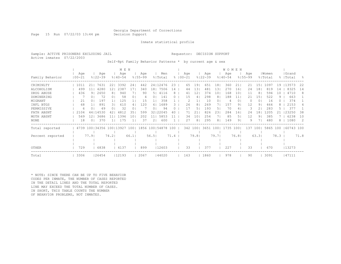Page 15 Run 07/22/03 13:44 pm Decision Support

Inmate statistical profile

Sample: ACTIVE PRISONERS EXCLUDING JAIL **Requestor: DECISION SUPPORT** Active inmates 07/22/2003

Self-Rpt Family Behavior Patterns \* by current age & sex

|                  |            |                              |             |                | M E N       |                |                      |                 |          |      |             |          |                |             |       | <b>WOMEN</b> |                 |             |                 |          |      |           |      |
|------------------|------------|------------------------------|-------------|----------------|-------------|----------------|----------------------|-----------------|----------|------|-------------|----------|----------------|-------------|-------|--------------|-----------------|-------------|-----------------|----------|------|-----------|------|
|                  | Age        |                              | Age         |                | Age         |                | Age                  |                 | Men      |      |             | Age      |                | Age         |       | Age          |                 | Age         |                 | Women    |      | Grand     |      |
| Family Behavior  | $100 - 21$ |                              | $8122 - 39$ |                | $8140 - 54$ |                | $8155 - 99$          |                 | % Total  |      | $8100 - 21$ |          |                | $8122 - 39$ |       | $8140 - 54$  |                 | $8155 - 99$ |                 | % Total  |      | %   Total | - 8  |
| CRIMINLTY        | 1011       | 21                           | 7631        | 221            | 3392        | 241            | 442                  |                 | 24 12476 | 23   |             | 65       | 191            | 651         | 181   | 360          | 21              | 21          | 151             | 1097     | 19   | 13573     | 22   |
| ALCOHOLISM       | 499        | 11                           | 4280        | 12             | 2387        | 17             | 340                  | 18 <sub>1</sub> | 7506     | 14   |             | 44       | 131            | 481         | 131   | 270          | 16              | 24          | 181             | 819      | 14   | 8325      | 14   |
| DRUG ABUSE       | 436        | 91                           | 2650        | 8 <sup>1</sup> | 940         |                | 90                   | 51              | 4116     | 8    |             | 41       | 12             | 374         | 10    | 168          | 10 <sup>°</sup> | 11          | 8               | 594      | 10   | 4710      | 8    |
| DOMINERING       |            | 0                            | 72          | 0 <sup>1</sup> | 58          | 0 <sub>1</sub> | 4                    | 01              | 141      | 0    |             | 15       | 41             | 298         | 81    | 188          | 11              | 21          | 15 <sub>1</sub> | 522      | 9.   | 663       |      |
| MIGRANT          | 21         |                              | 197         |                | 125         |                | 15                   |                 | 358      |      |             |          |                | 10          |       |              | 0               |             | 0 <sub>1</sub>  | 16       |      | 374       |      |
| INFL BTGS        | 68         |                              | 891         | 31             | 610         | 4              | 120                  | 61              | 1689     | 3    |             | 26       | 8 <sub>1</sub> | 269         |       | 157          | 91              | 12          | 91              | 464      |      | 2153      | 4    |
| PERMISSIVE       | 6          |                              | 49          | 0 <sup>1</sup> | 32          | 0              |                      | 01              | 94       | 0    |             | 17       | 5              | 193         | 51    | 70           | 4               | 3           | 2 <sub>1</sub>  | 283      |      | 377       |      |
| FATH ABSNT       | 2104       |                              | 44   14530  |                | 4812        | 35             | 599                  | 321             | 22045    | 40   |             |          |                | 826         | 23    | 284          | 16              | 24          | . 8 I           | .205     |      | 23250     | 38   |
| MOTH ABSNT       | 569        | 12                           | 3686        |                | 1396        | 10             | 202                  | 11              | 5853     |      |             | 34       | 10             | 254         |       | 85           | 5.              | 12          | 91              | 385      |      | 6238      | 10   |
| NONE             | 18         |                              | 370         |                | 175         |                | 37                   | 21              | 600      |      |             | 27       | 8 <sup>1</sup> | 295         | 81    | 149          | 9               | 9           |                 | 480      |      | 1080      | -2   |
| Total reported   |            | 4739 100 34356 100 13927 100 |             |                |             |                | 1856 100 54878 100 1 |                 |          |      |             | 342 1001 |                | 3651 1001   |       | 1735         | 1001            | 137         | 1001            | 5865 100 |      | 60743 100 |      |
|                  |            |                              |             |                |             |                |                      |                 |          |      |             |          |                |             |       |              |                 |             |                 |          |      |           |      |
| Percent reported |            | 77.91                        |             | 74.21          |             | 66.1           |                      | 56.51           |          | 71.4 |             |          | 79.81          |             | 79.71 |              | 76.8            |             | 63.3            |          | 78.3 |           | 71.8 |
|                  |            |                              |             |                |             |                |                      |                 |          |      |             |          |                |             |       |              |                 |             |                 |          |      |           |      |
| OTHER            | 729        |                              | 6838        |                | 4137        |                | 899                  |                 | 12603    |      |             | 33       |                | 377         |       | 227          |                 | 33          |                 | 670      |      | 13273     |      |
| Total            | 3306       |                              | 26454       |                | 12193       |                | 2067                 |                 | 144020   |      |             | 163      |                | 1860        |       | 978          |                 | 90          |                 | 3091     |      | 47111     |      |

\* NOTE: SINCE THERE CAN BE UP TO FIVE BEHAVIOR CODES PER INMATE, THE NUMBER OF CASES REPORTED IN THE DETAIL LINES AND THE TOTAL REPORTED LINE MAY EXCEED THE TOTAL NUMBER OF CASES. IN SHORT, THIS TABLE COUNTS THE NUMBER OF BEHAVIOR PROBLEMS, NOT INMATES.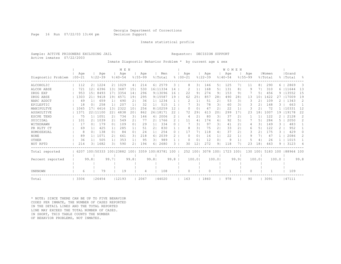Page 16 Run 07/22/03 13:44 pm Decision Support

#### Inmate statistical profile

Sample: ACTIVE PRISONERS EXCLUDING JAIL Requestor: DECISION SUPPORT Active inmates 07/22/2003

Inmate Diagnostic Behavior Problem \* by current age & sex

|                    |                   |                |                     |                | M E N              |                |                    |                |                    |               |                    |                     |                    |                | WOMEN              |                |                    |                |                  |       |                 |                |
|--------------------|-------------------|----------------|---------------------|----------------|--------------------|----------------|--------------------|----------------|--------------------|---------------|--------------------|---------------------|--------------------|----------------|--------------------|----------------|--------------------|----------------|------------------|-------|-----------------|----------------|
| Diagnostic Problem | Aqe<br>$100 - 21$ |                | Age<br>$8122 - 39$  |                | Age<br>$8140 - 54$ |                | Age<br>$8155 - 99$ |                | Men<br>% Total     |               | Aqe<br>$8100 - 21$ |                     | Age<br>$8122 - 39$ |                | Age<br>$8140 - 54$ |                | Age<br>$8155 - 99$ |                | Women<br>% Total | ⊱     | Grand<br> Total | $\frac{6}{10}$ |
| ALCOHOLIC          | 112               | 2 <sub>1</sub> | 1224                | 2 <sub>1</sub> | 1029               | 4              | 214                | 61             | 2579               | 3             |                    | 8<br>31             | 146                | 51             | 125                | 71             | 11                 | 8 <sub>1</sub> | 290              | 6.    | 2869            | 3              |
| ALCOH ABSE         | 721               | 121            | 6396                | 131            | 3687               | 15             | 530                |                | 16111334           | 14            |                    | $\mathbf{1}$        | 168                | 51             | 131                | 8              |                    |                | 310              |       | 6 111644        | 13             |
| DRUG EXP           | 953               | 151            | 8493                | 171            | 3354               | 14             | 296                |                | 9113096            | 16            | 22                 | 9                   | 274                | 9 <sub>1</sub> | 153                | 9              |                    | 51             | 456              | 9.    | 13552           | 15             |
| DRUG ABSE          | 1303              | 211            | 9418                | 191            | 4571               | 19             | 295                |                | 9115587            | 19            | 62                 | 25                  | 857                | 281            | 490                | 28             | 13                 | 101            | 1422             |       | 117009          | 19             |
| NARC ADDCT         | 49                | 11             | 659                 |                | 490                | 21             | 36                 |                | 1  1234            |               |                    | 2<br>$\mathbf{1}$   | 51                 | $\overline{2}$ | 53                 | 31             |                    | 21             | 109              |       | 1343            | 2              |
| EPILEPTIC          | 18                | $\Omega$       | 258                 |                | 207                |                | 32                 | 1 <sub>1</sub> | 515                |               |                    | 31                  | 78                 | 31             | 60                 | 31             |                    | 21             | 148              |       | 663             |                |
| MANIPULTVE         | 1065              | 17             | 6616                | 13             | 2322               | 10             | 256                |                | 8   10259          | 12            |                    | 0                   | 47                 | 2 <sub>1</sub> | 22                 | $\mathbf{1}$   | 3                  | 2              | 72               |       | 10331           | 12             |
| ASSAULTIVE         | 1371              |                | 22111100            | 22             | 4838               | 20             | 862                |                | 26 18171           | 22            | 72                 | 29                  | 613                | 201            | 299                | 17             | 23                 | 181            | 1007             | 19    | 19178           | 22             |
| ESCPE TEND         | 75                |                | 1  1051             | 2              | 734                | 3              | 146                | 41             | 2006               | 2             |                    | $\overline{2}$<br>4 | 80                 | 31             | 37                 | 2              |                    | $\mathbf{1}$   | 122              |       | 2128            | 2              |
| SUICIDAL           | 101               | 21             | 1039                | 21             | 549                | 2 <sub>1</sub> | 77                 | 2.             | 1766               | $\mathcal{L}$ | 11                 | 4                   | 174                | 61             | 92                 | 5              |                    | 5              | 284              | 5     | 2050            | 2              |
| WITHDRAWN          | 17                | 0 <sup>1</sup> | 179                 | $\Omega$       | 109                | 0 <sup>1</sup> | 29                 | 1 <sub>1</sub> | 334                | $\Omega$      |                    | 31                  | 97                 | 31             | 41                 | $\overline{2}$ | 4                  | 31             | 149              | 3     | 483             |                |
| PR RLTY CT         | 69                | 11             | 425                 | 1 <sup>1</sup> | 285                | 1 <sub>1</sub> | 51                 | 2              | 830                |               |                    | 8<br>31             | 75                 | 21             | 33                 | $\overline{2}$ | 6                  | 5 <sub>1</sub> | 122              | 2     | 952             |                |
| HOMOSEXUAL         | 8                 | 0 <sub>1</sub> | 138                 | 0 <sub>1</sub> | 84                 | 0 <sup>1</sup> | 24                 | 1 <sub>1</sub> | 254                | $\Omega$      | 17                 | 71                  | 118                | 41             | 37                 | $\overline{2}$ | 3                  | 21             | 175              | 3     | 429             | $\Omega$       |
| <b>NONE</b>        | 89                |                | 1071                | 21             | 661                | 31             | 218                | 6              | 2039               | $\mathcal{L}$ |                    | O<br>$\Omega$       | 16                 | 1 <sub>1</sub> | 22                 | $\mathbf{1}$   | 9                  |                | 47               |       | 2086            | $\overline{2}$ |
| OTHER              | 36                |                | 505                 | 1 <sub>1</sub> | 353                |                | 95                 | 31             | 989                |               |                    | 0<br>O              | 12                 | 0 <sub>1</sub> | 9                  | $\mathbf{1}$   |                    | $\overline{4}$ | 26               |       | 1015            |                |
| NOT RPTD           | 214               | $\overline{3}$ | 1682                | 31             | 590                | 2.             | 194                | 6              | 2680               | ς             | 30                 | 12                  | 272                | 9              | 118                |                | 23                 | 18             | 443              | 9     | 3123            | 4              |
| Total reported     | 6207              |                | 100150333 100123882 |                |                    | 1001           |                    |                | 3359 100183781 100 |               |                    | 252 100             | 3078               | 1001           | 1723               | 100            | 130                | 1001           | 5183 100         |       | 188964 100      |                |
|                    |                   |                |                     |                |                    |                |                    |                |                    |               |                    |                     |                    |                |                    |                |                    |                |                  |       |                 |                |
| Percent reported   |                   | 99.8           |                     | 99.71          |                    | 99.8           |                    | 99.8           |                    | 99.8          |                    | 100.0               |                    | 100.01         |                    | 99.9           |                    | 100.01         |                  | 100.0 |                 | 99.8           |
|                    |                   |                |                     |                |                    |                |                    |                |                    |               |                    |                     |                    |                |                    |                |                    |                |                  |       |                 |                |
| UNKNOWN            | 6                 |                | 79                  |                | 19                 |                | $\overline{4}$     |                | 108                |               |                    | $\Omega$            | $\Omega$           |                |                    |                | $\Omega$           |                |                  |       | 109             |                |
| Total              | 3306              |                | 26454               |                | 12193              |                | 2067               |                | 144020             |               | 163                |                     | 1860               |                | 978                |                | 90                 |                | 3091             |       | 47111           |                |

\* NOTE: SINCE THERE CAN BE UP TO FIVE BEHAVIOR CODES PER INMATE, THE NUMBER OF CASES REPORTED IN THE DETAIL LINES AND THE TOTAL REPORTED LINE MAY EXCEED THE TOTAL NUMBER OF CASES. IN SHORT, THIS TABLE COUNTS THE NUMBER OF BEHAVIOR PROBLEMS, NOT INMATES.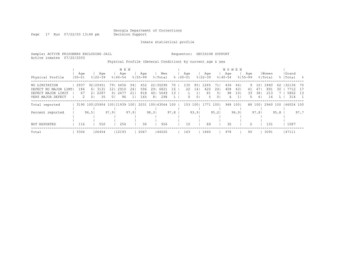Page 17 Run 07/22/03 13:44 pm Decision Support

Inmate statistical profile

Sample: ACTIVE PRISONERS EXCLUDING JAIL Requestor: DECISION SUPPORT Active inmates 07/22/2003 Physical Profile (General Condition) by current age & sex

| Physical Profile                                                                  | Aqe<br>$100 - 21$      | Aqe<br>$8122 - 39$                                       | M E N<br>Aqe<br>$8140 - 54$                                   | Aqe<br>$8155 - 99$                                        | Men<br>% Total                                              |                | Age<br>$8100 - 21$ | Aqe<br>$8122 - 39$                                                     | Age<br>$8140 - 54$                                          | <b>WOMEN</b><br>Aqe<br>$8155 - 99$ | % Total                                       | Women                                | Grand<br>%  Total<br>- 옹                           |
|-----------------------------------------------------------------------------------|------------------------|----------------------------------------------------------|---------------------------------------------------------------|-----------------------------------------------------------|-------------------------------------------------------------|----------------|--------------------|------------------------------------------------------------------------|-------------------------------------------------------------|------------------------------------|-----------------------------------------------|--------------------------------------|----------------------------------------------------|
| NO LIMITATION<br>DEFECT NO MAJOR LIMT <br>DEFECT MAJOR LIMIT<br>VERY MAJOR DEFECT | 2937<br>184<br>67<br>2 | 92120451<br>6 3131<br>2287<br>21<br>35<br>0 <sub>1</sub> | 791<br>6456<br>12 I<br>2910<br>9 2477<br>96<br>0 <sup>1</sup> | 452<br>54 <sub>1</sub><br>596<br>241<br>818<br>211<br>165 | 22130296<br>29 6821<br>401<br>5649<br>298<br>8 <sub>1</sub> | 70<br>16<br>13 | 130<br>22<br>0     | 1265<br>85<br>420<br>141<br>81<br>$\mathbf{1}$<br>0 <sup>1</sup><br>-5 | 436<br>71<br>408<br>241<br>5 <sub>1</sub><br>98<br>01<br>6. | 461<br>431<br>101                  | 101<br>9<br>41<br>47<br>33<br>381<br>61<br>5. | 1840<br>62<br>891<br>30<br>213<br>16 | 32136<br>70<br>7712<br>- 17<br>5862<br>- 13<br>314 |
| Total reported                                                                    |                        |                                                          | 3190 100 25904 100 11939 100                                  |                                                           | 2031 100 43064 100                                          |                | 153                | 1001<br>1771                                                           | 1001                                                        | 948 1001                           | 88 1001                                       | 2960 100                             | 146024 100                                         |
| Percent reported                                                                  |                        | 96.51                                                    | 97.91                                                         | 97.91                                                     | 98.31                                                       | 97.8           |                    | 93.91                                                                  | 95.21                                                       | 96.91                              | 97.81                                         | 95.8                                 | 97.7                                               |
| NOT REPORTED                                                                      | 116                    | 550                                                      | 254                                                           | 36                                                        | 956                                                         |                | 10                 | 89                                                                     | 30                                                          |                                    |                                               | 131                                  | 1087                                               |
| Total                                                                             | 3306                   | 26454                                                    | 12193                                                         | 2067                                                      | 144020                                                      |                | 163                | 1860                                                                   | 978                                                         |                                    | 90                                            | 3091                                 | 47111                                              |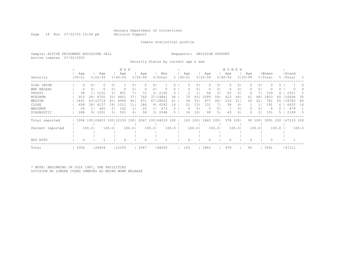Page 18 Run 07/22/03 13:44 pm Decision Support

#### Inmate statistical profile

Sample: ACTIVE PRISONERS EXCLUDING JAIL Requestor: DECISION SUPPORT Active inmates 07/22/2003

Security Status by current age & sex

|                  |            |                |                              |          | M E N       |       |             |       |               |       |             |        |             |        | <b>WOMEN</b> |       |             |                |          |       |           |           |
|------------------|------------|----------------|------------------------------|----------|-------------|-------|-------------|-------|---------------|-------|-------------|--------|-------------|--------|--------------|-------|-------------|----------------|----------|-------|-----------|-----------|
|                  | Age        |                | Age                          |          | Age         |       | Age         |       | Men           |       | Age         |        | Age         |        | Age          |       | Age         |                | Women    |       | Grand     |           |
| Security         | $100 - 21$ |                | $8122 - 39$                  |          | $8140 - 54$ |       | $8155 - 99$ |       | % Total       |       | $8100 - 21$ |        | $8122 - 39$ |        | $8140 - 54$  |       | $8155 - 99$ |                | % Total  |       | %   Total | $\approx$ |
| DIAG INCOM       | 0          | 0              |                              | $\cup$ 1 |             |       |             |       |               |       |             | 0      |             | 01     |              | 01    |             | 01             |          |       |           |           |
| WRK RELEAS       |            | 0              |                              | 01       |             |       |             | 0     |               |       |             | 0      |             | 01     |              | 01    |             | 01             |          |       |           |           |
| TRUSTY           | 38         |                | 1231                         | 51       | 851         |       | 72          | 31    | 2192          | 5.    |             |        | 58          | 31     | 63           | 6     | 6.          |                | 129      |       | 2321      | .5        |
| MINIMUM          | 915        | 281            | 8705                         | 331      | 4461        | 37    | 760         | 371   | 14841         | 34    | 70          | 43     | 1099        | 59     | 623          | 64    | 61          | 68             | 1853     | 60    | 16694     | 35        |
| MEDIUM           | 1431       |                | 43110714                     |          | 4906        | 40    | 971         | 471   | 18022         | 41    | 54          | 331    | 477         | 261    | 210          | 211   | 20          | 22             | 761      | 25    | 18783     | 40        |
| CLOSE            | 608        | 181            | 4137                         | . 6 1    | 1311        | 11    | 186         | 91    | 6242          | 14    | 21          | 13     | 131         |        | 38           | 4     |             |                | 191      | 6     | 6433      | 14        |
| MAXIMUM          | 26         | 1 <sub>1</sub> | 465                          |          | 162         |       | 20          |       | 673           |       | 0           | 0      | .5          | 01     |              | 01    |             | 0 <sub>1</sub> | 6        |       | 679       |           |
| DIAGNOSTIC       | 288        |                | 9   1201                     | 51       | 501         | 4     | 58          | 31    | 2048          | 5     | 16          | 10     | 90          | 51     | 43           | 41    |             |                | 151      |       | 2199      | 5         |
| Total reported   |            |                | 3306 100 26453 100 12193 100 |          |             |       | 2067        |       | 100144019 100 |       | 163 100     |        | 1860        | 1001   | 978          | $100$ |             | 90 100         | 3091 100 |       | 47110 100 |           |
|                  |            |                |                              |          |             |       |             |       |               |       |             |        |             |        |              |       |             |                |          |       |           |           |
| Percent reported |            | 100.01         |                              | 100.01   |             | 100.0 |             | 100.0 |               | 100.0 |             | 100.01 |             | 100.01 |              | 100.0 |             | 100.01         |          | 100.0 |           | 100.0     |
|                  |            |                |                              |          |             |       |             |       |               |       |             |        |             |        |              |       |             |                |          |       |           |           |
|                  |            |                |                              |          |             |       |             |       |               |       |             |        |             |        |              |       |             |                |          |       |           |           |
| NOT RPTD         |            |                |                              |          | 0           |       | 0           |       |               |       |             |        |             |        |              |       |             |                |          |       |           |           |
| Total            | 3306       |                | 26454                        |          | 12193       |       | 2067        |       | 44020         |       | 163         |        | 1860        |        | 978          |       | 90          |                | 3091     |       | 47111     |           |

\* NOTE: BEGINNING IN JULY 1987, THE FACILITIES DIVISION NO LONGER CODED INMATES AS BEING WORK RELEASE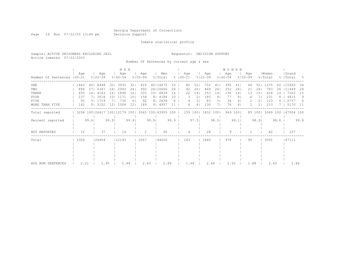Page 19 Run 07/22/03 13:44 pm Decision Support

### Inmate statistical profile

Sample: ACTIVE PRISONERS EXCLUDING JAIL Requestor: DECISION SUPPORT Active inmates 07/22/2003

Number Of Sentences by current age & sex

|                             | M E N |      |                              |       |                    |                 |                    |      |                    |      |                      |                |                    |      | <b>WOMEN</b>       |         |                    |        |                  |      |                    |      |
|-----------------------------|-------|------|------------------------------|-------|--------------------|-----------------|--------------------|------|--------------------|------|----------------------|----------------|--------------------|------|--------------------|---------|--------------------|--------|------------------|------|--------------------|------|
| Number Of Sentences   00-21 | Age   |      | Age<br>$8122 - 39$           |       | Age<br>$8140 - 54$ |                 | Age<br>$8155 - 99$ |      | Men<br>% Total     |      | Age<br>$8   00 - 21$ |                | Aqe<br>$8122 - 39$ |      | Age<br>$8140 - 54$ |         | Age<br>$8155 - 99$ |        | Women<br>% Total |      | Grand<br>%   Total | - 옹  |
| ONE                         | 1463  |      | 44   844 8                   |       | 32   3935          | 321             | 829                |      | 40114675           | 33   | 82                   | 52             | 752                |      | 395                | 41      | 46                 | 521    | 1275             | 42   | 115950             | 34   |
| TWO                         | 884   | 27   | 6347                         |       | 24   2943          | 24 <sub>1</sub> | 492                |      | 24 10666           | 24   | 42                   | 261            | 469                | 26   | 251                | 261     | 21                 | 241    | 783              | 26   | 11449              | 24   |
| THREE                       | 455   | 141  | 4183                         | 1.61  | 1896               | 161             | 305                |      | 15  6839           | 16   | 22                   | 14             | 253                | 14   | 136                | 14      | 13                 | 151    | 424              | 14   | 7263               | 15   |
| FOUR                        | 237   |      | 2618                         | 1 O I | 1171               | 101             | 158                |      | 8   4184           | 10   | 3.                   | 2 <sub>1</sub> | 145                | 8    |                    | 8       | 6                  |        | 231              |      | 4415               | 9    |
| FIVE                        | 93    |      | 31 1719                      |       | 730                | 61              | 92                 |      | 412634             | 6    |                      | 31             | 83                 | 5    | 34                 | 4       |                    |        | 123              |      | 2757               | 6    |
| MORE THAN FIVE              | 162   |      | 5   3102                     | 121   | 1504               | 12 <sup>°</sup> | 189                |      | 9   4957           |      | 6                    | 4              | 130                |      | 76                 | 8       |                    |        | 213              |      | 5170               | - 11 |
| Total reported              |       |      | 3294 100 26417 100 12179 100 |       |                    |                 |                    |      | 2065 100 43955 100 |      | 159 1001             |                | 1832 1001          |      |                    | 969 100 |                    | 89 100 | 3049 100         |      | 147004 100         |      |
| Percent reported            |       | 99.6 |                              | 99.9  |                    | 99.9            |                    | 99.9 |                    | 99.9 |                      | 97.51          |                    | 98.5 |                    | 99.1    |                    | 98.91  |                  | 98.6 |                    | 99.8 |
| NOT REPORTED                | 12    |      | 37                           |       | 14                 |                 |                    |      | 65                 |      |                      |                | 28                 |      | 9                  |         |                    |        | 42               |      | 107                |      |
| Total                       | 3306  |      | 26454                        |       | 12193              |                 | 2067               |      | 44020              |      | 163                  |                | 1860               |      | 978                |         | 90                 |        | 3091             |      | 47111              |      |
|                             |       |      |                              |       |                    |                 |                    |      |                    |      |                      |                |                    |      |                    |         |                    |        |                  |      |                    |      |
|                             |       |      |                              |       |                    |                 |                    |      |                    |      |                      |                |                    |      |                    |         |                    |        |                  |      |                    |      |
|                             |       |      |                              |       |                    |                 |                    |      |                    |      |                      |                |                    |      |                    |         |                    |        |                  |      |                    |      |
|                             |       |      |                              |       |                    |                 |                    |      |                    |      |                      |                |                    |      |                    |         |                    |        |                  |      |                    |      |
|                             |       |      |                              |       |                    |                 |                    |      |                    |      |                      |                |                    |      |                    |         |                    |        |                  |      |                    |      |
| AVG NUM SENTENCES           | 2.21  |      | 2.95                         |       | 2.99               |                 | 2.63               |      | 2.89               |      | 1.99                 |                | 2.46               |      | 2.50               |         | 1.88               |        | 2.43             |      |                    | 2.86 |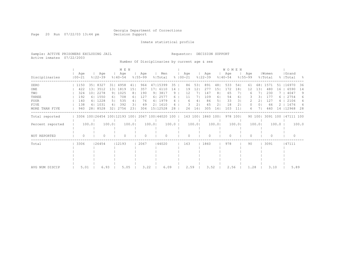Page 20 Run 07/22/03 13:44 pm Decision Support

Inmate statistical profile

Sample: ACTIVE PRISONERS EXCLUDING JAIL Requestor: DECISION SUPPORT Active inmates 07/22/2003

Number Of Disciplinaries by current age & sex

|                  |                   | M E N           |                              |                |                    |                |                    |                |                    |       |               |      |                |                    |                | <b>WOMEN</b>       |          |                    |                |                  |       |                    |       |
|------------------|-------------------|-----------------|------------------------------|----------------|--------------------|----------------|--------------------|----------------|--------------------|-------|---------------|------|----------------|--------------------|----------------|--------------------|----------|--------------------|----------------|------------------|-------|--------------------|-------|
| Disciplinaries   | Age<br>$100 - 21$ |                 | Age<br>$8122 - 39$           |                | Age<br>$8140 - 54$ |                | Age<br>$8155 - 99$ |                | Men<br>% Total     |       | $8   00 - 21$ | Age  |                | Age<br>$8122 - 39$ |                | Age<br>$8140 - 54$ |          | Age<br>$8155 - 99$ |                | Women<br>% Total |       | Grand<br>%   Total | - 양   |
| ZERO             | 1150              | 351             | 8327                         | 311            | 4958               | 41             | 964                |                | 47   15399         | 35    |               | 86   | 531            | 891                | 481            | 533                | 54       | 61                 | 681            | 1571             | 51    | 16970              | 36    |
| ONE              | 422               | 131             | 3512                         | 131            | 1819               | 151            | 357                | 171            | 6110               | 14    |               | 19   | 12.            | 277                | 151            | 172                | 181      | 12                 | 131            | 480              | 16    | 6590               | 14    |
| TWO              | 324               | 10 <sub>1</sub> | 2278                         | 91             | 1025               | 8 <sub>1</sub> | 190                | 9 <sub>1</sub> | 3817               | 9     |               | 12   |                | 147                | 8 <sub>1</sub> | 65                 |          |                    |                | 230              |       | 4047               | 9     |
| THREE            | 192               |                 | 6 1550                       | 61             | 708                | 61             | 127                | 61             | 2577               | 6.    |               | 11   | 71             | 109                | 61             | 54                 | 61       |                    | 31             | 177              | 6     | 2754               | 6     |
| <b>FOUR</b>      | 140               |                 | 4   1228                     | 5 <sub>1</sub> | 535                | 4              | 76                 |                | 4   1979           |       |               | 6    | 4              | 86                 | 5              | 33                 | 31       |                    |                | 127              |       | 2106               | 4     |
| FIVE             | 138               |                 | 4   1031                     | 4              | 392                | 31             | 49                 |                | 2   1610           |       |               |      | 2 <sub>1</sub> | 45                 | 21             | 18                 | 21       | O                  | 0 <sub>1</sub> | 66               |       | 1676               | 4     |
| MORE THAN FIVE   | 940               |                 | 28   8528                    | 321            | 2756               | 231            | 304                |                | 15   12528         | 28    |               | 26   | 161            | 305                | 161            | 103                | 11       | 6                  |                | 440              | 14    | 12968              | 28    |
| Total reported   |                   |                 | 3306 100 26454 100 12193 100 |                |                    |                |                    |                | 2067 100 44020 100 |       |               |      | 163 100        | 1860               | 1001           |                    | 978 1001 |                    | 90 100         | 3091 100         |       | 47111 100          |       |
| Percent reported |                   | 100.0           |                              | 100.01         |                    | 100.0          |                    | 100.01         |                    | 100.0 |               |      | 100.0          |                    | 100.0          |                    | 100.0    |                    | 100.01         |                  | 100.0 |                    | 100.0 |
| NOT REPORTED     | $\Omega$          |                 | 0                            |                | $\Omega$           |                | $\Omega$           |                | $\Omega$           |       |               | U    |                |                    |                | $\bigcap$          |          | ∩                  |                | $\Omega$         |       | $\bigcap$          |       |
| Total            | 3306              |                 | 126454                       |                | 12193              |                | 2067               |                | 144020             |       |               | 163  |                | 1860               |                | 978                |          | 90                 |                | 3091             |       | 47111              |       |
|                  |                   |                 |                              |                |                    |                |                    |                |                    |       |               |      |                |                    |                |                    |          |                    |                |                  |       |                    |       |
|                  |                   |                 |                              |                |                    |                |                    |                |                    |       |               |      |                |                    |                |                    |          |                    |                |                  |       |                    |       |
|                  |                   |                 |                              |                |                    |                |                    |                |                    |       |               |      |                |                    |                |                    |          |                    |                |                  |       |                    |       |
|                  |                   |                 |                              |                |                    |                |                    |                |                    |       |               |      |                |                    |                |                    |          |                    |                |                  |       |                    |       |
| AVG NUM DISCIP   | 5.01              |                 | 6.93                         |                | 5.05               |                | 3.22               |                | 6.09               |       |               | 2.59 |                | 3.52               |                | 2.56               |          | 1.28               |                | 3.10             |       | 5.89               |       |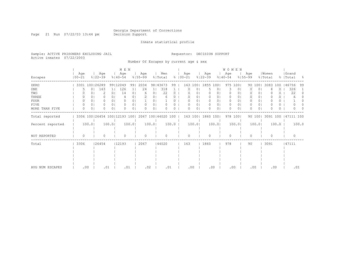Page 21 Run 07/22/03 13:44 pm Decision Support

Inmate statistical profile

Sample: ACTIVE PRISONERS EXCLUDING JAIL Requestor: DECISION SUPPORT Active inmates 07/22/2003

Number Of Escapes by current age & sex

|                  | M E N             |                |                              |                |                    |                |                    |                |                    |          |                      |                |                    |                | W O M E N          |         |                    |                |                  |          |                    |          |          |
|------------------|-------------------|----------------|------------------------------|----------------|--------------------|----------------|--------------------|----------------|--------------------|----------|----------------------|----------------|--------------------|----------------|--------------------|---------|--------------------|----------------|------------------|----------|--------------------|----------|----------|
| Escapes          | Age<br>$100 - 21$ |                | Age<br>$8122 - 39$           |                | Age<br>$8140 - 54$ |                | Age<br>$8155 - 99$ |                | Men<br>% Total     |          | Age<br>$8   00 - 21$ |                | Age<br>$8122 - 39$ |                | Age<br>$8140 - 54$ |         | Age<br>$8155 - 99$ |                | Women<br>% Total |          | Grand<br>%   Total |          | - 8      |
| ZERO             |                   |                | 3301 100 26289               |                | 99112049           | 991            | 2034               |                | 98   43673         | 99       | 163                  | 1001           | 1855               | 1001           | 975                | 1001    |                    | 90 100         | 3083             | 100      | 46756              |          | 99       |
| ONE              |                   | 0 <sub>1</sub> | 163                          | 11             | 126                |                | 24                 | 11             | 318                |          |                      | Ü              | 5                  | 0              |                    | $\circ$ |                    | 0 <sub>1</sub> |                  | 0        |                    | 326      |          |
| TWO              |                   |                | 2                            | 0 <sub>1</sub> | 14                 | 0 <sub>1</sub> | 6                  | 0 <sub>1</sub> | 22                 | 0        |                      | ΟI             | 0                  | $\cup$         | 0                  | $\circ$ |                    | $\circ$        |                  | Ü        |                    | 22       | $\Omega$ |
| THREE            | 0                 |                |                              | 0 <sub>1</sub> |                    | 01             |                    | O.             | h                  |          |                      | 0              |                    | 0              | $\circ$            | ΟI      |                    | 0 <sub>1</sub> |                  | 0        |                    |          |          |
| FOUR             | 0                 | 0 <sub>1</sub> | 0.                           | 0 <sub>1</sub> | O                  | 0 <sup>1</sup> |                    | $\Omega$       |                    | 0.       |                      | 0 <sub>1</sub> | $\Omega$           | 0 <sub>1</sub> | $\Omega$           | $\circ$ | 0                  | 0 <sub>1</sub> |                  | 0        |                    |          |          |
| <b>FIVE</b>      | 0                 | 0 <sub>1</sub> | 0.                           | 0 <sub>1</sub> | 0                  | 01             | $\Omega$           | 0              |                    | 0        |                      | 0 <sub>1</sub> | 0                  | 0 <sub>1</sub> | $\circ$            | 01      | 0                  | 0 <sub>1</sub> |                  | 0        |                    |          |          |
| MORE THAN FIVE   | $\Omega$          | 0 <sub>1</sub> | 0                            | 0 <sub>1</sub> | $\Omega$           | 0 <sub>1</sub> | $\Omega$           | 01             |                    | $\Omega$ |                      | $\circ$        | $\Omega$           | 01             | $\Omega$           | $\circ$ |                    | 0 <sup>1</sup> |                  | $\Omega$ |                    |          |          |
| Total reported   |                   |                | 3306 100 26454 100 12193 100 |                |                    |                |                    |                | 2067 100 44020 100 |          | 163 100              |                | 1860 100           |                |                    | 978 100 |                    | 90 100         | 3091 100         |          | 47111 100          |          |          |
| Percent reported |                   | 100.0          |                              | 100.0          |                    | 100.0          |                    | 100.0          |                    | 100.0    |                      | 100.0          |                    | 100.01         |                    | 100.0   |                    | 100.0          |                  | 100.0    |                    |          | 100.0    |
| NOT REPORTED     | $\circ$           |                | Ω                            |                | $\Omega$           |                | $\circ$            |                | $\cap$             |          | $\cap$               |                | $\Omega$           |                | $\Omega$           |         | $\Omega$           |                | $\Omega$         |          |                    | $\Omega$ |          |
| Total            | 3306              |                | 126454                       |                | 12193              |                | 2067               |                | 44020              |          | 163                  |                | 1860               |                | 978                |         | 90                 |                | 3091             |          | 47111              |          |          |
|                  |                   |                |                              |                |                    |                |                    |                |                    |          |                      |                |                    |                |                    |         |                    |                |                  |          |                    |          |          |
|                  |                   |                |                              |                |                    |                |                    |                |                    |          |                      |                |                    |                |                    |         |                    |                |                  |          |                    |          |          |
|                  |                   |                |                              |                |                    |                |                    |                |                    |          |                      |                |                    |                |                    |         |                    |                |                  |          |                    |          |          |
|                  |                   |                |                              |                |                    |                |                    |                |                    |          |                      |                |                    |                |                    |         |                    |                |                  |          |                    |          |          |
| AVG NUM ESCAPES  |                   | .00            |                              | .01            | .01                |                | .02                |                | .01                |          | .00                  |                | .00                |                |                    | .00     | .00                |                | .00              |          |                    | .01      |          |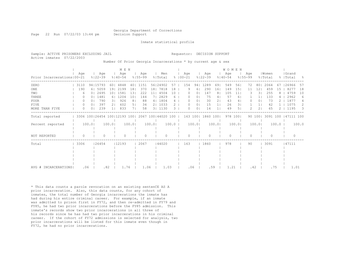Page 22 Run 07/22/03 13:44 pm Decision Support

Inmate statistical profile

| Sample: ACTIVE PRISONERS EXCLUDING JAIL<br>Active inmates 07/22/2003 |  |  |                                                               | Requestor: DECISION SUPPORT |  |
|----------------------------------------------------------------------|--|--|---------------------------------------------------------------|-----------------------------|--|
|                                                                      |  |  | Number Of Prior Georgia Incarcerations * by current age & sex |                             |  |

|                              |                  |                |             | M E N          |                                                         |                 |             |                 |            |                |               |          |                |                   | <b>WOMEN</b>   |             |          |             |                |           |       |           |       |
|------------------------------|------------------|----------------|-------------|----------------|---------------------------------------------------------|-----------------|-------------|-----------------|------------|----------------|---------------|----------|----------------|-------------------|----------------|-------------|----------|-------------|----------------|-----------|-------|-----------|-------|
|                              | Age              |                | Age         |                | Age                                                     |                 | Aqe         |                 | Men        |                |               | Age      |                | Age               |                | Aqe         |          | Age         |                | Women     |       | Grand     |       |
| Prior Incarcerations   00-21 |                  |                | $8122 - 39$ |                | $8140 - 54$                                             |                 | $8155 - 99$ |                 | % Total    |                | $8   00 - 21$ |          |                | $8122 - 39$       |                | $8140 - 54$ |          | $8155 - 99$ |                | % Total   |       | %   Total | - 응   |
| ZERO                         | 3110             |                | 94   15793  | 60             | 4848                                                    |                 | 40   1151   |                 | 56   24902 | 57             |               | 154      | 94             | 1289              | 69             | 549         | 561      | 72          | 801            | 2064      | 67    | 126966    | 57    |
| ONE                          | 190              |                | 6 5059      | 191            | 2199                                                    | 18 <sub>1</sub> | 370         | 18 <sub>1</sub> | 7818       | 18             |               | 9        | 61             | 290               | 16             | 149         | 15       | 11          | 12             | 459       | 15    | 8277      | 18    |
| TWO                          | 6                |                | 0 2695      |                | 10  1581                                                | 13 <sub>1</sub> | 222         | 111             | 4504       | 10             |               | $\Omega$ | 0 <sup>1</sup> | 147               | 81             | 105         | 11       |             | 31             | 255       |       | 4759      | 10    |
| THREE                        | $\left( \right)$ | 0 <sup>1</sup> | 1481        |                | 6   1204                                                | 101             | 144         |                 | 7  2829    | $6-1$          |               | $\Box$   | 0 <sup>1</sup> | 75                | 41             | 57          | 61       |             |                | 133       |       | 2962      | 6     |
| <b>FOUR</b>                  | 0                | $\Omega$       | 790         | 3 <sup>1</sup> | 926                                                     | 8 <sub>1</sub>  | 88          |                 | 4   1804   | 4 <sup>1</sup> |               | $\Omega$ | 0 <sub>1</sub> | 30                | 21             | 43          | 4        | 0           | 0 <sub>1</sub> | 73        |       | 1877      | 4     |
| <b>FIVE</b>                  | 0                | 0 <sup>1</sup> | 397         | 21             | 602                                                     | 5 <sub>1</sub>  | 34          |                 | 2   1033   | 2 <sup>1</sup> |               | $\Omega$ | 0 <sub>1</sub> | 15                | 1 <sup>1</sup> | 26          | 31       |             | 1 <sub>1</sub> | 42        |       | 1075      | 2     |
| MORE THAN FIVE               | $\Omega$         | $\Omega$       | 239         | 1 <sub>1</sub> | 833                                                     | 7 <sub>1</sub>  | 58          |                 | 3   1130   | $\mathcal{B}$  |               | ∩        | 0 <sub>1</sub> | 14                |                | 49          | 51       | 2           | 2 <sub>1</sub> | 65        |       | 1195      | - 3   |
| Total reported               |                  |                |             |                | 3306 100   26454 100   12193 100   2067 100   44020 100 |                 |             |                 |            |                |               |          |                | 163 100  1860 100 |                |             | 978 1001 |             | 90 100         | 3091 100  |       | 47111 100 |       |
| Percent reported             |                  | 100.0          |             | 100.0          |                                                         | 100.0           |             | 100.0           |            | $100.0$        |               |          | 100.0          |                   | 100.0          |             | 100.0    |             | 100.01         |           | 100.0 |           | 100.0 |
| NOT REPORTED                 | $\Omega$         |                | $\Omega$    |                |                                                         |                 | $\Omega$    |                 | $\Omega$   |                |               |          |                |                   |                | $\cap$      |          | U           |                | $\bigcap$ |       | $\bigcap$ |       |
| Total                        | 3306             |                | 26454       |                | 12193                                                   |                 | 2067        |                 | 44020      |                |               | 163      |                | 1860              |                | 978         |          | 90          |                | 3091      |       | 47111     |       |
|                              |                  |                |             |                |                                                         |                 |             |                 |            |                |               |          |                |                   |                |             |          |             |                |           |       |           |       |
|                              |                  |                |             |                |                                                         |                 |             |                 |            |                |               |          |                |                   |                |             |          |             |                |           |       |           |       |
|                              |                  |                |             |                |                                                         |                 |             |                 |            |                |               |          |                |                   |                |             |          |             |                |           |       |           |       |
|                              |                  |                |             |                |                                                         |                 |             |                 |            |                |               |          |                |                   |                |             |          |             |                |           |       |           |       |
|                              |                  |                |             |                |                                                         |                 |             |                 |            |                |               |          |                |                   |                |             |          |             |                |           |       |           |       |
| AVG # INCARCERATIONS         |                  | .06            |             | .82            | 1.76                                                    |                 | 1.06        |                 | 1.03       |                |               | .06      |                | .59               |                | 1.21        |          |             | .42            | .75       |       | 1.01      |       |

\* This data counts a parole revocation on an existing sentenCE AS A prior incarceration. Also, this data counts, for any cohort of inmates, the total number of Georgia incarcerations the inmate has had during his entire criminal career. For example, if an inmate was admitted to prison first in FY72, and then re-admitted in FY79 and FY85, he had two prior incarcerations before the FY85 admission. This inmate's records show two prior incarcerations in all three of his records since he has had two prior incarcerations in his criminal career. If the cohort of FY72 admissions is selected for analysis, two prior incarcerations will be listed for this inmate even though in FY72, he had no prior incarcerations.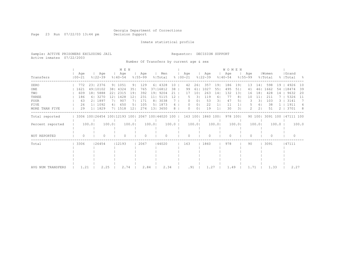Page 23 Run 07/22/03 13:44 pm Decision Support

### Inmate statistical profile

Sample: ACTIVE PRISONERS EXCLUDING JAIL Requestor: DECISION SUPPORT Active inmates 07/22/2003

Number Of Transfers by current age & sex

|                   |                   | M E N |                    |                |                    |                 |                    |                 |                                                 |       |                      |         |                |                    |       | <b>WOMEN</b>       |                |                    |                 |                  |         |                    |       |
|-------------------|-------------------|-------|--------------------|----------------|--------------------|-----------------|--------------------|-----------------|-------------------------------------------------|-------|----------------------|---------|----------------|--------------------|-------|--------------------|----------------|--------------------|-----------------|------------------|---------|--------------------|-------|
| Transfers         | Aqe<br>$100 - 21$ |       | Age<br>$8122 - 39$ |                | Age<br>$8140 - 54$ |                 | Age<br>$8155 - 99$ |                 | Men<br>% Total                                  |       | Age<br>$8   00 - 21$ |         |                | Age<br>$8122 - 39$ |       | Age<br>$8140 - 54$ |                | Age<br>$8155 - 99$ |                 | Women<br>% Total |         | Grand<br>%   Total | - 8   |
| ZERO              | 772               |       | 23   2376          |                | 9   1051           | 91              | 129                |                 | 6   4328                                        | 10    | 42                   | 261     |                | 357                | 191   | 186                | 191            | 13                 | 14 <sub>1</sub> | 598              | 19      | 4926               | 10    |
| ONE               | 1621              |       | 49   10102         | 381            | 4324               | 351             | 765                |                 | 37   16812                                      | 38    | 99                   | 61      |                | 1027               | 551   | 495                | 51             | 41                 | 461             | 1662             | 54      | 18474              | 39    |
| TWO               | 609               |       | 18   5888          | 221            | 2315               | 191             | 392                | 191             | 9204                                            | 21    | 17                   | 10      |                | 263                | 14    | 132                | 131            | 16                 | 181             | 428              | 14      | 9632               | 20    |
| THREE             | 186               |       | 6 3270             | 121            | 1428               | 12 <sub>1</sub> | 231                | 11              | 5115                                            | 12    |                      | 5       | 31             | 119                | 61    | 77                 | 8 <sub>1</sub> | 10                 | 11              | 211              |         | 5326               | 11    |
| <b>FOUR</b>       | 63                |       | 2   1897           | 71             | 907                |                 | 171                | 8 <sup>1</sup>  | 3038                                            |       |                      | 0       | $\overline{0}$ | 53                 | 31    | 47                 | 5              |                    | 31              | 103              | 3       | 3141               | 7     |
| FIVE              | 26                |       | 1  1092            | 4 <sub>1</sub> | 650                |                 | 105                |                 | 5   1873                                        | 4     |                      | 0       | 0 <sub>1</sub> | 22                 | 11    | 11                 | 11             |                    | 61              | 38               |         | 1911               | 4     |
| MORE THAN FIVE    | 29                |       | 1  1829            |                | 7  1518            | 12 <sub>1</sub> | 274                | 13 <sub>1</sub> | 3650                                            | 8     |                      | 0       | $\Omega$ I     | 19                 |       | 30                 | 31             | 2                  | 2 <sub>1</sub>  | 51               |         | 3701               | - 8   |
| Total reported    |                   |       |                    |                |                    |                 |                    |                 | 3306 100 26454 100 12193 100 2067 100 44020 100 |       |                      | 163 100 |                | 1860 100           |       | 978 1001           |                |                    | 90 100          | 3091 100         |         | 47111 100          |       |
| Percent reported  |                   | 100.0 |                    | 100.01         |                    | 100.0           |                    | 100.0           |                                                 | 100.0 |                      | 100.0   |                |                    | 100.0 |                    | 100.0          |                    | 100.0           |                  | $100.0$ |                    | 100.0 |
| NOT REPORTED      | $\Omega$          |       |                    |                | $\Omega$           |                 | $\Omega$           |                 | $\Omega$                                        |       |                      | 0       |                |                    |       | $\bigcap$          |                |                    |                 | $\Omega$         |         | $\bigcap$          |       |
| Total             | 3306              |       | 26454              |                | 12193              |                 | 2067               |                 | 44020                                           |       | 163                  |         |                | 1860               |       | 978                |                | 90                 |                 | 3091             |         | 47111              |       |
|                   |                   |       |                    |                |                    |                 |                    |                 |                                                 |       |                      |         |                |                    |       |                    |                |                    |                 |                  |         |                    |       |
|                   |                   |       |                    |                |                    |                 |                    |                 |                                                 |       |                      |         |                |                    |       |                    |                |                    |                 |                  |         |                    |       |
|                   |                   |       |                    |                |                    |                 |                    |                 |                                                 |       |                      |         |                |                    |       |                    |                |                    |                 |                  |         |                    |       |
|                   |                   |       |                    |                |                    |                 |                    |                 |                                                 |       |                      |         |                |                    |       |                    |                |                    |                 |                  |         |                    |       |
|                   |                   |       |                    |                |                    |                 |                    |                 |                                                 |       |                      |         |                |                    |       |                    |                |                    |                 |                  |         |                    |       |
| AVG NUM TRANSFERS | 1.21              |       | 2.25               |                | 2.74               |                 | 2.84               |                 | 2.34                                            |       |                      | .91     |                | 1.27               |       | 1.49               |                | 1.71               |                 | 1.33             |         | 2.27               |       |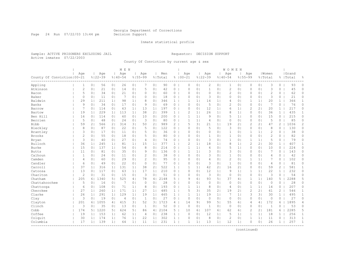Page 24 Run 07/22/03 13:44 pm Decision Support

#### Inmate statistical profile

Sample: ACTIVE PRISONERS EXCLUDING JAIL Requestor: DECISION SUPPORT Active inmates 07/22/2003

County Of Conviction by current age & sex

|                              |                |                |                    | M E N          |                    |                |                    |                |                |                |                    |                |                    | WOMEN          |                    |                |                |                |                  |              |                    |              |
|------------------------------|----------------|----------------|--------------------|----------------|--------------------|----------------|--------------------|----------------|----------------|----------------|--------------------|----------------|--------------------|----------------|--------------------|----------------|----------------|----------------|------------------|--------------|--------------------|--------------|
| County Of Conviction   00-21 | Age            |                | Age<br>$8122 - 39$ |                | Age<br>$8140 - 54$ |                | Aqe<br>$8155 - 99$ |                | Men<br>% Total |                | Age<br>$8100 - 21$ |                | Age<br>$8122 - 39$ |                | Age<br>$8140 - 54$ | $8155 - 99$    | Age            |                | Women<br>% Total |              | Grand<br>%   Total | 昙            |
| Appling                      | 1              | 0 <sub>1</sub> | 56                 | 0 <sub>1</sub> | 26                 | 0 <sub>1</sub> | 7                  | 0 <sub>1</sub> | 90             | $\circ$        | $\circ$            | 0 <sub>1</sub> | $\overline{c}$     | 0 <sub>1</sub> | 1                  | 0 <sub>1</sub> | 0              | 0 <sub>1</sub> | 3                | 0            | 93                 | $\circ$      |
| Atkinson                     | $\mathbf{2}$   | 0 <sub>1</sub> | 21                 | 0 <sup>1</sup> | 14                 | 0 <sup>1</sup> | 5                  | 0 <sub>1</sub> | 42             | 0              | $\circ$            | 0 <sub>1</sub> | $\mathbf{1}$       | 0 <sup>1</sup> | $\overline{c}$     | 0 <sub>1</sub> | 0              | 0 <sub>1</sub> | 3                | $\circ$      | 45                 | 0            |
| Bacon                        | 5              | 0 <sub>1</sub> | 34                 | 0 <sub>1</sub> | 21                 | 0 <sub>1</sub> | 0                  | 0 <sub>1</sub> | 60             | $0-1$          | $\Omega$           | 0 <sub>1</sub> | $\circ$            | 0 <sup>1</sup> | 2                  | 0 <sub>1</sub> | 0              | 0 <sub>1</sub> | $\overline{c}$   | 0            | 62                 | 0            |
| Baker                        | $\Omega$       | 0 <sup>1</sup> | 11                 | 0 <sub>1</sub> | 7                  | 0 <sup>1</sup> | $\Omega$           | 0 <sub>1</sub> | 18             | $\circ$        | $\Omega$           | 0 <sup>1</sup> | 3                  | 0 <sup>1</sup> | $\Omega$           | 0 <sub>1</sub> | $\Omega$       | 0 <sub>1</sub> | 3                | 0            | 21                 | 0            |
| Baldwin                      | 29             | 1 <sub>1</sub> | 211                | 1 <sup>1</sup> | 98                 | 1              | 8                  | 0              | 346            | $\mathbf{1}$   | 1                  | $\mathbf{1}$   | 14                 | 1 <sub>1</sub> | 4                  | $\circ$        | $\mathbf{1}$   | 1              | 20               | $\mathbf{1}$ | 366                | $\mathbf{1}$ |
| Banks                        | 9              | 0 <sub>1</sub> | 34                 | 0 <sub>1</sub> | 17                 | 0 <sub>1</sub> | 9                  | 0 <sub>1</sub> | 69             | 0              | $\circ$            | 0 <sub>1</sub> | 5                  | 0 <sub>1</sub> | $\overline{c}$     | 0 <sub>1</sub> | $\mathbf{0}$   | 0 <sub>1</sub> | 7                | 0            | 76                 | 0            |
| Barrow                       | 7              | 0 <sub>1</sub> | 114                | 0 <sub>1</sub> | 63                 | 1 <sub>1</sub> | 13                 | 1 <sub>1</sub> | 197            | $\overline{0}$ | 0                  | 0 <sub>1</sub> | 12                 | 1 <sub>1</sub> | 6                  | 1 <sub>1</sub> | 2              | 21             | 20               | $\mathbf{1}$ | 217                | 0            |
| Bartow                       | 19             | 1 <sub>1</sub> | 229                | 11             | 113                | 11             | 38                 | 2 <sub>1</sub> | 399            | 1              | $\overline{2}$     | 1 <sup>1</sup> | 26                 | 1 <sub>1</sub> | 8                  | 11             | $\mathbf{0}$   | 0 <sub>1</sub> | 36               | $\mathbf{1}$ | 435                | $\mathbf{1}$ |
| Ben Hill                     | 16             | 0 <sub>1</sub> | 114                | 0 <sub>1</sub> | 60                 | 0 <sub>1</sub> | 10                 | 0 <sub>1</sub> | 200            | $\circ$        | $\mathbf{1}$       | 1 <sup>1</sup> | 9                  | 0 <sub>1</sub> | 5                  | 11             | 0              | 0 <sub>1</sub> | 15               | 0            | 215                | $\circ$      |
| Berrien                      | 5              | 0 <sub>1</sub> | 48                 | 0 <sub>1</sub> | 24                 | 0 <sub>1</sub> | 3                  | 0              | 80             | 0              | 1                  | 1 <sub>1</sub> | $\overline{4}$     | 0 <sub>1</sub> | $\Omega$           | 0 <sub>1</sub> | $\Omega$       | 0 <sub>1</sub> | 5                | $\circ$      | 85                 | 0            |
| <b>Bibb</b>                  | 59             | 2 <sub>1</sub> | 566                | 2 <sub>1</sub> | 314                | 31             | 50                 | $\overline{2}$ | 989            | 2              | 5                  | 31             | 21                 | 1 <sub>1</sub> | 19                 | 2 <sub>1</sub> | $\overline{2}$ | 21             | 47               | 2            | 1036               | 2            |
| Bleckley                     | 8              | 0 <sub>1</sub> | 87                 | 0 <sub>1</sub> | 22                 | 0 <sub>1</sub> | 5                  | 0 <sub>1</sub> | 122            | $\circ$        | $\Omega$           | $\Omega$       | 5                  | 0 <sub>1</sub> | 3                  | 0 <sub>1</sub> | $\Omega$       | 0 <sub>1</sub> | 8                | 0            | 130                | 0            |
| Brantley                     | 3              | 0 <sub>1</sub> | 17                 | 0 <sub>1</sub> | 11                 | 0 <sub>1</sub> | 5                  | 0 <sub>1</sub> | 36             | $\mathbf{0}$   | $\circ$            | 0 <sub>1</sub> | $\circ$            | 0 <sub>1</sub> | $\mathbf{1}$       | 0 <sub>1</sub> | 1              | 1 <sub>1</sub> | $\overline{c}$   | 0            | 38                 | 0            |
| <b>Brooks</b>                | $\overline{c}$ | 0 <sub>1</sub> | 55                 | 0 <sub>1</sub> | 18                 | 0 <sub>1</sub> | 5                  | 0 <sub>1</sub> | 80             | 0 <sub>1</sub> | $\Omega$           | $\Omega$       | $\mathbf{1}$       | 0 <sub>1</sub> | $\mathbf{1}$       | 0 <sub>1</sub> | $\mathbf{0}$   | 0 <sub>1</sub> | $\overline{c}$   | 0            | 82                 | $\circ$      |
| Bryan                        | 3              | 0 <sub>1</sub> | 40                 | 0 <sub>1</sub> | 27                 | 0 <sub>1</sub> | 4                  | 0 <sub>1</sub> | 74             | 0              | $\circ$            | 0 <sub>1</sub> | 3                  | 0 <sup>1</sup> | $\mathbf{1}$       | 0 <sub>1</sub> | 1              | 11             | 5                | 0            | 79                 | $\circ$      |
| Bulloch                      | 36             | 1 <sub>1</sub> | 245                | 1              | 81                 | 1 <sub>1</sub> | 15                 | 1 <sub>1</sub> | 377            | $\mathbf{1}$   | $\overline{c}$     | 1 <sub>1</sub> | 18                 | 1 <sub>1</sub> | 8                  | 1 <sub>1</sub> | $\overline{c}$ | 2 <sub>1</sub> | 30               | $\mathbf{1}$ | 407                | 1            |
| Burke                        | 15             | 0 <sub>1</sub> | 137                | 1 <sup>1</sup> | 54                 | 0 <sup>1</sup> | 8                  | 0              | 214            | $\circ$        | $\mathbf{1}$       | 1 <sup>1</sup> | $\overline{4}$     | $\Omega$       | 5                  | 11             | $\Omega$       | 0 <sub>1</sub> | 10               | 0            | 224                | 0            |
| <b>Butts</b>                 | 11             | 0 <sub>1</sub> | 81                 | 0 <sub>1</sub> | 35                 | 0 <sub>1</sub> | 9                  | 0 <sup>1</sup> | 136            | $\mathbf{0}$   | 1                  | 1 <sup>1</sup> | 3                  | 0 <sup>1</sup> | 3                  | 0 <sub>1</sub> | $\Omega$       | 0 <sub>1</sub> | 7                | 0            | 143                | 0            |
| Calhoun                      | 1              | 0 <sub>1</sub> | 24                 | 0 <sub>1</sub> | 11                 | 0 <sub>1</sub> | $\overline{c}$     | 0 <sub>1</sub> | 38             | $\overline{0}$ | $\circ$            | 0 <sub>1</sub> | 3                  | 0 <sub>1</sub> | 1                  | 0 <sub>1</sub> | $\Omega$       | 0 <sub>1</sub> | 4                | 0            | 42                 | 0            |
| Camden                       | 4              | 0 <sub>1</sub> | 60                 | 0 <sub>1</sub> | 29                 | 0 <sub>1</sub> | $\overline{c}$     | 0 <sub>1</sub> | 95             | $\circ$        | $\Omega$           | 0 <sub>1</sub> | $\overline{4}$     | 0 <sup>1</sup> | $\overline{c}$     | 0 <sub>1</sub> | 1              | 1              | 7                | $\circ$      | 102                | 0            |
| Candler                      | 6              | 0 <sub>1</sub> | 49                 | 0 <sub>1</sub> | 22                 | 0 <sub>1</sub> | $\Omega$           | 0 <sub>1</sub> | 77             | 0 <sub>1</sub> | $\Omega$           | $\Omega$       | 3                  | $\Omega$       | $\mathbf{1}$       | 0 <sub>1</sub> | $\mathbf{0}$   | 0 <sub>1</sub> | 4                | $\Omega$     | 81                 | 0            |
| Carroll                      | 37             | 1 <sub>1</sub> | 316                | 1 <sub>1</sub> | 131                | 1 <sub>1</sub> | 38                 | 2 <sub>1</sub> | 522            | 1              |                    | 1 <sub>1</sub> | 42                 | 2 <sub>1</sub> | 16                 | 2 <sub>1</sub> | 0              | 0 <sub>1</sub> | 59               | 2            | 581                | $\mathbf{1}$ |
| Catoosa                      | 13             | 0 <sub>1</sub> | 117                | 0 <sub>1</sub> | 63                 | 1 <sub>1</sub> | 17                 | 1 <sub>1</sub> | 210            | 0              | $\Omega$           | 0 <sup>1</sup> | 12                 | 1 <sub>1</sub> | 9                  | 1 <sub>1</sub> | 1              | 1              | 22               | $\mathbf{1}$ | 232                | 0            |
| Charlton                     | 2              | 0 <sup>1</sup> | 31                 | 0 <sup>1</sup> | 15                 | 0 <sub>1</sub> | 3                  | 0              | 51             | 0              | $\circ$            | 0 <sup>1</sup> | 3                  | 0 <sup>1</sup> | $\circ$            | 0 <sub>1</sub> | $\Omega$       | 0 <sub>1</sub> | 3                | $\circ$      | 54                 | 0            |
| Chatham                      | 205            | 61             | 1340               | 51             | 525                | 4              | 78                 | 4              | 2148           | $5-1$          | 9                  | 61             | 93                 | 51             | 37                 | 4              | 1              | 1 <sub>1</sub> | 140              | 5            | 2288               | 5            |
| Chattahoochee                | 5              | 0 <sub>1</sub> | 16                 | 0 <sub>1</sub> | 7                  | 0 <sub>1</sub> | $\circ$            | 0 <sub>1</sub> | 28             | $\overline{0}$ | $\circ$            | 0 <sup>1</sup> | $\circ$            | 0 <sup>1</sup> | $\circ$            | 0 <sub>1</sub> | $\Omega$       | 0 <sub>1</sub> | $\mathbb O$      | 0            | 28                 | 0            |
| Chattooga                    | 6              | 0 <sup>1</sup> | 108                | 0 <sub>1</sub> | 71                 | 1 <sup>1</sup> | 8                  | 0 <sub>1</sub> | 193            | $0-1$          | 1                  | 1 <sup>1</sup> | 8                  | 0 <sub>1</sub> | $\overline{4}$     | 0 <sub>1</sub> | $\mathbf{1}$   | 1 <sup>1</sup> | 14               | $\circ$      | 207                | 0            |
| Cherokee                     | 27             | 1 <sub>1</sub> | 260                | 1 <sup>1</sup> | 171                | 1 <sup>1</sup> | 27                 | 1 <sub>1</sub> | 485            | 1              | 5                  | 31             | 35                 | 2 <sub>1</sub> | 19                 | 2 <sub>1</sub> | $\overline{c}$ | 21             | 61               | 2            | 546                | $\mathbf{1}$ |
| Clarke                       | 26             | 1 <sub>1</sub> | 291                | 1 <sup>1</sup> | 129                | 1 <sub>1</sub> | 19                 | 1 <sub>1</sub> | 465            | $\mathbf{1}$   | 1                  | 1 <sup>1</sup> | 19                 | 1 <sub>1</sub> | 7                  | 1 <sub>1</sub> | 3              | 3 <sup>1</sup> | 30               | $\mathbf{1}$ | 495                | $\mathbf{1}$ |
| Clay                         | 3              | 0 <sub>1</sub> | 19                 | 0 <sub>1</sub> | $\overline{4}$     | 0 <sup>1</sup> | $\mathbf{1}$       | 0              | 27             | $\circ$        | $\mathbf{0}$       | 0 <sup>1</sup> | $\circ$            | 0 <sup>1</sup> | $\circ$            | 0 <sub>1</sub> | $\mathbf{0}$   | 0 <sub>1</sub> | $\circ$          | 0            | 27                 | 0            |
| Clayton                      | 201            | 61             | 1055               | 4              | 415                | 3 <sup>1</sup> | 52                 | 3 <sub>1</sub> | 1723           | 4              | 14                 | 9 <sub>1</sub> | 99                 | 5 <sub>1</sub> | 55                 | 6              | 4              | 4              | 172              | 6            | 1895               | 4            |
| Clinch                       | 3              | 0 <sub>1</sub> | 35                 | 0 <sup>1</sup> | 13                 | 0 <sub>1</sub> | $\mathbf{1}$       | $\circ$        | 52             | $\overline{0}$ | $\mathbf{0}$       | 0 <sup>1</sup> | $\mathbf{1}$       | 0 <sup>1</sup> | $\circ$            | 0 <sub>1</sub> | $\Omega$       | 0 <sub>1</sub> | $\mathbf{1}$     | $\Omega$     | 53                 | 0            |
| Cobb                         | 174            | 5              | 1220               | 51             | 624                | 5 <sub>1</sub> | 86                 | 4 <sub>1</sub> | 2104           | $5-1$          | 10                 | 61             | 107                | 61             | 62                 | 61             | $\overline{c}$ | 21             | 181              | 6            | 2285               | 5            |
| Coffee                       | 19             | 1 <sub>1</sub> | 153                | 1              | 62                 | 1 <sub>1</sub> | 4                  | 0 <sub>1</sub> | 238            | 1 <sup>1</sup> | $\circ$            | 0 <sub>1</sub> | 12                 | 1 <sub>1</sub> | 5                  | 1 <sub>1</sub> | 1              | 1 <sub>1</sub> | 18               | $\mathbf{1}$ | 256                | $\mathbf{1}$ |
| Colquit                      | 30             | 1 <sub>1</sub> | 174                | 1 <sub>1</sub> | 76                 | 1 <sub>1</sub> | 22                 | 1 <sub>1</sub> | 302            | 1              | $\Omega$           | 0              | 8                  | 0 <sub>1</sub> | $\overline{c}$     | 0 <sub>1</sub> | 1              | 1 <sub>1</sub> | 11               | 0            | 313                | $\mathbf{1}$ |
| Columbia                     | 17             | 1 <sub>1</sub> | 139                | 1 <sup>1</sup> | 64                 | 1 <sup>1</sup> | 11                 | 1 <sub>1</sub> | 231            | 1 <sup>1</sup> | 1                  | $\mathbf{1}$   | 13                 | 1 <sub>1</sub> | 12                 | 1 <sub>1</sub> | $\Omega$       | 0 <sub>1</sub> | 26               | $\mathbf{1}$ | 257                | $\mathbf{1}$ |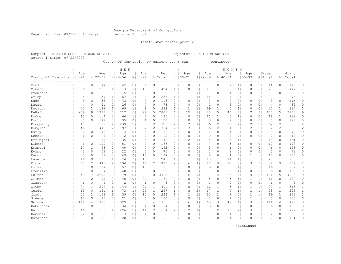Page 25 Run 07/22/03 13:44 pm Decision Support

Inmate statistical profile

Active inmates 07/22/2003

Sample: ACTIVE PRISONERS EXCLUDING JAIL Requestor: DECISION SUPPORT

County Of Conviction by current age & sex (continued)

|                              |                |                |                |                | M E N          |                |                |                |         |                |                |                |                |                | <b>WOMEN</b>   |                |                |                |                |                       |           |                |
|------------------------------|----------------|----------------|----------------|----------------|----------------|----------------|----------------|----------------|---------|----------------|----------------|----------------|----------------|----------------|----------------|----------------|----------------|----------------|----------------|-----------------------|-----------|----------------|
|                              | Age            |                | Age            |                | Age            |                | Age            |                | Men     |                | Age            |                | Age            |                | Age            |                | Age            |                | l Women        |                       | Grand     |                |
| County Of Conviction   00-21 |                |                | $8122 - 39$    |                | $8140 - 54$    |                | $8155 - 99$    |                | % Total |                | $8100 - 21$    |                | $8122 - 39$    |                | $8140 - 54$    |                | $8155 - 99$    |                | % Total        |                       | %   Total | 욲              |
| Cook                         | 9              | 0 <sub>1</sub> | 74             | 0 <sub>1</sub> | 42             | 0 <sub>1</sub> | 6              | 0 <sub>1</sub> | 131     | 0              | 0              | 0 <sub>1</sub> | 7              | 0              | 7              | 1 <sub>1</sub> | $\Omega$       | 0 <sub>1</sub> | 14             | $\circ$               | 145       | 0              |
| Coweta                       | 36             | 1 <sup>1</sup> | 258            | 1 <sub>1</sub> | 113            | 1 <sub>1</sub> | 17             | $\mathbf{1}$   | 424     | $\mathbf{1}$   | $\Omega$       | 0 <sub>1</sub> | 17             | 1 <sub>1</sub> | 6              | 1 <sup>1</sup> | $\Omega$       | 0 <sub>1</sub> | 23             | $\mathbf{1}$          | 447       | $\mathbf{1}$   |
| Crawford                     | $\circ$        | 0 <sup>1</sup> | 15             | 0 <sub>1</sub> | 5              | 0 <sub>1</sub> | $\circ$        | 0 <sub>1</sub> | 20      | 0              | 1              | 1              | 1              | 0 <sub>1</sub> | $\mathbf 1$    | 0 <sub>1</sub> | 0              | 0 <sub>1</sub> | 3              | 0                     | 23        | 0              |
| Crisp                        | 24             | $1\vert$       | 157            | 1 <sub>1</sub> | 67             | 1 <sub>1</sub> | 8              | 0              | 256     | $\mathbf{1}$   | $\mathbf{1}$   | 1 <sup>1</sup> | 15             | 1              | 3              | 0 <sub>1</sub> |                | 1 <sub>1</sub> | 20             | $\mathbf{1}$          | 276       | $\mathbf{1}$   |
| Dade                         | 3              | 0 <sup>1</sup> | 58             | 0 <sub>1</sub> | 43             | 0 <sub>1</sub> | 9              | 0              | 113     | $\circ$        | $\Omega$       | 0 <sub>1</sub> | 3              | $\Omega$       | $\Omega$       | 0 <sub>1</sub> | $\Omega$       | 0 <sub>1</sub> | 3              | $\Omega$              | 116       | 0              |
| Dawson                       | 4              | 0 <sup>1</sup> | 41             | 0 <sub>1</sub> | 26             | 0 <sub>1</sub> |                | 0 <sup>1</sup> | 78      | 0              | $\Omega$       | 0 <sub>1</sub> | $\overline{c}$ | 0 <sub>1</sub> | 2              | 0 <sub>1</sub> | $\Omega$       | 0 <sub>1</sub> | 4              | 0                     | 82        | 0              |
| Decatur                      | 25             | 1 <sub>1</sub> | 189            | 1 <sub>1</sub> | 69             | 1 <sub>1</sub> | 9              | 0              | 292     | $\mathbf{1}$   | 1              | 1 <sup>1</sup> | 19             | 1 <sub>1</sub> | 5              | 1 <sub>1</sub> | $\Omega$       | 0 <sub>1</sub> | 25             | 1                     | 317       | $\mathbf{1}$   |
| DeKalb                       | 259            | 8 <sub>1</sub> | 1728           | 7 <sub>1</sub> | 717            | 6              | 99             | 5 <sub>1</sub> | 2803    | 6              | 15             | 91             | 83             | 5              | 45             | 5 <sub>1</sub> |                | 8 <sub>1</sub> | 150            | 5                     | 2953      | 6              |
| Dodge                        | 13             | $\Omega$       | 114            | 0 <sub>1</sub> | 64             | 1 <sub>1</sub> | 5              | 0              | 196     | 0              | $\Omega$       | 0 <sub>1</sub> | 11             | 1 <sup>1</sup> | 5              | 1 <sub>1</sub> | $\Omega$       | 0 <sub>1</sub> | 16             |                       | 212       | 0              |
| Dooly                        | 5              | $\Omega$       | 79             | 0 <sub>1</sub> | 35             | 0 <sub>1</sub> | $\mathbf{1}$   | 0              | 120     | 0              | $\Omega$       | 0 <sub>1</sub> | 3              | $\Omega$       | $\overline{2}$ | $\circ$        | $\Omega$       | 0 <sub>1</sub> | 5              | 0                     | 125       | 0              |
| Dougherty                    | 45             | 1 <sup>1</sup> | 599            | 2 <sub>1</sub> | 239            | 2 <sub>1</sub> | 38             | 2              | 921     | 2              | 2              | 1 <sup>1</sup> | 36             | 2 <sub>1</sub> | 22             | 2 <sub>1</sub> | $\overline{c}$ | 21             | 62             | 2                     | 983       | $\overline{c}$ |
| Douglas                      | 46             | 1 <sup>1</sup> | 479            | 2 <sub>1</sub> | 197            | 2 <sub>1</sub> | 32             | 2 <sub>1</sub> | 754     | $\overline{2}$ | 3              | 2 <sub>1</sub> | 36             | 21             | 31             | 31             | $\overline{2}$ | 21             | 72             | $\overline{2}$        | 826       | $\overline{c}$ |
| Early                        | 6              | 0 <sup>1</sup> | 46             | 0 <sub>1</sub> | 14             | 0 <sub>1</sub> | 5              | 0              | 71      | 0              | $\mathbf 0$    | 0 <sub>1</sub> | $\mathbf{2}$   | 0 <sub>1</sub> | $\mathbf{1}$   | 0 <sub>1</sub> | $\Omega$       | 0 <sub>1</sub> | 3              | $\Omega$              | 74        | $\circ$        |
| Echols                       | $\mathbf{1}$   | 0 <sup>1</sup> | 7              | 0 <sub>1</sub> | $\overline{2}$ | 0 <sub>1</sub> | $\overline{2}$ | 0 <sup>1</sup> | 12      | $\circ$        | $\Omega$       | 0 <sub>1</sub> | $\circ$        | $\Omega$ I     | $\Omega$       | 0 <sub>1</sub> | 0              | 0 <sub>1</sub> | $\Omega$       | $\Omega$              | 12        | $\circ$        |
| Effingham                    | 23             | 1 <sup>1</sup> | 84             | 0 <sub>1</sub> | 36             | 0 <sub>1</sub> | 5              | 0 <sub>1</sub> | 148     | $0-1$          | 2              | 1 <sup>1</sup> | 5              | 0 <sub>1</sub> | 5              | 1 <sub>1</sub> | $\mathbf{1}$   | 1 <sup>1</sup> | 13             | 0                     | 161       | 0              |
| Elbert                       | 6              | 0 <sup>1</sup> | 100            | 0 <sub>1</sub> | 51             | 0 <sub>1</sub> | 9              | 0 <sup>1</sup> | 166     | $\circ$        | $\bigcap$      | 0 <sub>1</sub> | 7              | 0 <sub>1</sub> | 5              | 1 <sub>1</sub> | $\Omega$       | 0 <sub>1</sub> | 12             | 0                     | 178       | 0              |
| Emanuel                      | 17             | 1 <sup>1</sup> | 98             | 0 <sub>1</sub> | 40             | 0 <sub>1</sub> |                | 0              | 162     | 0              | $\bigcap$      | 0 <sub>1</sub> | 5              | 0 <sup>1</sup> | 1              | $\circ$        | $\Omega$       | 0 <sub>1</sub> | 6              | 0                     | 168       | 0              |
| Evans                        | 3              | 0              | 59             | 0 <sub>1</sub> | 12             | 0 <sub>1</sub> | 2              | 0              | 76      | 0              | $\Omega$       | 0 <sub>1</sub> | $\mathbf{2}$   | $\Omega$       | 1              | $\circ$        | $\Omega$       | 0 <sub>1</sub> | 3              | $\Omega$              | 79        | $\Omega$       |
| Fannin                       | 5              | 0 <sup>1</sup> | 69             | 0 <sub>1</sub> | 43             | 0 <sup>1</sup> | 10             | 0              | 127     | $\overline{0}$ | $\circ$        | 0 <sub>1</sub> | 5              | 0 <sub>1</sub> | $\overline{4}$ | 0 <sub>1</sub> | 1              | 1 <sup>1</sup> | 10             | 0                     | 137       | 0              |
| Fayette                      | 16             | 0 <sup>1</sup> | 135            | 1 <sub>1</sub> | 74             | 1 <sub>1</sub> | 18             | 1 <sup>1</sup> | 243     | 1              | 1              | 1 <sup>1</sup> | 10             | 1 <sup>1</sup> | 11             | 1 <sub>1</sub> | 1              | 1 <sub>1</sub> | 23             | 1                     | 266       | $\mathbf{1}$   |
| Floyd                        | 50             | 2 <sub>1</sub> | 441            | 2 <sub>1</sub> | 194            | 2 <sub>1</sub> | 40             | 2              | 725     | $\overline{2}$ | 6              | 4              | 47             | 3 <sup>1</sup> | 28             | 3 <sub>1</sub> | 3              | 3 <sup>1</sup> | 84             | 3                     | 809       | $\overline{c}$ |
| Forsyth                      | 8              | 0 <sup>1</sup> | 104            | 0 <sub>1</sub> | 57             | 0 <sup>1</sup> | 17             | 1 <sub>1</sub> | 186     | $\circ$        | $\circ$        | 0 <sub>1</sub> | 9              | 0 <sub>1</sub> | 6              | 1 <sub>1</sub> | 1              | 1              | 16             | $\mathbf{1}$          | 202       | $\circ$        |
| Franklin                     | 7              | 0              | 67             | 0 <sub>1</sub> | 40             | 0 <sup>1</sup> | 8              | 0              | 122     | $\overline{0}$ | $\Omega$       | 0 <sub>1</sub> | 1              | 0 <sub>1</sub> | 5              | 1 <sub>1</sub> | 0              | 0 <sub>1</sub> | 6              | 0                     | 128       | 0              |
| Fulton                       | 240            | 71             | 2299           | 9 <sub>1</sub> | 1179           | 101            | 207            | 101            | 3925    | 9              | 6              | 4              | 81             | 4              | 65             | 71             | 9              | 101            | 161            | 5                     | 4086      | 9              |
| Gilmer                       | 7              | 0              | 94             | 0 <sub>1</sub> | 48             | 0 <sub>1</sub> | 20             | $1\vert$       | 169     | 0              | $\bigcap$      | 0 <sub>1</sub> | 5              | 0 <sub>1</sub> | 5              | 1 <sub>1</sub> | 1              | 1 <sub>1</sub> | 11             | 0                     | 180       | 0              |
| Glascock                     | $\mathbf{1}$   | 0              | $\overline{4}$ | 0 <sub>1</sub> | $\overline{c}$ | 0 <sub>1</sub> | $\mathbf{1}$   | 0              | 8       | 0              | $\Omega$       | 0 <sub>1</sub> | $\mathbf{1}$   | 0 <sup>1</sup> | $\Omega$       | $\circ$        | 0              | 0 <sub>1</sub> | 1              | 0                     | 9         | 0              |
| Glynn                        | 24             | 1 <sup>1</sup> | 297            | 1 <sup>1</sup> | 144            | 1 <sub>1</sub> | 26             | $\mathbf{1}$   | 491     | $\mathbf{1}$   | $\Omega$       | 0 <sub>1</sub> | 16             | 1              | 5              | 1 <sub>1</sub> | $\mathbf{1}$   | 1              | 22             | 1                     | 513       | $\mathbf{1}$   |
| Gordon                       | 13             | 0 <sup>1</sup> | 161            | 1 <sub>1</sub> | 73             | 1 <sub>1</sub> | 20             | 1 <sub>1</sub> | 267     | 1 <sup>1</sup> | 3              | $\overline{2}$ | 17             | 1 <sup>1</sup> | 7              | 1 <sub>1</sub> | 1              | 1              | 28             | $\mathbf{1}$          | 295       | $\mathbf{1}$   |
| Grady                        | 22             | 1 <sup>1</sup> | 153            | 1 <sub>1</sub> | 59             | 0 <sub>1</sub> | 10             | 0 <sub>1</sub> | 244     | 1              | 1              | 1 <sup>1</sup> | 15             | 1              | $\overline{c}$ | 0 <sub>1</sub> | 1              | 1 <sub>1</sub> | 19             | $\mathbf{1}$          | 263       | $\mathbf{1}$   |
| Greene                       | 14             | 0 <sup>1</sup> | 90             | 0 <sub>1</sub> | 21             | 0 <sub>1</sub> | 5              | 0 <sub>1</sub> | 130     | 0              | $\mathbf 0$    | 0 <sub>1</sub> | 2              | 0 <sub>1</sub> | $\overline{c}$ | 0 <sub>1</sub> | $\mathbf{1}$   | 11             | 5              | $\circ$               | 135       | $\circ$        |
| Gwinnett                     | 119            | 4 <sup>1</sup> | 792            | 3 <sub>1</sub> | 329            | 3 <sub>1</sub> | 73             | 4 <sub>1</sub> | 1313    | $3-1$          | 6              | 4              | 63             | 31             | 42             | 4              | 3              | 31             | 114            | 4                     | 1427      | 3              |
| Habersham                    | 7              | 0              | 52             | 0 <sub>1</sub> | 34             | 0 <sub>1</sub> | $\mathbf{1}$   | 0              | 94      | $\overline{0}$ | $\mathbf 0$    | 0 <sub>1</sub> | 3              | 0 <sub>1</sub> | 3              | 0 <sub>1</sub> | $\circ$        | 0 <sub>1</sub> | 6              | 0                     | 100       | $\circ$        |
| Hall                         | 46             | 1 <sup>1</sup> | 351            | 1 <sub>1</sub> | 226            | 2 <sub>1</sub> | 41             | 2 <sub>1</sub> | 664     | $2^{\circ}$    | $\overline{2}$ | 1 <sub>1</sub> | 37             | 2 <sub>1</sub> | 16             | 21             | 3              | 3 <sup>1</sup> | 58             | $\mathbf{2}^{\prime}$ | 722       | 2              |
| Hancock                      | $\overline{c}$ | 0              | 13             | 0 <sub>1</sub> | 13             | 0 <sub>1</sub> | $\overline{2}$ | 0              | 30      | 0              | $\circ$        | 0 <sub>1</sub> | 1              | 0 <sub>1</sub> | $\mathbf{1}$   | $\circ$        | $\Omega$       | 0 <sub>1</sub> | $\overline{c}$ | 0                     | 32        | 0              |
| Haralson                     | 8              | 0 <sup>1</sup> | 58             | 0 <sub>1</sub> | 28             | 0 <sub>1</sub> | 5              | 0 <sup>1</sup> | 99      | 0              | $\Omega$       | 0 <sub>1</sub> | $\overline{1}$ | 0 <sub>1</sub> | $\mathbf{1}$   | 0 <sub>1</sub> | $\Omega$       | 0 <sub>1</sub> | $\overline{2}$ | $\Omega$              | 101       | $\Omega$       |
| --------------               |                |                |                |                |                |                |                |                |         |                |                |                |                |                |                |                |                |                |                |                       |           |                |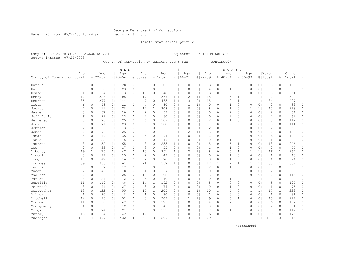Page 26 Run 07/22/03 13:44 pm Decision Support

Inmate statistical profile

Active inmates 07/22/2003

Sample: ACTIVE PRISONERS EXCLUDING JAIL Requestor: DECISION SUPPORT

County Of Conviction by current age & sex (continued)

|                              |                |                |             |                | M E N       |                |                |                |         |                |                |                |                |                | <b>WOMEN</b>   |                |              |                |                |              |           |              |
|------------------------------|----------------|----------------|-------------|----------------|-------------|----------------|----------------|----------------|---------|----------------|----------------|----------------|----------------|----------------|----------------|----------------|--------------|----------------|----------------|--------------|-----------|--------------|
|                              | Age            |                | Age         |                | Age         |                | Aqe            |                | Men     |                | Age            |                | Age            |                | Age            |                | Age          |                | Women          |              | Grand     |              |
| County Of Conviction   00-21 |                |                | $8122 - 39$ |                | $8140 - 54$ |                | $8155 - 99$    |                | % Total |                | $8100 - 21$    |                | $8122 - 39$    |                | $8140 - 54$    | $8155 - 99$    |              |                | % Total        |              | %   Total | 욲            |
| Harris                       | 8              | 0 <sub>1</sub> | 66          | 0 <sub>1</sub> | 28          | 0 <sub>1</sub> | 3              | 0 <sub>1</sub> | 105     | $\circ$        | 0              | 0 <sup>1</sup> | 3              | 01             | 0              | 0 <sub>1</sub> | 0            | 0 <sub>1</sub> | 3              | $\circ$      | 108       | 0            |
| Hart                         | 7              | 0 <sub>1</sub> | 58          | 0 <sub>1</sub> | 23          | 0 <sup>1</sup> | 5              | 0 <sub>1</sub> | 93      | 0              | $\Omega$       | 0 <sup>1</sup> | $\overline{4}$ | 0 <sup>1</sup> | 1              | 0 <sub>1</sub> | $\Omega$     | 0 <sub>1</sub> | 5              | 0            | 98        | $\circ$      |
| Heard                        | $\mathbf 1$    | 0 <sub>1</sub> | 24          | 0 <sub>1</sub> | 13          | 0 <sub>1</sub> | 10             | 0 <sub>1</sub> | 48      | 0              | $\mathbf 0$    | 0 <sub>1</sub> | 3              | 0 <sup>1</sup> | $\Omega$       | 0 <sub>1</sub> | $\Omega$     | 0 <sub>1</sub> | 3              | $\Omega$     | 51        | 0            |
| Henry                        | 17             | 1              | 228         | 1 <sub>1</sub> | 105         | 1 <sub>1</sub> | 17             | 1 <sub>1</sub> | 367     | $\mathbf{1}$   | $\overline{c}$ | 1 <sup>1</sup> | 18             | 1 <sub>1</sub> | 6              | 1 <sub>1</sub> | 1            | 1              | 27             | $\mathbf{1}$ | 394       | $\mathbf{1}$ |
| Houston                      | 35             | 1 <sub>1</sub> | 277         | 1 <sup>1</sup> | 144         | 1 <sub>1</sub> | 7              | 0 <sub>1</sub> | 463     | $\mathbf{1}$   | 3              | 2 <sub>1</sub> | 18             | 1 <sub>1</sub> | 12             | 1 <sub>1</sub> | 1            | 1 <sub>1</sub> | 34             | $\mathbf{1}$ | 497       | $\mathbf{1}$ |
| Irwin                        | 6              | 0 <sub>1</sub> | 48          | 0 <sub>1</sub> | 22          | 0 <sub>1</sub> | 4              | 0 <sub>1</sub> | 80      | 0              | -1             | 1 <sup>1</sup> | $\circ$        | 0 <sub>1</sub> | $\mathbf{1}$   | 0 <sub>1</sub> | 0            | 0 <sub>1</sub> | $\overline{2}$ | 0            | 82        | 0            |
| Jackson                      | 7              | 0 <sub>1</sub> | 111         | 0 <sub>1</sub> | 78          | 1 <sub>1</sub> | 12             | 1 <sub>1</sub> | 208     | 0              | $\Omega$       | 0 <sub>1</sub> | 8              | 0 <sub>1</sub> | 1              | 0 <sub>1</sub> | 1            | 1 <sup>1</sup> | 10             | 0            | 218       | 0            |
| Jasper                       | 3              | 0 <sub>1</sub> | 37          | 0 <sub>1</sub> | 10          | 0 <sub>1</sub> | $\overline{c}$ | 0              | 52      | 0              | $\Omega$       | 0 <sup>1</sup> | 0              | 01             | $\overline{2}$ | $\circ$        | $\Omega$     | 0 <sub>1</sub> | $\overline{2}$ | 0            | 54        | 0            |
| Jeff Davis                   | 6              | 0 <sub>1</sub> | 29          | 0 <sub>1</sub> | 23          | 0 <sup>1</sup> | 2              | 0              | 60      | 0              | $\Omega$       | 0 <sup>1</sup> | $\circ$        | $\circ$        | $\overline{2}$ | 0 <sub>1</sub> | 0            | 0 <sub>1</sub> | $\overline{2}$ | 0            | 62        | 0            |
| Jefferson                    | 8              | 0 <sub>1</sub> | 70          | 0 <sub>1</sub> | 25          | 0 <sub>1</sub> | 6              | 0 <sub>1</sub> | 109     | $\overline{0}$ | $\Omega$       | 0 <sub>1</sub> | $\overline{2}$ | 0 <sup>1</sup> | 1              | 0 <sub>1</sub> | $\Omega$     | 0 <sub>1</sub> | 3              | 0            | 112       | 0            |
| Jenkins                      | 9              | 0 <sup>1</sup> | 71          | 0 <sub>1</sub> | 23          | 0 <sub>1</sub> | 5              | 0 <sub>1</sub> | 108     | $\circ$        | $\circ$        | 0 <sub>1</sub> | $\mathbf{1}$   | 0 <sub>1</sub> | 2              | 0 <sub>1</sub> | 0            | 0 <sub>1</sub> | 3              | 0            | 111       | 0            |
| Johnson                      | $\overline{c}$ | 0 <sub>1</sub> | 33          | 0 <sub>1</sub> | 13          | 0 <sub>1</sub> | 3              | 0 <sup>1</sup> | 51      | $\overline{0}$ | $\Omega$       | 0 <sub>1</sub> | $\overline{c}$ | 0 <sup>1</sup> | 0              | 0 <sub>1</sub> | 0            | 0 <sub>1</sub> | $\overline{c}$ | 0            | 53        | 0            |
| Jones                        | 7              | 0 <sub>1</sub> | 78          | 0 <sub>1</sub> | 26          | 0 <sub>1</sub> | 5              | 0 <sub>1</sub> | 116     | 0              | $\overline{c}$ | 1 <sup>1</sup> | 5              | 0 <sup>1</sup> | 0              | 0 <sub>1</sub> | 0            | 0 <sub>1</sub> | $\overline{7}$ | 0            | 123       | $\circ$      |
| Lamar                        | 3              | 0 <sub>1</sub> | 49          | 0 <sub>1</sub> | 36          | 0 <sub>1</sub> | 6              | 0 <sub>1</sub> | 94      | $\overline{0}$ | $\Omega$       | 0 <sub>1</sub> | $\overline{2}$ | 0 <sup>1</sup> | 4              | 0 <sub>1</sub> | 0            | 0 <sub>1</sub> | 6              | 0            | 100       | $\circ$      |
| Lanier                       | 5              | 0 <sub>1</sub> | 32          | 0 <sub>1</sub> | 5           | 0 <sub>1</sub> | 5              | 0 <sub>1</sub> | 47      | $\circ$        | $\Omega$       | 0 <sub>1</sub> | $\circ$        | 0 <sub>1</sub> | 1              | 0 <sub>1</sub> | 0            | 0 <sub>1</sub> | 1              | 0            | 48        | $\circ$      |
| Laurens                      | 8              | 0 <sub>1</sub> | 152         | 1 <sub>1</sub> | 65          | 1 <sub>1</sub> | 8              | 0 <sub>1</sub> | 233     | $\mathbf{1}$   | $\Omega$       | 0 <sub>1</sub> | 8              | 0 <sup>1</sup> | 5              | 1 <sub>1</sub> | 0            | 0 <sub>1</sub> | 13             | 0            | 246       | $\mathbf{1}$ |
| Lee                          | $\overline{c}$ | 0 <sub>1</sub> | 33          | 0 <sub>1</sub> | 17          | 0 <sub>1</sub> | 3              | 0              | 55      | 0              | $\Omega$       | 0 <sup>1</sup> | $\mathbf{1}$   | $\circ$        | 1              | 0 <sub>1</sub> | $\Omega$     | 0 <sub>1</sub> | $\overline{2}$ | 0            | 57        | 0            |
| Liberty                      | 19             | 1 <sub>1</sub> | 175         | 1 <sub>1</sub> | 47          | 0 <sup>1</sup> | 10             | 0              | 251     | $\mathbf{1}$   | $\overline{c}$ | $\mathbf{1}$   | 8              | 0 <sup>1</sup> | 5              | 1 <sub>1</sub> | 1            | 1 <sub>1</sub> | 16             | $\mathbf{1}$ | 267       | 1            |
| Lincoln                      | 3              | 0 <sub>1</sub> | 22          | 0 <sub>1</sub> | 15          | 0 <sub>1</sub> | $\overline{c}$ | 0 <sub>1</sub> | 42      | 0              | $\circ$        | 0 <sub>1</sub> | $\circ$        | 0 <sup>1</sup> | 1              | 0 <sub>1</sub> | $\Omega$     | 0 <sub>1</sub> | $\mathbf{1}$   | 0            | 43        | 0            |
| Long                         | 10             | 0 <sub>1</sub> | 42          | 0 <sub>1</sub> | 16          | 0 <sub>1</sub> | $\overline{c}$ | 0 <sub>1</sub> | 70      | 0              | $\circ$        | 0 <sub>1</sub> | 3              | 0 <sub>1</sub> | 1              | 0 <sub>1</sub> | 0            | 0 <sub>1</sub> | 4              | 0            | 74        | 0            |
| Lowndes                      | 39             | 1 <sub>1</sub> | 336         | 1 <sub>1</sub> | 161         | 1 <sub>1</sub> | 21             | 1 <sub>1</sub> | 557     | $\mathbf{1}$   | $\Omega$       | 0 <sub>1</sub> | 17             | 1 <sub>1</sub> | 12             | 1 <sub>1</sub> | 1            | 1              | 30             | $\mathbf{1}$ | 587       | $\mathbf{1}$ |
| Lumpkin                      | 3              | 0 <sub>1</sub> | 37          | 0 <sub>1</sub> | 17          | 0 <sup>1</sup> | 8              | 0 <sub>1</sub> | 65      | 0              | $\Omega$       | 0 <sub>1</sub> | $\mathbf{2}$   | 0 <sup>1</sup> | $\mathbf{1}$   | 0 <sub>1</sub> | $\mathbf{0}$ | 0 <sub>1</sub> | 3              | $\circ$      | 68        | $\circ$      |
| Macon                        | $\overline{c}$ | 0 <sub>1</sub> | 43          | 0 <sub>1</sub> | 18          | 0 <sub>1</sub> | 4              | 0 <sub>1</sub> | 67      | 0              | $\Omega$       | 0 <sub>1</sub> | $\circ$        | 0 <sup>1</sup> | $\overline{c}$ | 0 <sub>1</sub> | 0            | 0 <sub>1</sub> | $\overline{c}$ | 0            | 69        | $\circ$      |
| Madison                      | 7              | 0 <sub>1</sub> | 66          | 0 <sub>1</sub> | 25          | 0 <sub>1</sub> | 10             | 0 <sub>1</sub> | 108     | 0              | $\Omega$       | 0 <sub>1</sub> | 5              | 0 <sub>1</sub> | $\overline{c}$ | 0 <sub>1</sub> | 0            | 0 <sub>1</sub> | 7              | 0            | 115       | 0            |
| Marion                       | $\overline{4}$ | 0 <sub>1</sub> | 21          | 0 <sub>1</sub> | 12          | 0 <sup>1</sup> | 3              | 0              | 40      | 0              | $\Omega$       | 0 <sup>1</sup> | $\circ$        | $\circ$        | 1              | 0 <sub>1</sub> |              | 1 <sub>1</sub> | 2              | 0            | 42        | 0            |
| McDuffie                     | 11             | 0 <sub>1</sub> | 119         | 0 <sub>1</sub> | 48          | 0 <sup>1</sup> | 14             | 1 <sub>1</sub> | 192     | 0              | $\Omega$       | 0 <sup>1</sup> | 5              | 0 <sup>1</sup> | 0              | 0 <sub>1</sub> | $\Omega$     | 0 <sub>1</sub> | 5              | 0            | 197       | 0            |
| McIntosh                     | 3              | 0 <sup>1</sup> | 41          | 0 <sup>1</sup> | 27          | 0 <sup>1</sup> | 3              | $\circ$        | 74      | 0              | $\circ$        | 0 <sup>1</sup> | $\circ$        | $\circ$        | 1              | 0 <sub>1</sub> | $\Omega$     | 0 <sub>1</sub> | $\mathbf{1}$   | 0            | 75        | 0            |
| Meriwether                   | 13             | 0 <sub>1</sub> | 122         | 0 <sub>1</sub> | 55          | 0 <sub>1</sub> | 15             | 1 <sub>1</sub> | 205     | 0              | $\overline{2}$ | 1 <sub>1</sub> | 10             | 1 <sub>1</sub> | 4              | 0 <sub>1</sub> | 1            | 1              | 17             | 1            | 222       | 0            |
| Miller                       | $\mathbf{1}$   | 0 <sub>1</sub> | 20          | 0 <sub>1</sub> | 8           | 0 <sub>1</sub> | 1              | 0 <sub>1</sub> | 30      | $\overline{0}$ | 0              | 0 <sub>1</sub> | 1              | 0 <sub>1</sub> | 0              | 0 <sub>1</sub> | $\Omega$     | 0 <sub>1</sub> | 1              | 0            | 31        | 0            |
| Mitchell                     | 14             | 0 <sub>1</sub> | 128         | 0 <sub>1</sub> | 52          | 0 <sub>1</sub> | 8              | 0 <sub>1</sub> | 202     | 0              | 1              | 1 <sup>1</sup> | 9              | 0 <sup>1</sup> | 5              | 1 <sub>1</sub> | $\Omega$     | 0 <sub>1</sub> | 15             | 0            | 217       | 0            |
| Monroe                       | 11             | 0 <sub>1</sub> | 60          | 0 <sub>1</sub> | 47          | 0 <sub>1</sub> | 8              | 0 <sub>1</sub> | 126     | 0 <sub>1</sub> | $\Omega$       | 0 <sub>1</sub> | 4              | 0 <sup>1</sup> | $\overline{c}$ | 0 <sub>1</sub> | 0            | 0 <sub>1</sub> | 6              | $\Omega$     | 132       | 0            |
| Montgomery                   | 4              | 0 <sub>1</sub> | 30          | 0 <sub>1</sub> | 12          | 0 <sub>1</sub> | 3              | 0              | 49      | $\overline{0}$ | $\Omega$       | 0 <sub>1</sub> | $\circ$        | 0 <sup>1</sup> | $\overline{c}$ | 0 <sub>1</sub> | 0            | 0 <sub>1</sub> | $\overline{c}$ | 0            | 51        | $\circ$      |
| Morgan                       | 8              | 0 <sub>1</sub> | 74          | 0 <sub>1</sub> | 21          | 0 <sub>1</sub> | 8              | 0 <sub>1</sub> | 111     | $\mathbf{0}$   | $\Omega$       | 0 <sub>1</sub> | 7              | 0 <sub>1</sub> | 1              | 0 <sub>1</sub> | 0            | 0 <sub>1</sub> | 8              | $\circ$      | 119       | 0            |
| Murray                       | 13             | 0 <sup>1</sup> | 94          | 0 <sub>1</sub> | 42          | 0 <sup>1</sup> | 17             | 1 <sub>1</sub> | 166     | 0              | $\Omega$       | $\circ$        | 6              | $\circ$        | 3              | $\circ$        | 0            | 0 <sub>1</sub> | 9              | 0            | 175       | 0            |
| Muscogee                     | 122            | 4              | 897         | $\overline{3}$ | 432         | 4 <sup>1</sup> | 58             | 3 <sub>1</sub> | 1509    | $\mathcal{E}$  | 3              | 2              | 69             | 4 <sub>1</sub> | 32             | 31             | 1            | 1 <sup>1</sup> | 105            | 3            | 1614      | 3            |
|                              |                |                |             |                |             |                |                |                |         |                |                |                |                |                |                |                |              |                |                |              |           |              |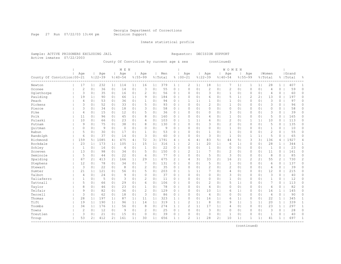Page 27 Run 07/22/03 13:44 pm Decision Support

Inmate statistical profile

Sample: ACTIVE PRISONERS EXCLUDING JAIL Requestor: DECISION SUPPORT Active inmates 07/22/2003

County Of Conviction by current age & sex (continued)

|                              |                |                |             |                | M E N       |                |                |                |         |              |                |                |                |                | <b>WOMEN</b>   |                |                |                |                |                |           |                |
|------------------------------|----------------|----------------|-------------|----------------|-------------|----------------|----------------|----------------|---------|--------------|----------------|----------------|----------------|----------------|----------------|----------------|----------------|----------------|----------------|----------------|-----------|----------------|
|                              | Age            |                | Age         |                | Age         |                | Aqe            |                | Men     |              | Age            |                | Age            |                | Age            |                | Age            |                | l Women        |                | Grand     |                |
| County Of Conviction   00-21 |                |                | $8122 - 39$ |                | $8140 - 54$ |                | $8155 - 99$    |                | % Total |              | $8100 - 21$    |                | $8122 - 39$    |                | $8140 - 54$    |                | $8155 - 99$    |                | % Total        |                | %   Total | 욲              |
|                              | 17             |                | 232         |                |             |                |                |                | 379     |              |                |                | 18             |                |                |                | 1              |                | 28             |                | 407       | 1              |
| Newton                       |                | 1 <sup>1</sup> |             | 1 <sub>1</sub> | 114         | 1 <sub>1</sub> | 16             | 1 <sup>1</sup> |         | $\mathbf{1}$ | 2              | 1 <sub>1</sub> |                | 1 <sub>1</sub> | 7              | 1 <sub>1</sub> |                | 1 <sub>1</sub> |                | $\mathbf{1}$   |           |                |
| Oconee                       | $\overline{2}$ | 0 <sub>1</sub> | 36          | 0 <sub>1</sub> | 14          | 0 <sub>1</sub> | 3              | 0 <sub>1</sub> | 55      | 0            | $\circ$        | 0 <sub>1</sub> | $\overline{c}$ | 0 <sub>1</sub> | 2              | 0 <sub>1</sub> | 0              | 0 <sub>1</sub> | 4              | 0              | 59        | 0              |
| Oglethorpe                   | 3              | 0 <sub>1</sub> | 35          | 0 <sub>1</sub> | 16          | 0 <sub>1</sub> | $\overline{2}$ | 0 <sub>1</sub> | 56      | $\circ$      | $\circ$        | 0 <sub>1</sub> | 3              | 0 <sub>1</sub> | $\mathbf{1}$   | 0 <sub>1</sub> | $\Omega$       | 0 <sub>1</sub> | 4              | $\circ$        | 60        | $\circ$        |
| Paulding                     | 19             | 1 <sub>1</sub> | 90          | 0 <sub>1</sub> | 66          | 1              | 9              | 0 <sub>1</sub> | 184     | 0            | $\circ$        | 0 <sub>1</sub> | 6              | 0 <sub>1</sub> | 5              | 1              | 2              | 21             | 13             | 0              | 197       | 0              |
| Peach                        | 4              | 0 <sub>1</sub> | 53          | 0 <sub>1</sub> | 36          | 0 <sub>1</sub> | $\mathbf{1}$   | 0 <sub>1</sub> | 94      | 0            | $\mathbf{1}$   | 1 <sub>1</sub> | 1              | 0 <sub>1</sub> | $\mathbf 1$    | 0 <sub>1</sub> | $\Omega$       | 0 <sub>1</sub> | 3              | 0              | 97        | 0              |
| Pickens                      | 3              | 0 <sub>1</sub> | 52          | 0 <sub>1</sub> | 33          | 0 <sub>1</sub> | 5              | 0 <sub>1</sub> | 93      | 0            | $\circ$        | 0 <sub>1</sub> | $\overline{c}$ | 0 <sub>1</sub> | $\mathbf 1$    | 0 <sub>1</sub> | 0              | 0 <sub>1</sub> | 3              | 0              | 96        | 0              |
| Pierce                       | 3              | 0 <sub>1</sub> | 34          | 0 <sub>1</sub> | 18          | 0 <sub>1</sub> | 3              | 0 <sub>1</sub> | 58      | 0            | $\Omega$       | 0 <sub>1</sub> | $\Omega$       | 0 <sub>1</sub> | $\circ$        | $\circ$        | $\Omega$       | 0 <sub>1</sub> | $\mathbf 0$    | $\Omega$       | 58        | 0              |
| Pike                         | $\overline{4}$ | 0 <sub>1</sub> | 15          | 0 <sub>1</sub> | 12          | 0 <sub>1</sub> | 5              | 0 <sub>1</sub> | 36      | 0            | $\circ$        | 0 <sub>1</sub> | 0              | 0 <sub>1</sub> | 3              | $\circ$        | $\Omega$       | 0 <sub>1</sub> | 3              | 0              | 39        | 0              |
| Polk                         | 11             | 0 <sub>1</sub> | 96          | 0 <sub>1</sub> | 45          | 0 <sub>1</sub> | 8              | 0 <sub>1</sub> | 160     | $\Omega$     | $\Omega$       | 0 <sub>1</sub> | 4              | 0 <sub>1</sub> | 1              | $\circ$        | $\Omega$       | 0 <sub>1</sub> | 5              | $\Omega$       | 165       | 0              |
| Pulaski                      | 10             | 0 <sub>1</sub> | 66          | 0 <sub>1</sub> | 23          | 0 <sub>1</sub> | $\overline{4}$ | 0 <sub>1</sub> | 103     | 0            | $\mathbf{1}$   | 1 <sub>1</sub> | 6              | 0 <sub>1</sub> | 2              | 0 <sub>1</sub> | 1              | 1 <sub>1</sub> | 10             | 0              | 113       | 0              |
| Putnam                       | 9              | 0 <sub>1</sub> | 75          | 0 <sub>1</sub> | 38          | 0 <sub>1</sub> | 8              | 0 <sub>1</sub> | 130     | 0            | $\circ$        | 0 <sub>1</sub> | 3              | 0 <sub>1</sub> | $\overline{2}$ | 0 <sub>1</sub> | 0              | 0 <sub>1</sub> | 5              | 0              | 135       | 0              |
| Ouitman                      | $\circ$        | 0 <sub>1</sub> | 9           | 0 <sub>1</sub> | $\circ$     | 0 <sub>1</sub> | $\circ$        | 0 <sub>1</sub> | 9       | $\circ$      | $\circ$        | 0 <sub>1</sub> | $\circ$        | 0 <sub>1</sub> | $\mathbf{1}$   | 0 <sub>1</sub> | $\Omega$       | 0 <sub>1</sub> | $\mathbf{1}$   | 0              | 10        | 0              |
| Rabun                        | 5              | 0 <sup>1</sup> | 30          | 0 <sub>1</sub> | 17          | 0 <sub>1</sub> | $\mathbf{1}$   | 0 <sub>1</sub> | 53      | 0            | $\circ$        | 0 <sub>1</sub> | $\mathbf{1}$   | 0 <sub>1</sub> | $\mathbf{1}$   | 0 <sub>1</sub> | 0              | 0 <sub>1</sub> | $\overline{c}$ | 0              | 55        | $\circ$        |
| Randolph                     | 6              | 0 <sup>1</sup> | 37          | 0 <sup>1</sup> | 14          | 0 <sub>1</sub> | 3              | 0 <sub>1</sub> | 60      | 0            | $\circ$        | 0 <sub>1</sub> | 3              | 0 <sub>1</sub> | $\mathbf{1}$   | 0 <sub>1</sub> | $\mathbf{1}$   | 1 <sub>1</sub> | 5              | 0              | 65        | $\circ$        |
| Richmond                     | 159            | 5 <sub>1</sub> | 1085        | 4              | 475         | 4 <sub>1</sub> | 72             | 31             | 1791    | 4            | 6              | 4 <sub>1</sub> | 83             | 51             | 44             | 51             | 3              | 31             | 136            | 4              | 1927      | 4              |
| Rockdale                     | 23             | $1\vert$       | 173         | 1 <sub>1</sub> | 105         | 1 <sub>1</sub> | 15             | 1 <sub>1</sub> | 316     | $\mathbf{1}$ | $\mathcal{D}$  | 1 <sub>1</sub> | 20             | 1 <sub>1</sub> | 6              | 1 <sup>1</sup> | $\Omega$       | 0 <sub>1</sub> | 28             | $\mathbf{1}$   | 344       | $\mathbf{1}$   |
| Schley                       | $\mathbf 1$    | 0 <sub>1</sub> | 16          | 0 <sub>1</sub> | 4           | 0 <sub>1</sub> | 1              | 0 <sup>1</sup> | 22      | 0            | $\circ$        | 0 <sub>1</sub> | 1              | 0 <sub>1</sub> | $\circ$        | $\circ$        | $\Omega$       | 0 <sub>1</sub> | $\mathbf 1$    | 0              | 23        | 0              |
| Screven                      | 13             | 0 <sup>1</sup> | 98          | 0 <sub>1</sub> | 34          | 0 <sub>1</sub> | 5              | 0 <sub>1</sub> | 150     | $\Omega$     | 2              | 1 <sup>1</sup> | 7              | 0 <sub>1</sub> | 2              | $\circ$        | $\Omega$       | 0 <sub>1</sub> | 11             | 0              | 161       | $\Omega$       |
| Seminole                     | 5              | 0 <sup>1</sup> | 44          | 0 <sub>1</sub> | 22          | 0 <sub>1</sub> | 6              | 0 <sub>1</sub> | 77      | 0            | $\circ$        | 0 <sub>1</sub> | 5              | 0 <sub>1</sub> | 3              | 0 <sub>1</sub> | $\Omega$       | 0 <sub>1</sub> | 8              | 0              | 85        | 0              |
| Spalding                     | 67             | 21             | 413         | 2 <sub>1</sub> | 166         | 1 <sub>1</sub> | 29             | 1 <sub>1</sub> | 675     | 2            | 4              | 31             | 33             | 21             | 16             | 21             | $\overline{c}$ | 21             | 55             | $\overline{2}$ | 730       | $\overline{2}$ |
| Stephens                     | 12             | 0 <sub>1</sub> | 78          | 0 <sub>1</sub> | 34          | 0 <sub>1</sub> | 7              | 0 <sub>1</sub> | 131     | $\Omega$     | $\circ$        | 0 <sub>1</sub> | 5              | 0 <sub>1</sub> | $\mathbf{1}$   | 0 <sub>1</sub> | $\Omega$       | 0 <sub>1</sub> | 6              | 0              | 137       | 0              |
| Stewart                      | 3              | 0 <sup>1</sup> | 22          | 0 <sub>1</sub> | 8           | 0 <sub>1</sub> | $\mathbf{2}$   | 0 <sub>1</sub> | 35      | 0            | $\circ$        | 0 <sub>1</sub> | $\overline{c}$ | 0 <sub>1</sub> | $\overline{c}$ | 0 <sub>1</sub> | $\Omega$       | 0 <sub>1</sub> | 4              | 0              | 39        | $\Omega$       |
| Sumter                       | 21             | 11             | 121         | 0 <sub>1</sub> | 56          | 0 <sub>1</sub> | 5              | 0 <sub>1</sub> | 203     | $\Omega$     | $\mathbf{1}$   | 1 <sub>1</sub> | 7              | 0 <sub>1</sub> | $\overline{4}$ | 0 <sub>1</sub> | $\Omega$       | 0 <sub>1</sub> | 12             | 0              | 215       | $\Omega$       |
| Talbot                       | 4              | 0 <sup>1</sup> | 24          | 0 <sub>1</sub> | 9           | 0 <sub>1</sub> | $\circ$        | 0 <sub>1</sub> | 37      | 0            | $\Omega$       | 0 <sub>1</sub> | $\circ$        | 0 <sub>1</sub> | 3              | 0 <sub>1</sub> | $\Omega$       | 0 <sub>1</sub> | 3              | 0              | 40        | 0              |
| Taliaferro                   | 1              | 0 <sup>1</sup> | 5           | 0 <sub>1</sub> | 3           | 0 <sub>1</sub> | 2              | 0 <sub>1</sub> | 11      | 0            | $\circ$        | 0 <sub>1</sub> | $\Omega$       | 0 <sub>1</sub> | $\mathbf 1$    | 0 <sub>1</sub> | $\Omega$       | 0 <sub>1</sub> | 1              | 0              | 12        | 0              |
| Tattnall                     | 5              | 0 <sup>1</sup> | 66          | 0 <sub>1</sub> | 29          | 0 <sub>1</sub> | 6              | 0 <sub>1</sub> | 106     | 0            | $\circ$        | 0 <sub>1</sub> | $\overline{2}$ | 0 <sub>1</sub> | 5              | 1 <sup>1</sup> | 0              | 0 <sub>1</sub> | 7              | 0              | 113       | 0              |
| Taylor                       | 8              | 0 <sup>1</sup> | 46          | 0 <sub>1</sub> | 23          | 0 <sub>1</sub> | $\mathbf{1}$   | 0 <sub>1</sub> | 78      | 0            | $\circ$        | 0 <sub>1</sub> | 4              | 0 <sub>1</sub> | $\circ$        | 0 <sup>1</sup> | $\Omega$       | 0 <sub>1</sub> | 4              | 0              | 82        | 0              |
| Telfair                      | 9              | 0 <sup>1</sup> | 82          | 0 <sub>1</sub> | 36          | 0 <sub>1</sub> | 2              | 0 <sub>1</sub> | 129     | 0            | $\circ$        | 0 <sub>1</sub> | 10             | 1 <sub>1</sub> | 6              | 1 <sup>1</sup> | $\Omega$       | 0 <sub>1</sub> | 16             | 1              | 145       | 0              |
| Terrell                      | 3              | 0 <sub>1</sub> | 62          | 0 <sub>1</sub> | 18          | 0 <sub>1</sub> | 3              | 0 <sub>1</sub> | 86      | 0            | $\circ$        | 0 <sub>1</sub> | $\overline{4}$ | 0 <sub>1</sub> | $\circ$        | 0 <sub>1</sub> | $\Omega$       | 0 <sub>1</sub> | 4              | 0              | 90        | $\Omega$       |
| Thomas                       | 28             | 1 <sub>1</sub> | 197         | 1              | 87          | 1 <sub>1</sub> | 11             | 1 <sup>1</sup> | 323     | $\mathbf{1}$ | $\circ$        | 0 <sub>1</sub> | 16             | 1 <sub>1</sub> | 6              | 1 <sub>1</sub> | $\Omega$       | 0 <sub>1</sub> | 22             | $\mathbf{1}$   | 345       | $\mathbf{1}$   |
| Tift                         | 19             | 1 <sub>1</sub> | 190         | 1              | 96          | 1 <sub>1</sub> | 14             | 1 <sub>1</sub> | 319     | $\mathbf{1}$ | $\overline{2}$ | 1 <sub>1</sub> | 8              | 0 <sub>1</sub> | 9              | 1 <sub>1</sub> | 1              | 1 <sub>1</sub> | 20             | $\mathbf{1}$   | 339       | $\mathbf{1}$   |
| Toombs                       | 34             | 1 <sub>1</sub> | 176         | 1              | 56          | 0 <sub>1</sub> | 8              | 0 <sub>1</sub> | 274     | $\mathbf{1}$ | $\overline{2}$ | 1              | 17             | 1 <sub>1</sub> | $\overline{4}$ | 0 <sub>1</sub> | $\Omega$       | 0 <sub>1</sub> | 23             | $\mathbf{1}$   | 297       | $\mathbf{1}$   |
| Towns                        | $\overline{2}$ | 0 <sub>1</sub> | 12          | 0 <sub>1</sub> | 9           | 0 <sub>1</sub> | $\overline{c}$ | 0 <sub>1</sub> | 25      | 0            | $\circ$        | 0 <sub>1</sub> | 3              | 0 <sub>1</sub> | $\mathbf{0}$   | 0 <sub>1</sub> | $\Omega$       | 0 <sub>1</sub> | 3              | 0              | 28        | $\circ$        |
| Treutlen                     | 3              | 0 <sub>1</sub> | 21          | 0 <sup>1</sup> | 15          | 0 <sub>1</sub> | $\circ$        | 0 <sub>1</sub> | 39      | 0            | $\circ$        | 0 <sub>1</sub> | $\circ$        | 0 <sub>1</sub> | 1              | 0 <sub>1</sub> | $\Omega$       | 0 <sub>1</sub> | 1              | 0              | 40        | $\circ$        |
| Troup                        | 53             | 21             | 412         | 21             | 161         | 1 <sub>1</sub> | 30             | 1 <sub>1</sub> | 656     | $\mathbf{1}$ | 2              | 1 <sub>1</sub> | 28             | 21             | 10             | 1 <sup>1</sup> |                | 1 <sub>1</sub> | 41             | $\mathbf{1}$   | 697       | 1              |
|                              |                |                |             |                |             |                |                |                |         |              |                |                |                |                |                |                |                |                |                |                |           |                |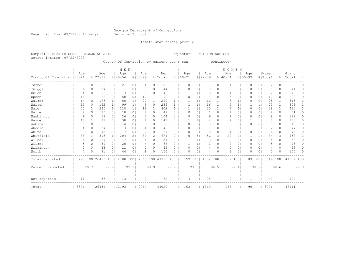Page 28 Run 07/22/03 13:44 pm Decision Support

Inmate statistical profile

Sample: ACTIVE PRISONERS EXCLUDING JAIL Requestor: DECISION SUPPORT Active inmates 07/22/2003

County Of Conviction by current age & sex (continued)

|                              |      |          |                              |                | M E N       |                |                |                |                      |                |                |              |                |                | <b>WOMEN</b>   |                |             |                |                |              |            |          |
|------------------------------|------|----------|------------------------------|----------------|-------------|----------------|----------------|----------------|----------------------|----------------|----------------|--------------|----------------|----------------|----------------|----------------|-------------|----------------|----------------|--------------|------------|----------|
|                              | Age  |          | Age                          |                | Age         |                | Age            |                | Men                  |                | Age            |              | Age            |                | Age            |                | Age         |                | Women          |              | Grand      |          |
| County Of Conviction   00-21 |      |          | $8122 - 39$                  |                | $8140 - 54$ |                | $8155 - 99$    |                | % Total              |                | $8100 - 21$    |              | $8122 - 39$    |                | $8140 - 54$    |                | $8155 - 99$ |                | % Total        | ⊱            | Total      | ႜ        |
| Turner                       |      | 8        | 0 <sup>1</sup><br>50         | 0 <sub>1</sub> | 21          | 0 <sub>1</sub> | 4              | 0 <sup>1</sup> | 83                   | $\circ$        | $\Omega$       | $\circ$      | 1              | 0 <sub>1</sub> | 1              | 0 <sup>1</sup> | 0           | $\overline{0}$ | $\mathfrak{D}$ | $\Omega$     | 85         | 0        |
| Twiggs                       |      | 6        | 24<br>0.                     | 0 <sub>1</sub> | 11          | 01             |                | 0              | 44                   | $\Omega$       | O              | $\Omega$     | $\Omega$       | $\Omega$       | 0              | $\Omega$       |             | 0 <sup>1</sup> | O              | 0            | 44         | 0        |
| Union                        |      | 4        | 22<br>$\circ$                | 0 <sub>1</sub> | 13          | 0 <sub>1</sub> |                | 0 <sup>1</sup> | 46                   | 0              |                |              | 0              | 01             |                | 0 <sub>1</sub> | 0           | 0 <sup>1</sup> | 2              | $\circ$      | 48         | 0        |
| Upson                        |      | 18       | 112                          | 0 <sub>1</sub> | 50          | 0 <sub>1</sub> | 12             | 1 <sub>1</sub> | 192                  | 0              |                | $\circ$      |                | 01             |                | 0 <sub>1</sub> | 0           | 0 <sub>1</sub> | 10             | 0            | 202        | 0        |
| Walker                       |      | 14       | 176<br>0 <sup>1</sup>        | 1 <sub>1</sub> | 80          | 1 <sub>1</sub> | 20             | 1 <sub>1</sub> | 290                  | $\mathbf{1}$   |                |              | 16             | $1\vert$       | 8              | 1 <sub>1</sub> | 0           | 0 <sup>1</sup> | 25             | $\mathbf{1}$ | 315        |          |
| Walton                       |      | 15       | 162<br>$\Omega$              | 1 <sub>1</sub> | 99          | 1 <sub>1</sub> | 9              | $\circ$        | 285                  | $\mathbf{1}$   |                | $\mathbf{1}$ | 16             | 1 <sup>1</sup> | 5              | 1 <sup>1</sup> |             | 1 <sup>1</sup> | 23             | $\mathbf{1}$ | 308        |          |
| Ware                         |      | 25       | 240                          | 1 <sub>1</sub> | 118         | 1 <sub>1</sub> | 19             | 1              | 402                  | $\mathbf{1}$   |                |              | 20             | 1 <sup>1</sup> |                | 1 <sup>1</sup> | Ω           | 0 <sup>1</sup> | 28             | $\mathbf{1}$ | 430        |          |
| Warren                       |      | 2        | 25<br>0                      | 0 <sub>1</sub> | 18          | 0 <sub>1</sub> | 4              | 0              | 49                   | 0              | $\bigcap$      | $\circ$      | 1              | 01             |                | 0 <sub>1</sub> | 0           | 0 <sup>1</sup> | 2              | $\circ$      | 51         | 0        |
| Washington                   |      | 6        | 69<br>$\Omega$               | 0 <sub>1</sub> | 26          | 0 <sup>1</sup> | З              | $\Omega$       | 104                  | $\Omega$       | O              | $\Omega$     | 6              | 01             | 2              | 0 <sub>1</sub> | 0           | 0 <sub>1</sub> | 8              | $\Omega$     | 112        | 0        |
| Wayne                        |      | 18       | 82                           | 0 <sub>1</sub> | 38          | 0 <sup>1</sup> | 4              | 0 <sub>1</sub> | 142                  | 0              |                |              | $\overline{4}$ | 01             | $\overline{2}$ | 0 <sub>1</sub> |             | 1 <sup>1</sup> | 8              | $\circ$      | 150        | 0        |
| Webster                      |      | $\Omega$ | 0 <sup>1</sup><br>6          | 0 <sub>1</sub> | 4           | 0 <sub>1</sub> | Ω              | 0              | 10                   | 0              | O              | $\circ$      | 0              | 01             | 0              | 0 <sub>1</sub> | 0           | 0 <sub>1</sub> | $\Omega$       | 0            | 10         | 0        |
| Wheeler                      |      | 4        | 24<br>$\Omega$               | 0 <sup>1</sup> | 13          | 01             | 4              | 0              | 45                   | 0              | O              | $\Omega$     | -1             | $\Omega$       | $\Omega$       | $\Omega$       |             | $\mathbf{1}$   | 2              | 0            | 47         | n        |
| White                        |      | 3        | 45<br>0                      | 0 <sub>1</sub> | 17          | 01             | 2              | $\circ$        | 67                   | 0              | $\Omega$       | $\circ$      | 5              | 01             | 1              | $\circ$        | 0           | 0 <sup>1</sup> | 6              | $\circ$      | 73         | 0        |
| Whitfield                    |      | 38       | 393                          | 1 <sub>1</sub> | 204         | 2 <sub>1</sub> | 39             | 2              | 674                  | $\overline{2}$ | 5              | 31           | 56             | 31             | 22             | 2 <sub>1</sub> |             | 1 <sup>1</sup> | 84             | 3            | 758        | 2        |
| Wilcox                       |      | 6        | 27<br>$\circ$                | 0 <sub>1</sub> | 17          | 0 <sup>1</sup> | 4              | 0              | 54                   | 0              |                |              | 3              | 0 <sub>1</sub> | $\Omega$       | 0 <sub>1</sub> | 0           | 0 <sup>1</sup> | 4              | $\circ$      | 58         | 0        |
| Wilkes                       |      | 5        | 39<br>0                      | 0 <sub>1</sub> | 20          | 0 <sub>1</sub> | 4              | 0              | 68                   | 0              |                |              | 2              | 01             | 2              | 0 <sub>1</sub> | $\Omega$    | 0 <sub>1</sub> | 5              | $\Omega$     | 73         | 0        |
| Wilkinson                    |      | 3        | 33<br>0 <sub>1</sub>         | 0 <sub>1</sub> | 11          | 0 <sup>1</sup> | 2              | 0 <sup>1</sup> | 49                   | 0              | $\Omega$       | $\circ$      | 4              | 0 <sup>1</sup> | $\Omega$       | 0 <sub>1</sub> | 0           | 0 <sup>1</sup> | 4              | 0            | 53         | 0        |
| Worth                        |      | 7        | 91<br>0                      | 0 <sup>1</sup> | 44          | 0 <sub>1</sub> | 8              | 0              | 150                  | 0              | $\Omega$       | $\circ$      | 4              | 0 <sub>1</sub> | 1              | 0 <sub>1</sub> | 0           | $\circ$        | 5              | 0            | 155        | $\Omega$ |
| Total reported               |      |          | 3295 100 26418 100 12180 100 |                |             |                |                |                | 2065 100   43958 100 |                | 159            | 1001         | 1832 100       |                | 969 1001       |                |             | 89 1001        | 3049 100       |              | 147007 100 |          |
|                              |      |          |                              |                |             |                |                |                |                      |                |                |              |                |                |                |                |             |                |                |              |            |          |
| Percent reported             |      | 99.71    |                              | 99.9           |             | 99.9           |                | 99.91          |                      | 99.9           |                | 97.5         |                | 98.51          |                | 99.1           |             | 98.91          |                | 98.6         |            | 99.8     |
|                              |      |          |                              |                |             |                |                |                |                      |                |                |              |                |                |                |                |             |                |                |              |            |          |
| Not reported                 |      | 11       | 36                           |                | 13          |                | $\overline{c}$ |                | 62                   |                | $\overline{4}$ |              | 28             |                | 9              |                |             |                | 42             |              | 104        |          |
| Total                        | 3306 |          | 26454                        |                | 12193       |                | 2067           |                | 144020               |                | 163            |              | 1860           |                | 978            |                | 90          |                | 3091           |              | 47111      |          |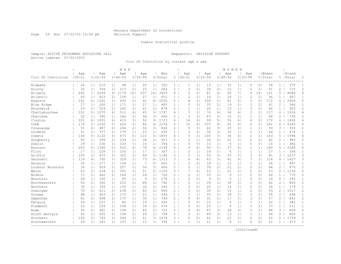Page 29 Run 07/22/03 13:44 pm Decision Support

#### Inmate statistical profile

Sample: ACTIVE PRISONERS EXCLUDING JAIL Requestor: DECISION SUPPORT Active inmates 07/22/2003

Circ Of Conviction by current age & sex

|                    |                   |                |                    |                | M E N              |                |                    |                       |                |                       |                    |                |                    |                | WOMEN              |                |                    |                |                  |                       |                    |                |
|--------------------|-------------------|----------------|--------------------|----------------|--------------------|----------------|--------------------|-----------------------|----------------|-----------------------|--------------------|----------------|--------------------|----------------|--------------------|----------------|--------------------|----------------|------------------|-----------------------|--------------------|----------------|
| Circ Of Conviction | Age<br>$100 - 21$ |                | Age<br>$8122 - 39$ |                | Age<br>$8140 - 54$ |                | Age<br>$8155 - 99$ |                       | Men<br>% Total |                       | Age<br>$8100 - 21$ |                | Age<br>$8122 - 39$ |                | Age<br>$8140 - 54$ |                | Age<br>$8155 - 99$ |                | Women<br>% Total |                       | Grand<br>%   Total | 昙              |
| Alapaha            | 24                | 1 <sub>1</sub> | 210                | 1 <sub>1</sub> | 98                 | 1              | 20                 | 1                     | 352            | $1 \mid$              | 1                  | 1 <sub>1</sub> | 13                 | 1              | 10                 | 1 <sub>1</sub> | 0                  | 0 <sub>1</sub> | 24               | $\mathbf{1}$          | 376                | $\mathbf{1}$   |
| Alcovy             | 32                | 1              | 394                | 1 <sub>1</sub> | 213                | 2 <sub>1</sub> | 25                 | 1 <sup>1</sup>        | 664            | $\mathbf{2}^{\prime}$ | 3                  | 21             | 34                 | 2 <sub>1</sub> | 12                 | 1              | 2                  | 2 <sub>1</sub> | 51               | $\overline{c}$        | 715                | $\overline{c}$ |
| Atlanta            | 240               | 7 <sub>1</sub> | 2299               | 9 <sub>1</sub> | 1179               | 101            | 207                | 101                   | 3925           | 9 <sub>1</sub>        | 6                  | 4 <sub>1</sub> | 81                 | 4 <sub>1</sub> | 65                 | 7 <sub>1</sub> | 9                  | 101            | 161              | 5                     | 4086               | 9              |
| Atlantic           | 43                | 1 <sub>1</sub> | 423                | 21             | 158                | 1 <sub>1</sub> | 27                 | 1 <sub>1</sub>        | 651            | $\mathbf{1}$          | $\mathfrak{D}$     | 1 <sup>1</sup> | 18                 | 1 <sub>1</sub> | 14                 | 1 <sub>1</sub> | $\mathfrak{D}$     | 21             | 36               | 1.                    | 687                | 1              |
| Augusta            | 191               | 61             | 1361               | 5              | 593                | 5 <sub>1</sub> | 91                 | 4                     | 2236           | 5                     | 8                  | 51             | 100                | 51             | 61                 | 6              | 3                  | 31             | 172              | 6                     | 2408               | 5              |
| Blue Ridge         | 27                | 11             | 260                | 1 <sup>1</sup> | 171                | 1 <sub>1</sub> | 27                 | 1 <sub>1</sub>        | 485            | 1 <sup>1</sup>        | 5                  | 3 <sub>1</sub> | 35                 | 21             | 19                 | $\overline{2}$ | $\overline{2}$     | 2 <sub>1</sub> | 61               | 2                     | 546                | $\mathbf{1}$   |
| Brunswick          | 53                | 2 <sub>1</sub> | 524                | 21             | 260                | 2 <sub>1</sub> | 41                 | 2 <sub>1</sub>        | 878            | $\mathbf{2}^{\prime}$ | 1                  | 1 <sub>1</sub> | 26                 | 1 <sub>1</sub> | 12                 | 1 <sub>1</sub> | 3                  | 31             | 42               | $\mathbf{1}$          | 920                | $\overline{c}$ |
| Chattahoochee      | 151               | 5 <sub>1</sub> | 1070               | 4 <sub>1</sub> | 511                | 4 <sub>1</sub> | 65                 | 31                    | 1797           | 4                     | 3                  | 21             | 76                 | 4              | 36                 | 4 <sub>1</sub> | 2                  | 21             | 117              | 4                     | 1914               | 4              |
| Cherokee           | 32                | 1 <sup>1</sup> | 390                | 1 <sup>1</sup> | 186                | 2 <sub>1</sub> | 58                 | 3 <sub>1</sub>        | 666            | $\overline{2}$        | 5                  | 31             | 43                 | 21             | 15                 | 2 <sub>1</sub> | $\mathbf{1}$       | 1 <sup>1</sup> | 64               | $\overline{2}$        | 730                | $\overline{c}$ |
| Clayton            | 201               | 61             | 1055               | 4              | 415                | 3 <sub>1</sub> | 52                 | 3 <sub>1</sub>        | 1723           | 4                     | 14                 | 9 <sub>1</sub> | 99                 | 51             | 55                 | 6              | 4                  | 5 <sub>1</sub> | 172              | 6                     | 1895               | 4              |
| Cobb               | 174               | 5 <sub>1</sub> | 1220               | 5 <sub>1</sub> | 624                | 51             | 86                 | 4                     | 2104           | 5.                    | 10                 | 6              | 107                | 61             | 62                 | 6              | 2                  | 2 <sub>1</sub> | 181              | 6                     | 2285               | 5              |
| Conasauga          | 51                | 21             | 487                | 2 <sub>1</sub> | 246                | 2 <sub>1</sub> | 56                 | 3 <sup>1</sup>        | 840            | $2-1$                 | 5                  | 31             | 62                 | 31             | 25                 | 31             | 1                  | 1 <sup>1</sup> | 93               | 3                     | 933                | 2              |
| Cordele            | 51                | 21             | 377                | 1 <sup>1</sup> | 179                | 1 <sub>1</sub> | 23                 | 1 <sub>1</sub>        | 630            | 1 <sup>1</sup>        | 3                  | 21             | 30                 | 21             | 10                 | 1              | 1                  | 1              | 44               | $\mathbf{1}$          | 674                | 1              |
| Coweta             | 140               | 4 <sub>1</sub> | 1132               | 4 <sub>1</sub> | 473                | 4 <sub>1</sub> | 110                | 5 <sub>1</sub>        | 1855           | 4                     | 5                  | 31             | 100                | 51             | 36                 | 4              | $\overline{c}$     | 21             | 143              | 5                     | 1998               | $\overline{4}$ |
| Dougherty          | 45                | 1 <sup>1</sup> | 599                | 21             | 239                | 21             | 38                 | 2 <sub>1</sub>        | 921            | $\overline{2}$        | $\overline{c}$     | 1 <sub>1</sub> | 36                 | 21             | 22                 | $\overline{2}$ | $\overline{c}$     | 21             | 62               | 2                     | 983                | $\mathbf{2}$   |
| Dublin             | 19                | 1 <sub>1</sub> | 230                | 1 <sup>1</sup> | 103                | 1              | 14                 | 1 <sub>1</sub>        | 366            | 1 <sup>1</sup>        | $\Omega$           | 0 <sub>1</sub> | 10                 | 1 <sub>1</sub> | 6                  | 1 <sub>1</sub> | $\Omega$           | 0 <sup>1</sup> | 16               | $\mathbf{1}$          | 382                | $\mathbf{1}$   |
| Eastern            | 205               | 61             | 1340               | 51             | 525                | 4 <sub>1</sub> | 78                 | 4                     | 2148           | 5.                    | 9                  | 61             | 93                 | 51             | 37                 | $\overline{4}$ | 1                  | 1 <sup>1</sup> | 140              | 5                     | 2288               | 5              |
| Flint              | 17                | 11             | 228                | 1 <sup>1</sup> | 105                | 1              | 17                 | 1 <sub>1</sub>        | 367            | 1 <sup>1</sup>        | $\overline{2}$     | 1 <sup>1</sup> | 18                 | 1 <sup>1</sup> | 6                  | 1 <sub>1</sub> | 1                  | 1 <sup>1</sup> | 27               | 1                     | 394                | $\mathbf{1}$   |
| Griffin            | 105               | 3 <sub>1</sub> | 675                | 3 <sup>1</sup> | 302                | 2 <sub>1</sub> | 64                 | 3 <sub>1</sub>        | 1146           | 3 <sup>1</sup>        | 5                  | 3 <sub>1</sub> | 50                 | 31             | 33                 | 3 <sub>1</sub> | 3                  | 31             | 91               | 3                     | 1237               | 3              |
| Gwinnett           | 119               | 4 <sub>1</sub> | 792                | 3 <sup>1</sup> | 329                | 3 <sub>1</sub> | 73                 | 4 <sub>1</sub>        | 1313           | 3                     | 6                  | 4              | 63                 | 31             | 42                 | 4              | 3                  | 31             | 114              | 4                     | 1427               | 3              |
| Houston            | 35                | 1 <sup>1</sup> | 277                | 11             | 144                | 1 <sub>1</sub> | 7                  | 0 <sup>1</sup>        | 463            | 1 <sup>1</sup>        | 3                  | 21             | 18                 | 1 <sub>1</sub> | 12                 | 1 <sub>1</sub> | $\mathbf{1}$       | 1 <sup>1</sup> | 34               | $\mathbf{1}$          | 497                | $\mathbf{1}$   |
| Lookout Mountain   | 36                | 1 <sup>1</sup> | 459                | 21             | 257                | 2 <sub>1</sub> | 54                 | 3 <sub>1</sub>        | 806            | 2 <sup>1</sup>        | $\overline{c}$     | 1 <sub>1</sub> | 39                 | 21             | 21                 | 2 <sub>1</sub> | $\overline{c}$     | 21             | 64               | $\overline{c}$        | 870                | $\overline{c}$ |
| Macon              | 63                | 2 <sub>1</sub> | 634                | 2 <sub>1</sub> | 355                | 3 <sub>1</sub> | 51                 | 2 <sub>1</sub>        | 1103           | 3                     |                    | 4              | 23                 | 1 <sub>1</sub> | 21                 | 2 <sub>1</sub> | $\overline{2}$     | 2 <sub>1</sub> | 53               | 2                     | 1156               | $\overline{c}$ |
| Middle             | 71                | 2 <sup>1</sup> | 462                | 2 <sub>1</sub> | 169                | 1 <sub>1</sub> | 24                 | 1 <sup>1</sup>        | 726            | $\overline{2}$        | $\overline{2}$     | 1 <sup>1</sup> | 33                 | 21             | 9                  | 1 <sub>1</sub> | 0                  | 0 <sub>1</sub> | 44               | $\mathbf{1}$          | 770                | $\overline{2}$ |
| Mountain           | 24                | 1 <sup>1</sup> | 160                | 1 <sup>1</sup> | 85                 | 1 <sub>1</sub> | 9                  | 0 <sup>1</sup>        | 278            | 1 <sup>1</sup>        | $\mathbf{0}$       | 0 <sub>1</sub> | 9                  | 0 <sub>1</sub> | 5                  | 1 <sub>1</sub> | $\Omega$           | 0 <sub>1</sub> | 14               | $\circ$               | 292                | $\mathbf{1}$   |
| Northeastern       | 50                | 21             | 392                | 1 <sub>1</sub> | 252                | 2 <sub>1</sub> | 48                 | $\mathbf{2}^{\prime}$ | 742            | $\mathbf{2}^{\prime}$ | $\overline{2}$     | 1 <sub>1</sub> | 39                 | 2 <sub>1</sub> | 18                 | 2 <sub>1</sub> | 3                  | 3 <sub>1</sub> | 62               | $\overline{c}$        | 804                | $\overline{c}$ |
| Northern           | 30                | 1 <sup>1</sup> | 326                | 1 <sup>1</sup> | 155                | 1 <sup>1</sup> | 34                 | 2 <sup>1</sup>        | 545            | 1 <sup>1</sup>        | $\bigcap$          | 0 <sub>1</sub> | 20                 | 1 <sub>1</sub> | 14                 | 1 <sub>1</sub> | $\circ$            | 0 <sup>1</sup> | 34               | $\mathbf{1}$          | 579                | $\mathbf{1}$   |
| Ocmulgee           | 75                | 21             | 611                | 21             | 238                | 2 <sub>1</sub> | 40                 | 2 <sub>1</sub>        | 964            | $\overline{2}$        | 3                  | 21             | 36                 | 21             | 12                 | 1 <sub>1</sub> | 2                  | 21             | 53               | 2                     | 1017               | $\overline{c}$ |
| Oconee             | 48                | 1 <sup>1</sup> | 403                | 2 <sub>1</sub> | 170                | 1              | 23                 | 1 <sup>1</sup>        | 644            | $\mathbf{1}$          | 1                  | 1 <sup>1</sup> | 33                 | 21             | 18                 | 2 <sub>1</sub> | $\overline{2}$     | 2 <sub>1</sub> | 54               | $\overline{c}$        | 698                | $\mathbf{1}$   |
| Oqeechee           | 81                | 2 <sup>1</sup> | 498                | 2 <sub>1</sub> | 175                | 1 <sub>1</sub> | 30                 | 1 <sup>1</sup>        | 784            | $\overline{2}$        | 6                  | 4 <sub>1</sub> | 31                 | 21             | 17                 | $\overline{2}$ | 3                  | 31             | 57               | $\mathbf{2}^{\prime}$ | 841                | $\overline{c}$ |
| Pataula            | 24                | 1 <sub>1</sub> | 237                | 1 <sub>1</sub> | 80                 | 1              | 19                 | 1 <sub>1</sub>        | 360            | 1 <sup>1</sup>        | 0                  | 0 <sub>1</sub> | 15                 | 1 <sub>1</sub> | 6                  | 1 <sub>1</sub> | 1                  | 1              | 22               | $\mathbf{1}$          | 382                | $\mathbf{1}$   |
| Piedmont           | 23                | 1 <sup>1</sup> | 259                | 11             | 158                | 1 <sub>1</sub> | 34                 | 2 <sub>1</sub>        | 474            | $\mathbf{1}$          | $\Omega$           | 0 <sub>1</sub> | 25                 | 1 <sub>1</sub> | 9                  | 1 <sub>1</sub> | 3                  | 31             | 37               | $\mathbf{1}$          | 511                | $\mathbf{1}$   |
| Rome               | 50                | 21             | 441                | 2 <sub>1</sub> | 194                | 2 <sub>1</sub> | 40                 | 2 <sub>1</sub>        | 725            | $\overline{c}$        | $\epsilon$         | 4 <sub>1</sub> | 47                 | 31             | 28                 | 3 <sup>1</sup> | 3                  | 31             | 84               | 3                     | 809                | $\overline{c}$ |
| South Georgia      | 62                | 2 <sub>1</sub> | 505                | 21             | 198                | 2 <sub>1</sub> | 29                 | 1 <sub>1</sub>        | 794            | $\mathbf{2}^{\prime}$ | 3                  | 21             | 49                 | 31             | 13                 | 1 <sub>1</sub> | 1                  | 1 <sub>1</sub> | 66               | $\overline{c}$        | 860                | $\overline{c}$ |
| Southern           | 100               | 31             | 769                | 3 <sup>1</sup> | 344                | 31             | 61                 | 31                    | 1274           | 3                     | $\Omega$           | 0 <sub>1</sub> | 42                 | 21             | 21                 | $\overline{2}$ | $\overline{c}$     | 2 <sub>1</sub> | 65               | 2                     | 1339               | 3              |
| Southwestern       | 29                | 1 <sup>1</sup> | 241                | 1 <sup>1</sup> | 107                | 1 <sub>1</sub> | 15                 | 1 <sup>1</sup>        | 392            | 1 <sup>1</sup>        | 1                  | 1 <sup>1</sup> | 11                 | 1 <sub>1</sub> | 9                  | 1 <sub>1</sub> | $\Omega$           | 0 <sup>1</sup> | 21               | $\mathbf{1}$          | 413                | $\mathbf{1}$   |
|                    |                   |                |                    |                |                    |                |                    |                       |                |                       |                    |                |                    |                |                    |                |                    |                |                  |                       |                    |                |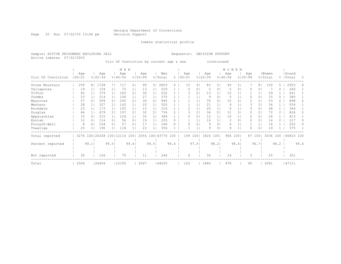Page 30 Run 07/22/03 13:44 pm Decision Support

Inmate statistical profile

Active inmates 07/22/2003

Sample: ACTIVE PRISONERS EXCLUDING JAIL Requestor: DECISION SUPPORT

Circ Of Conviction by current age & sex (continued)

|                    |                              |                |                    |                | M E N              |                |                    |       |                      |           |                   |                |                    |                | WOMEN              |       |                    |                |                  |          |                    |      |
|--------------------|------------------------------|----------------|--------------------|----------------|--------------------|----------------|--------------------|-------|----------------------|-----------|-------------------|----------------|--------------------|----------------|--------------------|-------|--------------------|----------------|------------------|----------|--------------------|------|
| Circ Of Conviction | Age<br>$100 - 21$            |                | Age<br>$8122 - 39$ |                | Age<br>$8140 - 54$ |                | Age<br>$8155 - 99$ |       | Men<br>% Total       | $\approx$ | Age<br>$100 - 21$ |                | Age<br>$8122 - 39$ |                | Age<br>$8140 - 54$ |       | Age<br>$8155 - 99$ |                | Women<br>% Total |          | Grand<br>%   Total | ွေ   |
| Stone Mountain     | 259                          | 8 <sub>1</sub> | 1728               |                | 717                | 61             | 99                 | 5     | 2803                 | 6.        | 15                | 9 <sub>1</sub> | 83                 | 5              | 45                 | 5.    |                    | 8 <sup>1</sup> | 150              |          | 2953               | 6    |
| Tallapoosa         | 19                           |                | 154                |                | 73                 |                | 13                 |       | 259                  |           | 0                 | 0              | 5                  | 01             | 2                  | 0     |                    | $\circ$        |                  | 0        | 266                |      |
| Tifton             | 40                           |                | 379                |                | 183                | 2 <sub>1</sub> | 30                 |       | 632                  |           | Β                 | 2              | 13                 |                | 12                 |       |                    |                | 29               |          | 661                |      |
| Toombs             | 23                           |                | 214                |                | 106                |                | 27                 |       | 370                  |           |                   |                | 9                  | 0 <sup>1</sup> | 5                  |       |                    | 0 <sup>1</sup> | 15               | $\Omega$ | 385                |      |
| Waycross           | 57                           |                | 509                |                | 245                | 2 <sub>1</sub> | 34                 | 2     | 845                  |           |                   |                | 35                 | 2 <sub>1</sub> | 15                 |       |                    | 2 <sub>1</sub> | 53               |          | 898                |      |
| Western            | 28                           |                | 327                |                | 143                |                | 22                 |       | 520                  |           |                   |                | 21                 |                | 9                  |       |                    | 31             | 34               |          | 554                |      |
| Rockdale           | 23                           |                | 173                |                | 105                |                | 15                 |       | 316                  |           |                   |                | 20                 |                | 6                  |       |                    | $\circ$        | 28               |          | 344                |      |
| Douglas            | 46                           |                | 479                | $\overline{2}$ | 197                | 21             | 32                 | 2     | 754                  |           | 3                 | 2              | 36                 | 2 <sub>1</sub> | 31                 | 3     |                    | 2 <sub>1</sub> | 72               |          | 826                | 2.   |
| Appalachian        | 15                           |                | 215                |                | 124                |                | 35                 | 2.    | 389                  |           | 0                 | 0              | 12                 |                | 10                 |       |                    | 2 <sub>1</sub> | 24               |          | 413                |      |
| Enotah             | 12                           |                | 116                | $\Omega$       | 56                 | 0 <sub>1</sub> | 19                 |       | 203                  |           |                   |                | 10                 |                | 3                  | 0     | 0                  | 0 <sup>1</sup> | 14               |          | 217                | 0    |
| Forsyth-Bell       | 8                            | $\Omega$       | 104                | 0 <sub>1</sub> | 57                 | 0 <sub>1</sub> | 17                 |       | 186                  |           | O                 | $\circ$        | 9                  | 0              | 6                  |       |                    | 1 <sub>1</sub> | 16               |          | 202                |      |
| Towaliga           | 25                           |                | 190                |                | 118                |                | 23                 |       | 356                  |           |                   |                | 9                  | 0 <sub>1</sub> | 9                  | 1     | O                  | 0 <sup>1</sup> | 19               |          | 375                |      |
| Total reported     | 3276 100   26328 100   12114 |                |                    |                |                    | 1001           |                    |       | 2056 100   43774 100 |           | 159               | 1001           | 1826 100           |                | 964                | 1001  | 87                 | 1001           | 3036 100         |          | 46810 100          |      |
|                    |                              |                |                    |                |                    |                |                    |       |                      |           |                   |                |                    |                |                    |       |                    |                |                  |          |                    |      |
| Percent reported   |                              | 99.1           |                    | 99.51          |                    | 99.4           |                    | 99.51 |                      | 99.4      |                   | 97.51          |                    | 98.21          |                    | 98.61 |                    | 96.71          |                  | 98.2     |                    | 99.4 |
|                    |                              |                |                    |                |                    |                |                    |       |                      |           |                   |                |                    |                |                    |       |                    |                |                  |          |                    |      |
|                    |                              |                |                    |                |                    |                |                    |       |                      |           |                   |                |                    |                |                    |       |                    |                |                  |          |                    |      |
| Not reported       | 30                           |                | 126                |                | 79                 |                | 11                 |       | 246                  |           | 4                 |                | 34                 |                | 14                 |       | 3                  |                | 55               |          | 301                |      |
| Total              | 3306                         |                | 26454              |                | 12193              |                | 2067               |       | 144020               |           | 163               |                | 1860               |                | 978                |       | 90                 |                | 3091             |          | 47111              |      |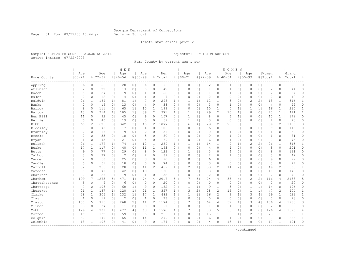Page 31 Run 07/22/03 13:44 pm Decision Support

#### Inmate statistical profile

Sample: ACTIVE PRISONERS EXCLUDING JAIL Requestor: DECISION SUPPORT Active inmates 07/22/2003

Home County by current age & sex

|               |                   |                |                    |                | M E N              |                |                    |                       |                |                |                    |                |                    |                | WOMEN              |                |                |                |                  |                |                    |              |
|---------------|-------------------|----------------|--------------------|----------------|--------------------|----------------|--------------------|-----------------------|----------------|----------------|--------------------|----------------|--------------------|----------------|--------------------|----------------|----------------|----------------|------------------|----------------|--------------------|--------------|
| Home County   | Age<br>$100 - 21$ |                | Age<br>$8122 - 39$ |                | Aqe<br>$8140 - 54$ |                | Age<br>$8155 - 99$ |                       | Men<br>% Total |                | Age<br>$8100 - 21$ |                | Age<br>$8122 - 39$ |                | Age<br>$8140 - 54$ | $8155 - 99$    | Age            |                | Women<br>% Total |                | Grand<br>%   Total | 읏            |
| Appling       | 6                 | 0 <sub>1</sub> | 56                 | 0 <sub>1</sub> | 28                 | 0 <sub>1</sub> | 6                  | 0 <sub>1</sub>        | 96             | $\circ$        | 0                  | 0 <sub>1</sub> | $\mathbf{2}$       | 0 <sub>1</sub> | 1                  | 0 <sub>1</sub> | $\circ$        | 0 <sub>1</sub> | 3                | $\circ$        | 99                 | $\Omega$     |
| Atkinson      | $\sqrt{2}$        | 0 <sub>1</sub> | 22                 | 0 <sup>1</sup> | 13                 | 0 <sub>1</sub> | 5                  | $\circ$               | 42             | $\circ$        | $\Omega$           | 0 <sub>1</sub> | $\mathbf{1}$       | 0 <sub>1</sub> | $\mathbf{1}$       | 0 <sub>1</sub> | $\mathbf 0$    | 0 <sub>1</sub> | $\mathbf{2}$     | $\Omega$       | 44                 | 0            |
| Bacon         | 5                 | 0 <sub>1</sub> | 27                 | 0 <sub>1</sub> | 19                 | 0 <sub>1</sub> | $\mathbf{1}$       | 0 <sub>1</sub>        | 52             | 0 <sub>1</sub> | $\Omega$           | 0 <sub>1</sub> | $\mathbf{1}$       | 01             | 1                  | 0 <sub>1</sub> | 0              | 0 <sub>1</sub> | $\overline{c}$   | 0              | 54                 | $\circ$      |
| Baker         | $\circ$           | $\circ$        | 12                 | 0 <sub>1</sub> | $\overline{4}$     | 0 <sub>1</sub> | $\mathbf{1}$       | 0                     | 17             | $0-1$          | $\Omega$           | 0 <sub>1</sub> | $\overline{c}$     | 01             | $\Omega$           | 0              | 0              | 0 <sub>1</sub> | $\overline{c}$   | 0              | 19                 | 0            |
| Baldwin       | 26                | 1 <sup>1</sup> | 184                | 1 <sup>1</sup> | 81                 | 1 <sub>1</sub> | 7                  | 0                     | 298            | $\mathbf{1}$   | 1                  | 1 <sup>1</sup> | 12                 | 1 <sub>1</sub> | 3                  | $\circ$        | $\overline{2}$ | 21             | 18               | $\mathbf{1}$   | 316                | $\mathbf{1}$ |
| Banks         | $\overline{2}$    | 0 <sub>1</sub> | 19                 | 0 <sub>1</sub> | 13                 | 0 <sub>1</sub> | 4                  | 0                     | 38             | $\circ$        | 0                  | 0 <sub>1</sub> | $\mathbf{3}$       | 0 <sub>1</sub> | $\mathbf{1}$       | 0 <sub>1</sub> | 0              | 0 <sub>1</sub> | 4                | 0              | 42                 | 0            |
| Barrow        | 8                 | 0 <sub>1</sub> | 111                | 0 <sub>1</sub> | 65                 | 1              | 15                 | 1                     | 199            | $0-1$          | $\Omega$           | 0 <sub>1</sub> | 10                 | 1 <sub>1</sub> | 5                  | 1              | $\mathbf 1$    | 1              | 16               | $\mathbf{1}$   | 215                | $\mathbf{1}$ |
| Bartow        | 13                | 0 <sub>1</sub> | 214                | 1 <sub>1</sub> | 105                | 1              | 39                 | 2 <sub>1</sub>        | 371            | 1 <sup>1</sup> | 1                  | 1 <sub>1</sub> | 29                 | 21             | 10                 | 1 <sub>1</sub> | $\circ$        | 0 <sub>1</sub> | 40               | $\mathbf{1}$   | 411                | $\mathbf{1}$ |
| Ben Hill      | 11                | 0 <sub>1</sub> | 92                 | 0 <sub>1</sub> | 45                 | 0 <sub>1</sub> | 9                  | 0 <sub>1</sub>        | 157            | 0 <sub>1</sub> | 1                  | 1 <sub>1</sub> | 8                  | 0 <sub>1</sub> | 6                  | 1 <sub>1</sub> | 0              | 0 <sub>1</sub> | 15               | $\mathbf{1}$   | 172                | $\circ$      |
| Berrien       | 5                 | 0 <sup>1</sup> | 40                 | 0 <sup>1</sup> | 19                 | 0 <sub>1</sub> | 5                  | 0                     | 69             | $\circ$        | 1                  | 1 <sub>1</sub> | 3                  | 01             | $\circ$            | $\circ$        | 0              | 0 <sup>1</sup> | 4                | 0              | 73                 | 0            |
| Bibb          | 65                | 2 <sup>1</sup> | 625                | 3              | 342                | 31             | 45                 | 2                     | 1077           | 3              | 6                  | 4 <sub>1</sub> | 29                 | 21             | 23                 | 31             | $\mathbf 1$    | 1 <sup>1</sup> | 59               | 2              | 1136               | 3            |
| Bleckley      | 7                 | 0 <sub>1</sub> | 78                 | 0 <sub>1</sub> | 17                 | 0 <sub>1</sub> | 4                  | 0                     | 106            | $0-1$          | $\Omega$           | 0 <sub>1</sub> | 6                  | 0 <sub>1</sub> | 3                  | 0 <sub>1</sub> | $\Omega$       | 0 <sub>1</sub> | 9                | 0              | 115                | 0            |
| Brantley      | $\sqrt{2}$        | 0 <sub>1</sub> | 18                 | 0 <sub>1</sub> | 9                  | 0 <sub>1</sub> | $\overline{2}$     | 0                     | 31             | $\circ$        | $\Omega$           | 0 <sub>1</sub> | $\circ$            | 01             | $\mathbf{1}$       | 0 <sub>1</sub> | 0              | 0 <sub>1</sub> | $\mathbf{1}$     | 0              | 32                 | 0            |
| <b>Brooks</b> | $\sqrt{2}$        | 0 <sub>1</sub> | 55                 | 0 <sub>1</sub> | 18                 | 0 <sub>1</sub> | 5                  | 0                     | 80             | 0 <sub>1</sub> | $\Omega$           | 0 <sub>1</sub> | $\circ$            | 0 <sub>1</sub> | $\mathbf{1}$       | 0 <sub>1</sub> | $\circ$        | 0 <sup>1</sup> | $\mathbf{1}$     | 0              | 81                 | $\circ$      |
| Bryan         | $\mathbf 1$       | 0 <sub>1</sub> | 43                 | 0 <sub>1</sub> | 21                 | 0 <sub>1</sub> | 4                  | 0                     | 69             | 0 <sub>1</sub> | $\Omega$           | 0 <sub>1</sub> | 6                  | 0 <sub>1</sub> | 1                  | 0 <sub>1</sub> | 0              | 0 <sup>1</sup> | 7                | 0              | 76                 | 0            |
| Bulloch       | 26                | 1 <sub>1</sub> | 177                | 1 <sup>1</sup> | 74                 | 1              | 12                 | 1 <sub>1</sub>        | 289            | $\mathbf{1}$   | 1                  | 1 <sup>1</sup> | 14                 | 1 <sub>1</sub> | 9                  | $\mathbf{1}$   | $\overline{2}$ | 21             | 26               | $\mathbf{1}$   | 315                | $\mathbf{1}$ |
| Burke         | 17                | 1 <sub>1</sub> | 117                | 0 <sup>1</sup> | 48                 | 0 <sub>1</sub> | 11                 | 1 <sup>1</sup>        | 193            | $0-1$          | $\Omega$           | 0 <sub>1</sub> | $\overline{4}$     | 01             | 4                  | $\circ$        | $\Omega$       | 0 <sup>1</sup> | 8                | $\Omega$       | 201                | 0            |
| <b>Butts</b>  | 9                 | 0 <sub>1</sub> | 77                 | 0 <sub>1</sub> | 29                 | 0 <sub>1</sub> | 8                  | 0 <sup>1</sup>        | 123            | $0-1$          | 1                  | 1 <sup>1</sup> | 3                  | 01             | 4                  | 0 <sub>1</sub> | $\Omega$       | 0 <sub>1</sub> | 8                | 0              | 131                | 0            |
| Calhoun       | 3                 | 0 <sub>1</sub> | 27                 | 0 <sub>1</sub> | 7                  | 0 <sub>1</sub> | $\overline{c}$     | 0                     | 39             | $0-1$          | $\Omega$           | 0 <sub>1</sub> | $\overline{c}$     | 0 <sub>1</sub> | $\mathbf{1}$       | 0 <sub>1</sub> | 0              | 0 <sub>1</sub> | 3                | 0              | 42                 | 0            |
| Camden        | $\overline{c}$    | 0 <sub>1</sub> | 60                 | 0 <sub>1</sub> | 25                 | 0 <sub>1</sub> | 3                  | 0                     | 90             | $\circ$        | $\Omega$           | 0 <sub>1</sub> | 6                  | 01             | 3                  | 0 <sub>1</sub> | 0              | 0 <sup>1</sup> | 9                | 0              | 99                 | $\circ$      |
| Candler       | 5                 | 0 <sup>1</sup> | 51                 | 0 <sub>1</sub> | 18                 | 0 <sub>1</sub> | $\circ$            | 0 <sup>1</sup>        | 74             | 0 <sub>1</sub> | $\Omega$           | 0 <sub>1</sub> | 3                  | 0 <sub>1</sub> | $\circ$            | 0 <sub>1</sub> | $\circ$        | 0 <sup>1</sup> | 3                | 0              | 77                 | 0            |
| Carroll       | 32                | 1 <sub>1</sub> | 266                | 1 <sup>1</sup> | 120                | 1              | 41                 | $\mathbf{2}^{\prime}$ | 459            | $\mathbf{1}$   | $\overline{2}$     | 1 <sub>1</sub> | 33                 | 21             | 14                 | $\overline{2}$ | $\Omega$       | 0 <sup>1</sup> | 49               | $\overline{c}$ | 508                | 1            |
| Catoosa       | 8                 | 0 <sup>1</sup> | 70                 | 0 <sup>1</sup> | 42                 | 0 <sub>1</sub> | 10                 | 1 <sub>1</sub>        | 130            | $0-1$          | $\Omega$           | 0 <sub>1</sub> | 8                  | 01             | $\overline{c}$     | 0 <sub>1</sub> | $\Omega$       | 0 <sup>1</sup> | 10               | 0              | 140                | 0            |
| Charlton      | $\circ$           | 0 <sub>1</sub> | 28                 | 0 <sub>1</sub> | 9                  | 0 <sub>1</sub> | -1                 | 0                     | 38             | 0 <sub>1</sub> | $\Omega$           | 0 <sub>1</sub> | $\overline{c}$     | 01             | $\circ$            | 0 <sub>1</sub> | $\Omega$       | 0 <sup>1</sup> | $\mathbf{2}$     | 0              | 40                 | 0            |
| Chatham       | 199               | 71             | 1273               | 5 <sub>1</sub> | 471                | 4              | 74                 | 4                     | 2017           | 5 <sub>1</sub> |                    | 5 <sub>1</sub> | 74                 | 4              | 33                 | 4              | 2              | 2 <sub>1</sub> | 116              | 4              | 2133               | 5            |
| Chattahoochee | 5                 | 0 <sup>1</sup> | 9                  | 0 <sub>1</sub> | 6                  | 0 <sub>1</sub> | $\circ$            | 0                     | 20             | $\circ$        | $\Omega$           | 0 <sub>1</sub> | $\circ$            | 01             | $\circ$            | 0 <sub>1</sub> | $\circ$        | 0 <sup>1</sup> | $\circ$          | 0              | 20                 | 0            |
| Chattooga     | 7                 | 0 <sup>1</sup> | 106                | 0 <sub>1</sub> | 60                 | 1 <sub>1</sub> | 9                  | 0                     | 182            | $0-1$          | 1                  | 1 <sup>1</sup> | 9                  | 1 <sup>1</sup> | 3                  | 0 <sub>1</sub> | $\mathbf 1$    | 1 <sup>1</sup> | 14               | 0              | 196                | 0            |
| Cherokee      | 21                | 1 <sub>1</sub> | 187                | 1 <sup>1</sup> | 128                | 1              | 21                 | 1 <sub>1</sub>        | 357            | 1 <sup>1</sup> | 3                  | 21             | 28                 | 21             | 15                 | $\overline{c}$ | $\mathbf 1$    | 1              | 47               | $\mathbf{2}$   | 404                | 1            |
| Clarke        | 28                | 1 <sub>1</sub> | 306                | 1 <sub>1</sub> | 132                | 1              | 17                 | 1 <sub>1</sub>        | 483            | $\mathbf{1}$   | 1                  | 1              | 26                 | 21             | 9                  | $\mathbf{1}$   | 3              | 4              | 39               | $\mathbf{1}$   | 522                | $1\,$        |
| Clay          | 1                 | 0 <sup>1</sup> | 19                 | 0 <sub>1</sub> | $\overline{2}$     | 0 <sub>1</sub> | $\mathbf{1}$       | 0                     | 23             | $\circ$        | 0                  | 0 <sub>1</sub> | $\circ$            | 0 <sub>1</sub> | $\circ$            | 0 <sub>1</sub> | $\circ$        | 0 <sup>1</sup> | $\circ$          | 0              | 23                 | 0            |
| Clayton       | 150               | 5              | 715                | 3 <sup>1</sup> | 268                | 2 <sub>1</sub> | 41                 | 2 <sub>1</sub>        | 1174           | 3 <sup>1</sup> |                    | 5 <sub>1</sub> | 64                 | 4              | 32                 | 4              | 3              | 4              | 106              | 4              | 1280               | 3            |
| Clinch        | 3                 | 0 <sup>1</sup> | 37                 | 0 <sup>1</sup> | 11                 | 0 <sub>1</sub> | $\circ$            | 0                     | 51             | $\circ$        | $\Omega$           | 0 <sub>1</sub> | $\mathbf{1}$       | 0 <sub>1</sub> | $\mathbf{1}$       | 0 <sub>1</sub> | $\circ$        | 0 <sup>1</sup> | $\overline{2}$   | 0              | 53                 | 0            |
| Cobb          | 129               | 4 <sub>1</sub> | 901                | 4              | 477                | 4              | 63                 | 3 <sup>1</sup>        | 1570           | 41             | 7                  | 51             | 83                 | 51             | 36                 | 4              | $\circ$        | 0 <sup>1</sup> | 126              | 4              | 1696               | 4            |
| Coffee        | 19                | 1 <sub>1</sub> | 132                | 1 <sub>1</sub> | 59                 | 1              | 5                  | 0                     | 215            | $1 \mid$       | $\Omega$           | 0 <sub>1</sub> | 15                 | 1 <sub>1</sub> | 6                  | 1              | 2              | 21             | 23               | 1              | 238                | $\mathbf{1}$ |
| Colquit       | 30                | 1 <sub>1</sub> | 170                | 1 <sub>1</sub> | 65                 | 1              | 14                 | 1 <sub>1</sub>        | 279            | 1              | $\Omega$           | 0 <sub>1</sub> | 6                  | 0 <sub>1</sub> | $\mathbf 1$        | $\circ$        | $\Omega$       | 0 <sup>1</sup> | 7                | $\Omega$       | 286                | $\mathbf{1}$ |
| Columbia      | 18                | 1 <sub>1</sub> | 106                | 0 <sup>1</sup> | 41                 | 0 <sub>1</sub> | 9                  | 0 <sup>1</sup>        | 174            | 0 <sub>1</sub> | 0                  | 0 <sub>1</sub> | 4                  | 0 <sub>1</sub> | 13                 | 1 <sub>1</sub> | $\Omega$       | 0 <sup>1</sup> | 17               | 1.             | 191                | $\Omega$     |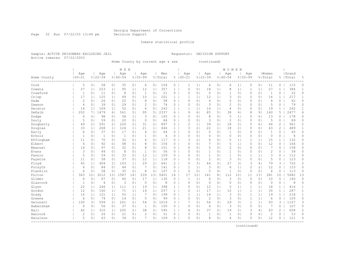Page 32 Run 07/22/03 13:44 pm Decision Support

#### Inmate statistical profile

Sample: ACTIVE PRISONERS EXCLUDING JAIL Requestor: DECISION SUPPORT Active inmates 07/22/2003

Home County by current age & sex (continued)

|             |                   |                |                    |                | M E N              |                |                    |                       |                |                       |                    |                 |                    |                | <b>WOMEN</b>       |                |                    |                |                  |                |                    |                |
|-------------|-------------------|----------------|--------------------|----------------|--------------------|----------------|--------------------|-----------------------|----------------|-----------------------|--------------------|-----------------|--------------------|----------------|--------------------|----------------|--------------------|----------------|------------------|----------------|--------------------|----------------|
| Home County | Age<br>$100 - 21$ |                | Age<br>$8122 - 39$ |                | Age<br>$8140 - 54$ |                | Age<br>$8155 - 99$ |                       | Men<br>% Total |                       | Age<br>$8100 - 21$ |                 | Age<br>$8122 - 39$ |                | Age<br>$8140 - 54$ |                | Age<br>$8155 - 99$ |                | Women<br>% Total |                | Grand<br>%   Total | 욲              |
| Cook        | 5                 | 0 <sub>1</sub> | 58                 | 0 <sub>1</sub> | 35                 | 0 <sub>1</sub> | 6                  | 0 <sub>1</sub>        | 104            | $0-1$                 | 1                  | 1 <sub>1</sub>  | 4                  | 0 <sub>1</sub> | 6                  | 1 <sub>1</sub> | 0                  | 0 <sub>1</sub> | 11               | 0              | 115                | 0              |
| Coweta      | 27                | 1 <sub>1</sub> | 223                | 1              | 95                 | 1              | 12                 | 1 <sub>1</sub>        | 357            | $\mathbf{1}$          | $\Omega$           | 0 <sub>1</sub>  | 18                 | 1 <sub>1</sub> | 8                  | 1              | $\mathbf 1$        | 1              | 27               | $\mathbf{1}$   | 384                | $\mathbf{1}$   |
| Crawford    | $\mathbf{1}$      | 0 <sub>1</sub> | 11                 | 0 <sub>1</sub> | 8                  | 0 <sub>1</sub> | $\mathbf{1}$       | 0                     | 21             | $\circ$               | $\Omega$           | 0 <sub>1</sub>  | $\circ$            | 0 <sub>1</sub> | $\mathbf{1}$       | 0 <sub>1</sub> | $\mathbf 0$        | 0 <sub>1</sub> | 1                | $\circ$        | 22                 | $\circ$        |
| Crisp       | 17                | 1 <sub>1</sub> | 125                | 1 <sub>1</sub> | 49                 | 0 <sub>1</sub> | 10                 | 1                     | 201            | 1 <sup>1</sup>        | 1                  | 1 <sub>1</sub>  | 12                 | 1 <sub>1</sub> | 3                  | 0 <sub>1</sub> | 0                  | 0 <sub>1</sub> | 16               | $\mathbf{1}$   | 217                | $\mathbf{1}$   |
| Dade        | $\overline{2}$    | 0 <sup>1</sup> | 26                 | 0 <sup>1</sup> | 22                 | 0 <sub>1</sub> | 8                  | $\circ$               | 58             | $0-1$                 | $\Omega$           | 0 <sub>1</sub>  | $\overline{4}$     | 0 <sub>1</sub> | $\circ$            | 0 <sub>1</sub> | 0                  | 0 <sub>1</sub> | 4                | 0              | 62                 | 0              |
| Dawson      | $\overline{4}$    | 0 <sup>1</sup> | 39                 | 0 <sup>1</sup> | 29                 | 0 <sub>1</sub> | 2                  | 0                     | 74             | $0-1$                 | $\Omega$           | 0 <sub>1</sub>  | 3                  | 0 <sub>1</sub> | $\overline{c}$     | 0 <sub>1</sub> | 0                  | 0 <sub>1</sub> | 5                | 0              | 79                 | 0              |
| Decatur     | 16                | 1 <sub>1</sub> | 169                | 1 <sup>1</sup> | 52                 | 0 <sub>1</sub> | 6                  | 0                     | 243            | $\mathbf{1}$          | 1                  | 1 <sup>1</sup>  | 14                 | 1 <sub>1</sub> | 4                  | $\circ$        | $\Omega$           | 0 <sup>1</sup> | 19               | $\mathbf{1}$   | 262                | $\mathbf{1}$   |
| DeKalb      | 202               | 7 <sub>1</sub> | 1479               | 6 <sup>1</sup> | 561                | 5              | 95                 | 5                     | 2337           | 6                     | 9                  | 61              | 85                 | 5              | 38                 | 4              | 8                  | 9 <sub>1</sub> | 140              | 5              | 2477               | 6              |
| Dodge       | 6                 | 0 <sup>1</sup> | 98                 | 0 <sup>1</sup> | 58                 | 1 <sub>1</sub> | 3                  | 0                     | 165            | $0-1$                 | $\Omega$           | 0 <sub>1</sub>  | 8                  | 01             | 5                  | $\mathbf{1}$   | $\mathbf{0}$       | 0 <sub>1</sub> | 13               | 0              | 178                | 0              |
| Dooly       | 5                 | 0 <sup>1</sup> | 59                 | 0 <sub>1</sub> | 20                 | 0 <sub>1</sub> | 0                  | 0                     | 84             | $\circ$               | $\Omega$           | 0 <sub>1</sub>  | 3                  | 0              | $\overline{c}$     | 0 <sub>1</sub> | 0                  | 0 <sup>1</sup> | 5                | 0              | 89                 | 0              |
| Dougherty   | 49                | 21             | 591                | 2 <sub>1</sub> | 226                | 2 <sub>1</sub> | 31                 | $\mathbf{2}^{\prime}$ | 897            | $\overline{2}$        | $\overline{2}$     | 1 <sup>1</sup>  | 39                 | 21             | 18                 | 2 <sub>1</sub> | 5                  | 61             | 64               | $\overline{c}$ | 961                | $\overline{c}$ |
| Douglas     | 33                | 1 <sup>1</sup> | 268                | 1 <sub>1</sub> | 124                | 1 <sub>1</sub> | 21                 | 1 <sup>1</sup>        | 446            | $\mathbf{1}$          | 3                  | 21              | 22                 | 1 <sub>1</sub> | 18                 | 2 <sub>1</sub> | $\mathbf 0$        | 0 <sup>1</sup> | 43               | $\overline{2}$ | 489                | $\mathbf{1}$   |
| Early       | 6                 | 0 <sup>1</sup> | 37                 | 0 <sub>1</sub> | 17                 | 0 <sub>1</sub> | 4                  | $\circ$               | 64             | $0-1$                 | $\Omega$           | 0 <sub>1</sub>  | $\circ$            | 0 <sub>1</sub> | $\mathbf{1}$       | $\Omega$       | $\circ$            | 0 <sub>1</sub> | $\mathbf{1}$     | $\Omega$       | 65                 | $\circ$        |
| Echols      | $\mathbf 1$       | 0 <sup>1</sup> | $\mathbf{1}$       | 0 <sub>1</sub> | $\mathbf{1}$       | 0 <sub>1</sub> | $\mathbf{1}$       | 0                     | $\overline{4}$ | $\circ$               | $\Omega$           | 0 <sub>1</sub>  | $\circ$            | 0 <sub>1</sub> | $\circ$            | 0 <sub>1</sub> | $\circ$            | 0 <sup>1</sup> | $\circ$          | 0              | 4                  | 0              |
| Effingham   | 11                | 0 <sub>1</sub> | 70                 | 0 <sub>1</sub> | 32                 | 0 <sub>1</sub> | 4                  | 0                     | 117            | 0 <sub>1</sub>        | 3                  | 2 <sub>1</sub>  | 6                  | 0 <sub>1</sub> | 5                  | 1 <sub>1</sub> | 1                  | 1 <sub>1</sub> | 15               | $\mathbf{1}$   | 132                | 0              |
| Elbert      | 6                 | 0 <sub>1</sub> | 92                 | 0 <sub>1</sub> | 48                 | 0 <sub>1</sub> | 8                  | 0                     | 154            | $0-1$                 | $\Omega$           | 0 <sub>1</sub>  | 7                  | 0              | 5                  | 1 <sub>1</sub> | 0                  | 0 <sub>1</sub> | 12               | 0              | 166                | 0              |
| Emanuel     | 14                | $\circ$        | 97                 | 0 <sup>1</sup> | 32                 | 0 <sub>1</sub> | 8                  | 0                     | 151            | 0                     | $\Omega$           | 0 <sub>1</sub>  | 5                  | 01             | $\overline{c}$     | 0 <sub>1</sub> | 0                  | 0 <sup>1</sup> | 7                | 0              | 158                | 0              |
| Evans       | 3                 | 0 <sup>1</sup> | 44                 | 0 <sup>1</sup> | 8                  | 0 <sub>1</sub> | $\mathbf{1}$       | 0                     | 56             | 0                     | $\Omega$           | 0 <sub>1</sub>  | $\mathbf{1}$       | 01             | 1                  | $\circ$        | $\Omega$           | 0 <sup>1</sup> | $\overline{c}$   | 0              | 58                 | 0              |
| Fannin      | 5                 | 0 <sup>1</sup> | 59                 | 0 <sub>1</sub> | 33                 | 0 <sub>1</sub> | 12                 | 1 <sub>1</sub>        | 109            | $0-1$                 | $\Omega$           | 0 <sub>1</sub>  | $\mathbf{1}$       | 01             | 1                  | 0 <sub>1</sub> | 1                  | 1 <sup>1</sup> | 3                | 0              | 112                | 0              |
| Fayette     | 11                | 0 <sup>1</sup> | 58                 | 0 <sub>1</sub> | 37                 | 0 <sub>1</sub> | 12                 | 1 <sub>1</sub>        | 118            | $\circ$               | $\Omega$           | 0 <sub>1</sub>  | $\overline{c}$     | 01             | 3                  | 0 <sub>1</sub> | 0                  | 0 <sup>1</sup> | 5                | 0              | 123                | 0              |
| Floyd       | 45                | 1 <sub>1</sub> | 404                | 2 <sub>1</sub> | 163                | 1              | 29                 | 2 <sub>1</sub>        | 641            | $\mathbf{2}^{\prime}$ | 5                  | 3 <sub>1</sub>  | 44                 | 3 <sub>1</sub> | 27                 | 3 <sub>1</sub> | 3                  | 4              | 79               | 3              | 720                | 2              |
| Forsyth     | 6                 | 0 <sub>1</sub> | 84                 | 0 <sub>1</sub> | 44                 | 0 <sub>1</sub> | 7                  | 0                     | 141            | $\circ$               | 1                  | 1               | 3                  | 0 <sub>1</sub> | 6                  | 1              | 2                  | 2 <sub>1</sub> | 12               | $\circ$        | 153                | $\circ$        |
| Franklin    | 6                 | $\circ$        | 58                 | 0 <sup>1</sup> | 35                 | 0 <sup>1</sup> | 8                  | 0                     | 107            | $\circ$               | $\Omega$           | 0 <sub>1</sub>  | 5                  | 0 <sub>1</sub> | $\mathbf{1}$       | 0 <sub>1</sub> | $\circ$            | 0 <sup>1</sup> | 6                | $\circ$        | 113                | $\circ$        |
| Fulton      | 363               | 121            | 3212               | 131            | 1587               | 14             | 239                | 131                   | 5401           | 14                    | 17                 | 12 <sup>°</sup> | 141                | 81             | 112                | 12             | 11                 | 131            | 281              | 10             | 5682               | 13             |
| Gilmer      | 6                 | $\circ$        | 67                 | 0 <sup>1</sup> | 40                 | 0 <sub>1</sub> | 17                 | 1 <sub>1</sub>        | 130            | 0                     | 1                  | 1               | 6                  | 01             | 3                  | 0 <sub>1</sub> | $\circ$            | 0 <sup>1</sup> | 10               | 0              | 140                | $\circ$        |
| Glascock    | 1                 | 0 <sup>1</sup> | 4                  | 0              | 3                  | 0 <sub>1</sub> | 0                  | 0                     | 8              | 0                     | $\Omega$           | 0 <sub>1</sub>  | $\circ$            | 01             | $\circ$            | 0              | $\Omega$           | 0 <sup>1</sup> | $\circ$          | 0              | 8                  | 0              |
| Glynn       | 22                | 1 <sub>1</sub> | 246                | 1 <sup>1</sup> | 111                | 1 <sub>1</sub> | 19                 | $\mathbf{1}$          | 398            | $\mathbf{1}$          | $\Omega$           | 0 <sub>1</sub>  | 12                 | 1 <sub>1</sub> | 5                  | $\mathbf{1}$   |                    | 1              | 18               | 1              | 416                | $\mathbf{1}$   |
| Gordon      | 12                | 0 <sup>1</sup> | 160                | 1 <sub>1</sub> | 71                 | 1 <sub>1</sub> | 14                 | $\mathbf{1}$          | 257            | $\mathbf{1}$          | $\overline{c}$     | 1               | 17                 | 1 <sub>1</sub> | 10                 | $\mathbf{1}$   | $\mathbf 1$        | 1              | 30               | $\mathbf{1}$   | 287                | $\mathbf{1}$   |
| Grady       | 16                | 11             | 121                | 1 <sup>1</sup> | 55                 | 1              |                    | 0                     | 199            | $\circ$               | 1                  | 1 <sup>1</sup>  | 14                 | 1 <sub>1</sub> | 3                  | 0 <sub>1</sub> | 1                  | 1 <sup>1</sup> | 19               | $\mathbf{1}$   | 218                | $\mathbf{1}$   |
| Greene      | 6                 | 0 <sub>1</sub> | 74                 | 0 <sub>1</sub> | 14                 | 0 <sub>1</sub> | 5                  | 0                     | 99             | $\circ$               | 0                  | 0 <sub>1</sub>  | $\overline{c}$     | 0 <sub>1</sub> | 3                  | 0 <sub>1</sub> | $\mathbf{1}$       | 1              | 6                | 0              | 105                | 0              |
| Gwinnett    | 100               | 3              | 599                | 21             | 261                | 2 <sub>1</sub> | 54                 | 3 <sub>1</sub>        | 1014           | $3-1$                 |                    | 5 <sub>1</sub>  | 56                 | 3 <sub>1</sub> | 29                 | 3 <sub>1</sub> | 1                  | 1              | 93               | 3              | 1107               | 3              |
| Habersham   | 6                 | 0 <sub>1</sub> | 56                 | 0 <sub>1</sub> | 37                 | 0 <sub>1</sub> | $\mathbf{1}$       | 0                     | 100            | 0                     | $\Omega$           | 0 <sub>1</sub>  | $\overline{4}$     | 0 <sub>1</sub> | 3                  | 0 <sub>1</sub> | 0                  | 0 <sub>1</sub> | 7                | 0              | 107                | 0              |
| Hall        | 42                | 1 <sub>1</sub> | 310                | 1 <sub>1</sub> | 205                | 2 <sub>1</sub> | 38                 | $\mathbf{2}^{\prime}$ | 595            | 1 <sup>1</sup>        | 4                  | 3 <sub>1</sub>  | 37                 | 21             | 19                 | $\overline{2}$ | 3                  | 4              | 63               | $\overline{c}$ | 658                | 2              |
| Hancock     | $\overline{2}$    | 0 <sup>1</sup> | 26                 | 0 <sub>1</sub> | 21                 | 0 <sub>1</sub> | $\overline{2}$     | 0                     | 51             | $\circ$               | $\Omega$           | 0 <sub>1</sub>  | 1                  | 01             | $\mathbf 1$        | 0 <sub>1</sub> | 0                  | 0 <sup>1</sup> | $\mathbf{2}$     | 0              | 53                 | $\circ$        |
| Haralson    | 5                 | 0 <sub>1</sub> | 63                 | 0 <sub>1</sub> | 34                 | 0 <sub>1</sub> | 7                  | 0 <sub>1</sub>        | 109            | 0 <sub>1</sub>        | $\Omega$           | 0 <sub>1</sub>  | 8                  | 0 <sub>1</sub> | 4                  | 0 <sub>1</sub> | $\Omega$           | 0 <sub>1</sub> | 12               | 0              | 121                | 0              |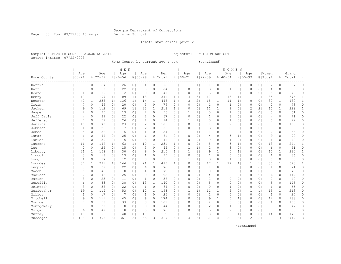Page 33 Run 07/22/03 13:44 pm Decision Support

#### Inmate statistical profile

Sample: ACTIVE PRISONERS EXCLUDING JAIL Requestor: DECISION SUPPORT Active inmates 07/22/2003

Home County by current age & sex (continued)

|             |                   |                |                    |                | M E N              |                |                    |                |                |                |                    |                |                    |                | W O M E N          |                |                |                |                  |              |                    |              |
|-------------|-------------------|----------------|--------------------|----------------|--------------------|----------------|--------------------|----------------|----------------|----------------|--------------------|----------------|--------------------|----------------|--------------------|----------------|----------------|----------------|------------------|--------------|--------------------|--------------|
| Home County | Age<br>$100 - 21$ |                | Age<br>$8122 - 39$ |                | Aqe<br>$8140 - 54$ |                | Age<br>$8155 - 99$ |                | Men<br>% Total |                | Age<br>$8100 - 21$ |                | Age<br>$8122 - 39$ |                | Age<br>$8140 - 54$ | $8155 - 99$    | Age            |                | Women<br>% Total |              | Grand<br>%   Total | 욲            |
| Harris      | 8                 | 0 <sub>1</sub> | 57                 | 0 <sub>1</sub> | 26                 | 0 <sub>1</sub> | 4                  | 0 <sub>1</sub> | 95             | $\circ$        | 1                  | 11             | 1                  | 0 <sub>1</sub> | 0                  | 0 <sub>1</sub> | $\circ$        | 0 <sub>1</sub> | 2                | 0            | 97                 | 0            |
| Hart        | 7                 | 0 <sub>1</sub> | 50                 | 0 <sub>1</sub> | 22                 | 0 <sub>1</sub> | 5                  | 0              | 84             | $\circ$        | $\Omega$           | 0 <sub>1</sub> | $\mathsf 3$        | 0 <sub>1</sub> | $\mathbf{1}$       | 0 <sub>1</sub> | 0              | 0 <sub>1</sub> | 4                | 0            | 88                 | 0            |
| Heard       | 1                 | 0 <sub>1</sub> | 19                 | 0 <sub>1</sub> | 12                 | 0 <sub>1</sub> | 9                  | 0              | 41             | $\circ$        | $\Omega$           | 0 <sub>1</sub> | 5                  | 0 <sub>1</sub> | $\circ$            | 0 <sub>1</sub> | 0              | 0 <sub>1</sub> | 5                | $\Omega$     | 46                 | 0            |
| Henry       | 17                | 1 <sub>1</sub> | 197                | 1 <sub>1</sub> | 109                | 1              | 18                 | 1 <sub>1</sub> | 341            | $\mathbf{1}$   | 4                  | 3 <sub>1</sub> | 17                 | 1 <sub>1</sub> | 13                 | 1              | 1              | 1              | 35               | $\mathbf{1}$ | 376                | $\mathbf{1}$ |
| Houston     | 40                | 1 <sub>1</sub> | 258                | 1 <sup>1</sup> | 136                | 1              | 14                 | 1 <sub>1</sub> | 448            | $\mathbf{1}$   | 3                  | 21             | 18                 | 1 <sub>1</sub> | 11                 | 1 <sub>1</sub> | 0              | 0 <sub>1</sub> | 32               | $\mathbf{1}$ | 480                | $\mathbf{1}$ |
| Irwin       | 7                 | $\circ$        | 46                 | 0 <sub>1</sub> | 20                 | 0 <sub>1</sub> | 3                  | 0              | 76             | $\circ$        | $\Omega$           | 0 <sub>1</sub> | $\mathbf{1}$       | 01             | $\mathbf{1}$       | 0              | $\Omega$       | 0 <sup>1</sup> | $\mathbf{2}$     | 0            | 78                 | 0            |
| Jackson     | 9                 | 0 <sup>1</sup> | 112                | 0 <sup>1</sup> | 69                 | 1 <sub>1</sub> | 23                 | $1\vert$       | 213            | $\mathbf{1}$   | $\Omega$           | 0 <sub>1</sub> | 11                 | 1              | $\overline{c}$     | 0              | $\overline{c}$ | 2 <sub>1</sub> | 15               | $\mathbf{1}$ | 228                | 1            |
| Jasper      | 4                 | 0              | 35                 | 0 <sub>1</sub> | 13                 | 0 <sub>1</sub> | 4                  | 0              | 56             | 0              | 1                  | 1 <sup>1</sup> | 3                  | 01             | 1                  | $\circ$        | $\Omega$       | 0 <sup>1</sup> | 5                | $\Omega$     | 61                 | $\Omega$     |
| Jeff Davis  | 4                 | 0 <sub>1</sub> | 39                 | 0 <sub>1</sub> | 22                 | 0 <sub>1</sub> | $\overline{c}$     | 0              | 67             | 0              | $\Omega$           | 0 <sub>1</sub> | $\mathbf{1}$       | 01             | 3                  | 0 <sub>1</sub> | $\Omega$       | 0 <sub>1</sub> | 4                | 0            | 71                 | 0            |
| Jefferson   | 7                 | 0 <sub>1</sub> | 59                 | 0 <sub>1</sub> | 24                 | 0 <sub>1</sub> | 4                  | 0 <sup>1</sup> | 94             | 0              | 1                  | 1 <sup>1</sup> | 3                  | 01             | 1                  | 0 <sub>1</sub> | 0              | 0 <sub>1</sub> | 5                | 0            | 99                 | 0            |
| Jenkins     | 10                | 0 <sub>1</sub> | 70                 | 0 <sub>1</sub> | 23                 | 0 <sub>1</sub> | $\overline{c}$     | 0 <sup>1</sup> | 105            | $\circ$        | $\Omega$           | 0 <sub>1</sub> | $\mathbf{1}$       | 01             | $\overline{c}$     | 0 <sub>1</sub> | $\Omega$       | 0 <sub>1</sub> | 3                | 0            | 108                | 0            |
| Johnson     | $\mathbf{1}$      | 0 <sub>1</sub> | 26                 | 0 <sub>1</sub> | 7                  | 0 <sub>1</sub> | $\overline{c}$     | 0              | 36             | $\circ$        | $\Omega$           | 0 <sub>1</sub> | 3                  | 01             | $\circ$            | 0 <sub>1</sub> | $\Omega$       | 0 <sup>1</sup> | 3                | 0            | 39                 | $\Omega$     |
| Jones       | 5                 | 0 <sub>1</sub> | 32                 | 0 <sub>1</sub> | 16                 | 0 <sub>1</sub> | $\mathbf{1}$       | 0 <sup>1</sup> | 54             | $0-1$          | 1                  | 1 <sub>1</sub> | 1                  | 01             | $\circ$            | 0 <sub>1</sub> | $\circ$        | 0 <sub>1</sub> | 2                | 0            | 56                 | 0            |
| Lamar       | 6                 | 0 <sub>1</sub> | 44                 | 0 <sub>1</sub> | 25                 | 0 <sub>1</sub> | 6                  | 0 <sub>1</sub> | 81             | $\circ$        | $\Omega$           | 0 <sub>1</sub> | 4                  | 0 <sub>1</sub> | 5                  | 1              | 0              | 0 <sub>1</sub> | 9                | 0            | 90                 | 0            |
| Lanier      | 3                 | 0 <sup>1</sup> | 30                 | 0 <sub>1</sub> | 5                  | 0 <sub>1</sub> | 3                  | 0              | 41             | $\circ$        | $\Omega$           | 0 <sub>1</sub> | 0                  | 01             | $\mathbf{1}$       | 0 <sub>1</sub> | 0              | 0 <sub>1</sub> | $\mathbf 1$      | 0            | 42                 | 0            |
| Laurens     | 11                | 0              | 147                | 1 <sub>1</sub> | 63                 | 1 <sub>1</sub> | 10                 | 1 <sub>1</sub> | 231            | $\mathbf{1}$   | $\Omega$           | 0 <sub>1</sub> | 8                  | 01             | 5                  | 1 <sub>1</sub> | $\Omega$       | 0 <sup>1</sup> | 13               | 0            | 244                | 1            |
| Lee         | $\overline{c}$    | 0              | 25                 | 0 <sup>1</sup> | 15                 | 0 <sub>1</sub> | 3                  | 0              | 45             | $\circ$        | 1                  | 1 <sub>1</sub> | $\overline{c}$     | 01             | 3                  | $\circ$        | $\Omega$       | 0 <sup>1</sup> | 6                | 0            | 51                 | $\Omega$     |
| Liberty     | 21                | 1 <sub>1</sub> | 158                | 1 <sub>1</sub> | 30                 | 0 <sub>1</sub> | 6                  | 0              | 215            | $\mathbf{1}$   | 1                  | 1 <sup>1</sup> | 9                  | 1 <sub>1</sub> | 5                  | 1 <sub>1</sub> | $\Omega$       | 0 <sup>1</sup> | 15               | $\mathbf{1}$ | 230                | 1            |
| Lincoln     | 3                 | 0 <sub>1</sub> | 18                 | 0 <sub>1</sub> | 13                 | 0 <sub>1</sub> | $\mathbf{1}$       | 0              | 35             | 0              | $\Omega$           | 0 <sub>1</sub> | 1                  | 01             | 0                  | 0 <sub>1</sub> | 0              | 0 <sup>1</sup> | 1                | 0            | 36                 | 0            |
| Long        | $\overline{4}$    | 0 <sub>1</sub> | 17                 | 0 <sup>1</sup> | 12                 | 0 <sub>1</sub> | $\circ$            | $\circ$        | 33             | $\circ$        | 1                  | 1 <sup>1</sup> | 3                  | 01             | 1                  | 0 <sub>1</sub> | 0              | 0 <sub>1</sub> | 5                | 0            | 38                 | 0            |
| Lowndes     | 37                | 1 <sub>1</sub> | 291                | 1 <sup>1</sup> | 144                | 1              | 21                 | 1 <sub>1</sub> | 493            | $\mathbf{1}$   | $\Omega$           | 0 <sub>1</sub> | 17                 | 1 <sub>1</sub> | 12                 | 1 <sub>1</sub> | 1              | 1              | 30               | $\mathbf{1}$ | 523                | $\mathbf{1}$ |
| Lumpkin     | 3                 | 0 <sub>1</sub> | 39                 | 0 <sub>1</sub> | 22                 | 0 <sub>1</sub> | 6                  | 0              | 70             | 0              | $\Omega$           | 0 <sub>1</sub> | $\mathbf{1}$       | 01             | $\circ$            | 0 <sub>1</sub> | $\circ$        | 0 <sup>1</sup> | $\mathbf{1}$     | 0            | 71                 | 0            |
| Macon       | 5                 | 0 <sub>1</sub> | 45                 | 0 <sup>1</sup> | 18                 | 0 <sub>1</sub> | 4                  | 0              | 72             | 0 <sub>1</sub> | $\Omega$           | 0 <sub>1</sub> | $\circ$            | 0 <sub>1</sub> | 3                  | $\circ$        | 0              | 0 <sup>1</sup> | 3                | 0            | 75                 | 0            |
| Madison     | 2                 | 0 <sub>1</sub> | 72                 | 0 <sub>1</sub> | 25                 | 0 <sub>1</sub> | 9                  | 0 <sub>1</sub> | 108            | $0-1$          | $\Omega$           | 0 <sub>1</sub> | 4                  | 0              | $\overline{c}$     | 0 <sub>1</sub> | 0              | 0 <sub>1</sub> | 6                | 0            | 114                | 0            |
| Marion      | 3                 | 0 <sup>1</sup> | 23                 | 0 <sup>1</sup> | 11                 | 0 <sub>1</sub> | $\mathbf{1}$       | 0              | 38             | $0-1$          | $\Omega$           | 0 <sub>1</sub> | $\overline{c}$     | 01             | $\circ$            | 0 <sub>1</sub> | 0              | 0 <sub>1</sub> | $\overline{2}$   | 0            | 40                 | 0            |
| McDuffie    | 6                 | 0 <sup>1</sup> | 83                 | 0 <sup>1</sup> | 38                 | 0 <sub>1</sub> | 13                 | $1\vert$       | 140            | 0              | $\Omega$           | 0 <sub>1</sub> | 5                  | 01             | $\circ$            | 0              | 0              | 0 <sup>1</sup> | 5                | 0            | 145                | 0            |
| McIntosh    | 3                 | 0              | 38                 | 0 <sup>1</sup> | 22                 | 0 <sub>1</sub> | -1                 | 0              | 64             | 0              | $\Omega$           | 0 <sub>1</sub> | $\circ$            | 01             | 1                  | $\circ$        | $\Omega$       | $\circ$        | $\mathbf{1}$     | 0            | 65                 | 0            |
| Meriwether  | 19                | 1 <sub>1</sub> | 114                | 0 <sup>1</sup> | 53                 | 0 <sub>1</sub> | 12                 | 1 <sub>1</sub> | 198            | $\circ$        | 1                  | 1 <sup>1</sup> | 11                 | 1 <sub>1</sub> | 2                  | $\circ$        | $\mathbf 1$    | 1              | 15               | $\mathbf{1}$ | 213                | $\Omega$     |
| Miller      | 1                 | 0 <sub>1</sub> | 17                 | 0 <sub>1</sub> | 7                  | 0 <sub>1</sub> | $\mathbf{1}$       | 0              | 26             | $0-1$          | $\Omega$           | 0 <sub>1</sub> | $\mathbf{1}$       | 0              | 0                  | 0 <sub>1</sub> | $\mathbf 0$    | 0 <sub>1</sub> | $\mathbf{1}$     | 0            | 27                 | 0            |
| Mitchell    | 9                 | 0 <sub>1</sub> | 111                | 0 <sub>1</sub> | 45                 | 0 <sub>1</sub> | 9                  | 0 <sup>1</sup> | 174            | $0-1$          | $\Omega$           | 0 <sub>1</sub> | 9                  | 1 <sub>1</sub> | 5                  | 1 <sub>1</sub> | 0              | 0 <sub>1</sub> | 14               | 0            | 188                | 0            |
| Monroe      |                   | 0 <sup>1</sup> | 58                 | 0 <sub>1</sub> | 33                 | 0 <sub>1</sub> | 3                  | 0              | 101            | $\circ$        | $\Omega$           | 0 <sub>1</sub> | 4                  | 0 <sub>1</sub> | $\mathbf 0$        | 0 <sub>1</sub> | 0              | 0 <sub>1</sub> | 4                | $\circ$      | 105                | 0            |
| Montgomery  | 3                 | 0 <sub>1</sub> | 30                 | 0 <sub>1</sub> | 8                  | 0 <sub>1</sub> | 3                  | 0              | 44             | 0              | $\Omega$           | 0 <sub>1</sub> | $\overline{c}$     | 01             | 1                  | 0 <sub>1</sub> | 0              | 0 <sup>1</sup> | 3                | 0            | 47                 | 0            |
| Morgan      | 6                 | 0 <sup>1</sup> | 49                 | 0 <sup>1</sup> | 18                 | 0 <sub>1</sub> | 5                  | 0              | 78             | $0-1$          | $\Omega$           | 0 <sub>1</sub> | 5                  | 0 <sub>1</sub> | $\overline{2}$     | 0 <sub>1</sub> | $\circ$        | 0 <sup>1</sup> | 7                | 0            | 85                 | 0            |
| Murray      | 10                | 0 <sup>1</sup> | 95                 | 0 <sub>1</sub> | 40                 | 0 <sub>1</sub> | 17                 | 1 <sub>1</sub> | 162            | $\circ$        | 1                  | 1              | 8                  | 0              | 5                  | 1              | 0              | 0 <sup>1</sup> | 14               | 0            | 176                | 0            |
| Muscogee    | 103               | 31             | 798                | 31             | 361                | 31             | 55                 | 3 <sup>1</sup> | 1317           | $3-1$          | 4                  | 31             | 61                 | 4              | 30                 | 31             | 2              | 21             | 97               | 3            | 1414               | 3            |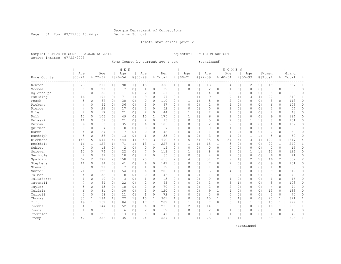Page 34 Run 07/22/03 13:44 pm Decision Support

#### Inmate statistical profile

Sample: ACTIVE PRISONERS EXCLUDING JAIL Requestor: DECISION SUPPORT Active inmates 07/22/2003

Home County by current age & sex (continued)

|             |                |                |             |                | M E N          |                |                |                |         |                       |                |                |                |                | WOMEN          |                |              |                |                |                |           |              |
|-------------|----------------|----------------|-------------|----------------|----------------|----------------|----------------|----------------|---------|-----------------------|----------------|----------------|----------------|----------------|----------------|----------------|--------------|----------------|----------------|----------------|-----------|--------------|
|             | Age            |                | Age         |                | Age            |                | Age            |                | Men     |                       | Age            |                | Age            |                | Age            |                | Age          |                | Women          |                | Grand     |              |
| Home County | $100 - 21$     |                | $8122 - 39$ |                | $8140 - 54$    |                | $8155 - 99$    |                | % Total |                       | $8100 - 21$    |                | $8122 - 39$    |                | $8140 - 54$    | $8155 - 99$    |              |                | % Total        |                | %   Total | 욲            |
| Newton      | 23             | 1 <sub>1</sub> | 210         | 1 <sub>1</sub> | 90             | 1 <sub>1</sub> | 15             | 1 <sub>1</sub> | 338     | $1 \mid$              | 0              | 0 <sub>1</sub> | 13             | 1 <sub>1</sub> | 4              | $\circ$        | 2            | 2 <sub>1</sub> | 19             | $\mathbf{1}$   | 357       | 1            |
| Oconee      | 0              | 0 <sub>1</sub> | 21          | 0 <sub>1</sub> | -7             | 0 <sub>1</sub> | 4              | 0              | 32      | $\circ$               | $\Omega$       | 0 <sub>1</sub> | $\overline{c}$ | 0              | 1              | 0 <sub>1</sub> | 0            | 0 <sub>1</sub> | 3              | 0              | 35        | 0            |
| Oqlethorpe  | 3              | 0 <sub>1</sub> | 35          | 0 <sub>1</sub> | 11             | 0 <sub>1</sub> | $\overline{c}$ | 0 <sub>1</sub> | 51      | $0-1$                 | 1              | 1 <sub>1</sub> | 4              | 0 <sub>1</sub> | $\circ$        | 0 <sub>1</sub> | $\Omega$     | 0 <sub>1</sub> | 5              | 0              | 56        | 0            |
| Paulding    | 16             | 1 <sub>1</sub> | 101         | 0 <sub>1</sub> | 71             | 1              | 9              | 0              | 197     | $\overline{0}$        | 1              | 1 <sub>1</sub> | 9              | 1 <sub>1</sub> | 9              | 1              | 3            | 4              | 22             | $\mathbf{1}$   | 219       | $\mathbf{1}$ |
| Peach       | 5              | 0 <sup>1</sup> | 67          | 0 <sup>1</sup> | 38             | 0 <sub>1</sub> | $\circ$        | 0              | 110     | $0-1$                 | 1              | 11             | 5              | 0 <sub>1</sub> | $\overline{c}$ | 0 <sub>1</sub> | $\mathbf{0}$ | 0 <sub>1</sub> | 8              | 0              | 118       | $\circ$      |
| Pickens     | 4              | 0 <sub>1</sub> | 54          | 0 <sub>1</sub> | 36             | 0 <sub>1</sub> | 3              | 0              | 97      | $\circ$               | $\Omega$       | 0 <sub>1</sub> | $\overline{c}$ | 0 <sub>1</sub> | 4              | 0 <sub>1</sub> | 0            | 0 <sub>1</sub> | 6              | 0              | 103       | $\circ$      |
| Pierce      | 4              | 0 <sub>1</sub> | 29          | 0 <sup>1</sup> | 17             | 0 <sub>1</sub> | $\overline{c}$ | 0              | 52      | $\circ$               | $\Omega$       | 0 <sub>1</sub> | $\circ$        | 0 <sub>1</sub> | $\overline{c}$ | 0 <sub>1</sub> | 0            | 0 <sub>1</sub> | 2              | 0              | 54        | 0            |
| Pike        | 4              | 0 <sup>1</sup> | 17          | 0 <sup>1</sup> | 21             | 0 <sub>1</sub> | $\overline{2}$ | 0              | 44      | 0                     | 1              | 1 <sup>1</sup> | $\overline{2}$ | 01             | $\mathbf{1}$   | $\circ$        | 0            | 0 <sup>1</sup> | 4              | 0              | 48        | 0            |
| Polk        | 10             | 0 <sup>1</sup> | 106         | 0 <sup>1</sup> | 49             | 0 <sub>1</sub> | 10             | 1 <sup>1</sup> | 175     | 0                     | 1              | 1 <sup>1</sup> | 6              | 01             | $\overline{c}$ | $\circ$        | $\Omega$     | 0 <sup>1</sup> | 9              | 0              | 184       | 0            |
| Pulaski     | 11             | 0 <sup>1</sup> | 59          | 0 <sup>1</sup> | 21             | 0 <sub>1</sub> | $\overline{2}$ | 0              | 93      | $\circ$               | $\Omega$       | 0 <sub>1</sub> | 5              | 01             | $\overline{2}$ | 0 <sub>1</sub> | $\mathbf 1$  | 1 <sup>1</sup> | 8              | 0              | 101       | 0            |
| Putnam      | 9              | 0 <sub>1</sub> | 53          | 0 <sup>1</sup> | 35             | 0 <sub>1</sub> | 6              | 0 <sup>1</sup> | 103     | $\circ$               | 0              | 0 <sub>1</sub> | $\overline{c}$ | 01             | $\overline{c}$ | 0 <sub>1</sub> | 0            | 0 <sub>1</sub> | 4              | 0              | 107       | 0            |
| Ouitman     | 0              | 0 <sub>1</sub> | 7           | 0 <sup>1</sup> | $\circ$        | 0 <sub>1</sub> | 0              | 0              | 7       | $\circ$               | 0              | 0 <sub>1</sub> | $\circ$        | 0 <sub>1</sub> | $\mathbf{1}$   | 0 <sub>1</sub> | 0            | 0 <sub>1</sub> | $\mathbf{1}$   | 0              | 8         | 0            |
| Rabun       | 4              | 0 <sub>1</sub> | 27          | 0 <sup>1</sup> | 17             | 0 <sub>1</sub> | $\Omega$       | 0              | 48      | $\circ$               | $\Omega$       | 0 <sub>1</sub> | $\mathbf{1}$   | 01             | $\mathbf{1}$   | 0 <sub>1</sub> | $\circ$      | 0 <sup>1</sup> | $\overline{c}$ | $\Omega$       | 50        | $\Omega$     |
| Randolph    | 5              | 0 <sup>1</sup> | 36          | 0 <sup>1</sup> | 13             | 0 <sub>1</sub> | $\overline{1}$ | 0              | 55      | 0 <sub>1</sub>        | $\Omega$       | 0 <sub>1</sub> | 3              | 0 <sub>1</sub> | $\mathbf{1}$   | 0 <sub>1</sub> | $\mathbf{1}$ | 1 <sup>1</sup> | 5              | $\Omega$       | 60        | $\Omega$     |
| Richmond    | 143            | 5 <sub>1</sub> | 1044        | 4 <sub>1</sub> | 444            | 4              | 59             | 3 <sup>1</sup> | 1690    | 41                    | 5              | 3 <sup>1</sup> | 85             | 5              | 34             | 4              | 3            | 4              | 127            | 4              | 1817      | 4            |
| Rockdale    | 16             | 1 <sub>1</sub> | 127         | 1 <sub>1</sub> | 71             | 1              | 13             | 1 <sub>1</sub> | 227     | 1 <sup>1</sup>        | 1              | 1 <sub>1</sub> | 18             | 1 <sub>1</sub> | 3              | 0 <sub>1</sub> | 0            | 0 <sub>1</sub> | 22             | 1              | 249       | $\mathbf{1}$ |
| Schley      | 0              | 0 <sub>1</sub> | 13          | 0 <sub>1</sub> | $\overline{2}$ | 0 <sub>1</sub> | $\circ$        | 0              | 15      | 0                     | $\Omega$       | 0 <sub>1</sub> | $\circ$        | 01             | $\circ$        | $\circ$        | 0            | 0 <sup>1</sup> | $\circ$        | 0              | 15        | 0            |
| Screven     | 10             | $\circ$        | 74          | 0 <sup>1</sup> | 22             | 0 <sub>1</sub> | 7              | 0              | 113     | 0                     | 1              | 1 <sup>1</sup> | 8              | 01             | 3              | $\circ$        | $\mathbf 1$  | 1              | 13             | 0              | 126       | $\Omega$     |
| Seminole    | $\overline{4}$ | 0 <sup>1</sup> | 39          | 0 <sub>1</sub> | 18             | 0 <sub>1</sub> | 4              | 0              | 65      | $0-1$                 | $\Omega$       | 0 <sub>1</sub> | $\overline{4}$ | 01             | $\overline{2}$ | 0 <sub>1</sub> | 0            | 0 <sup>1</sup> | 6              | 0              | 71        | 0            |
| Spalding    | 62             | 2 <sub>1</sub> | 379         | 2 <sub>1</sub> | 150            | 1              | 25             | 1 <sub>1</sub> | 616     | $\mathbf{2}^{\prime}$ | 4              | 3 <sub>1</sub> | 31             | 2 <sub>1</sub> | 9              | 1 <sub>1</sub> | 2            | 2 <sub>1</sub> | 46             | $\overline{2}$ | 662       | 2            |
| Stephens    | 11             | 0 <sub>1</sub> | 84          | 0 <sup>1</sup> | 41             | 0 <sub>1</sub> | 6              | 0 <sup>1</sup> | 142     | $0-1$                 | 0              | 0 <sub>1</sub> | 7              | 0 <sub>1</sub> | $\overline{c}$ | 0 <sub>1</sub> | $\mathbf 0$  | 0 <sub>1</sub> | 9              | 0              | 151       | 0            |
| Stewart     | 3              | 0 <sup>1</sup> | 21          | 0 <sup>1</sup> | 7              | 0 <sub>1</sub> | $\mathbf{1}$   | 0              | 32      | $\circ$               | $\Omega$       | 0 <sub>1</sub> | $\mathbf{1}$   | 01             | $\mathbf 0$    | 0 <sub>1</sub> | 0            | 0 <sub>1</sub> | $\mathbf{1}$   | 0              | 33        | 0            |
| Sumter      | 21             | 1 <sub>1</sub> | 122         | 1 <sup>1</sup> | 54             | 0 <sub>1</sub> | 6              | 0 <sup>1</sup> | 203     | 1 <sup>1</sup>        | $\Omega$       | 0 <sub>1</sub> | 5              | 0 <sub>1</sub> | 4              | 0 <sub>1</sub> | $\circ$      | 0 <sub>1</sub> | 9              | 0              | 212       | 0            |
| Talbot      | $\overline{4}$ | 0 <sup>1</sup> | 32          | 0 <sub>1</sub> | 10             | 0 <sub>1</sub> | 0              | 0 <sup>1</sup> | 46      | $0-1$                 | $\Omega$       | 0 <sub>1</sub> | $\mathbf{1}$   | 01             | $\overline{2}$ | 0 <sub>1</sub> | 0            | 0 <sub>1</sub> | 3              | 0              | 49        | $\circ$      |
| Taliaferro  | $\mathbf{1}$   | 0 <sub>1</sub> | 10          | 0 <sup>1</sup> | 3              | 0 <sub>1</sub> | $\mathbf{1}$   | 0              | 15      | $0-1$                 | $\Omega$       | 0 <sub>1</sub> | $\circ$        | 01             | $\mathbf{1}$   | 0 <sub>1</sub> | 0            | 0 <sub>1</sub> | $\mathbf 1$    | 0              | 16        | 0            |
| Tattnall    | 7              | 0 <sup>1</sup> | 64          | 0 <sup>1</sup> | 22             | 0 <sub>1</sub> | $\overline{2}$ | 0              | 95      | $\circ$               | $\Omega$       | 0 <sub>1</sub> | 3              | 01             | 5              | $\mathbf{1}$   | 0            | 0 <sup>1</sup> | 8              | 0              | 103       | 0            |
| Taylor      | 5              | 0 <sup>1</sup> | 45          | 0 <sup>1</sup> | 18             | 0 <sub>1</sub> | $\overline{2}$ | 0              | 70      | $\circ$               | $\Omega$       | 0 <sub>1</sub> | $\overline{c}$ | 01             | $\overline{c}$ | 0 <sub>1</sub> | $\Omega$     | 0 <sup>1</sup> | 4              | 0              | 74        | $\Omega$     |
| Telfair     | 6              | 0 <sup>1</sup> | 81          | 0 <sub>1</sub> | 30             | 0 <sub>1</sub> | 3              | 0              | 120     | $\circ$               | $\Omega$       | 0 <sub>1</sub> | 9              | 1 <sub>1</sub> | 4              | 01             | $\Omega$     | 0 <sup>1</sup> | 13             | 0              | 133       | $\Omega$     |
| Terrell     | $\overline{2}$ | 0 <sub>1</sub> | 58          | 0 <sub>1</sub> | 11             | 0 <sub>1</sub> | $\mathbf{1}$   | 0              | 72      | $\circ$               | $\Omega$       | 0 <sub>1</sub> | 3              | 01             | $\circ$        | 0 <sub>1</sub> | $\Omega$     | 0 <sub>1</sub> | 3              | 0              | 75        | 0            |
| Thomas      | 30             | 1 <sub>1</sub> | 184         | 1 <sub>1</sub> | 77             | 1              | 10             | 1 <sub>1</sub> | 301     | $\mathbf{1}$          | $\Omega$       | 0 <sub>1</sub> | 15             | 1 <sub>1</sub> | 5              | 1 <sub>1</sub> | $\Omega$     | 0 <sub>1</sub> | 20             | $\mathbf{1}$   | 321       | 1            |
| Tift        | 19             | 1 <sub>1</sub> | 162         | 1 <sub>1</sub> | 84             | 1              | 17             | 1 <sub>1</sub> | 282     | 1 <sup>1</sup>        | 1              | 1 <sub>1</sub> | 7              | 0 <sub>1</sub> | 6              | 1              | $\mathbf 1$  | 1              | 15             | $\mathbf{1}$   | 297       | $\mathbf{1}$ |
| Toombs      | 34             | 1              | 144         | 1 <sub>1</sub> | 52             | 0 <sub>1</sub> | 6              | 0 <sup>1</sup> | 236     | 1 <sup>1</sup>        | $\overline{c}$ | 1              | 14             | 1 <sub>1</sub> | 3              | 0 <sub>1</sub> | $\circ$      | 0 <sub>1</sub> | 19             | $\mathbf{1}$   | 255       | $\mathbf{1}$ |
| Towns       | 1              | 0 <sup>1</sup> | 3           | 0 <sub>1</sub> | 6              | 0 <sub>1</sub> | $\overline{2}$ | 0 <sub>1</sub> | 12      | 0 <sub>1</sub>        | $\Omega$       | 0 <sub>1</sub> | $\overline{c}$ | 0 <sub>1</sub> | $\mathbf{1}$   | 0 <sub>1</sub> | 0            | 0 <sup>1</sup> | 3              | 0              | 15        | $\circ$      |
| Treutlen    | 3              | 0 <sup>1</sup> | 25          | 0 <sup>1</sup> | 13             | 0 <sub>1</sub> | 0              | 0              | 41      | $\circ$               | $\Omega$       | 0 <sub>1</sub> | $\circ$        | 0 <sub>1</sub> | $\mathbf 1$    | 0 <sub>1</sub> | 0            | 0 <sup>1</sup> | $\mathbf 1$    | 0              | 42        | 0            |
| Troup       | 42             | 1 <sub>1</sub> | 356         | 11             | 135            | 1              | 24             | 1 <sub>1</sub> | 557     | $1 \mid$              | 1              | 1 <sub>1</sub> | 25             | 1 <sub>1</sub> | 12             | 1 <sub>1</sub> |              | 1              | 39             | $\mathbf{1}$   | 596       | $\mathbf{1}$ |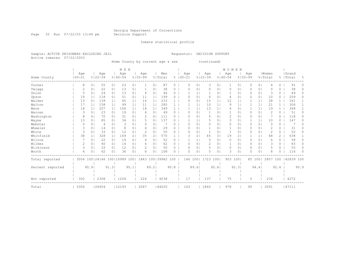Page 35 Run 07/22/03 13:44 pm Decision Support

Inmate statistical profile

Sample: ACTIVE PRISONERS EXCLUDING JAIL Requestor: DECISION SUPPORT Active inmates 07/22/2003

Home County by current age & sex (continued)

|                  |            |                |                                                         |                | M E N       |                |               |                |         |          |             |                |                |                | <b>WOMEN</b>   |                |             |                |          |                |           |           |
|------------------|------------|----------------|---------------------------------------------------------|----------------|-------------|----------------|---------------|----------------|---------|----------|-------------|----------------|----------------|----------------|----------------|----------------|-------------|----------------|----------|----------------|-----------|-----------|
|                  | Age        |                | Age                                                     |                | Age         |                | Age           |                | Men     |          | Age         |                | Age            |                | Age            |                | Age         |                | Women    |                | Grand     |           |
| Home County      | $100 - 21$ |                | $8122 - 39$                                             |                | $8140 - 54$ |                | $8155 - 99$   |                | % Total |          | $8100 - 21$ |                | $8122 - 39$    |                | $8140 - 54$    |                | $8155 - 99$ |                | % Total  |                | %   Total | $\approx$ |
| Turner           | 8          | 01             | 55                                                      | 0 <sub>1</sub> | 23          | 0 <sub>1</sub> |               | 0 <sub>1</sub> | 87      | 0        | 0           | 0 <sub>1</sub> | 3              | 0 <sub>1</sub> |                | 0              | 0           | 0 <sup>1</sup> | 4        | 0              | 91        |           |
| Twiggs           |            | 0 <sub>1</sub> | 22                                                      | 0 <sub>1</sub> | 13          | 0 <sub>1</sub> |               | 01             | 38      | 0        | ∩           | 0              | 0              | 01             | $\Omega$       | 0              |             | $\circ$        | O        | 0              | 38        | 0         |
| Union            | 5          | 0 <sub>1</sub> | 24                                                      | 0 <sub>1</sub> | 13          | 0 <sub>1</sub> | 4             | 0 <sup>1</sup> | 46      | 0        |             | $\mathbf{1}$   |                | 01             | 1              | 0              | 0           | 0 <sup>1</sup> | 3        | $\Omega$       | 49        | 0         |
| Upson            | 19         | 1 <sup>1</sup> | 118                                                     | 0 <sub>1</sub> | 51          | 0 <sub>1</sub> | 11            | 1 <sub>1</sub> | 199     | 0        | $\Omega$    | 0 <sub>1</sub> | 6              | 01             | $\overline{4}$ | 0              | 0           | 0 <sup>1</sup> | 10       | 0              | 209       | $\Omega$  |
| Walker           | 13         | 0 <sub>1</sub> | 139                                                     | 1 <sub>1</sub> | 65          | 1 <sub>1</sub> | 16            | 1 <sub>1</sub> | 233     |          | $\Omega$    | $\circ$        | 15             | 1 <sub>1</sub> | 12             | 1              |             | 1 <sub>1</sub> | 28       | $\mathbf{1}$   | 261       |           |
| Walton           | 17         | 1 <sup>1</sup> | 158                                                     | 1 <sub>1</sub> | 99          | 1 <sub>1</sub> | 11            | $1\vert$       | 285     |          |             | $\mathbf{1}$   | 10             | $1\vert$       | 9              | 1              |             | 1              | 21       | $\mathbf{1}$   | 306       |           |
| Ware             | 18         | 11             | 207                                                     | 1 <sub>1</sub> | 106         | 1 <sub>1</sub> | 18            | 1 <sub>1</sub> | 349     |          |             | $\mathbf{1}$   | 13             | 1              | 4              | 0              |             | 1 <sub>1</sub> | 19       |                | 368       |           |
| Warren           | 3          | 0 <sup>1</sup> | 23                                                      | 0 <sub>1</sub> | 19          | 0 <sub>1</sub> | 4             | 0              | 49      | 0        | $\Omega$    | 0 <sub>1</sub> | 1              | 01             | -1             | 0              | 0           | 0 <sup>1</sup> | 2        | 0              | 51        | 0         |
| Washington       | 8          | 0 <sub>1</sub> | 70                                                      | 0 <sub>1</sub> | 31          | 0 <sub>1</sub> |               | 01             | 111     | 0        |             | $\circ$        | 5              | 01             | $\overline{2}$ | 0              | 0           | 0 <sup>1</sup> |          | $\Omega$       | 118       | 0         |
| Wayne            | 13         | 0 <sub>1</sub> | 85                                                      | 0 <sub>1</sub> | 34          | 0 <sub>1</sub> | 5             | 0 <sub>1</sub> | 137     | 0        |             |                | 5              | 01             | 3              | 0              |             | 1 <sup>1</sup> | 10       | 0              | 147       | 0         |
| Webster          | $\Omega$   | 0 <sub>1</sub> | 4                                                       | 0 <sub>1</sub> | 3           | 0 <sub>1</sub> | 0             | 0 <sub>1</sub> |         | 0        | $\Omega$    | 0 <sub>1</sub> | $\mathbf 0$    | 01             | $\circ$        | 0              | 0           | 0 <sup>1</sup> | $\circ$  | 0              |           | 0         |
| Wheeler          | 3          | 0 <sub>1</sub> | 14                                                      | 0 <sub>1</sub> | 8           | 01             | 4             | 01             | 29      | U        | ∩           | $\Omega$       | 1              | 0              | -1             | 0              | 0           | $\circ$        | 2        | 0              | 31        |           |
| White            | 3          | 0 <sub>1</sub> | 33                                                      | 0 <sub>1</sub> | 12          | 0 <sub>1</sub> | $\mathcal{D}$ | 0 <sub>1</sub> | 50      | 0        | O           | 0              | 1              | 01             | -1             | 0              | 0           | 0 <sub>1</sub> | 2        | 0              | 52        | 0         |
| Whitfield        | 38         | 1 <sup>1</sup> | 328                                                     | 1 <sup>1</sup> | 169         | 2 <sub>1</sub> | 35            | 2 <sub>1</sub> | 570     |          |             | $\overline{2}$ | 45             | 31             | 19             | 2 <sub>1</sub> |             | 1              | 68       | $\overline{2}$ | 638       |           |
| Wilcox           |            | 0 <sub>1</sub> | 22                                                      | 0 <sub>1</sub> | 19          | 0 <sub>1</sub> | 4             | 0 <sub>1</sub> | 52      | 0        |             | $\mathbf{1}$   | 5              | 01             | $\Omega$       | 0              | 0           | 0 <sup>1</sup> | 6        | $\Omega$       | 58        | 0         |
| Wilkes           | 2          | 0 <sub>1</sub> | 40                                                      | 0 <sub>1</sub> | 14          | 0 <sub>1</sub> | 6             | 0 <sub>1</sub> | 62      | 0        | $\Omega$    | $\circ$        | $\overline{c}$ | 01             | 1              | 0              | 0           | 0 <sup>1</sup> | 3        | 0              | 65        | 0         |
| Wilkinson        | 3          | 0 <sub>1</sub> | 33                                                      | 0 <sub>1</sub> | 12          | 0 <sub>1</sub> | 2             | 0 <sub>1</sub> | 50      | $\Omega$ | $\Omega$    | 0 <sub>1</sub> | 5              | 0 <sub>1</sub> | $\circ$        | 0              | 0           | $\circ$        | 5        | 0              | 55        | 0         |
| Worth            | 4          | 0 <sub>1</sub> | 62                                                      | 0 <sub>1</sub> | 36          | 0 <sub>1</sub> | 6             | 01             | 108     | 0        | ∩           | $\circ$        | 5              | 0              | 3              | 0              | Ω           | $\circ$        | 8        | <sup>n</sup>   | 116       | $\Omega$  |
| Total reported   |            |                | 3004 100   24146 100   10989 100   1843 100   39982 100 |                |             |                |               |                |         |          |             | 146 1001       | 1723 100       |                | 903 1001       |                |             | 85 1001        | 2857 100 |                | 42839 100 |           |
|                  |            |                |                                                         | 91.31          |             | 90.1           |               | 89.21          |         | 90.8     |             | 89.61          |                | 92.61          |                | 92.31          |             | 94.4           |          | 92.4           |           | 90.9      |
| Percent reported |            | 90.91          |                                                         |                |             |                |               |                |         |          |             |                |                |                |                |                |             |                |          |                |           |           |
|                  |            |                |                                                         |                |             |                |               |                |         |          |             |                |                |                |                |                |             |                |          |                |           |           |
| Not reported     | 302        |                | 2308                                                    |                | 1204        |                | 224           |                | 4038    |          | 17          |                | 137            |                | 75             |                | 5           |                | 234      |                | 4272      |           |
| Total            | 3306       |                | 26454                                                   |                | 12193       |                | 2067          |                | 44020   |          | 163         |                | 1860           |                | 978            |                | 90          |                | 3091     |                | 47111     |           |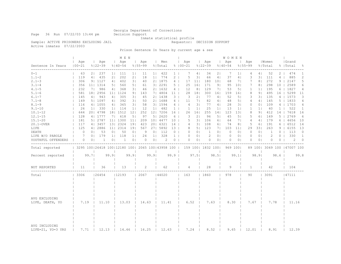Inmate statistical profile

Sample: ACTIVE PRISONERS EXCLUDING JAIL **Requestor: DECISION SUPPORT** 

Active inmates 07/22/2003

Prison Sentence In Years by current age & sex

|                                     |                                                       |                |                    |                 | M E N              |                |                    |                |                |                 |                    |                 |                    |                | W O M E N          |                 |                    |                |                  |                |                            |                |
|-------------------------------------|-------------------------------------------------------|----------------|--------------------|-----------------|--------------------|----------------|--------------------|----------------|----------------|-----------------|--------------------|-----------------|--------------------|----------------|--------------------|-----------------|--------------------|----------------|------------------|----------------|----------------------------|----------------|
| Sentence In Years<br>-------------- | Age<br>$100 - 21$                                     |                | Age<br>$8122 - 39$ |                 | Age<br>$8140 - 54$ |                | Age<br>$8155 - 99$ |                | Men<br>% Total |                 | Aqe<br>$8100 - 21$ |                 | Aqe<br>$8122 - 39$ |                | Aqe<br>$8140 - 54$ | $\perp$         | Age<br>$8155 - 99$ |                | Women<br>% Total |                | Grand<br>%   Total         | ိင             |
| $0 - 1$                             | 63                                                    | 2 <sub>1</sub> | 237                | $1 \mid$        | 111                | 1 <sub>1</sub> | 11                 | $1 \mid$       | 422            | 1 <sup>1</sup>  | 7                  | 4               | 34                 | 2 <sub>1</sub> | 7                  | 1 <sub>1</sub>  | 4                  | 4              | 52               | 2              | 474                        | 1              |
| $1.1 - 2$                           | 119                                                   | 4              | 435                | 2 <sub>1</sub>  | 202                | 2 <sub>1</sub> | 18                 | 1 <sup>1</sup> | 774            | $2-1$           | 5                  | 31              | 66                 | 4 <sub>1</sub> | 37                 | 4               | 3                  | 31             | 111              | 4              | 885                        | 2              |
| $2.1 - 3$                           | 306                                                   |                | 91 1127            | 4               | 402                | 3 <sup>1</sup> | 40                 |                | 21 1875        | $4 \mid$        | 17                 | 11              | 180                | 101            | 68                 | 71              | 7                  | 8 <sub>1</sub> | 272              | 9 <sub>1</sub> | 2147                       | 5              |
| $3.1 - 4$                           | 356                                                   |                | 11  1314           | 5 <sub>1</sub>  | 560                | 5 <sub>1</sub> | 61                 |                | 3   2291       | 5 <sub>1</sub>  | 25                 | 16 <sub>1</sub> | 171                | 9 <sub>1</sub> | 95                 | 101             | 7                  | 8 <sub>1</sub> | 298              | 10             | 2589                       | 6              |
| $4.1 - 5$                           | 232                                                   | 71             | 986                | 4               | 368                | 3 <sub>1</sub> | 46                 |                | 21 1632        | 4 <sup>1</sup>  | 12                 | 8 <sub>1</sub>  | 129                | 71             | 53                 | 51              | 1                  | 1 <sup>1</sup> | 195              | 6              | 1827                       | 4              |
| $5.1 - 6$                           | 581                                                   |                | 18   2956          | 11 <sub>1</sub> | 1124               | 9 <sub>1</sub> | 143                |                | 7   4804       | 11 <sup>1</sup> | 28                 | 18 <sub>1</sub> | 300                | 161            | 159                | 161             | 8                  | 9 <sub>1</sub> | 495              | 16             | 5299                       | 11             |
| $6.1 - 7$                           | 145                                                   | 4 <sup>1</sup> | 943                | 4               | 305                | 3 <sub>1</sub> | 45                 |                | 2   1438       | 3 <sup>1</sup>  | 3                  | 21              | 77                 | 4              | 52                 | 51              | 3                  | 31             | 135              | 4 <sup>1</sup> | 1573                       | 3              |
| $7.1 - 8$                           | 149                                                   |                | 5   1097           | 4               | 392                | 3 <sub>1</sub> | 50                 |                | 2  1688        | 4 <sup>1</sup>  | 11                 | 7 <sub>1</sub>  | 82                 | 4 <sub>1</sub> | 48                 | 5 <sub>1</sub>  | 4                  | 4 <sub>1</sub> | 145              | 5              | 1833                       | 4              |
| $8.1 - 9$                           | 116                                                   |                | 4   1055           | 4               | 365                | 31             | 58                 |                | 3   1594       | $4 \mid$        | 4                  | 31              | 77                 | 4              | 28                 | 31              | $\Omega$           | 0 <sup>1</sup> | 109              | 4              | 1703                       | 4              |
| $9.1 - 10$                          | 26                                                    | 1 <sup>1</sup> | 330                | 1 <sub>1</sub>  | 114                | 1 <sub>1</sub> | 12                 | 11             | 482            | $1 \mid$        | $\mathbf{1}$       | 1 <sup>1</sup>  | 25                 | 1 <sup>1</sup> | 13                 | 1 <sub>1</sub>  | $\mathbf{1}$       | 1 <sub>1</sub> | 40               | $\mathbf{1}$   | 522                        | $\mathbf{1}$   |
| $10.1 - 12$                         | 644                                                   |                | 20   4798          |                 | 18   1512          | 12             | 252                |                | 12  7206       | 16              | 26                 | 161             | 255                | 141            | 123                | 131             | 8                  | 9 <sub>1</sub> | 412              | 14             | 7618                       | 16             |
| $12.1 - 15$                         | 128                                                   |                | 4   1777           | 7 <sub>1</sub>  | 618                | 5              | 97                 |                | 5   2620       | 6               | 3                  | 21              | 96                 | 51             | 45                 | 5 <sub>1</sub>  | 5                  | 61             | 149              | 5              | 2769                       | 6              |
| $15.1 - 20$                         | 181                                                   |                | 5   2787           |                 | 11 1300            | 11             | 209                |                | 10   4477      | 10 <sub>1</sub> | 5                  | 31              | 106                | 61             | 64                 | 7 <sub>1</sub>  | 4                  | 4 <sub>1</sub> | 179              | 6              | 4656                       | 10             |
| 20.1-OVER                           | 117                                                   |                | 4   3457           |                 | 13  2324           | 191            | 423                |                | 20  6321       | 14              | 4                  | 31              | 108                | 6              | 74                 | 8 <sub>1</sub>  | 5                  | 6              | 191              | 6              | 6512                       | 14             |
| LIFE                                | 125                                                   |                | 4   2886           | 11 <sub>1</sub> | 2314               | 191            | 567                |                | 27  5892       | 13 <sup>1</sup> | 8                  | 5 <sub>1</sub>  | 123                | 71             | 103                | 11 <sub>1</sub> | 29                 | 331            | 263              | 9              | 6155                       | 13             |
| DEATH                               | $\circ$                                               | 0 <sup>1</sup> | 53                 | 0 <sub>1</sub>  | 50                 | 0 <sub>1</sub> | 9                  | 0 <sub>1</sub> | 112            | 0 <sub>1</sub>  | $\circ$            | 0 <sub>1</sub>  | 1                  | 0 <sub>1</sub> | $\circ$            | 0 <sub>1</sub>  | $\circ$            | 0 <sub>1</sub> | 1                | $\circ$        | 113                        | $\circ$        |
| LIFE W/O PAROLE                     | 7                                                     | 0 <sup>1</sup> | 179                | 1 <sup>1</sup>  | 118                | 1 <sub>1</sub> | 24                 | 1 <sup>1</sup> | 328            | 1 <sup>1</sup>  | $\circ$            | 0 <sup>1</sup>  | 2                  | $\Omega$       | 0                  | 0 <sub>1</sub>  | $\Omega$           | 0 <sup>1</sup> | 2                | $\Omega$       | 330                        | $\overline{1}$ |
| YOUTHFUL OFFENDERS                  | 0                                                     | 0 <sup>1</sup> | 1                  | 0 <sup>1</sup>  | 1                  | 0 <sub>1</sub> | $\Omega$           | 0 <sub>1</sub> | 2              | 0 <sub>1</sub>  | $\Omega$           | 0 <sup>1</sup>  | $\Omega$           | 0 <sub>1</sub> | $\Omega$           | 0 <sup>1</sup>  | $\Omega$           | 0 <sub>1</sub> | $\Omega$         | 0              | 2                          | $\Omega$       |
| Total reported                      | 3295 100 26418 100   12180 100   2065 100   43958 100 |                |                    |                 |                    |                |                    |                |                |                 |                    |                 | 159 100  1832 100  |                |                    | 969 1001        |                    |                |                  |                | 89 100 3049 100 147007 100 |                |
| Percent reported                    |                                                       | 99.71          |                    | 99.9            |                    | 99.9           |                    | 99.91          |                | 99.9            |                    | 97.51           |                    | 98.51          |                    | 99.1            |                    | 98.91          |                  | 98.6           |                            | 99.8           |
| NOT REPORTED                        | 11                                                    |                | 36                 |                 | 13                 |                | 2                  |                | 62             |                 | 4                  |                 | 28                 |                | 9                  |                 | 1                  |                | 42               |                | 104                        |                |
| Total                               | 3306                                                  |                | 26454              |                 | 12193              |                | 12067              |                | 44020          |                 | 163                |                 | 1860               |                | 978                |                 | 90                 |                | 3091             |                | 47111                      |                |
|                                     |                                                       |                |                    |                 |                    |                |                    |                |                |                 |                    |                 |                    |                |                    |                 |                    |                |                  |                |                            |                |
| AVG EXCLUDING<br>LIFE, DEATH, YO    | 7.19                                                  |                | 11.10              |                 | 13.03              |                | 14.63              |                | 11.41          |                 | 6.52               |                 | 7.63               |                | 8.30               |                 | 7.67               |                | 7.78             |                | 11.16                      |                |
| AVG INCLUDING<br>LIFE=21, YO=3 YRS  | 7.71                                                  |                | 12.13              |                 | 14.46              |                | 16.25              |                | 12.63          |                 | 7.24               |                 | 8.52               |                | 9.65               |                 | 12.01              |                | 8.91             |                | 12.39                      |                |

Page 36 Run 07/22/03 13:44 pm Decision Support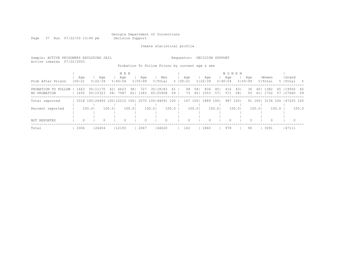Page 37 Run 07/22/03 13:44 pm

Inmate statistical profile

Sample: ACTIVE PRISONERS EXCLUDING JAIL Requestor: DECISION SUPPORT Active inmates 07/22/2003

Probation To Follow Prison by current age & sex

|                                     |                   |                        | M E N                                                   |                  |          |                                    |                    |            |                    | <b>WOMEN</b>             |                        |             |                    |                                   |
|-------------------------------------|-------------------|------------------------|---------------------------------------------------------|------------------|----------|------------------------------------|--------------------|------------|--------------------|--------------------------|------------------------|-------------|--------------------|-----------------------------------|
| Prob After Prison                   | Aqe<br>$100 - 21$ | Aqe<br>$8122 - 39$     | Aqe<br>$8140 - 54$                                      | $8155 - 99$      | Age      | Men<br>% Total                     | Age<br>$8100 - 21$ |            | Age<br>$8122 - 39$ | Age<br>$8140 - 54$       | Age<br>$8155 - 99$     |             | Women<br>%lTotal   | Grand<br>%   Total<br>- 옹         |
| PROBATION TO FOLLOW<br>NO PROBATION | 1663<br>1655      | 50   11170<br>50115323 | 4623<br>421<br>58   7587                                | 381<br>62   1343 | 727      | 35   18183<br>41<br>65125908<br>59 | 94<br>73           | 581<br>451 | 836<br>1053        | 451<br>416<br>571<br>571 | 431<br>36<br>581<br>55 | 401<br>-611 | 1382<br>1752<br>57 | 45 119565<br>- 42<br>127660<br>59 |
| Total reported                      |                   |                        | 3318 100   26493 100   12210 100   2070 100   44091 100 |                  |          |                                    |                    | 167 100    | 1889 1001          | 987                      | 1001                   | 91 1001     | 3134 100           | 147225 100                        |
| Percent reported                    |                   | 100.0                  | 100.0                                                   | 100.0            | 100.0    | 100.0                              |                    | 100.01     | 100.01             |                          | 100.01                 | 100.01      | 100.0              | 100.0                             |
| NOT REPORTED                        | $\Omega$          | 0                      |                                                         |                  | $\Omega$ | $\Omega$                           | $\Omega$           |            | $\Omega$           | $\Omega$                 |                        | $\Omega$    | $\Omega$           | $\Omega$                          |
| Total                               | 3306              | 126454                 | 12193                                                   |                  | 2067     | 144020                             | 163                |            | 1860               | 978                      | 90                     |             | 3091               | 47111                             |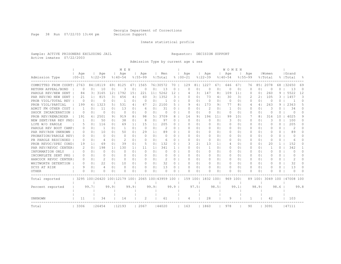Page 38 Run 07/22/03 13:44 pm Decision Support

### Inmate statistical profile

Sample: ACTIVE PRISONERS EXCLUDING JAIL Requestor: DECISION SUPPORT Active inmates 07/22/2003

Admission Type by current age & sex

|                       |              |                |                                                         |                | M E N       |                |             |                 |          |          |             |                            |             |                 | WOMEN        |                |             |                |           |              |                     |                |
|-----------------------|--------------|----------------|---------------------------------------------------------|----------------|-------------|----------------|-------------|-----------------|----------|----------|-------------|----------------------------|-------------|-----------------|--------------|----------------|-------------|----------------|-----------|--------------|---------------------|----------------|
|                       | Age          |                | Age                                                     |                | Age         |                | Age         |                 | Men      |          | Age         |                            | Age         |                 | Age          |                | Aqe         |                | Women     |              | Grand               |                |
| Admission Type        | $100 - 21$   |                | $8122 - 39$                                             |                | $8140 - 54$ |                | $8155 - 99$ |                 | % Total  |          | $8100 - 21$ |                            | $8122 - 39$ |                 | $8140 - 54$  |                | $8155 - 99$ |                | % Total   |              | %   Total           | $\frac{6}{10}$ |
| COMMITTED FROM COURT  | 2763         |                | 84   18119                                              | 691            | 8125        | 67 I           | 1565        |                 | 76130572 | 70       | 129         | $81$                       | 1227        | 671             | 646          | 67 I           | 76          | 851            | 2078      | 68           | 32650               | 69             |
| RETURN APPEAL/BOND    | 0            | 0              | 10                                                      | 0              | 3           | $\Omega$       | C           | 01              | 13       | 0        |             | 0 <sub>1</sub><br>Ω        | n           | $\Omega$        | $\Omega$     | 0              | $\Omega$    | 0 <sub>1</sub> | O         |              | 13                  | $\Omega$       |
| PAROLE REV/NEW SENT   | 84           | 3 <sup>1</sup> | 3165                                                    | 121            | 1792        | 151            | 221         | 11 <sub>1</sub> | 5262     | 12       |             | 31<br>4                    | 147         | 81              | 109          | 11             | $\Omega$    | 0 <sub>1</sub> | 260       | 9            | 5522                | 12             |
| PAR REV/NO NEW SENT   | 21           | 1 <sub>1</sub> | 815                                                     | 31             | 456         | 4 <sup>1</sup> | 60          | 3 <sup>1</sup>  | 1352     | 3        |             | 0 <sub>1</sub><br>U        | 73          | 41              | 30           | 31             |             | 21             | 105       | 3            | 1457                | 3              |
| PROB VIOL/TOTAL REV   | $\circ$      | 0 <sub>1</sub> | $\Omega$                                                | 0 <sup>1</sup> | 1           | 0 <sub>1</sub> | $\Omega$    | 01              | - 1      | 0        |             | 0 <sub>1</sub><br>Ω        | 0           | 0 <sub>1</sub>  | $\circ$      | 0 <sub>1</sub> |             | 0 <sub>1</sub> | 0         |              | -1                  | 0              |
| PROB VIOL/PARTIAL     | 199          |                | 6   1323                                                | 51             | 531         | 4              | 47          | 21              | 2100     | 5        |             | 9<br>61                    | 173         | 91              | 77           | 81             | 4           | 41             | 263       | 9            | 2363                | 5.             |
| ADMIT FM OTHER CUST   | $\mathbf{1}$ | 0 <sub>1</sub> | 11                                                      | 0 <sub>1</sub> | 13          | 0 <sup>1</sup> | 6           | 0 <sub>1</sub>  | 31       | 0        |             | 0<br>0 <sub>1</sub>        | 2           | 0 <sup>1</sup>  | $\mathbf{1}$ | 0 <sub>1</sub> | 0           | 0 <sub>1</sub> | 3         | 0            | 34                  | 0              |
| SHOCK INCARCERATION   | 0            | 0 <sub>1</sub> | 0                                                       | 0 <sup>1</sup> | $\Omega$    | 0 <sub>1</sub> | 0           | 0 <sub>1</sub>  | $\Omega$ | 0        |             | 0 <sub>1</sub><br>$\Omega$ | n           | $\Omega$        | $\Omega$     | $\circ$        | $\Omega$    | 0 <sub>1</sub> | O         | $\Omega$     | $\Omega$            | 0              |
| PROB REV/REMAINDER    | 191          | 61             | 2501                                                    | 91             | 919         | 81             | 98          | 5 I             | 3709     | 8        | 14          | 91                         | 196         | 11 <sup>1</sup> | 99           | 101            |             | 8 <sub>1</sub> | 316       | 10           | 4025                | 9              |
| NEW SENT/PAR REV PND  | $\mathbf{1}$ | 0 <sub>1</sub> | 50                                                      | 0 <sup>1</sup> | 38          | 0 <sup>1</sup> | 8           | 0 <sub>1</sub>  | 97       | $\Omega$ |             | 0 <sub>1</sub><br>$\Omega$ | $\Omega$    | 0 <sup>1</sup>  | 3            | 0 <sub>1</sub> | $\Omega$    | 0 <sup>1</sup> | 3         | $\Omega$     | 100                 | $\Omega$       |
| LIFE W/O PAROLE       | 5            | 0 <sub>1</sub> | 116                                                     | 0 <sup>1</sup> | 69          | 1 <sub>1</sub> | 15          | 1 <sub>1</sub>  | 205      | $\Omega$ |             | 0 <sub>1</sub><br>0        | 0           | 0 <sup>1</sup>  | $\Omega$     | 0 <sub>1</sub> |             | 0 <sub>1</sub> | $\Omega$  | $\Omega$     | 205                 | 0              |
| PAROLE REV BOOT CAMP  | 0            | 0 <sub>1</sub> | -1                                                      | 0 <sup>1</sup> | -1.         | 0 <sub>1</sub> | $\Omega$    | 0 <sup>1</sup>  | 2        | 0        |             | 0 <sup>1</sup><br>n        | $\Omega$    | 0 <sup>1</sup>  | 0            | 0 <sub>1</sub> | O           | 0 <sup>1</sup> | O         | $\Omega$     | 2                   | 0              |
| PAR REV/RSN UNKNOWN   | 0            | $\Omega$       | 10                                                      | 0 <sub>1</sub> | 50          | 0 <sub>1</sub> | 29          | 11              | 89       | 0        |             | 0 <sup>1</sup><br>n        | $\Omega$    | 0 <sub>1</sub>  | $\Omega$     | 0 <sub>1</sub> | O           | 0 <sup>1</sup> | O         | $\Omega$     | 89                  | 0              |
| PROBATION/PAROLE REVI | 0            | $\Omega$       | $\Omega$                                                | 0 <sub>1</sub> | $\Omega$    | $\Omega$       | $\Omega$    | 0 <sub>1</sub>  | $\Omega$ | 0        |             | 0 <sub>1</sub><br>Ω        | $\Omega$    | 0 <sub>1</sub>  | $\Omega$     | $\Omega$       | $\Omega$    | 0 <sub>1</sub> | $\bigcap$ | $\Omega$     | $\bigcap$           | 0              |
| PB PAROLE RESCINDED   | $\Omega$     | $\Omega$       | 4                                                       | $\Omega$       | 2           | 0 <sub>1</sub> | $\Omega$    | $\Omega$        | 6        | 0        |             | 0 <sub>1</sub><br>Ω        | $\Omega$    | 0 <sub>1</sub>  | $\Omega$     | 01             | ∩           | 0 <sub>1</sub> | $\Omega$  | 0            | 6                   | 0              |
| PROB REVOC/SPEC COND  | 19           | $1\vert$       | 69                                                      | $\Omega$       | 39          | 0 <sub>1</sub> | 5           | 01              | 132      | 0        |             | 21                         | 13          | 11              | 4            | 01             |             | 0 <sub>1</sub> | 20        | $\mathbf{1}$ | 152                 | 0              |
| PAR REV/REVOC CENTER  | 2            | 01             | 198                                                     | $\perp$        | 130         | 11             | 11          | 11              | 341      |          |             | 0 <sub>1</sub><br>Ω        | -1          | 01              | 0            | 0 <sub>1</sub> |             | 0 <sub>1</sub> | -1        | 0            | 342                 |                |
| INFORMATION ONLY      | $\Omega$     | 0              | $\Omega$                                                | 0 <sup>1</sup> | $\Omega$    | 0 <sub>1</sub> | $\Omega$    | 0 <sup>1</sup>  | $\Omega$ | 0        |             | 0 <sub>1</sub><br>U        | $\Omega$    | 0 <sub>1</sub>  | $\bigcap$    | 0 <sub>1</sub> | O           | 0 <sub>1</sub> | $\bigcap$ | 0            | $\bigcap$           | 0              |
| INCOMPLETE SENT PKG   | 0            | 0 <sup>1</sup> | $\Omega$                                                | 0 <sup>1</sup> | $\Omega$    | 0 <sub>1</sub> | $\Omega$    | 0 <sub>1</sub>  | $\Omega$ | 0        |             | 0 <sub>1</sub><br>n        | $\Omega$    | 0 <sub>1</sub>  | $\Omega$     | 0 <sub>1</sub> | O           | 0 <sub>1</sub> | O         | 0            | <sup>0</sup>        | 0              |
| HANCOCK REVOC CENTER  | 0            | $\Omega$       | 2                                                       | 0 <sub>1</sub> | $\Omega$    | 0 <sub>1</sub> | $\Omega$    | 0 <sub>1</sub>  | 2        | 0        |             | U<br>0 <sup>1</sup>        | $\Omega$    | 0 <sub>1</sub>  | $\Omega$     | 0 <sub>1</sub> | 0           | 0 <sup>1</sup> | O         | $\Omega$     | 2                   | 0              |
| WHITWORTH DETENTION   | $\Omega$     | 0 <sub>1</sub> | 22                                                      | 0 <sup>1</sup> | 10          | 0 <sup>1</sup> | $\Omega$    | 0 <sup>1</sup>  | 32       | $\Omega$ |             | 0 <sup>1</sup><br>$\Omega$ | 0           | 0 <sub>1</sub>  | 0            | 0 <sub>1</sub> | $\Omega$    | 0 <sup>1</sup> | $\Omega$  | $\Omega$     | 32                  | $\Omega$       |
| DCYS AT RISK          | 9            | 0 <sub>1</sub> | 4                                                       | 0 <sup>1</sup> | $\Omega$    | 0 <sub>1</sub> | 0           | 0 <sub>1</sub>  | 13       | 0        |             | 0 <sub>1</sub><br>U        | 0           | 0 <sub>1</sub>  | 0            | 0 <sub>1</sub> |             | 0 <sup>1</sup> | O         | $\Omega$     | 13                  | $\Omega$       |
| OTHER                 | O            | 0 <sup>1</sup> | O                                                       | 0 <sup>1</sup> | O           | 0 <sub>1</sub> | $\Omega$    | 0 <sub>1</sub>  | $\Omega$ | $\Omega$ |             | U<br>0 <sub>1</sub>        | n           | 01              | $\Omega$     | $\Omega$       |             | 0 <sub>1</sub> | O         | 0            | $\bigcap$           | $\Omega$       |
| Total reported        |              |                | 3295 100   26420 100   12179 100   2065 100   43959 100 |                |             |                |             |                 |          |          |             | 159 1001                   | 1832 1001   |                 | 969 100      |                |             | 89 1001        |           |              | 3049 100 147008 100 |                |
|                       |              |                |                                                         |                |             |                |             |                 |          |          |             |                            |             |                 |              |                |             |                |           |              |                     |                |
| Percent reported      |              | 99.71          |                                                         | 99.9           |             | 99.9           |             | 99.91           |          | 99.9     |             | 97.51                      |             | 98.51           |              | 99.11          |             | 98.91          |           | 98.6         |                     | 99.8           |
|                       |              |                |                                                         |                |             |                |             |                 |          |          |             |                            |             |                 |              |                |             |                |           |              |                     |                |
| UNKNOWN               | 11           |                | 34                                                      |                | 14          |                | 2           |                 | 61       |          |             | 4                          | 28          |                 | 9            |                |             |                | 42        |              | 103                 |                |
| Total                 | 3306         |                | 126454                                                  |                | 12193       |                | 2067        |                 | 144020   |          | 163         |                            | 1860        |                 | 978          |                | 90          |                | 3091      |              | 147111              |                |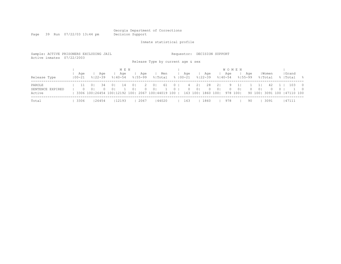Page 39 Run 07/22/03 13:44 pm

Inmate statistical profile

| Sample: ACTIVE PRISONERS EXCLUDING JAIL<br>Active inmates | 07/22/2003     |                                                    |                                                                                               |                                                   |                                         | Requestor:<br>Release Type by current age & sex |                                                            | DECISION SUPPORT             |                                                         |                            |                                                                                     |
|-----------------------------------------------------------|----------------|----------------------------------------------------|-----------------------------------------------------------------------------------------------|---------------------------------------------------|-----------------------------------------|-------------------------------------------------|------------------------------------------------------------|------------------------------|---------------------------------------------------------|----------------------------|-------------------------------------------------------------------------------------|
| Release Type                                              | Aqe<br>  00-21 | Age<br>$8122 - 39$                                 | M E N<br>Aqe<br>$8140 - 54$                                                                   | Aqe<br>$8155 - 99$                                | Men<br>% Total                          | Aqe<br>$8100 - 21$                              | Age<br>$8122 - 39$                                         | Age<br>$8140 - 54$           | <b>WOMEN</b><br>Age<br>$8155 - 99$                      | Women<br>% Total           | Grand<br>%   Total<br>- 왕                                                           |
| PAROLE<br>SENTENCE EXPIRED<br>Active                      | $\Omega$       | 0 <sup>1</sup><br>34<br>0 <sup>1</sup><br>$\Omega$ | 0 <sup>1</sup><br>14<br>0 <sup>1</sup><br>3306 100 26454 100 12192 100   2067 100   44019 100 | 2<br>0 <sup>1</sup><br>$\Omega$<br>0 <sup>1</sup> | 0 <sup>1</sup><br>-61<br>0 <sup>1</sup> | $\mathbf{0}$<br>4<br>$\mathbf{0}$<br>$\Omega$   | 21<br>28<br>0 <sup>1</sup><br>$\Omega$<br>1860<br>163 1001 | 21<br>0 <sup>1</sup><br>1001 | 9<br>0 <sup>1</sup><br>$\Omega$<br>$\Omega$<br>978 1001 | 42.<br>0 <sup>1</sup><br>0 | 103<br>$\overline{0}$<br>$\Omega$<br>$\overline{0}$<br>90 100  3091 100   47110 100 |
| Total                                                     | 3306           | 26454                                              | 12193                                                                                         | 2067                                              | 44020                                   | 163                                             | 1860                                                       | 978                          | 90                                                      | 3091                       | 47111                                                                               |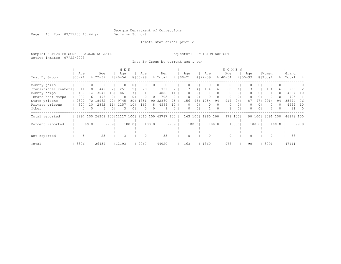Page 40 Run 07/22/03 13:44 pm Decision Support

### Inmate statistical profile

Sample: ACTIVE PRISONERS EXCLUDING JAIL Requestor: DECISION SUPPORT Active inmates 07/22/2003

Inst By Group by current age & sex

|                      |            |                     |                         |                | M E N       |                |             |                |                  |          |             |                |             |                | WOMEN       |          |             |                |          |          |           |            |
|----------------------|------------|---------------------|-------------------------|----------------|-------------|----------------|-------------|----------------|------------------|----------|-------------|----------------|-------------|----------------|-------------|----------|-------------|----------------|----------|----------|-----------|------------|
|                      | Age        |                     | Age                     |                | Age         |                | Age         |                | Men              |          | Age         |                | Age         |                | Age         |          | Aqe         |                | Women    |          | Grand     |            |
| Inst By Group        | $100 - 21$ |                     | $8122 - 39$             |                | $8140 - 54$ |                | $8155 - 99$ |                | % Total          |          | $8100 - 21$ |                | $8122 - 39$ |                | $8140 - 54$ |          | $8155 - 99$ |                | % Total  |          | %   Total | - 옹        |
| County jails         |            | 0<br>0 <sup>1</sup> |                         | 0 <sup>1</sup> |             | ΟI             |             | 0              |                  |          |             | 01             | $\Omega$    | OΙ             | 0           | 0        |             | 01             |          | 0        |           |            |
| Transitional centers | 11         | 0 <sub>1</sub>      | 449                     | 21             | 251         | 2 <sub>1</sub> | 20          |                | 731              |          |             | 4              | 104         | 61             | 60          | 6        | 3.          | 31             | 174      | 6.       | 905       |            |
| County camps         | 450        | 14                  | 3541                    | 131            | 861         |                | 31          |                | 4883             |          | 0           | $\circ$        |             | 01             | $\circ$     | $\circ$  | 0           | 0 <sub>1</sub> |          | $\Omega$ | 4884      | 10         |
| Inmate boot camps    | 207        | 61                  | 498                     | 2 I            | $\Omega$    | $\Omega$       | $\Omega$    | 01             | 705              |          |             | 01             |             | 01             | 0           | 0        |             | 01             |          | $\cup$   | 705       |            |
| State prisons        | 2302       |                     | 70118962                | 72 I           | 9745        | 80             | 1851        | 901            | 32860            | 75       | 156         | 961            | 1754        | 94             | 917         | 94       | 87          | 971            | 2914     | 94       | 35774     | 76         |
| Private prisons      | 327        | 101                 | 2852                    |                | 1257        | 10             | 163         | 81             | 4599             | 1 ೧      | 0           | 01             | 0           | 01             | 0           | 0        |             | 01             |          |          | 4599      | 10         |
| Other                |            | 0 <sup>1</sup><br>0 | 6.                      | 0 <sup>1</sup> | 3           | 01             | 0           | 0 <sub>1</sub> | 9                | $\Omega$ | $\Omega$    | 0 <sub>1</sub> |             | 0 <sub>1</sub> |             | $\Omega$ | 0.          | 0 <sub>1</sub> |          | 0        | 11        | $\bigcirc$ |
| Total reported       | 3297       |                     | 100   26308 100   12117 |                |             | 1001           |             |                | 2065 100   43787 | 100      | 163 100     |                | 1860        | 1001           | 978         | 1001     |             | 90 100         | 3091 100 |          | 46878 100 |            |
|                      |            |                     |                         |                |             |                |             |                |                  |          |             |                |             |                |             |          |             |                |          |          |           |            |
| Percent reported     |            | 99.81               |                         | 99.9           |             | 100.01         |             | 100.01         |                  | 99.9     |             | 100.01         |             | 100.01         |             | 100.01   |             | 100.01         |          | 100.0    |           | 99.9       |
|                      |            |                     |                         |                |             |                |             |                |                  |          |             |                |             |                |             |          |             |                |          |          |           |            |
|                      |            |                     |                         |                |             |                |             |                |                  |          |             |                |             |                |             |          |             |                |          |          |           |            |
| Not reported         |            |                     | 25                      |                | 3           |                | $\Omega$    |                | 33               |          |             |                |             |                | $\Omega$    |          |             |                | 0        |          | 33        |            |
| Total                | 3306       |                     | 26454                   |                | 12193       |                | 2067        |                | 144020           |          | 163         |                | 1860        |                | 978         |          | 90          |                | 3091     |          | 47111     |            |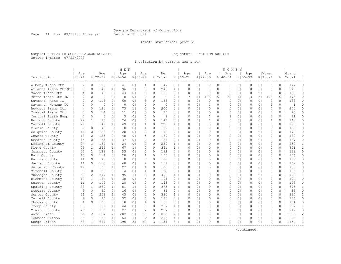Page 41 Run 07/22/03 13:44 pm Decision Support

#### Inmate statistical profile

Sample: ACTIVE PRISONERS EXCLUDING JAIL Requestor: DECISION SUPPORT Active inmates 07/22/2003

Institution by current age & sex

|                      |                   |                |                    |                | M E N              |                |                    |                |                |                |                    |                |                    |                | WOMEN              |                |           |                |                  |          |                    |               |
|----------------------|-------------------|----------------|--------------------|----------------|--------------------|----------------|--------------------|----------------|----------------|----------------|--------------------|----------------|--------------------|----------------|--------------------|----------------|-----------|----------------|------------------|----------|--------------------|---------------|
| Institution          | Age<br>$100 - 21$ |                | Age<br>$8122 - 39$ |                | Age<br>$8140 - 54$ |                | Age<br>$8155 - 99$ |                | Men<br>% Total |                | Age<br>$8100 - 21$ |                | Age<br>$8122 - 39$ |                | Age<br>$8140 - 54$ | $8155 - 99$    | Age       |                | Women<br>% Total |          | Grand<br>%   Total |               |
| Albany Trans Ctr     | 2                 | 0 <sup>1</sup> | 100                | 0 <sub>1</sub> | 41                 | 0 <sub>1</sub> | 4                  | 0 <sub>1</sub> | 147            | 0              | $\Omega$           | 0 <sub>1</sub> | $\circ$            | 0 <sub>1</sub> | $\circ$            | 0 <sub>1</sub> | $\Omega$  | 0 <sub>1</sub> | $\circ$          | $\Omega$ | 147                | $\Omega$      |
| Atlanta Trans Ctr(M) | 3                 | 0 <sub>1</sub> | 141                | 1 <sub>1</sub> | 96                 | 11             | 5                  | $\Omega$       | 245            | $\mathbf{1}$   | $\Omega$           | $\Omega$       | $\circ$            | 0 <sub>1</sub> | $\circ$            | 0 <sub>1</sub> | $\Omega$  | 0 <sub>1</sub> | $\Omega$         | $\Omega$ | 245                | $\mathbf{1}$  |
| Macon Trans Ctr      | $\overline{4}$    | 0 <sub>1</sub> | 76                 | 0 <sub>1</sub> | 43                 | 0 <sub>1</sub> | 3                  | 0 <sub>1</sub> | 126            | $\circ$        | $\circ$            | $\Omega$       | $\circ$            | 0 <sub>1</sub> | $\circ$            | 0 <sub>1</sub> | 0         | 0 <sup>1</sup> | $\circ$          | 0        | 126                | 0             |
| Metro Trans Ctr (W)  | $\Omega$          | 0 <sub>1</sub> | $\Omega$           | 0 <sub>1</sub> | $\Omega$           | 0 <sub>1</sub> | $\Omega$           | 0              | $\Omega$       | 0              |                    | 4              | 103                | 6              | 60                 | 61             | 3         | 31             | 173              | 6        | 173                | 0             |
| Savannah Mens TC     | 2                 | 0 <sub>1</sub> | 118                | 0 <sub>1</sub> | 60                 | 0 <sub>1</sub> | 8                  | 0 <sup>1</sup> | 188            | $\Omega$       | $\Omega$           | $\Omega$       | $\Omega$           | 0 <sub>1</sub> | $\Omega$           | $\Omega$       | $\Omega$  | 0 <sub>1</sub> | $\Omega$         | $\Omega$ | 188                | $\Omega$      |
| Savannah Womens TC   | $\Omega$          | 0 <sub>1</sub> | $\circ$            | 0 <sub>1</sub> | $\Omega$           | 0 <sub>1</sub> | 0                  | 0 <sup>1</sup> | $\Omega$       | 0              | $\Omega$           | 0 <sub>1</sub> | $\mathbf{1}$       | 0 <sub>1</sub> | $\circ$            | 0 <sub>1</sub> | $\circ$   | 0 <sub>1</sub> | $\mathbf{1}$     | $\Omega$ | $\overline{1}$     | $\Omega$      |
| Augusta Trans Ctr    | $\overline{4}$    | 0 <sub>1</sub> | 121                | 0 <sub>1</sub> | 73                 | 1 <sub>1</sub> | $\overline{c}$     | 0 <sub>1</sub> | 200            | $\Omega$       | $\Omega$           | 0 <sub>1</sub> | $\circ$            | 0 <sub>1</sub> | $\circ$            | 0 <sub>1</sub> | $\Omega$  | 0 <sub>1</sub> | $\Omega$         | $\Omega$ | 200                | $\Omega$      |
| Coastal Trans Ctr    | $\Omega$          | 0 <sub>1</sub> | 14                 | 0 <sub>1</sub> | 11                 | 0 <sub>1</sub> | $\Omega$           | $\Omega$       | 25             | $\Omega$       | $\cap$             | 0 <sub>1</sub> | $\circ$            | 0 <sub>1</sub> | $\Omega$           | 0 <sub>1</sub> | $\Omega$  | 0 <sub>1</sub> | $\Omega$         | $\Omega$ | 25                 | $\Omega$      |
| Central State Hosp   | $\Omega$          | 0 <sub>1</sub> | 6                  | 0 <sub>1</sub> | 3                  | 0 <sub>1</sub> | $\Omega$           | 0 <sup>1</sup> | 9              | $\Omega$       | $\Omega$           | 0 <sup>1</sup> | $\mathbf{1}$       | 0 <sup>1</sup> | $\mathbf{1}$       | 0 <sub>1</sub> | $\Omega$  | 0 <sub>1</sub> | $\overline{c}$   | $\Omega$ | 11                 | $\Omega$      |
| Bulloch County       | 22                | 1 <sub>1</sub> | 96                 | 0 <sub>1</sub> | 24                 | 0 <sub>1</sub> | $\Omega$           | 0              | 142            | 0              | $\Omega$           | 0 <sub>1</sub> | $\mathbf{1}$       | 0 <sub>1</sub> | $\circ$            | 0 <sub>1</sub> | $\Omega$  | 0 <sub>1</sub> | 1                | 0        | 143                | 0             |
| Carroll County       | 29                | 1 <sub>1</sub> | 149                | 1 <sup>1</sup> | 49                 | 0 <sub>1</sub> | $\mathbf{1}$       | 0 <sup>1</sup> | 228            | $\mathbf{1}$   | $\Omega$           | $\Omega$       | $\Omega$           | 0 <sub>1</sub> | $\Omega$           | 0 <sub>1</sub> | $\Omega$  | 0 <sub>1</sub> | $\Omega$         | $\Omega$ | 228                | $\Omega$      |
| Clarke County        | 8                 | 0 <sub>1</sub> | 73                 | 0 <sub>1</sub> | 18                 | 0 <sub>1</sub> | $\mathbf{1}$       | $\Omega$       | 100            | $\Omega$       | $\Omega$           | 0 <sub>1</sub> | $\Omega$           | 0 <sub>1</sub> | $\Omega$           | 0 <sub>1</sub> | $\Omega$  | 0 <sup>1</sup> | $\Omega$         | $\Omega$ | 100                | $\Omega$      |
| Colquitt County      | 16                | 0 <sub>1</sub> | 128                | 0 <sub>1</sub> | 28                 | 0 <sub>1</sub> | $\Omega$           | $\Omega$       | 172            | $\Omega$       | $\Omega$           | 0 <sub>1</sub> | $\circ$            | 0 <sub>1</sub> | $\circ$            | 0 <sub>1</sub> | $\Omega$  | 0 <sub>1</sub> | $\Omega$         | $\Omega$ | 172                | $\Omega$      |
| Coweta County        | 13                | 0 <sub>1</sub> | 123                | 0 <sub>1</sub> | 48                 | 0 <sub>1</sub> | 5.                 | $\Omega$       | 189            | $\Omega$       | $\Omega$           | 0 <sub>1</sub> | $\Omega$           | 0 <sub>1</sub> | $\Omega$           | 0 <sub>1</sub> | $\Omega$  | 0 <sub>1</sub> | $\Omega$         | $\Omega$ | 189                | $\Omega$      |
| Decatur County       | 15                | 0 <sub>1</sub> | 135                | 1 <sup>1</sup> | 37                 | 0 <sub>1</sub> | $\Omega$           | 0 <sub>1</sub> | 187            | $\circ$        | O                  | 0 <sup>1</sup> | $\mathbf{0}$       | 0 <sup>1</sup> | $\Omega$           | 0 <sub>1</sub> | 0         | 0 <sup>1</sup> | $\Omega$         | $\Omega$ | 187                | 0             |
| Effingham County     | 24                | 1 <sup>1</sup> | 189                | 1 <sub>1</sub> | 24                 | 0 <sub>1</sub> | 2                  | 0              | 239            | $\mathbf{1}$   | $\Omega$           | 0 <sub>1</sub> | $\circ$            | 0 <sub>1</sub> | $\circ$            | 0 <sub>1</sub> | $\Omega$  | 0 <sub>1</sub> | $\circ$          | 0        | 239                | $\mathbf{1}$  |
| Floyd County         | 25                | 1 <sub>1</sub> | 249                | 11             | 67                 | 1 <sub>1</sub> | $\Omega$           | $\Omega$       | 341            | $\mathbf{1}$   | $\Omega$           | $\Omega$       | $\Omega$           | $\Omega$       | $\Omega$           | $\Omega$       | $\Omega$  | 0 <sup>1</sup> | $\Omega$         | $\Omega$ | 341                | $\mathbf{1}$  |
| Gwinnett County      | 20                | 1 <sup>1</sup> | 139                | 11             | 33                 | 0 <sub>1</sub> | $\Omega$           | $\Omega$       | 192            | $\Omega$       | $\Omega$           | 0 <sub>1</sub> | $\circ$            | 0 <sub>1</sub> | $\Omega$           | 0 <sub>1</sub> | $\Omega$  | 0 <sup>1</sup> | $\Omega$         | $\Omega$ | 192                | $\Omega$      |
| Hall County          | 13                | 0 <sub>1</sub> | 114                | 0 <sub>1</sub> | 28                 | 0 <sub>1</sub> | 1                  | 0 <sup>1</sup> | 156            | $\Omega$       | O                  | 0 <sub>1</sub> | $\circ$            | 0 <sub>1</sub> | 0                  | 0 <sub>1</sub> | $\circ$   | 0 <sup>1</sup> | $\mathbf{0}$     | $\Omega$ | 156                | $\Omega$      |
| Harris County        | 14                | 0 <sub>1</sub> | 76                 | 0 <sub>1</sub> | 10                 | 0 <sub>1</sub> | $\Omega$           | $\Omega$       | 100            | $\Omega$       | $\Omega$           | 0 <sub>1</sub> | $\circ$            | 0 <sub>1</sub> | $\Omega$           | 0 <sub>1</sub> | $\Omega$  | 0 <sub>1</sub> | $\Omega$         | $\Omega$ | 100                | $\Omega$      |
| Jackson County       | 11                | 0 <sub>1</sub> | 116                | 0 <sub>1</sub> | 40                 | 0 <sub>1</sub> | 2                  | 0 <sup>1</sup> | 169            | $\Omega$       | $\Omega$           | 0 <sub>1</sub> | $\circ$            | 0 <sub>1</sub> | $\Omega$           | 0 <sub>1</sub> | $\Omega$  | 0 <sub>1</sub> | $\Omega$         | $\Omega$ | 169                | 0             |
| Jefferson County     | 19                | 1 <sup>1</sup> | 133                | 1 <sub>1</sub> | 27                 | 0 <sub>1</sub> | $\mathbf{1}$       | $\Omega$       | 180            | $\Omega$       | $\Omega$           | $\Omega$       | $\Omega$           | 0 <sub>1</sub> | $\Omega$           | 0 <sub>1</sub> | $\Omega$  | 0 <sup>1</sup> | $\Omega$         | $\Omega$ | 180                | $\Omega$      |
| Mitchell County      | 7                 | 0 <sub>1</sub> | 86                 | 0 <sub>1</sub> | 14                 | 0 <sub>1</sub> | $\mathbf{1}$       | $\Omega$       | 108            | $\Omega$       | $\Omega$           | $\Omega$       | $\Omega$           | $\Omega$       | $\Omega$           | $\Omega$       | $\Omega$  | 0 <sup>1</sup> | $\Omega$         | $\Omega$ | 108                | $\Omega$      |
| Muscogee County      | 50                | 21             | 344                | 1 <sub>1</sub> | 95                 | 1 <sub>1</sub> | 3                  | 0 <sup>1</sup> | 492            | $\mathbf{1}$   | $\Omega$           | 0 <sub>1</sub> | $\circ$            | 0 <sub>1</sub> | $\Omega$           | 0 <sub>1</sub> | $\Omega$  | 0 <sup>1</sup> | $\Omega$         | $\Omega$ | 492                | 1             |
| Richmond County      | 19                | 1 <sup>1</sup> | 141                | 1              | 30                 | 0 <sub>1</sub> | 4                  | 0 <sup>1</sup> | 194            | $\circ$        | 0                  | 0 <sub>1</sub> | $\circ$            | 0 <sub>1</sub> | 0                  | 0 <sub>1</sub> | $\Omega$  | 0 <sub>1</sub> | $\mathbf{0}$     | 0        | 194                | $\Omega$      |
| Screven County       | 11                | 0 <sub>1</sub> | 109                | 0 <sub>1</sub> | 28                 | 0 <sub>1</sub> | $\Omega$           | $\Omega$       | 148            | $\Omega$       | $\Omega$           | $\Omega$       | $\circ$            | 0 <sub>1</sub> | $\Omega$           | 0 <sub>1</sub> | $\Omega$  | 0 <sub>1</sub> | $\Omega$         | $\Omega$ | 148                | $\Omega$      |
| Spalding County      | 23                | 1 <sup>1</sup> | 269                | 1 <sup>1</sup> | 81                 | 1 <sub>1</sub> | 2                  | 0 <sub>1</sub> | 375            | 1 <sup>1</sup> | $\Omega$           | 0 <sub>1</sub> | $\circ$            | 0 <sub>1</sub> | $\circ$            | 0 <sub>1</sub> | $\circ$   | 0 <sub>1</sub> | $\circ$          | 0        | 375                | $\mathbf{1}$  |
| Stewart County       | 9                 | 0 <sub>1</sub> | 60                 | 0 <sub>1</sub> | 16                 | 0 <sub>1</sub> | $\Omega$           | $\Omega$       | 85             | $\circ$        | $\Omega$           | $\Omega$       | $\Omega$           | 0 <sub>1</sub> | $\Omega$           | $\Omega$       | $\Omega$  | 0 <sup>1</sup> | $\Omega$         | $\Omega$ | 85                 | $\Omega$      |
| Sumter County        | 31                | 1 <sub>1</sub> | 259                | 11             | 43                 | 0 <sub>1</sub> | $\mathcal{L}$      | $\Omega$       | 335            | $\mathbf{1}$   | $\Omega$           | $\cap$         | $\Omega$           | 0 <sub>1</sub> | $\Omega$           | $\Omega$       | $\cap$    | 0 <sup>1</sup> | $\cap$           | $\Omega$ | 335                | $\mathbf{1}$  |
| Terrell County       | 9                 | 0 <sub>1</sub> | 95                 | 0 <sub>1</sub> | 32                 | 0 <sub>1</sub> | $\Omega$           | 0 <sup>1</sup> | 136            | $\Omega$       | $\Omega$           | 0 <sub>1</sub> | $\circ$            | 0 <sub>1</sub> | 0                  | 0 <sub>1</sub> | $\Omega$  | 0 <sub>1</sub> | $\Omega$         | $\Omega$ | 136                | $\Omega$      |
| Thomas County        | $\overline{4}$    | 0 <sub>1</sub> | 105                | 0 <sub>1</sub> | 18                 | 0 <sub>1</sub> | 4                  | 0 <sup>1</sup> | 131            | $\circ$        | 0                  | 0 <sub>1</sub> | $\circ$            | 0 <sub>1</sub> | 0                  | 0 <sub>1</sub> | 0         | 0 <sup>1</sup> | $\circ$          | 0        | 131                | 0             |
| Troup County         | 33                | 1 <sup>1</sup> | 190                | 1 <sup>1</sup> | 44                 | 0 <sub>1</sub> | $\Omega$           | 0 <sup>1</sup> | 267            | $\mathbf{1}$   | $\Omega$           | 0 <sub>1</sub> | $\circ$            | 0 <sub>1</sub> | $\circ$            | 0 <sub>1</sub> | $\Omega$  | 0 <sub>1</sub> | $\Omega$         | $\Omega$ | 267                | $\mathbf{1}$  |
| Clayton County       | 25                | 1 <sup>1</sup> | 163                | 1 <sub>1</sub> | 27                 | 0 <sub>1</sub> | 2                  | 0 <sub>1</sub> | 217            | $\Omega$       | $\Omega$           | 0 <sub>1</sub> | $\Omega$           | 0 <sup>1</sup> | $\Omega$           | 0 <sub>1</sub> | $\Omega$  | 0 <sup>1</sup> | $\Omega$         | $\Omega$ | 217                | $\circ$       |
| Ware Prison          | 66                | 2 <sub>1</sub> | 654                | 21             | 282                | 2 <sub>1</sub> | 37                 | 2 <sub>1</sub> | 1039           | $\overline{2}$ | $\Omega$           | 0 <sub>1</sub> | 0                  | 0 <sup>1</sup> | $\Omega$           | 0 <sub>1</sub> | $\Omega$  | 0 <sup>1</sup> | $\Omega$         | $\Omega$ | 1039               | 2             |
| Lowndes Prison       | 39                | 1 <sup>1</sup> | 188                | 1 <sup>1</sup> | 64                 | 1 <sub>1</sub> | 2                  | $\Omega$       | 293            | $\mathbf{1}$   | $\Omega$           | $\Omega$       | $\Omega$           | 0 <sub>1</sub> | $\circ$            | 0 <sub>1</sub> | O         | 0 <sup>1</sup> | $\Omega$         | $\Omega$ | 293                | $\mathbf{1}$  |
| Dodge Prison         | 43                | 1 <sub>1</sub> | 647                | 21             | 395                | 3 <sup>1</sup> | 69                 |                | 31 1154        | $3-1$          | O                  | 0 <sub>1</sub> | $\Omega$           | 0 <sub>1</sub> | $\Omega$           | 0 <sub>1</sub> | $\bigcap$ | 0 <sub>1</sub> | $\Omega$         | n        | 1154               | $\mathcal{L}$ |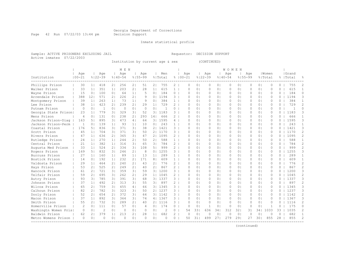Page 42 Run 07/22/03 13:44 pm Decision Support

#### Inmate statistical profile

Sample: ACTIVE PRISONERS EXCLUDING JAIL Requestor: DECISION SUPPORT Active inmates 07/22/2003

Institution by current age & sex (CONTINUED)

|                      |                |                |                |                | M E N       |                |             |                |                |                |             |                |              |                | WOMEN       |                |             |                |              |          |                |                |
|----------------------|----------------|----------------|----------------|----------------|-------------|----------------|-------------|----------------|----------------|----------------|-------------|----------------|--------------|----------------|-------------|----------------|-------------|----------------|--------------|----------|----------------|----------------|
|                      | Age            |                | Age            |                | Aqe         |                | Age         |                | Men            |                | Age         |                | Age          |                | Age         |                | Age         |                | Women        |          | Grand          |                |
| Institution          | $100 - 21$     |                | $8122 - 39$    |                | $8140 - 54$ |                | $8155 - 99$ |                | % Total        |                | $8100 - 21$ |                | $8122 - 39$  |                | $8140 - 54$ |                | $8155 - 99$ |                | % Total      |          | %   Total      |                |
| Phillips Prison      | 30             | 1 <sup>1</sup> | 418            | 2 <sub>1</sub> | 256         | 2 <sub>1</sub> | 51          | 2 <sub>1</sub> | 755            | 2 <sup>1</sup> | $\Omega$    | 0 <sub>1</sub> | 0            | 0 <sub>1</sub> | 0           | 0 <sup>1</sup> | $\Omega$    | 0 <sub>1</sub> | $\Omega$     | $\Omega$ | 755            | 2              |
| Walker Prison        | 33             | 1 <sub>1</sub> | 351            | 1 <sup>1</sup> | 203         | 2 <sub>1</sub> | 28          | 1 <sub>1</sub> | 615            | 1 <sup>1</sup> | 0           | 0 <sub>1</sub> | 0            | 0 <sub>1</sub> | $\circ$     | 0 <sub>1</sub> | $\Omega$    | 0 <sub>1</sub> | $\circ$      | $\Omega$ | 615            | $\mathbf{1}$   |
| Wayne Prison         | 15             | 0 <sup>1</sup> | 100            | 0 <sub>1</sub> | 64          | 1              | 5           | 0 <sub>1</sub> | 184            | 0 <sub>1</sub> | $\Omega$    | 0 <sub>1</sub> | 0            | 0 <sub>1</sub> | $\circ$     | 0 <sub>1</sub> | $\Omega$    | 0 <sub>1</sub> | $\mathbf{0}$ | $\Omega$ | 184            | $\Omega$       |
| Arrendale Prison     | 388            | 12             | 571            | 2 <sub>1</sub> | 226         | 2 <sub>1</sub> | 9           | 0 <sub>1</sub> | 1194           | $3-1$          | $\Omega$    | 0 <sup>1</sup> | $\circ$      | 0 <sub>1</sub> | $\Omega$    | 0 <sub>1</sub> | $\Omega$    | 0 <sub>1</sub> | $\Omega$     | $\Omega$ | 1194           | 3              |
| Montgomery Prison    | 39             | 1 <sup>1</sup> | 263            | 1 <sub>1</sub> | 73          | 1 <sup>1</sup> | 9           | 0 <sub>1</sub> | 384            | 1 <sup>1</sup> | ∩           | 0 <sup>1</sup> | $\Omega$     | 0 <sub>1</sub> | $\Omega$    | 0 <sub>1</sub> | $\Omega$    | 0 <sub>1</sub> | $\Omega$     | $\Omega$ | 384            | $\mathbf{1}$   |
| Lee Prison           | 38             | 1 <sup>1</sup> | 423            | 21             | 239         | 21             | 29          | 1 <sub>1</sub> | 729            | $2-1$          | ∩           | 0 <sup>1</sup> | $\circ$      | 0 <sub>1</sub> | $\Omega$    | 0 <sub>1</sub> | $\Omega$    | 0 <sub>1</sub> | $\Omega$     | $\Omega$ | 729            | $\overline{2}$ |
| Putnam Prison        | $\Omega$       | 0 <sub>1</sub> | $\overline{1}$ | $\Omega$       | $\Omega$    | 0 <sub>1</sub> | $\Omega$    | 0 <sup>1</sup> | $\overline{1}$ | $\Omega$       | ∩           | 0 <sup>1</sup> | $\Omega$     | 0 <sub>1</sub> | $\Omega$    | 0 <sub>1</sub> | $\Omega$    | $\Omega$       | $\Omega$     | 0        | $\overline{1}$ | $\Omega$       |
| Georgia State Prison | 23             | 1 <sub>1</sub> | 779            | 31             | 329         | 31             | 52          | 3 <sup>1</sup> | 1183           | 31             | $\cap$      | 0 <sub>1</sub> | $\Omega$     | 0 <sub>1</sub> | $\Omega$    | 0 <sub>1</sub> | $\Omega$    | $\Omega$       | $\cap$       | 0        | 1183           | 3              |
| Mens Prison          | $\overline{4}$ | $\bigcap$      | 131            | $\Omega$       | 238         | 21             | 293         | 141            | 666            | $2^{\circ}$    | $\cap$      | $\bigcap$      | $\Omega$     | 0 <sub>1</sub> | $\Omega$    | 0 <sub>1</sub> | $\Omega$    | $\Omega$       | $\cap$       | $\Omega$ | 666            | $\mathbf{1}$   |
| Jackson Prison-Diag  | 163            | 51             | 895            | 31             | 473         | 4 <sub>1</sub> | 64          | 3 <sup>1</sup> | 1595           | 41             | ∩           | 0 <sub>1</sub> | $\Omega$     | 0 <sub>1</sub> | $\Omega$    | 0 <sup>1</sup> | $\Omega$    | $\Omega$       | $\Omega$     | $\Omega$ | 1595           | 3              |
| Jackson Prison-Perm  | $\mathbf{1}$   | 0 <sub>1</sub> | 139            | 1 <sup>1</sup> | 93          | 1 <sub>1</sub> | 10          | 0 <sub>1</sub> | 243            | 1 <sup>1</sup> | $\Omega$    | 0 <sup>1</sup> | $\circ$      | 0 <sub>1</sub> | 0           | 0 <sub>1</sub> | $\Omega$    | 0 <sub>1</sub> | $\mathbf{0}$ | $\Omega$ | 243            | $\mathbf{1}$   |
| Coastal Prison       | 176            | 51             | 836            | 31             | 371         | 3 <sub>1</sub> | 38          | 2 <sub>1</sub> | 1421           | $3-1$          | $\Omega$    | 0 <sub>1</sub> | $\circ$      | 0 <sub>1</sub> | $\circ$     | 0 <sub>1</sub> | $\Omega$    | 0 <sub>1</sub> | $\mathbf{0}$ | 0        | 1421           | 3              |
| Scott Prison         | 4.5            | 1 <sub>1</sub> | 704            | 31             | 371         | 31             | 50          | 21             | 1170           | $\mathbf{3}$   | $\cap$      | 0 <sub>1</sub> | $\circ$      | 0 <sub>1</sub> | $\Omega$    | 0 <sub>1</sub> | $\Omega$    | 0 <sub>1</sub> | $\Omega$     | $\Omega$ | 1170           | 2              |
| Rivers Prison        | 47             | 1 <sup>1</sup> | 636            | 21             | 365         | 31             | 47          | 21             | 1095           | $\overline{2}$ | ∩           | 0 <sub>1</sub> | $\Omega$     | 0 <sub>1</sub> | $\Omega$    | 0 <sub>1</sub> | $\Omega$    | 0 <sub>1</sub> | $\Omega$     | $\Omega$ | 1095           | $\overline{2}$ |
| Rutledge Prison      | 24             | 11             | 270            | 1 <sup>1</sup> | 244         | 21             | 50          | 21             | 588            | 1 <sub>1</sub> | ∩           | 0 <sup>1</sup> | $\Omega$     | 0 <sub>1</sub> | $\bigcap$   | 0 <sup>1</sup> | $\Omega$    | $\Omega$       | $\cap$       | $\Omega$ | 588            | 1              |
| Central Prison       | 2.1            | 1 <sup>1</sup> | 382            | 1 <sup>1</sup> | 316         | 31             | 65          | 3 <sub>1</sub> | 784            | 2 <sup>1</sup> | $\Omega$    | 0 <sub>1</sub> | $\Omega$     | 0 <sub>1</sub> | $\Omega$    | 0 <sup>1</sup> | $\Omega$    | $\Omega$       | $\Omega$     | $\Omega$ | 784            | $\overline{2}$ |
| Augusta Med Prison   | 33             | 1 <sup>1</sup> | 524            | 21             | 334         | 31             | 108         | 5 <sub>1</sub> | 999            | $\overline{2}$ | $\cap$      | 0 <sub>1</sub> | $\Omega$     | 0 <sub>1</sub> | $\Omega$    | 0 <sub>1</sub> | $\Omega$    | 0 <sub>1</sub> | $\Omega$     | $\Omega$ | 999            | $\overline{2}$ |
| Rogers Prison        | 169            | 51             | 832            | 31             | 246         | 2 <sub>1</sub> | 8           | $\Omega$       | 1255           | 3.             | $\cap$      | 0 <sub>1</sub> | $\Omega$     | 0 <sub>1</sub> | $\Omega$    | 0 <sub>1</sub> | $\cap$      | $\Omega$       | $\cap$       | $\Omega$ | 1255           | 3              |
| Burruss Prison       | 27             | 11             | 160            | 1 <sub>1</sub> | 89          | 1 <sub>1</sub> | 13          | 1 <sub>1</sub> | 289            | 1 <sub>1</sub> | ∩           | 0 <sub>1</sub> | $\Omega$     | 0 <sub>1</sub> | $\Omega$    | 0 <sub>1</sub> | $\Omega$    | 0 <sub>1</sub> | $\Omega$     | $\Omega$ | 289            | 1              |
| Bostick Prison       | 14             | 0 <sub>1</sub> | 192            | 1 <sup>1</sup> | 232         | 21             | 171         | 8              | 609            | 1 <sub>1</sub> | ∩           | 0 <sub>1</sub> | 0            | 0 <sub>1</sub> | $\Omega$    | 0 <sub>1</sub> | $\Omega$    | 0 <sub>1</sub> | $\Omega$     | $\Omega$ | 609            | -1             |
| Valdosta Prison      | 29             | 1 <sup>1</sup> | 464            | 21             | 240         | 21             | 43          | 21             | 776            | $2 \mid$       | $\Omega$    | 0 <sup>1</sup> | $\Omega$     | 0 <sub>1</sub> | $\Omega$    | 0 <sup>1</sup> | $\Omega$    | $\Omega$       | $\Omega$     | $\Omega$ | 776            | $\overline{2}$ |
| Hays Prison          | 53             | 21             | 525            | 21             | 249         | 2 <sub>1</sub> | 40          | 2 <sub>1</sub> | 867            | $\overline{2}$ | $\Omega$    | 0 <sub>1</sub> | $\circ$      | 0 <sub>1</sub> | $\Omega$    | 0 <sub>1</sub> | $\Omega$    | 0 <sub>1</sub> | $\Omega$     | $\Omega$ | 867            | $\overline{2}$ |
| Hancock Prison       | 61             | 21             | 721            | 31             | 359         | 31             | 59          | 3 <sub>1</sub> | 1200           | $3-1$          | $\Omega$    | 0 <sub>1</sub> | $\Omega$     | 0 <sub>1</sub> | $\bigcap$   | 0 <sup>1</sup> | $\bigcap$   | $\Omega$       | $\cap$       | $\Omega$ | 1200           | 3              |
| Telfair Prison       | 59             | 21             | 695            | 31             | 262         | 2 <sub>1</sub> | 29          | 1 <sup>1</sup> | 1045           | $2-1$          | ∩           | 0 <sub>1</sub> | $\Omega$     | 0 <sub>1</sub> | $\Omega$    | 0 <sup>1</sup> | $\Omega$    | $\Omega$       | $\Omega$     | $\cap$   | 1045           | 2              |
| Autry Prison         | 93             | $\overline{3}$ | 785            | 31             | 391         | 31             | 68          |                | 31 1337        | $\overline{3}$ | $\Omega$    | 0 <sub>1</sub> | $\Omega$     | 0 <sub>1</sub> | $\Omega$    | 0 <sup>1</sup> | $\Omega$    | $\Omega$       | $\Omega$     | $\Omega$ | 1337           | 3              |
| Johnson Prison       | 37             | 1 <sup>1</sup> | 492            | 21             | 313         | 31             | 55          | 31             | 897            | $2-1$          | ∩           | 0 <sub>1</sub> | $\Omega$     | 0 <sub>1</sub> | $\Omega$    | 0 <sub>1</sub> | $\Omega$    | 0 <sub>1</sub> | $\Omega$     | 0        | 897            | $\overline{2}$ |
| Wilcox Prison        | 65             | 21             | 759            | 31             | 455         | 4 <sub>1</sub> | 66          |                | 31 1345        | 31             | $\cap$      | 0 <sub>1</sub> | $\Omega$     | 0 <sub>1</sub> | $\Omega$    | 0 <sub>1</sub> | $\Omega$    | 0 <sub>1</sub> | $\Omega$     | 0        | 1345           | 3              |
| Calhoun Prison       | 82             | 21             | 782            | 31             | 323         | 31             | 50          | 21             | 1237           | 3.             | ∩           | 0 <sub>1</sub> | $\Omega$     | 0 <sub>1</sub> | 0           | 0 <sub>1</sub> | $\bigcap$   | 0 <sub>1</sub> | $\Omega$     | 0        | 1237           | 3              |
| Dooly Prison         | 52             | 21             | 654            | 21             | 372         | 31             | 64          |                | 3   1142       | 3 I            | $\Omega$    | 0 <sub>1</sub> | $\Omega$     | 0 <sup>1</sup> | $\Omega$    | 0 <sup>1</sup> | $\Omega$    | $\Omega$       | $\Omega$     | $\Omega$ | 1142           | $\overline{2}$ |
| Macon Prison         | 37             | 11             | 892            | 31             | 364         | 31             | 74          | 4              | 1367           | $\overline{3}$ | $\Omega$    | 0 <sup>1</sup> | $\Omega$     | 0 <sup>1</sup> | $\Omega$    | 0 <sup>1</sup> | $\Omega$    | 0 <sub>1</sub> | $\Omega$     | 0        | 1367           | 3              |
| Smith Prison         | 55             | 21             | 732            | 3 <sub>1</sub> | 289         | 2 <sub>1</sub> | 40          | 2 <sub>1</sub> | 1116           | $3-1$          | $\Omega$    | 0 <sub>1</sub> | $\Omega$     | 0 <sub>1</sub> | $\circ$     | 0 <sub>1</sub> | $\Omega$    | 0 <sub>1</sub> | $\Omega$     | $\Omega$ | 1116           | $\overline{2}$ |
| Homerville Prison    | $\mathbf{2}$   | 0 <sub>1</sub> | 111            | 0 <sub>1</sub> | 57          | 0 <sub>1</sub> | 4           | 0 <sub>1</sub> | 174            | $\circ$        | $\Omega$    | 0 <sub>1</sub> | $\mathbf{1}$ | 0 <sub>1</sub> | $\Omega$    | 0 <sub>1</sub> | $\Omega$    | 0 <sup>1</sup> | $\mathbf{1}$ | $\Omega$ | 175            | $\Omega$       |
| Washingtn Women Pris | $\Omega$       | 0 <sub>1</sub> | $\overline{2}$ | 0 <sub>1</sub> | $\Omega$    | 0 <sub>1</sub> | $\Omega$    | 0 <sub>1</sub> | 2              | 0 <sub>1</sub> | 54          | 331            | 636          | 34             | 312         | 321            | 31          | 341            | 1033         | 33       | 1035           | 2              |
| Baldwin Prison       | 62             | 21             | 379            | 1 <sup>1</sup> | 213         | 2 <sub>1</sub> | 28          | 1 <sub>1</sub> | 682            | $2-1$          | $\Omega$    | 0 <sub>1</sub> | 0            | 0 <sub>1</sub> | $\Omega$    | 0 <sub>1</sub> | 0           | 0 <sup>1</sup> | $\circ$      | $\Omega$ | 682            | 1              |
| Metro Womens Prison  | $\Omega$       | 0 <sup>1</sup> | $\Omega$       | 0 <sub>1</sub> | $\Omega$    | 0 <sub>1</sub> | $\Omega$    | 0 <sub>1</sub> | $\Omega$       | $0-1$          | 50          | 311            | 499          | 271            | 279         | 291            | 27          | 301            | 855          | 28       | 855            | $\mathcal{D}$  |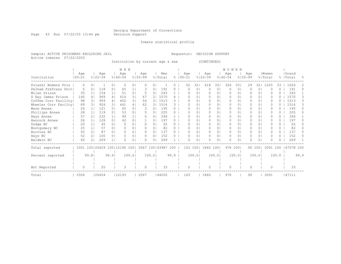Page 43 Run 07/22/03 13:44 pm Decision Support

Inmate statistical profile

Sample: ACTIVE PRISONERS EXCLUDING JAIL Requestor: DECISION SUPPORT Active inmates 07/22/2003

Institution by current age & sex (CONTINUED)

|                      |                   |       |                |                    |                              | M E N              |                |                    |                |                |      |                    |          |          |                    |          | <b>WOMEN</b>       |          |                    |                |                  |          |                 |          |
|----------------------|-------------------|-------|----------------|--------------------|------------------------------|--------------------|----------------|--------------------|----------------|----------------|------|--------------------|----------|----------|--------------------|----------|--------------------|----------|--------------------|----------------|------------------|----------|-----------------|----------|
| Institution          | Age<br>$100 - 21$ |       |                | Age<br>$8122 - 39$ |                              | Age<br>$8140 - 54$ |                | Age<br>$8155 - 99$ |                | Men<br>% Total |      | Age<br>$8100 - 21$ |          |          | Age<br>$8122 - 39$ |          | Age<br>$8140 - 54$ |          | Age<br>$8155 - 99$ |                | Women<br>% Total | 昙        | Grand<br> Total | ႜႂ       |
| Pulaski Womens Pris  |                   |       |                |                    | 0                            |                    | 0 I            |                    | 0.             |                |      |                    | 52       | 32       | 618                | 33       | 326                | 33       | 29                 | 321            | 1025             | 33       | 1026            | 2.       |
| Pelham PreTrans Unit |                   |       | $\Omega$       | 118                | $\Omega$                     | 65                 |                |                    | $\Omega$       | 191            | 0    |                    | O        | $\Omega$ | $\Omega$           | $\Omega$ | $\Omega$           | $\Omega$ | O                  | 0 <sup>1</sup> | O                | $\Omega$ | 191             | $\Omega$ |
| Milan Prison         |                   | 35    | 11             | 154                | 1 <sub>1</sub>               | 51                 | 0 <sub>1</sub> | 5                  | 01             | 245            |      |                    | O        | 0        | 0                  | 01       | $\Omega$           | 0        | 0                  | 0 <sup>1</sup> |                  | 0        | 245             |          |
| D Ray James Prison   |                   | 140   | 41             | 969                | 4                            | 414                | 3 <sub>1</sub> | 47                 | ا 2            | 1570           |      |                    |          | $\Omega$ | $\bigcap$          | $\Omega$ | $\bigcap$          | 0        |                    | $\Omega$       | U                | 0.       | 1570            | 3        |
| Coffee Corr Facility |                   | 98    | 3 I            | 959                | 4                            | 402                | 3 <sub>1</sub> | 54                 | 31             | 1513           |      |                    |          | 0        | $\Omega$           | 01       | $\Omega$           | 0        |                    | $\Omega$       | $\Omega$         |          | 1513            | २        |
| Wheeler Corr Facilty |                   | 89    | 31             | 924                | 31                           | 441                | 4              | 62                 |                | 3   1516       | 3    |                    | O        | 0        | $\Omega$           | $\Omega$ | $\Omega$           | $\Omega$ | 0                  | 0 <sub>1</sub> |                  |          | 1516            | 3        |
| Ware Annex           |                   | 26    |                | 121                | $\Omega$                     | 45                 | 0 <sub>1</sub> |                    | 0 I            | 195            | 0    |                    |          | 0        | $\Omega$           | 01       | $\Omega$           | 0        |                    | $\Omega$       | U                |          | 195             |          |
| Phillips Annex       |                   | 28    | 11             | 119                | 0 <sub>1</sub>               | 53                 | 0 <sub>1</sub> |                    | 01             | 205            | 0    |                    |          | 0        | $\Omega$           | 01       | $\Omega$           | $\Omega$ | 0                  | $\Omega$       | O                | 0        | 205             | n.       |
| Hays Annex           |                   | 57    |                | 232                | 11                           | 99                 |                | 6                  | 0 <sub>1</sub> | 394            |      |                    | U        | 0        | $\Omega$           | 01       | $\Omega$           | 0        | 0                  | 0 <sub>1</sub> |                  | 0        | 394             |          |
| Hancock Annex        |                   | 2.6   |                | 128                | $\Omega$                     | 42                 | 0 <sub>1</sub> |                    | 0              | 197            | U    |                    |          | 0        | $\Omega$           | 01       | $\Omega$           | 0        |                    | $\Omega$       |                  | 0        | 197             |          |
| Dodge BC             |                   | 20    |                | 45                 | $\Omega$                     | $\Omega$           | 0 <sub>1</sub> | $\Omega$           | $\Omega$       | 65             | 0    |                    |          | 0        | $\Omega$           | 01       | $\Omega$           | 0        |                    | $\Omega$       | O                | 0        | 65              |          |
| Montgomery BC        |                   | 25    |                | 57                 | $\Omega$                     |                    | 0 <sub>1</sub> | $\Omega$           | 0              | 82             |      |                    | O        | 0        | $\Omega$           | 01       | $\Omega$           | 0        | 0                  | 01             |                  | 0        | 82              |          |
| Burruss BC           |                   | 50    | 21             | 87                 | $\Omega$                     |                    | 0 <sub>1</sub> |                    | $\Omega$       | 137            | 0    |                    |          | 0        | $\Omega$           | $\Omega$ | $\Omega$           | 0        |                    | $\Omega$       |                  | 0        | 137             |          |
| Hays BC              |                   | 52    | 2 <sup>1</sup> | 100                | 0 <sub>1</sub>               | O                  | 0 <sub>1</sub> | $\Omega$           | $\Omega$       | 152            | 0    |                    | O        | $\Omega$ | $\Omega$           | $\circ$  | $\Omega$           | $\Omega$ | 0                  | 0 <sup>1</sup> | $\bigcap$        | $\Omega$ | 152             | 0        |
| Baldwin BC           |                   | 60    |                | 209                |                              |                    | $\Omega$       |                    | 01             | 269            |      |                    | O        | 0        | $\Omega$           | 0        | 0                  | 0        |                    | 0 <sub>1</sub> |                  |          | 269             |          |
| Total reported       |                   |       |                |                    | 3301 100 26429 100 12190 100 |                    |                |                    |                | 2067 100 43987 | 100  |                    | 163 100  |          | 1860 100           |          | 978 1001           |          |                    | 90 1001        | 3091 100         |          | 147078 100      |          |
|                      |                   |       |                |                    |                              |                    |                |                    |                |                |      |                    |          |          |                    |          |                    |          |                    |                |                  |          |                 |          |
| Percent reported     |                   | 99.81 |                |                    | 99.91                        |                    | 100.01         |                    | 100.01         |                | 99.9 |                    | 100.01   |          |                    | 100.01   |                    | 100.01   |                    | 100.01         |                  | 100.0    |                 | 99.9     |
|                      |                   |       |                |                    |                              |                    |                |                    |                |                |      |                    |          |          |                    |          |                    |          |                    |                |                  |          |                 |          |
|                      |                   |       |                |                    |                              |                    |                |                    |                |                |      |                    |          |          |                    |          |                    |          |                    |                |                  |          |                 |          |
| Not Reported         |                   | 5     |                | 25                 |                              | 3                  |                | $\Omega$           |                | 33             |      |                    | $\Omega$ |          | $\Omega$           |          | $\Omega$           |          | $\Omega$           |                | $\Omega$         |          | 33              |          |
| Total                | 3306              |       |                | 26454              |                              | 12193              |                | 2067               |                | 44020          |      | 163                |          |          | 1860               |          | 978                |          | 90                 |                | 3091             |          | 47111           |          |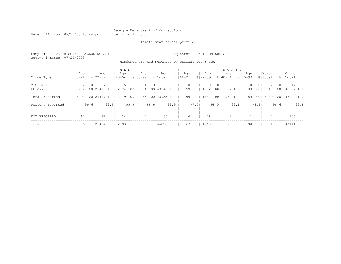# Georgia Department of Corrections<br>Decision Support

Page 44 Run 07/22/03 13:44 pm

Inmate statistical profile

| Sample: ACTIVE PRISONERS EXCLUDING JAIL<br>Active inmates | 07/22/2003        |                |                                                     |                |                             |       |                    |                |                    |       | Requestor:       |          |       | DECISION SUPPORT                               |       |                                    |                 |                    |                |                  |        |                              |      |
|-----------------------------------------------------------|-------------------|----------------|-----------------------------------------------------|----------------|-----------------------------|-------|--------------------|----------------|--------------------|-------|------------------|----------|-------|------------------------------------------------|-------|------------------------------------|-----------------|--------------------|----------------|------------------|--------|------------------------------|------|
|                                                           |                   |                |                                                     |                |                             |       |                    |                |                    |       |                  |          |       | Misdemeanors And Felonies by current age & sex |       |                                    |                 |                    |                |                  |        |                              |      |
| Crime Type                                                | Aqe<br>$100 - 21$ |                | Aqe<br>$8122 - 39$                                  |                | M E N<br>Aqe<br>$8140 - 54$ |       | Aqe<br>$8155 - 99$ |                | Men<br>% Total     |       | Aqe<br>%   00−21 |          |       | Aqe<br>$8122 - 39$                             |       | <b>WOMEN</b><br>Aqe<br>$8140 - 54$ |                 | Aqe<br>$8155 - 99$ |                | Women<br>% Total |        | Grand<br>%   Total           | - 옹  |
| MISDEMEANOR<br>FELONY                                     | 2.                | 0 <sup>1</sup> | 3292 100 26410 100 12174 100   2064 100   43940 100 | 0 <sub>1</sub> |                             |       |                    | 0 <sub>1</sub> | 15                 |       |                  |          | 01    | 159 100  1832 100                              |       | $\mathbb{Z}^-$                     | 0 I<br>967 1001 |                    | 0 <sup>1</sup> |                  |        | 89 100 3047 100 146987 100   |      |
| Total reported                                            |                   |                | 3294 100 26417 100 12179 100                        |                |                             |       |                    |                | 2065 100 43955 100 |       |                  | 159 1001 |       | 1832 1001                                      |       |                                    | 969 1001        |                    |                |                  |        | 89 100  3049 100   47004 100 |      |
| Percent reported                                          |                   | 99.61          |                                                     | 99.91          |                             | 99.91 |                    | 99.91          |                    | 99.91 |                  |          | 97.51 |                                                | 98.51 |                                    | 99.1            |                    | 98.91          |                  | $98.6$ |                              | 99.8 |
| NOT REPORTED                                              | 12                |                | 37                                                  |                | 14                          |       |                    |                | 65                 |       |                  |          |       | 28                                             |       | 9                                  |                 |                    |                | 42               |        | 107                          |      |
| Total                                                     | 3306              |                | 26454                                               |                | 12193                       |       | 2067               |                | 144020             |       |                  | 163      |       | 1860                                           |       | 978                                |                 | 90                 |                | 3091             |        | 147111                       |      |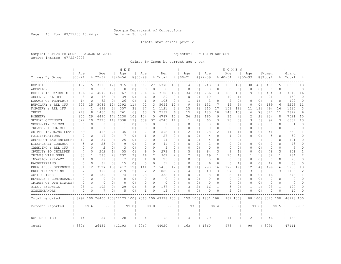Page 45 Run 07/22/03 13:44 pm Decision Support

### Inmate statistical profile

Sample: ACTIVE PRISONERS EXCLUDING JAIL Requestor: DECISION SUPPORT Active inmates 07/22/2003

Crimes By Group by current age & sex

|                      |                   |                 |                              |                 | M E N              |                 |                    |                |                    |              |                    |                 |                    |                | <b>WOMEN</b>       |                |                    |                |                  |              |                     |                 |
|----------------------|-------------------|-----------------|------------------------------|-----------------|--------------------|-----------------|--------------------|----------------|--------------------|--------------|--------------------|-----------------|--------------------|----------------|--------------------|----------------|--------------------|----------------|------------------|--------------|---------------------|-----------------|
| Crimes By Group      | Age<br>$100 - 21$ |                 | Age<br>$8122 - 39$           |                 | Age<br>$8140 - 54$ |                 | Age<br>$8155 - 99$ |                | Men<br>% Total     |              | Age<br>$8100 - 21$ |                 | Age<br>$8122 - 39$ |                | Age<br>$8140 - 54$ |                | Age<br>$8155 - 99$ |                | Women<br>% Total |              | Grand<br> Total     | 욲               |
| HOMICIDE             | 172               | 5               | 3116                         | 12 <sub>1</sub> | 1915               | 161             | 567                | 271            | 5770               | 13           | 14                 | 9 <sub>1</sub>  | 243                | 131            | 163                | 17             | 38                 | 431            | 458              | 15           | 6228                | 13              |
| ABORTION             | $\Omega$          | 0 <sub>1</sub>  | 0                            | 0               | 0                  | $\circ$         | $\circ$            | 0              | $\Omega$           | 0            | 0                  | $\circ$         | $\circ$            | 0 <sub>1</sub> | 0                  | $\circ$        | 0                  | 0 <sub>1</sub> | 0                | $\Omega$     | $\Omega$            | $\circ$         |
| BODILY INJRY&REL OFF | 476               | 14 <sub>1</sub> | 4579                         | 171             | 1767               | 15              | 286                | 14             | 7108               | 16           | 34                 | 211             | 236                | 131            | 125                | 131            | 9                  | 101            | 404              | 13           | 7512                | 16              |
| ARSON & REL OFF      | 8                 | $\Omega$        | 76                           | 0               | 39                 | 0               | 6                  | 0              | 129                | 0            | $\Omega$           | $\circ$         | 10                 | 1 <sup>1</sup> | 10                 | $1\vert$       |                    | 1 <sup>1</sup> | 21               | 1            | 150                 | $\Omega$        |
| DAMAGE OF PROPERTY   | 14                | 0               | 62                           | 0 <sub>1</sub>  | 26                 | 0 <sup>1</sup>  | 1                  | 0              | 103                | 0            | 1                  | 1 <sup>1</sup>  | 3                  | $\circ$        | 2                  | $\circ$        | $\Omega$           | 0 <sup>1</sup> | 6                | $\Omega$     | 109                 | $\Omega$        |
| BURGLARY & REL OFF   | 505               | 15 <sub>1</sub> | 3085                         | 12 <sub>1</sub> | 1392               | 11              | 72                 | 31             | 5054               | 12           | 9                  | 6               | 131                | 71             | 49                 | 5 <sub>1</sub> | 0                  | 0 <sup>1</sup> | 189              | 6            | 5243                | 11              |
| FORGERY & REL OFF    | 44                | 1 <sub>1</sub>  | 693                          | 3 <sub>1</sub>  | 357                | 31              | 27                 | 1 <sup>1</sup> | 1121               | 3            | 15                 | 9               | 315                | 171            | 153                | 161            | 11                 | 131            | 494              | 16           | 1615                | 3               |
| THEFT                | 248               | 8 <sub>1</sub>  | 1460                         | 61              | 761                | 61              | 63                 | 31             | 2532               | 6            | 15                 | 9               | 183                | 101            | 143                | 151            | 6                  | 7 <sub>1</sub> | 347              | 11           | 2879                | $6\overline{6}$ |
| <b>ROBBERY</b>       | 955               | 291             | 4490                         | 171             | 1238               | 101             | 104                | 5              | 6787               | 15           | 36                 | 231             | 160                | 9 <sub>1</sub> | 36                 | 4 <sub>1</sub> | 2                  | 21             | 234              | 8            | 7021                | 15              |
| SEXUAL OFFENSES      | 322               | 101             | 2926                         | 11              | 2338               | 19              | 659                | 32             | 6245               | 14           | 1                  | $\frac{1}{2}$   | 60                 | 31             | 28                 | 31             | 3                  | 31             | 92               | 3            | 6337                | 13              |
| OBSCENITY CRIMES     | $\Omega$          | $\Omega$        | Ω                            | 0               | 1                  | $\Omega$        | O                  | 0              |                    | $\Omega$     | O                  | $\Omega$        | $\Omega$           | 0 <sub>1</sub> | $\Omega$           | $\Omega$       | $\Omega$           | $\Omega$       | $\Omega$         | $\Omega$     | -1                  | $\Omega$        |
| TREASON & REL OFF    | $\Omega$          | 0 <sub>1</sub>  | -1                           | 0 <sub>1</sub>  | 1                  | 0 <sub>1</sub>  | 0                  | 0              | 2                  | 0            | O                  | $\circ$         | 0                  | 0 <sup>1</sup> | 0                  | 0 <sub>1</sub> | 0                  | 01             | 0                | $\Omega$     | $\overline{2}$      | $\Omega$        |
| CRIMES INVOLVNG GOVT | 39                | 1 <sub>1</sub>  | 416                          | 2 <sub>1</sub>  | 136                | 1 <sub>1</sub>  |                    | 01             | 598                | $\mathbf{1}$ | 2                  | 1 <sup>1</sup>  | 28                 | 2 <sub>1</sub> | 11                 | 1 <sup>1</sup> | 0                  | 01             | 41               | $\mathbf{1}$ | 639                 | -1              |
| FALSIFICATIONS       | $\overline{2}$    | 0 <sub>1</sub>  | 17                           | 0 <sub>1</sub>  | 7                  | 0 <sub>1</sub>  | $\mathbf{1}$       | 01             | 27                 | 0            | O                  | 0 <sub>1</sub>  | 4                  | 0 <sup>1</sup> | -1                 | $\circ$        | $\Omega$           | 0 <sup>1</sup> | 5                | $\Omega$     | 32                  | $\Omega$        |
| OBSTRUCT LAW ENFORCE | 10                | $\Omega$        | 57                           | 0 <sup>1</sup>  | 25                 | 01              | $\mathcal{D}$      | 01             | 94                 | $\Omega$     | O                  | 0 <sub>1</sub>  | 4                  | 0 <sub>1</sub> | 2                  | 0 <sub>1</sub> | -1                 | 1 <sup>1</sup> | 7                | $\Omega$     | 101                 | $\Omega$        |
| DISORDERLY CONDUCT   | .5                | 0 <sub>1</sub>  | 25                           | 0 <sub>1</sub>  | 9                  | 0               | 2                  | 01             | 41                 | 0            | O                  | $\Omega$        | 2                  | 0 <sub>1</sub> | $\Omega$           | $\circ$        | O                  | 0 <sup>1</sup> | 2                | 0            | 43                  | O               |
| GAMBLING & REL OFF   | $\Omega$          | 0 <sup>1</sup>  | 2                            | 0 <sub>1</sub>  | 3                  | $\Omega$        | $\Omega$           | 0              | 5                  | $\Omega$     | O                  | $\Omega$        | $\Omega$           | 0 <sub>1</sub> | 0                  | $\circ$        | O                  | 0 <sup>1</sup> | $\Omega$         | $\Omega$     | 5                   | 0               |
| CRUELTY TO CHILDREN  | 7                 | 01              | 202                          | 1 <sup>1</sup>  | 55                 | 01              | 9                  | 0              | 273                | $\mathbf{1}$ | 5                  | 31              | 64                 | 31             | 9                  | 1 <sup>1</sup> | 0                  | 0 <sup>1</sup> | 78               | 3            | 351                 | -1              |
| CRIMES WITH GUNS     | 33                | 1 <sub>1</sub>  | 586                          | 2 <sub>1</sub>  | 237                | 2 <sub>1</sub>  | 46                 | 2              | 902                | 2            | 2                  | 11              | 19                 | 1 <sub>1</sub> | 10                 | 1 <sup>1</sup> |                    | 1 <sub>1</sub> | 32               | $\mathbf{1}$ | 934                 | $\mathcal{D}$   |
| INVASION PRIVACY     | $\overline{4}$    | 0 <sub>1</sub>  | 11                           | 0 <sub>1</sub>  | 7                  | 0 <sub>1</sub>  | $\mathbf{1}$       | 0              | 23                 | $\Omega$     | $\Omega$           | $\circ$         | $\circ$            | 0 <sub>1</sub> | $\circ$            | $\circ$        | O                  | 0 <sub>1</sub> | $\circ$          | $\Omega$     | 23                  | $\Omega$        |
| RACKETEERING         | 0                 | 0 <sup>1</sup>  | 31                           | 0 <sub>1</sub>  | 15                 | 0               | 5                  | 0              | 51                 | 0            | 0                  | 0 <sup>1</sup>  | 6                  | 0 <sup>1</sup> | 6                  | 1 <sup>1</sup> | 0                  | 0 <sup>1</sup> | 12               | 0            | 63                  | 0               |
| DRUG ABUSE OFFENSES  | 381               | 121             | 3527                         | 131             | 1417               | 12 <sup>°</sup> | 141                | 71             | 5466               | 12           | 18                 | 11 <sup>1</sup> | 290                | 161            | 179                | 191            | 12                 | 141            | 499              | 16           | 5965                | 13              |
| DRUG TRAFFICKING     | 32                | 1 <sup>1</sup>  | 799                          | 31              | 219                | 2               | 32                 | 21             | 1082               | 2            | 4                  | 31              | 49                 | 3 <sub>1</sub> | 27                 | 3              | 3                  | 3              | 83               | 3            | 1165                | 2               |
| AUTO CRIMES          | 5                 | 01              | 130                          | 01              | 174                | 11              | 23                 | 11             | 332                | $\mathbf{1}$ | O                  | 01              | 8                  | 01             | 8                  | 1 <sup>1</sup> | 0                  | 01             | 16               | 1.           | 348                 | 1               |
| REVENUE & CONTRABAND | $\Omega$          | 0 <sub>1</sub>  | 0                            | 0 <sub>1</sub>  | 0                  | 0 <sub>1</sub>  | 0                  | 0 <sub>1</sub> | 0                  | 0            | 0                  | 0 <sub>1</sub>  | 0                  | 0 <sup>1</sup> | 0                  | 0 <sub>1</sub> | 0                  | 0 <sup>1</sup> | 0                | 0            | 0                   | 0               |
| CRIMES OF OTH STATES | $\Omega$          | 0 <sub>1</sub>  | 0                            | 0 <sub>1</sub>  | $\Omega$           | 0 <sub>1</sub>  | 0                  | 0              | $\Omega$           | $\Omega$     | $\Omega$           | $\circ$         | 0                  | 0 <sub>1</sub> | 0                  | 0 <sub>1</sub> | 0                  | 0 <sup>1</sup> | 0                | $\Omega$     | $\circ$             | $\Omega$        |
| MISC. FELONIES       | 28                | 1 <sub>1</sub>  | 102                          | 0 <sub>1</sub>  | 29                 | 0 <sub>1</sub>  | 8                  | 0              | 167                | $\Omega$     | ς                  | 21              | 16                 | 1 <sup>1</sup> | 3                  | $\circ$        | -1                 | 1 <sup>1</sup> | 23               | $\mathbf{1}$ | 190                 | $\Omega$        |
| MISDEMEANORS         | 2                 | 0 <sub>1</sub>  |                              | 0 <sub>1</sub>  | .5                 | 0 <sub>1</sub>  | -1                 | 0              | 15                 | 0            | 0                  | $\circ$         | 0                  | 0 <sub>1</sub> | 2                  | 0              | O                  | 0 <sub>1</sub> | 2                | 0            | 17                  | 0               |
| Total reported       |                   |                 | 3292 100 26400 100 12173 100 |                 |                    |                 |                    |                | 2063 100 43928 100 |              |                    | 159 1001        | 1831 100           |                | 967 100            |                |                    | 88 1001        |                  |              | 3045 100 146973 100 |                 |
| Percent reported     |                   | 99.61           |                              | 99.8            |                    | 99.8            |                    | 99.8           |                    | 99.8         |                    | 97.51           |                    | 98.41          |                    | 98.91          |                    | 97.81          |                  | 98.5         |                     | 99.7            |
|                      |                   |                 |                              |                 |                    |                 |                    |                |                    |              |                    |                 |                    |                |                    |                |                    |                |                  |              |                     |                 |
| NOT REPORTED         | 14                |                 | 54                           |                 | 20                 |                 | 4                  |                | 92                 |              | 4                  |                 | 29                 |                | 11                 |                | 2                  |                | 46               |              | 138                 |                 |
| Total                | 3306              |                 | 26454                        |                 | 12193              |                 | 2067               |                | 44020              |              | 163                |                 | 1860               |                | 978                |                | 90                 |                | 3091             |              | 47111               |                 |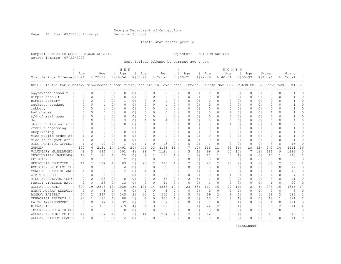Page 46 Run 07/22/03 13:44 pm Decision Support

#### Inmate statistical profile

Sample: ACTIVE PRISONERS EXCLUDING JAIL Requestor: DECISION SUPPORT Active inmates 07/22/2003

Most Serious Offense by current age & sex

|                                                                                                                                                          |                                    |                                  | <b>WOMEN</b>                                 |                            |                          |
|----------------------------------------------------------------------------------------------------------------------------------------------------------|------------------------------------|----------------------------------|----------------------------------------------|----------------------------|--------------------------|
| Age<br>Age<br>Age<br>Age<br>Men                                                                                                                          | Age<br>Age                         | Age                              | Age                                          | l Women                    | Grand                    |
| Most Serious Offense   00-21<br>$8122 - 39$<br>$8140 - 54$<br>$8155 - 99$<br>% Total<br>$8100 - 21$                                                      | $8122 - 39$                        | $8140 - 54$                      | $8155 - 99$                                  | % Total                    | %   Total                |
| NOTE: In the table below, misdemeanors come first, and are in lower-case letters. AFTER THAT COME FELONIES, IN UPPER-CASE LETTERS.                       |                                    |                                  |                                              |                            |                          |
| aggravated assault<br>0 <sub>1</sub><br>0<br>0 <sub>1</sub><br>0<br>0<br>0<br>$\Omega$<br>$\Omega$                                                       | O<br>$\circ$<br>0                  | 0 <sub>1</sub><br>0              | 0<br>0<br>0 <sup>1</sup>                     | 0<br>0                     | O                        |
| simple assault<br>0 <sup>1</sup><br>0 <sup>1</sup><br>0<br>$\mathbf{0}$<br>$\Omega$<br>0 <sub>1</sub><br>O                                               | 0<br>$\circ$<br>0                  | 0 <sub>1</sub><br>0              | $\circ$<br>0 <sub>1</sub><br>0               | O<br>0                     | $\Omega$                 |
| simple battery<br>$\Omega$<br>0 <sup>1</sup><br>$\Omega$<br>O<br>0 <sup>1</sup><br>$\Omega$<br>$\Omega$                                                  | $\Omega$<br>$\Omega$<br>$\Omega$   | 0 <sub>1</sub><br>0              | $\circ$<br>0 <sup>1</sup><br>$\Omega$        | $\Omega$<br>U              | $\cap$                   |
| reckless conduct<br>0 <sub>1</sub><br>0 <sub>1</sub><br>0 <sup>1</sup><br>1<br>$\Omega$  <br>$\Omega$<br>$\Omega$<br>$\Omega$                            | O<br>$\Omega$<br>0                 | 0 <sub>1</sub><br>$\Omega$       | 0 <sub>1</sub><br>$\Omega$<br>0 <sup>1</sup> | $\Omega$<br>$\Omega$       | $\Omega$                 |
| robbery<br>0 <sub>1</sub><br>0 <sub>1</sub><br>$\Omega$<br>0 <sub>1</sub><br>0 <sup>1</sup><br>$\Omega$<br>1<br>$\Omega$                                 | 0<br>0 <sup>1</sup><br>0           | 0 <sub>1</sub><br>$\Omega$       | 0 <sub>1</sub><br>0 <sup>1</sup><br>$\Omega$ | $\Omega$<br>$\Omega$       | O                        |
| bad checks<br>0 <sub>1</sub><br>0 <sup>1</sup><br>0<br>$\Omega$  <br>$\Omega$<br>$\Omega$<br>$\Omega$<br>0 <sub>1</sub>                                  | $\Omega$<br>0<br>0                 | 0 <sub>1</sub><br>-1             | 0 <sub>1</sub><br>0 <sup>1</sup><br>$\Omega$ | $\Omega$<br>1              | O                        |
| s/d of marijuana<br>$\Omega$<br>$\Omega$<br>$\Omega$<br>0 <sub>1</sub><br>$\Omega$  <br>0 <sup>1</sup><br>$\Omega$                                       | $\Omega$<br>$\Omega$<br>$\circ$    | $\Omega$<br>$\Omega$             | 0 <sub>1</sub><br>$\Omega$<br>0 <sup>1</sup> | $\cap$<br>$\Omega$         | $\mathbf{1}$<br>$\Omega$ |
| dui<br>3<br>0 <sub>1</sub><br>0 <sup>1</sup><br>0<br>$\Omega$  <br>0 <sub>1</sub><br>-1<br>4<br>$\Omega$                                                 | $\Omega$<br>$\Omega$<br>0          | 0 <sub>1</sub><br>$\Omega$       | 0 <sub>1</sub><br>0 <sup>1</sup><br>$\Omega$ | $\Omega$<br>0              | $\Omega$<br>4            |
| obstr of law enf off!<br>0 <sub>1</sub><br>0 <sub>1</sub><br>$\Omega$<br>0 <sub>1</sub><br>$\Omega$<br>0 <sub>1</sub><br>0<br>n                          | $\Omega$<br>$\Omega$<br>0          | 0 <sup>1</sup><br>-1             | 0 <sub>1</sub><br>$\Omega$<br>0 <sup>1</sup> | -1<br>$\Omega$             | $\Omega$                 |
| crmnl trespassing<br>$\Omega$<br>$\Omega$<br>$\Omega$<br>$\Omega$<br>$\Omega$<br>0 <sub>1</sub><br>$\Omega$                                              | $\Omega$<br>$\Omega$<br>$\Omega$   | $\Omega$<br>$\Omega$             | $\Omega$<br>0 <sub>1</sub><br>$\Omega$       | $\Omega$<br>$\Omega$       | $\cap$                   |
| shoplifting<br>0 <sub>1</sub><br>$\Omega$  <br>$\Omega$<br>0 <sub>1</sub><br>$\Omega$<br>$\Omega$  <br>$\Omega$<br>$\Omega$                              | O<br>$\Omega$<br>$\Omega$          | $\Omega$<br>$\Omega$             | $\Omega$<br>$\Omega$<br>01                   | O<br>0                     | ∩                        |
| misc public order of<br>0<br>0 <sub>1</sub><br>$\Omega$<br>0 <sub>1</sub><br>0 <sub>1</sub><br>$\Omega$<br>0 <sub>1</sub><br>$\Omega$<br>-1              | O<br>$\Omega$<br>0                 | 0 <sub>1</sub><br>0              | 0 <sub>1</sub><br>$\Omega$<br>0 <sup>1</sup> | $\Omega$<br>0              | Λ                        |
| misc abuse govt offil<br>0 <sup>1</sup><br>0 <sub>1</sub><br>0<br>$\Omega$  <br>$\Omega$<br>0 <sub>1</sub><br>0<br>$\Omega$<br>-1                        | $\Omega$<br>0<br>0                 | 0 <sub>1</sub><br>0              | 0 <sub>1</sub><br>0<br>0 <sup>1</sup>        | $\Omega$<br>$\Omega$       | U                        |
| $\overline{1}$<br>13<br>MISC HOMICIDE OFFENS<br>10<br>1<br>0<br>$\Omega$<br>1<br>0 <sub>1</sub><br>0<br>0 <sub>1</sub>                                   | $\circ$<br>$\mathbf{1}$<br>0       | $\overline{c}$<br>0 <sub>1</sub> | $\circ$<br>0 <sup>1</sup><br>0               | 3<br>0                     | 16<br>$\Omega$           |
| 2131<br>4168<br>MURDER<br>100<br>1491<br>201<br>446<br>331<br>16<br>61<br>14 <sub>1</sub>                                                                | 101<br>116                         | 11<br>92                         | 161<br>28<br>521                             | 243<br>14                  | 4411<br>16               |
| 684<br>VOLUNTARY MANSLAUGHT<br>301<br>88<br>1121<br>48<br>4 <sub>1</sub><br>3 I<br>4<br>71<br>4                                                          | 3<br>96<br>4 <sup>1</sup>          | 91<br>55                         | 101<br>131<br>7                              | 9<br>161                   | 1282<br>5                |
| 25<br>131<br>INVOLUNTARY MANSLAUG<br>12<br>85<br>1 <sup>1</sup><br>0 <sub>1</sub><br>1 <sub>1</sub><br>1 <sub>1</sub><br>9<br>1                          | 1 <sup>1</sup><br>11<br>1          | 11<br>5                          | 1 <sup>1</sup><br>0 <sup>1</sup><br>$\Omega$ | 17<br>$\mathbf{1}$         | 148<br>1                 |
| $\mathcal{D}$<br>3<br>FETICIDE<br>$\Omega$<br>0 <sub>1</sub><br>0 <sub>1</sub><br>$\Omega$<br>0<br>0<br>0 <sub>1</sub>                                   | 0<br>$\circ$<br>0                  | 0 <sub>1</sub><br>0              | $\circ$<br>0 <sup>1</sup><br>$\Omega$        | 0<br>0                     | 3<br>$\Omega$            |
| 320<br>VEHICULAR HOMICIDE<br>11<br>197<br>1 <sup>1</sup><br>89<br>23<br>1 <sub>1</sub><br>1 <sub>1</sub><br>ا 2<br>1.                                    | 2<br>31<br>20                      | 21<br>10                         | 2 <sub>1</sub><br>3<br>61                    | 35<br>$\overline{2}$       | 355                      |
| 8<br>12<br>HOMICIDE BY PILOT, DU<br>0 <sub>1</sub><br>0 <sub>1</sub><br>$\overline{4}$<br>0 <sub>1</sub><br>$\Omega$<br>$\Omega$<br>$\Omega$<br>$\Omega$ | O<br>$\Omega$<br>0                 | $\Omega$<br>0                    | 0 <sub>1</sub><br>$\Omega$<br>0 <sup>1</sup> | $\Omega$<br>$\Omega$       | 12<br>$\Omega$           |
| CONCEAL DEATH OF ANO<br>0 <sub>1</sub><br>5<br>2<br>0 <sub>1</sub><br>9<br>$\Omega$<br>0 <sub>1</sub><br>0 <sub>1</sub><br>1<br>1                        | 1 <sup>1</sup><br>-1<br>0          | 0 <sub>1</sub><br>0              | 0 <sub>1</sub><br>$\Omega$<br>0 <sup>1</sup> | $\Omega$<br>1              | 10<br>$\Omega$           |
| 5<br>1<br>$\Omega$<br>ATMPT MURDER<br>$\Omega$<br>0 <sup>1</sup><br>0 <sub>1</sub><br>0 <sub>1</sub><br>$\Omega$<br>6<br>$\Omega$                        | $\Omega$<br>$\Omega$<br>0          | 0 <sub>1</sub><br>1              | $\Omega$<br>$\Omega$<br>0 <sup>1</sup>       | 1<br>$\Omega$              | 7<br>$\cap$              |
| 26<br>$\mathcal{L}$<br>2<br>8<br>38<br>MISC ASSAULT/BATTERY<br>0 <sup>1</sup><br>$\Omega$  <br>0 <sub>1</sub><br>0 <sub>1</sub><br>0                     | $\mathfrak{D}$<br>31<br>1          | 0 <sup>1</sup><br>$\Omega$       | 0 <sub>1</sub><br>$\Omega$<br>0 <sup>1</sup> | 3<br>$\Omega$              | $\Omega$<br>41           |
| 26<br>2<br>13<br>$\Omega$<br>41<br>FAMILY VIOLENCE BATT<br>0 <sub>1</sub><br>0 <sub>1</sub><br>0 <sub>1</sub><br>0<br>0                                  | $\circ$<br>$\circ$<br>$\mathbf{1}$ | 0 <sup>1</sup><br>$\Omega$       | $\circ$<br>$\Omega$<br>0 <sup>1</sup>        | -1<br>0                    | 42<br>$\Omega$           |
| 1020<br><b>AGGRAV ASSAULT</b><br>309<br>191<br>2818<br>181<br>131<br>191<br>4338<br>14 I<br>17                                                           | 23<br>331<br>161                   | 161<br>92                        | 161<br>$\mathfrak{D}$<br>4                   | 278<br>16                  | 4616<br>17               |
| ATMPT AGGRAV ASSAULT<br>$\Omega$<br>0<br>3<br>0<br>0 <sup>1</sup><br>$\Omega$<br>0<br>3<br>0<br>$\Omega$                                                 | $\Omega$<br>$\circ$<br>0           | 0 <sup>1</sup><br>0              | $\circ$<br>$\Omega$<br>0 <sup>1</sup>        | $\circ$<br>0               | 3<br>$\Omega$            |
| <b>AGGRAV BATTERY</b><br>37<br>21<br>347<br>2 <sub>1</sub><br>143<br>2 <sub>1</sub><br>23<br>$\overline{2}$<br>550<br>$\mathcal{L}$                      | 71<br>19                           | 21<br>9                          | $\overline{2}$<br>ς<br>61                    | $\overline{2}$<br>36       | 2<br>586                 |
| TERRORIST THREATS &<br>185<br>88<br>303<br>24<br>$\Omega$  <br>1 <sup>1</sup><br>1 <sup>1</sup><br>1 <sup>1</sup><br>6<br>$\mathbf{1}$                   | $\Omega$<br>$\Omega$<br>10         | 8<br>11                          | 1 <sup>1</sup><br>$\Omega$<br>01             | 18<br>$\mathbf{1}$         | 321<br>-1                |
| 77<br>32<br>3<br>117<br>FALSE IMPRISONMENT<br>5<br>0 <sub>1</sub><br>1 <sup>1</sup><br>0 <sub>1</sub><br>0 <sub>1</sub><br>0                             | 0 <sub>1</sub><br>-1<br>0          | 0 <sub>1</sub><br>3              | 1 <sup>1</sup><br>0<br>0 <sup>1</sup>        | $\overline{4}$<br>$\Omega$ | 121<br>$\Omega$          |
| 753<br>1181<br>73<br>51<br>319<br>4 <sub>1</sub><br>36<br>5<br>KIDNAPPING<br>4<br>31                                                                     | 22<br>1 <sup>1</sup><br>1          | 21<br>6                          | 1 <sup>1</sup><br>21                         | $\overline{2}$<br>30       | 1211<br>4                |
| INTERFERENCE WITH CU<br>$\circ$<br>0 <sub>1</sub><br>6<br>0 <sub>1</sub><br>$\Omega$<br>0 <sub>1</sub><br>$\Omega$<br>0 <sup>1</sup><br>$\Omega$<br>6    | $\Omega$<br>$\Omega$<br>$\circ$    | 0 <sup>1</sup><br>$\Omega$       | 0 <sub>1</sub><br>0 <sub>1</sub><br>$\Omega$ | $\Omega$<br>$\Omega$       | 6<br>$\Omega$            |
| 294<br>197<br>AGGRAV ASSAULT POLCE<br>12<br>1 <sup>1</sup><br>71<br>1 <sub>1</sub><br>14<br>1 <sub>1</sub><br>11<br>1.                                   | $\mathcal{D}$<br>31<br>12          | 3<br>1 <sup>1</sup>              | 1 <sup>1</sup><br>21<br>-1.                  | 18<br>$\mathbf{1}$         | 312<br>-1                |
| AGGRAV BATTERY PEACE<br>8<br>$\Omega$<br>$\mathcal{D}$<br>11<br>1<br>0 <sup>1</sup><br>0 <sub>1</sub><br>$\Omega$<br>$\Omega$  <br>$\Omega$              | $\Omega$<br>$\Omega$<br>$\Omega$   | 0 <sup>1</sup><br>O              | $\Omega$<br>0 <sup>1</sup><br>$\Omega$       | $\Omega$<br>$\Omega$       | 11<br>$\Omega$           |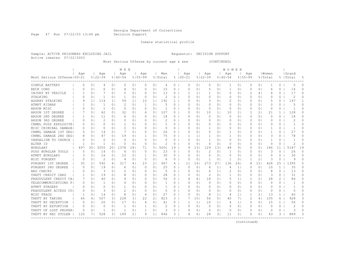Page 47 Run 07/22/03 13:44 pm Decision Support

Inmate statistical profile

Sample: ACTIVE PRISONERS EXCLUDING JAIL Requestor: DECISION SUPPORT Active inmates 07/22/2003

Most Serious Offense by current age & sex (CONTINUED)

|                                               |          |                |               |                | M E N          |                |                |                |               |          |             |                |                |                | W O M E N    |                |             |                |          |                |           |          |
|-----------------------------------------------|----------|----------------|---------------|----------------|----------------|----------------|----------------|----------------|---------------|----------|-------------|----------------|----------------|----------------|--------------|----------------|-------------|----------------|----------|----------------|-----------|----------|
|                                               | Age      |                | Age           |                | Age            |                | Age            |                | Men           |          | Age         |                | Age            |                | Aqe          |                | Aqe         |                | Women    |                | Grand     |          |
| Most Serious Offense   00-21                  |          |                | $8122 - 39$   |                | $8140 - 54$    |                | $8155 - 99$    |                | % Total       |          | $8100 - 21$ |                | $8122 - 39$    |                | $8140 - 54$  |                | $8155 - 99$ |                | % Total  |                | %   Total |          |
| SIMPLE BATTERY                                | 0        | 0 <sub>1</sub> | 4             | 0 <sub>1</sub> | $\Omega$       | 0 <sub>1</sub> | 0              | 0 <sub>1</sub> | 4             | $\circ$  | $\Omega$    | 0 <sup>1</sup> | 0              | 01             | 1            | 0              | $\Omega$    | 0 <sup>1</sup> | -1       | 0              | 5         | 0        |
| RECK COND                                     |          | 0 <sub>1</sub> | 6             | 0              | 4              | 0 <sub>1</sub> | $\Omega$       | 0 <sub>1</sub> | 10            | $\circ$  | $\Omega$    | 0              | 5              | 01             | $\mathbf 1$  | 0              | 0           | $\circ$        | 6        | 0              | 16        | 0        |
| INJURY BY VEHICLE                             |          | 0 <sub>1</sub> |               | 0 <sub>1</sub> |                | 0 <sub>1</sub> | $\Omega$       | 0 <sub>1</sub> | 13            | 0        |             | $\mathbf{1}$   |                | 0              | 0            | 0              | 2           | 4 <sub>1</sub> | 4        | 0              | 17        | U        |
| STALKING                                      | $\Omega$ | 0 <sub>1</sub> | 1             | 0              | -1             | 0 <sub>1</sub> | $\Omega$       | $\Omega$       | 2             | 0        | $\Omega$    | $\Omega$ I     | 0              | 01             | $\Omega$     | 0              | O           | 0 <sup>1</sup> | O        | $\Omega$       | 2         | U        |
| AGGRAV STALKING                               |          | 1 <sup>1</sup> | 114           | 11             | 59             | 11             | 10             | 11             | 192           | 1.       | O           | 01             | 3              | 01             | 2            | 0 <sup>1</sup> | 0           | 0 I            | 5        | $\Omega$       | 197       |          |
| ATMPT KIDNAP                                  |          | 0 <sub>1</sub> |               | 0 <sub>1</sub> | 2              | 0 <sub>1</sub> | -1             | 0 <sub>1</sub> | 5             | $\Omega$ | 0           | $\Omega$       | 0              | 01             | $\Omega$     | 0 <sup>1</sup> | 0           | 0 I            | 0        | $\Omega$       | 5         | O        |
| ARSON MISC                                    |          | 0 <sub>1</sub> | 1             | 0 <sub>1</sub> | $\circ$        | 0 <sub>1</sub> | 0              | 0 <sub>1</sub> |               | 0        | 0           | 0 <sup>1</sup> | 0              | 01             | 0            | 0 <sup>1</sup> | 0           | 0 <sup>1</sup> | $\circ$  | 0              |           | U        |
| ARSON 1ST DEGREE                              |          | 0 <sub>1</sub> | 62            | 0 <sub>1</sub> | 32             | 0 <sub>1</sub> | 6              | 0 <sub>1</sub> | 107           | $\circ$  | 0           | 01             | 10             | 1 <sub>1</sub> | 10           | 2 <sub>1</sub> |             | 21             | 21       | $\mathbf{1}$   | 128       | O        |
| ARSON 2ND DEGREE                              |          | 0 <sup>1</sup> | 11            | 0 <sub>1</sub> | 6              | 0 <sub>1</sub> | $\Omega$       | 0 <sub>1</sub> | 18            | $\circ$  | $\Omega$    | 0 <sub>1</sub> | $\circ$        | 0 <sub>1</sub> | $\circ$      | 0 <sub>1</sub> | $\Omega$    | 0 <sup>1</sup> | $\circ$  | 0              | 18        | $\cap$   |
| ARSON 3RD DEGREE                              |          | 0 <sub>1</sub> | $\mathcal{D}$ | 0 <sub>1</sub> | 0              | 0 <sub>1</sub> | $\Omega$       | 0 <sub>1</sub> | $\mathcal{D}$ | $\circ$  | $\Omega$    | $\Omega$       | 0              | 01             | 0            | 0 <sup>1</sup> | $\Omega$    | 0 <sup>1</sup> | $\Omega$ | 0              | 2         | $\Omega$ |
| CRMNL POSS EXPLOSIVE                          |          | 0 <sub>1</sub> | $\Omega$      | 0 <sup>1</sup> | -1             | 0 <sub>1</sub> | $\bigcap$      | 0 <sup>1</sup> | -1            | $\circ$  | $\Omega$    | $\Omega$       | 0              | 01             | $\Omega$     | 0 <sup>1</sup> | $\Omega$    | 0 <sup>1</sup> | O        | $\Omega$       | -1        | 0        |
| MISC CRIMINAL DAMAGE                          | 0        | 0 <sub>1</sub> | $\Omega$      | 0 <sup>1</sup> | $\Omega$       | 0 <sub>1</sub> | $\Omega$       | 0 <sub>1</sub> | 0             | $\circ$  | 0           | $\Omega$       | 1              | 01             | $\Omega$     | 0 <sup>1</sup> | $\Omega$    | $\Omega$       | 1        | 0              | -1        | 0        |
| CRMNL DAMAGE 1ST DEGI                         |          | 01             | 14            | 0 <sub>1</sub> |                | 0 <sub>1</sub> | $\Omega$       | 0 <sub>1</sub> | 26            | $\circ$  | $\Omega$    | 0 <sub>1</sub> | 0              | 0 <sup>1</sup> | 1            | 0              | 0           | 0 <sup>1</sup> | -1       | 0              | 27        | $\Omega$ |
| CRMNL DAMAGE 2ND DEGI                         | 8        | 0 <sub>1</sub> | 47            | 0 <sub>1</sub> | 19             | 0 <sub>1</sub> |                | 0 <sub>1</sub> | 75            | 0        |             | 11             | 1              | 01             | 1            | 0 <sup>1</sup> | 0           | 0 <sup>1</sup> | 3        | 0              | 78        | O        |
| VANDALISM TO CHURCH                           | $\Omega$ | 0 <sub>1</sub> | $\Omega$      | 0 <sub>1</sub> | $\Omega$       | 0 <sub>1</sub> | $\Omega$       | 0 <sub>1</sub> | $\Omega$      | 0        | $\Omega$    | 0 <sub>1</sub> | 1              | 0 <sup>1</sup> | 0            | 0 <sup>1</sup> | 0           | 0 <sup>1</sup> | -1       | 0              |           | $\Omega$ |
| ALTER ID                                      |          | 0 <sub>1</sub> |               | 0              | $\Omega$       | 0 <sub>1</sub> | 0              | 0 <sub>1</sub> | 2             | 0        | $\Omega$    | $\circ$        | 0              | 0              | 0            | $\circ$        | 0           | 0 <sup>1</sup> | 0        | 0              | 2         | O        |
| <b>BURGLARY</b>                               | 497      | 301            | 3055          | 201            | 1378           | 181            | 71             | 5 I            | 5001          | 19       | 9           | 131            | 129            | 131            | 48           | 9              | 0           | 0 <sup>1</sup> | 186      | 11             | 5187      | 19       |
| POSS BURGLAR TOOLS                            | 5        | $\circ$        | 14            | 0              | $\overline{4}$ | 0 <sub>1</sub> | $\Omega$       | 0              | 23            | 0        | $\Omega$    | $\Omega$       | 2              | 01             | 1            | 0              | $\Omega$    | $\circ$        | 3        | $\Omega$       | 26        | O        |
| ATMPT BURGLARY                                |          | $\Omega$       | 16            | $\Omega$       | 10             | 0 <sub>1</sub> | -1             | 01             | 30            | 0        | O           | $\Omega$       | $\Omega$       | $\Omega$       | $\Omega$     | $\Omega$       | 0           | $\circ$        | $\Omega$ | $\Omega$       | 30        | $\Omega$ |
| MISC FORGERY                                  | C        | $\Omega$       | $\mathcal{D}$ | $\Omega$       | $\overline{4}$ | 0 <sub>1</sub> | $\Omega$       | $\Omega$       | 6             | 0        | $\Omega$    | $\Omega$       | $\mathbf{1}$   | $\Omega$       | $\mathbf{1}$ | $\Omega$       |             | 21             | 3        | $\Omega$       | Q         | U        |
| FORGERY 1ST DEGREE                            | 35       | 21             | 592           | 41             | 317            | 4              | 23             | $\overline{2}$ | 967           | 4        | 11          | 16             | 273            | 271            | 136          | 24             | 8           | 151            | 428      | 25             | 1395      | 5        |
| FORGERY 2ND DEGREE                            | 0        | 01             | 19            | 0 <sub>1</sub> | 6              | 0 <sub>1</sub> | 0              | 0 <sub>1</sub> | 25            | 0        | $\Omega$    | $\circ$        | 6              | 1              | 4            | 1 <sup>1</sup> | 0           | 0 <sup>1</sup> | 10       | $\mathbf{1}$   | 35        | $\Omega$ |
| <b>BAD CHECKS</b>                             |          | 0 <sub>1</sub> | 3             | 0 <sub>1</sub> | 2              | 0 <sub>1</sub> | O              | 0 <sub>1</sub> | 5             | $\circ$  | $\Omega$    | 0 <sup>1</sup> | 6              | $1\vert$       | 2            | 0 <sub>1</sub> | 0           | 0 <sub>1</sub> | 8        | 0              | 13        | $\Omega$ |
| THEFT CREDIT CARD                             |          | 0 <sub>1</sub> | 19            | 0 <sub>1</sub> | 8              | 0 <sub>1</sub> | 0              | 0 <sub>1</sub> | 28            | $\circ$  | 0           | $\Omega$ I     | $\overline{c}$ | 01             | 1            | 0 <sub>1</sub> | 0           | 01             | 3        | 0              | 31        | $\Omega$ |
| FRAUDULENT CREDIT CA                          |          | 0 <sub>1</sub> | 40            | 0 <sub>1</sub> | 9              | 0 <sub>1</sub> | $\Omega$       | 0 <sub>1</sub> | 56            | $\circ$  | 4           | 61             | 18             | 21             | 5            | 1 <sup>1</sup> |             | 2 <sub>1</sub> | 28       | $\overline{2}$ | 84        | $\Omega$ |
| TELECOMMUNICATIONS F                          | 0        | 0 <sub>1</sub> | 1             | 0 <sub>1</sub> | $\circ$        | 0 <sub>1</sub> | $\Omega$       | 0 <sub>1</sub> | 1             | $\circ$  | $\Omega$    | 0 <sub>1</sub> | $\circ$        | 01             | 0            | 0 <sub>1</sub> | 0           | 0 <sub>1</sub> | $\Omega$ | 0              | -1        | $\cap$   |
| ATMPT FORGERY                                 | $\Omega$ | 0 <sub>1</sub> | $\Omega$      | 0 <sup>1</sup> | 1              | 0 <sub>1</sub> | $\Omega$       | 0 <sub>1</sub> | 1             | $\Omega$ | $\Omega$    | $\Omega$       | 0              | $\Omega$ I     | $\Omega$     | 0 <sub>1</sub> | $\Omega$    | 0 <sup>1</sup> | $\Omega$ | $\Omega$       | -1        | $\cap$   |
| FRAUDULENT ACCESS CO                          | $\Omega$ | 0 <sub>1</sub> | 3             | 0 <sub>1</sub> | 2              | 0 <sub>1</sub> | $\Omega$       | 0 <sub>1</sub> | 5             | $\circ$  | $\Omega$    | $\Omega$       | 0              | 01             | 0            | 0 <sup>1</sup> | 0           | 0 <sup>1</sup> | $\Omega$ | 0              | 5         | $\Omega$ |
| MISC FRAUD                                    | -1       | 0 <sub>1</sub> | 14            | 0 <sub>1</sub> | 8              | 0 <sub>1</sub> | $\overline{4}$ | 0 <sub>1</sub> | 27            | $\circ$  | $\Omega$    | 0 <sup>1</sup> | 8              | 1 <sub>1</sub> | 4            | 1 <sub>1</sub> | 1           | 21             | 13       | $\mathbf{1}$   | 40        | 0        |
| THEFT BY TAKING                               | 66       | 4              | 507           | 31             | 228            | 3 <sub>1</sub> | 22             | 21             | 823           | 3        |             | 101            | 56             | 5              | 40           | 7 I            | 2           | 4              | 105      | 6              | 928       | 3        |
| THEFT BY DECEPTION                            | $\Omega$ | 01             | 20            | 0 <sub>1</sub> | 17             | 0 <sub>1</sub> | 4              | 0 <sub>1</sub> | 41            | 0        | 1           | 1 <sup>1</sup> | 10             | 11             | 4            | 1 <sub>1</sub> | 0           | 01             | 15       | $\mathbf{1}$   | 56        | 0        |
| THEFT BY EXTORTION                            | $\Omega$ | 0 <sub>1</sub> | $\Omega$      | 0 <sub>1</sub> | -1             | 0 <sub>1</sub> | -1             | 0 <sub>1</sub> | 2             | 0        | O           | 0 <sup>1</sup> | 0              | 0 <sub>1</sub> | 0            | 0 <sub>1</sub> | 0           | 0 <sup>1</sup> | 0        | 0              |           | O        |
| THEFT OF LOST PROPER                          | O        | 0 <sub>1</sub> |               | 0              | -1             | 0 <sub>1</sub> | -1             | 0              | 3             | 0        | 0           | 0              | 0              | 01             | 0            | 0              |             | 0 I            | 0        | 0              | 3         | 0        |
| THEFT BY REC STOLEN<br>---------------------- | 120      |                | 528           | 31             | 189            | 21             | 9              | 1 <sub>1</sub> | 846           | 3        | 4           | 6              | 28             | 31             | 11           | 2              | O           | 0 <sup>1</sup> | 43       | 3              | 889       | 3        |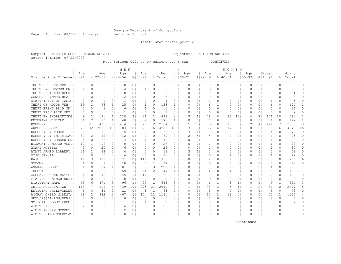Page 48 Run 07/22/03 13:44 pm Decision Support

Inmate statistical profile

Sample: ACTIVE PRISONERS EXCLUDING JAIL Requestor: DECISION SUPPORT Active inmates 07/22/2003

Most Serious Offense by current age & sex (CONTINUED)

| Age<br>Grand<br>Aqe<br>Aqe<br>Aqe<br>Men<br>Age<br>Age<br>Age<br>Aqe<br>Women<br>Most Serious Offense   00-21<br>$8122 - 39$<br>$8140 - 54$<br>$8155 - 99$<br>$8100 - 21$<br>$8122 - 39$<br>$8155 - 99$<br>% Total<br>$8140 - 54$<br>응 Total<br>%  Total<br>욲<br>THEFT OF SERVICES<br>2<br>0 <sub>1</sub><br>0 <sub>1</sub><br>2<br>0<br>0 <sub>1</sub><br>$\Omega$<br>0 <sub>1</sub><br>0<br>0<br>$\Omega$<br>0 <sup>1</sup><br>0<br>0  <br>0<br>0<br>0 <sub>1</sub><br>0<br>0<br>2<br>O<br>0<br>3<br>THEFT BY CONVERSION<br>0 <sup>1</sup><br>15<br>0 <sub>1</sub><br>0 <sub>1</sub><br>01<br>31<br>0<br>0 <sub>1</sub><br>2<br>0 <sup>1</sup><br>0 <sup>1</sup><br>5<br>36<br>$\cap$<br>14<br>1<br>$\Omega$<br>01<br>0<br>0<br>1<br>THEFT OF TRADE SECRE<br>0 <sub>1</sub><br>1<br>0 <sub>1</sub><br>$\Omega$<br>0 <sub>1</sub><br>$\Omega$<br>0 <sub>1</sub><br>0<br>$\Omega$<br>$\Omega$ I<br>0<br>01<br>0<br>0<br>O<br>0 <sup>1</sup><br>O<br>0<br>U<br>$\Omega$<br>CONVSN PAYMNTS REAL<br>0 <sub>1</sub><br>1<br>$\Omega$<br>2<br>0 <sup>1</sup><br>$\Omega$ 1<br>3<br>0<br>0<br>01<br>$\Omega$<br>$\Omega$<br>O<br>$\Omega$<br>O<br>0<br>3<br>∩<br>$\Omega$<br>0<br>O<br>01<br>5<br>ATMPT THEFT BY TAKIN<br>2<br>-1<br>0 <sub>1</sub><br>0 <sub>1</sub><br>0<br>01<br>0<br>-1<br>U<br>01<br>01<br>-1<br>O<br>4<br>O<br>01<br>-1<br>0<br>0<br>0 I<br>0<br>138<br>93<br>25<br>THEFT OF MOTOR VEH,<br>19<br>1 <sub>1</sub><br>1 <sub>1</sub><br>0 <sub>1</sub><br>0 <sub>1</sub><br>$\mathbf{1}$<br>$\Omega$ I<br>6<br>1  <br>0 <sup>1</sup><br>0<br>144<br>-1<br>O<br>0<br>0<br>0 I<br>6<br>THEFT BRING PROP IN<br>9<br>0 <sub>1</sub><br>6<br>01<br>16<br>$\Omega$<br>0 <sub>1</sub><br>01<br>0 <sup>1</sup><br>O<br>$\Omega$<br>16<br>$\Omega$<br>0 <sup>1</sup><br>0 <sub>1</sub><br>1<br>$\Omega$<br>0<br>0<br>$\Omega$<br>0 <sup>1</sup><br>O<br>2<br>2<br>THEFT RECV PROP OUT<br>0 <sub>1</sub><br>0 <sub>1</sub><br>$\Omega$<br>0 <sub>1</sub><br>0<br>$\Omega$ I<br>0  <br>0 <sup>1</sup><br>0 <sup>1</sup><br>O<br>$\Omega$<br>O<br>0 <sup>1</sup><br>1<br>-1<br>$\Omega$<br>0<br>0<br>O<br>0<br>620<br>$\mathcal{D}$<br>191<br>228<br>21<br>449<br>2<br>151<br>171<br>10<br>THEFT BY SHOPLIFTING<br>1 <sub>1</sub><br>1 <sub>1</sub><br>31<br>21<br>$\overline{4}$<br>78<br>81<br>86<br>71<br>9<br>З<br>4<br>1 <sup>1</sup><br>2<br>171<br>0<br>172<br>ENTERING VEHICLE<br>31<br>2 <sub>1</sub><br>90<br>48<br>1 <sup>1</sup><br>0 <sub>1</sub><br>$\mathbf{1}$<br>$\circ$<br>$\circ$<br>1<br>$\circ$<br>0<br>0 <sup>1</sup><br>1<br>1<br>01<br>$\Omega$<br>2184<br>121<br>7<br>2305<br>8<br>ROBBERY<br>337<br>211<br>1405<br>91<br>414<br>5 <sub>1</sub><br>28<br>21<br>8<br>15<br>22<br>85<br>81<br>19<br>31<br>2<br>4<br>2896<br>321<br>191<br>783<br>4281<br>17<br>95<br>ARMED ROBBERY<br>527<br>101<br>75<br>13<br>191<br>65<br>31<br>$\Omega$<br>$\Omega$<br>6<br>4376<br>16<br>61<br>17<br>61<br>22<br>39<br>0 <sub>1</sub><br>.5<br>3<br>70<br>$\Omega$<br>ROBBERY BY FORCE<br>1 <sup>1</sup><br>0 <sub>1</sub><br>0 <sup>1</sup><br>66<br>$\circ$<br>4<br>$\Omega$<br>0 <sub>1</sub><br>01<br>$\Omega$<br>$\Omega$<br>-1<br>$\Omega$<br>$\Omega$<br>4<br>21<br>12<br>2<br>95<br>$\Omega$<br>ROBBERY BY INTIMIDAT<br>30<br>47<br>0 <sub>1</sub><br>0 <sub>1</sub><br>$\Omega$<br>0 <sub>1</sub><br>89<br>$\circ$<br>31<br>4<br>01<br>0<br>0 <sub>1</sub><br>$\Omega$<br>0 <sup>1</sup><br>0<br>6<br>$\Omega$<br>ROBBERY BY SUDDEN SNI<br>5<br>0 <sub>1</sub><br>28<br>0 <sub>1</sub><br>14<br>0 <sub>1</sub><br>0 <sub>1</sub><br>48<br>$\circ$<br>$\Omega$<br>$\Omega$<br>1<br>01<br>0<br>0 <sup>1</sup><br>0 <sup>1</sup><br>0<br>49<br>0<br>-1<br>HIJACKING MOTOR VEHI<br>27<br>28<br>O<br>10<br>1 <sup>1</sup><br>17<br>0 <sub>1</sub><br>0<br>0 <sub>1</sub><br>$\Omega$<br>0 <sub>1</sub><br>$\circ$<br>$\Omega$<br>$\Omega$ I<br>1<br>01<br>0<br>0<br>0 <sup>1</sup><br>1<br>0<br>0<br>3<br>$\Omega$<br>ATMPT ROBBERY<br>20<br>0 <sub>1</sub><br>0 <sub>1</sub><br>29<br>$\circ$<br>$\Omega$<br>1<br>0<br>-1<br>0<br>30<br>01<br>0 <sub>1</sub><br>O<br>0<br>01<br>$\Omega$<br>O<br>0 I<br>6<br>38<br>63<br>$\mathcal{D}$<br>68<br>$\Omega$<br>ATMPT ARMED ROBBERY<br>21<br>1 <sup>1</sup><br>0 <sub>1</sub><br>0 <sub>1</sub><br>$\Omega$<br>0 <sub>1</sub><br>0<br>$\Omega$ I<br>$\Omega$<br>$\Omega$<br>$\Omega$<br>$\Omega$<br>5<br>0<br>4<br>4<br>21<br>15<br>22<br>$\Omega$<br>MISC SEXUAL<br>$\Omega$<br>0 <sub>1</sub><br>0 <sub>1</sub><br>6<br>0 <sub>1</sub><br>0<br>0 <sub>1</sub><br>$\circ$<br>$\Omega$<br>$\Omega$ I<br>0<br>01<br>1<br>0<br>O<br>0 <sup>1</sup><br>-1<br>$\Omega$<br>792<br>1731<br>771<br>101<br>119<br>$\overline{c}$<br>2<br>21<br>5<br>1736<br>RAPE<br>49<br>31<br>51<br>91<br>7<br>$\Omega$ I<br>01<br>0<br>0<br>6<br>∩<br>9<br>27<br>27<br>0 <sub>1</sub><br>10<br>0 <sub>1</sub><br>11<br>0<br>0<br>SODOMY<br>0 <sub>1</sub><br>7<br>$\circ$<br>$\Omega$ I<br>0<br>01<br>0<br>0 <sub>1</sub><br>$\Omega$<br>0 <sup>1</sup><br>$\Omega$<br>∩<br>226<br>230<br>AGGRAV SODOMY<br>84<br>101<br>35<br>31<br>2<br>0 <sub>1</sub><br>2 <sub>1</sub><br>$\Omega$<br>0 <sub>1</sub><br>1 <sup>1</sup><br>11<br>$\mathbf{1}$<br>O<br>01<br>1<br>01<br>-1<br>1<br>4<br>6<br>152<br>21<br>147<br>INCEST<br>0 <sub>1</sub><br>51<br>0 <sub>1</sub><br>69<br>1 <sup>1</sup><br>24<br>$\mathbf{1}$<br>0 <sub>1</sub><br>$\overline{4}$<br>01<br>1<br>0 <sub>1</sub><br>$\Omega$<br>0 <sup>1</sup><br>5<br>$\Omega$<br>-1<br>З<br>0<br>100<br>2<br>2<br>102<br>0<br>42<br>0 <sub>1</sub><br>12<br>1 <sup>1</sup><br>$\circ$<br>0 <sub>1</sub><br>$\circ$<br>0 <sub>1</sub><br>0 <sup>1</sup><br>0<br>AGGRAV SEXUAL BATTER <br>0 <sup>1</sup><br>45<br>1 <sub>1</sub><br>$\Omega$<br>01<br>0<br>0 <sub>1</sub><br>$\circ$<br>$\circ$<br>0 <sub>1</sub><br>$\mathcal{D}$<br>$\circ$<br>$\overline{c}$<br>$\Omega$<br>PIMPING A MINOR UNDE<br>0 <sub>1</sub><br>$\Omega$<br>0 <sub>1</sub><br>$\Omega$<br>$\Omega$<br>0<br>0<br>0 <sub>1</sub><br>$\Omega$<br>0 <sup>1</sup><br>$\Omega$<br>$\Omega$<br>01<br>23<br>685<br>$\mathbf{1}$<br>694<br>3<br>STATUTORY RAPE<br>95<br>471<br>31<br>96<br>1 <sup>1</sup><br>2 <sub>1</sub><br>3<br>$\Omega$<br>6<br>1 <sub>1</sub><br>3<br>1 <sub>1</sub><br>0 <sup>1</sup><br>9<br>6 <br>$\Omega$<br>$\Omega$<br>$\overline{2}$<br>8<br>101<br>275<br>2041<br>28<br>2077<br>CHILD MOLESTATION<br>113<br>914<br>61<br>739<br>21  <br>8<br>1<br>1 <sup>1</sup><br>31<br>1 <sup>1</sup><br>$\mathbf{1}$<br>21<br>36<br>71<br>6<br>5<br>ENTICING CHILD-INDEC<br>34<br>0 <sub>1</sub><br>2.1<br>0 <sub>1</sub><br>8<br>1 <sup>1</sup><br>68<br>5<br>$\Omega$<br>73<br>$\Omega$<br>.5<br>0 <sub>1</sub><br>$\Omega$<br>$\Omega$<br>$\Omega$<br>$\Omega$<br>$\Omega$<br>0 <sub>1</sub><br>$\Omega$<br>$\Omega$<br>482<br>AGGRAV CHILD MOLESTA<br>31<br>467<br>154<br>11 <sub>1</sub><br>1141<br>12<br>$\overline{2}$<br>23<br>1164<br>38<br>21<br>61<br>$\Omega$<br>$\Omega$<br>1 <sup>1</sup><br>11<br>0<br>0 <sup>1</sup><br>1.<br>4<br>4<br>SEXL/ASSLT/AGN/PERS/<br>2<br>2<br>5<br>0 <sub>1</sub><br>0 <sub>1</sub><br>0 <sub>1</sub><br>0<br>0 <sub>1</sub><br>0<br>$\circ$<br>0 <sup>1</sup><br>$\Omega$<br>O<br>$\Omega$<br>0 <sub>1</sub><br>$\Omega$<br>$\Omega$<br>5<br>$\Omega$<br>$\Omega$<br>$\Omega$<br>2<br>$\Omega$<br>SOLICIT SODOMY FROM<br>0 <sub>1</sub><br>0 <sub>1</sub><br>2<br>0<br>0 <sup>1</sup><br>0<br>0 <sub>1</sub><br>0<br>01<br>0<br>01<br>0<br>01<br>0<br>0<br>01<br>0<br>0<br>26<br>ATMPT RAPE<br>2<br>0 <sub>1</sub><br>18<br>0 <sub>1</sub><br>0 <sub>1</sub><br>0 <sub>1</sub><br>26<br>0  <br>0 <sup>1</sup><br>0 <sup>1</sup><br>0<br>0<br>O<br>6<br>0<br>0<br>0<br>01<br>0<br>0<br>0<br>ATMPT AGGRAV SODOMY<br>3<br>0 <sup>1</sup><br>0 <sub>1</sub><br>0 <sub>1</sub><br>0 <sup>1</sup><br>0<br>0<br>$\Omega$<br>01<br>01<br>0<br>0<br>0<br>$\circ$<br>0<br>0<br>O<br>0<br>2<br>0<br>$\Omega$<br>$\Omega$<br>0 <sup>1</sup><br>0<br>$\Omega$<br>2<br>$\cap$<br>ATMPT CHILD MOLESTAT <br>$\Omega$<br>0 <sub>1</sub><br>0 <sub>1</sub><br>∩<br>0<br>0<br>01<br>O<br>0<br>U<br>$\circ$<br>0 |  |  | M E N |  |  |  |  | WOMEN |  |  |  |  |
|-----------------------------------------------------------------------------------------------------------------------------------------------------------------------------------------------------------------------------------------------------------------------------------------------------------------------------------------------------------------------------------------------------------------------------------------------------------------------------------------------------------------------------------------------------------------------------------------------------------------------------------------------------------------------------------------------------------------------------------------------------------------------------------------------------------------------------------------------------------------------------------------------------------------------------------------------------------------------------------------------------------------------------------------------------------------------------------------------------------------------------------------------------------------------------------------------------------------------------------------------------------------------------------------------------------------------------------------------------------------------------------------------------------------------------------------------------------------------------------------------------------------------------------------------------------------------------------------------------------------------------------------------------------------------------------------------------------------------------------------------------------------------------------------------------------------------------------------------------------------------------------------------------------------------------------------------------------------------------------------------------------------------------------------------------------------------------------------------------------------------------------------------------------------------------------------------------------------------------------------------------------------------------------------------------------------------------------------------------------------------------------------------------------------------------------------------------------------------------------------------------------------------------------------------------------------------------------------------------------------------------------------------------------------------------------------------------------------------------------------------------------------------------------------------------------------------------------------------------------------------------------------------------------------------------------------------------------------------------------------------------------------------------------------------------------------------------------------------------------------------------------------------------------------------------------------------------------------------------------------------------------------------------------------------------------------------------------------------------------------------------------------------------------------------------------------------------------------------------------------------------------------------------------------------------------------------------------------------------------------------------------------------------------------------------------------------------------------------------------------------------------------------------------------------------------------------------------------------------------------------------------------------------------------------------------------------------------------------------------------------------------------------------------------------------------------------------------------------------------------------------------------------------------------------------------------------------------------------------------------------------------------------------------------------------------------------------------------------------------------------------------------------------------------------------------------------------------------------------------------------------------------------------------------------------------------------------------------------------------------------------------------------------------------------------------------------------------------------------------------------------------------------------------------------------------------------------------------------------------------------------------------------------------------------------------------------------------------------------------------------------------------------------------------------------------------------------------------------------------------------------------------------------------------------------------------------------------------------------------------------------------------------------------------------------------------------------------------------------------------------------------------------------------------------------------------------------------------------------------------------------------------------------------------------------------------------------------------------------------------------------------------------------------------------------------------------------------------------------------------------------------------------------------------------------------------------------------------------------------------------------------------------------------------------------------------------------------------------------------------------------------------------------------------------------------------------------------------------------------------------------------------------------------------------------------------------------------------------------------------------------------------------------------------------------------------------------------------------------------------------------------------------------------------------------------------------------------------------------------------------------------------------------------------------------------------------------------------------------------------------------------------------------------------------------------------------------------------------------------------------------------------------------------------------------------------------------------------------------------------------------------------------------------------------------------------------------------------------------------------------------------------------------------------------------------------------------------------------------------------------------------------------------------------------------------------------------------------------------------------------------------------------------------------------------------------------------------------------------------------------------------------------------------------------------------------------------------------------------------------------------------------------------------------------------------------------------------------------------------------------------------------------------------------------------------------------------------------------------------------------------------------------------------------------------------------------------------------------------------------------------------------------------------------------------------------------------------------------------------------------------------------------------------------------------------------------------------------------------------------------|--|--|-------|--|--|--|--|-------|--|--|--|--|
|                                                                                                                                                                                                                                                                                                                                                                                                                                                                                                                                                                                                                                                                                                                                                                                                                                                                                                                                                                                                                                                                                                                                                                                                                                                                                                                                                                                                                                                                                                                                                                                                                                                                                                                                                                                                                                                                                                                                                                                                                                                                                                                                                                                                                                                                                                                                                                                                                                                                                                                                                                                                                                                                                                                                                                                                                                                                                                                                                                                                                                                                                                                                                                                                                                                                                                                                                                                                                                                                                                                                                                                                                                                                                                                                                                                                                                                                                                                                                                                                                                                                                                                                                                                                                                                                                                                                                                                                                                                                                                                                                                                                                                                                                                                                                                                                                                                                                                                                                                                                                                                                                                                                                                                                                                                                                                                                                                                                                                                                                                                                                                                                                                                                                                                                                                                                                                                                                                                                                                                                                                                                                                                                                                                                                                                                                                                                                                                                                                                                                                                                                                                                                                                                                                                                                                                                                                                                                                                                                                                                                                                                                                                                                                                                                                                                                                                                                                                                                                                                                                                                                                                                                                                                                                                                                                                                                                                                                                                                                                                                                                                                                                                       |  |  |       |  |  |  |  |       |  |  |  |  |
|                                                                                                                                                                                                                                                                                                                                                                                                                                                                                                                                                                                                                                                                                                                                                                                                                                                                                                                                                                                                                                                                                                                                                                                                                                                                                                                                                                                                                                                                                                                                                                                                                                                                                                                                                                                                                                                                                                                                                                                                                                                                                                                                                                                                                                                                                                                                                                                                                                                                                                                                                                                                                                                                                                                                                                                                                                                                                                                                                                                                                                                                                                                                                                                                                                                                                                                                                                                                                                                                                                                                                                                                                                                                                                                                                                                                                                                                                                                                                                                                                                                                                                                                                                                                                                                                                                                                                                                                                                                                                                                                                                                                                                                                                                                                                                                                                                                                                                                                                                                                                                                                                                                                                                                                                                                                                                                                                                                                                                                                                                                                                                                                                                                                                                                                                                                                                                                                                                                                                                                                                                                                                                                                                                                                                                                                                                                                                                                                                                                                                                                                                                                                                                                                                                                                                                                                                                                                                                                                                                                                                                                                                                                                                                                                                                                                                                                                                                                                                                                                                                                                                                                                                                                                                                                                                                                                                                                                                                                                                                                                                                                                                                                       |  |  |       |  |  |  |  |       |  |  |  |  |
|                                                                                                                                                                                                                                                                                                                                                                                                                                                                                                                                                                                                                                                                                                                                                                                                                                                                                                                                                                                                                                                                                                                                                                                                                                                                                                                                                                                                                                                                                                                                                                                                                                                                                                                                                                                                                                                                                                                                                                                                                                                                                                                                                                                                                                                                                                                                                                                                                                                                                                                                                                                                                                                                                                                                                                                                                                                                                                                                                                                                                                                                                                                                                                                                                                                                                                                                                                                                                                                                                                                                                                                                                                                                                                                                                                                                                                                                                                                                                                                                                                                                                                                                                                                                                                                                                                                                                                                                                                                                                                                                                                                                                                                                                                                                                                                                                                                                                                                                                                                                                                                                                                                                                                                                                                                                                                                                                                                                                                                                                                                                                                                                                                                                                                                                                                                                                                                                                                                                                                                                                                                                                                                                                                                                                                                                                                                                                                                                                                                                                                                                                                                                                                                                                                                                                                                                                                                                                                                                                                                                                                                                                                                                                                                                                                                                                                                                                                                                                                                                                                                                                                                                                                                                                                                                                                                                                                                                                                                                                                                                                                                                                                                       |  |  |       |  |  |  |  |       |  |  |  |  |
|                                                                                                                                                                                                                                                                                                                                                                                                                                                                                                                                                                                                                                                                                                                                                                                                                                                                                                                                                                                                                                                                                                                                                                                                                                                                                                                                                                                                                                                                                                                                                                                                                                                                                                                                                                                                                                                                                                                                                                                                                                                                                                                                                                                                                                                                                                                                                                                                                                                                                                                                                                                                                                                                                                                                                                                                                                                                                                                                                                                                                                                                                                                                                                                                                                                                                                                                                                                                                                                                                                                                                                                                                                                                                                                                                                                                                                                                                                                                                                                                                                                                                                                                                                                                                                                                                                                                                                                                                                                                                                                                                                                                                                                                                                                                                                                                                                                                                                                                                                                                                                                                                                                                                                                                                                                                                                                                                                                                                                                                                                                                                                                                                                                                                                                                                                                                                                                                                                                                                                                                                                                                                                                                                                                                                                                                                                                                                                                                                                                                                                                                                                                                                                                                                                                                                                                                                                                                                                                                                                                                                                                                                                                                                                                                                                                                                                                                                                                                                                                                                                                                                                                                                                                                                                                                                                                                                                                                                                                                                                                                                                                                                                                       |  |  |       |  |  |  |  |       |  |  |  |  |
|                                                                                                                                                                                                                                                                                                                                                                                                                                                                                                                                                                                                                                                                                                                                                                                                                                                                                                                                                                                                                                                                                                                                                                                                                                                                                                                                                                                                                                                                                                                                                                                                                                                                                                                                                                                                                                                                                                                                                                                                                                                                                                                                                                                                                                                                                                                                                                                                                                                                                                                                                                                                                                                                                                                                                                                                                                                                                                                                                                                                                                                                                                                                                                                                                                                                                                                                                                                                                                                                                                                                                                                                                                                                                                                                                                                                                                                                                                                                                                                                                                                                                                                                                                                                                                                                                                                                                                                                                                                                                                                                                                                                                                                                                                                                                                                                                                                                                                                                                                                                                                                                                                                                                                                                                                                                                                                                                                                                                                                                                                                                                                                                                                                                                                                                                                                                                                                                                                                                                                                                                                                                                                                                                                                                                                                                                                                                                                                                                                                                                                                                                                                                                                                                                                                                                                                                                                                                                                                                                                                                                                                                                                                                                                                                                                                                                                                                                                                                                                                                                                                                                                                                                                                                                                                                                                                                                                                                                                                                                                                                                                                                                                                       |  |  |       |  |  |  |  |       |  |  |  |  |
|                                                                                                                                                                                                                                                                                                                                                                                                                                                                                                                                                                                                                                                                                                                                                                                                                                                                                                                                                                                                                                                                                                                                                                                                                                                                                                                                                                                                                                                                                                                                                                                                                                                                                                                                                                                                                                                                                                                                                                                                                                                                                                                                                                                                                                                                                                                                                                                                                                                                                                                                                                                                                                                                                                                                                                                                                                                                                                                                                                                                                                                                                                                                                                                                                                                                                                                                                                                                                                                                                                                                                                                                                                                                                                                                                                                                                                                                                                                                                                                                                                                                                                                                                                                                                                                                                                                                                                                                                                                                                                                                                                                                                                                                                                                                                                                                                                                                                                                                                                                                                                                                                                                                                                                                                                                                                                                                                                                                                                                                                                                                                                                                                                                                                                                                                                                                                                                                                                                                                                                                                                                                                                                                                                                                                                                                                                                                                                                                                                                                                                                                                                                                                                                                                                                                                                                                                                                                                                                                                                                                                                                                                                                                                                                                                                                                                                                                                                                                                                                                                                                                                                                                                                                                                                                                                                                                                                                                                                                                                                                                                                                                                                                       |  |  |       |  |  |  |  |       |  |  |  |  |
|                                                                                                                                                                                                                                                                                                                                                                                                                                                                                                                                                                                                                                                                                                                                                                                                                                                                                                                                                                                                                                                                                                                                                                                                                                                                                                                                                                                                                                                                                                                                                                                                                                                                                                                                                                                                                                                                                                                                                                                                                                                                                                                                                                                                                                                                                                                                                                                                                                                                                                                                                                                                                                                                                                                                                                                                                                                                                                                                                                                                                                                                                                                                                                                                                                                                                                                                                                                                                                                                                                                                                                                                                                                                                                                                                                                                                                                                                                                                                                                                                                                                                                                                                                                                                                                                                                                                                                                                                                                                                                                                                                                                                                                                                                                                                                                                                                                                                                                                                                                                                                                                                                                                                                                                                                                                                                                                                                                                                                                                                                                                                                                                                                                                                                                                                                                                                                                                                                                                                                                                                                                                                                                                                                                                                                                                                                                                                                                                                                                                                                                                                                                                                                                                                                                                                                                                                                                                                                                                                                                                                                                                                                                                                                                                                                                                                                                                                                                                                                                                                                                                                                                                                                                                                                                                                                                                                                                                                                                                                                                                                                                                                                                       |  |  |       |  |  |  |  |       |  |  |  |  |
|                                                                                                                                                                                                                                                                                                                                                                                                                                                                                                                                                                                                                                                                                                                                                                                                                                                                                                                                                                                                                                                                                                                                                                                                                                                                                                                                                                                                                                                                                                                                                                                                                                                                                                                                                                                                                                                                                                                                                                                                                                                                                                                                                                                                                                                                                                                                                                                                                                                                                                                                                                                                                                                                                                                                                                                                                                                                                                                                                                                                                                                                                                                                                                                                                                                                                                                                                                                                                                                                                                                                                                                                                                                                                                                                                                                                                                                                                                                                                                                                                                                                                                                                                                                                                                                                                                                                                                                                                                                                                                                                                                                                                                                                                                                                                                                                                                                                                                                                                                                                                                                                                                                                                                                                                                                                                                                                                                                                                                                                                                                                                                                                                                                                                                                                                                                                                                                                                                                                                                                                                                                                                                                                                                                                                                                                                                                                                                                                                                                                                                                                                                                                                                                                                                                                                                                                                                                                                                                                                                                                                                                                                                                                                                                                                                                                                                                                                                                                                                                                                                                                                                                                                                                                                                                                                                                                                                                                                                                                                                                                                                                                                                                       |  |  |       |  |  |  |  |       |  |  |  |  |
|                                                                                                                                                                                                                                                                                                                                                                                                                                                                                                                                                                                                                                                                                                                                                                                                                                                                                                                                                                                                                                                                                                                                                                                                                                                                                                                                                                                                                                                                                                                                                                                                                                                                                                                                                                                                                                                                                                                                                                                                                                                                                                                                                                                                                                                                                                                                                                                                                                                                                                                                                                                                                                                                                                                                                                                                                                                                                                                                                                                                                                                                                                                                                                                                                                                                                                                                                                                                                                                                                                                                                                                                                                                                                                                                                                                                                                                                                                                                                                                                                                                                                                                                                                                                                                                                                                                                                                                                                                                                                                                                                                                                                                                                                                                                                                                                                                                                                                                                                                                                                                                                                                                                                                                                                                                                                                                                                                                                                                                                                                                                                                                                                                                                                                                                                                                                                                                                                                                                                                                                                                                                                                                                                                                                                                                                                                                                                                                                                                                                                                                                                                                                                                                                                                                                                                                                                                                                                                                                                                                                                                                                                                                                                                                                                                                                                                                                                                                                                                                                                                                                                                                                                                                                                                                                                                                                                                                                                                                                                                                                                                                                                                                       |  |  |       |  |  |  |  |       |  |  |  |  |
|                                                                                                                                                                                                                                                                                                                                                                                                                                                                                                                                                                                                                                                                                                                                                                                                                                                                                                                                                                                                                                                                                                                                                                                                                                                                                                                                                                                                                                                                                                                                                                                                                                                                                                                                                                                                                                                                                                                                                                                                                                                                                                                                                                                                                                                                                                                                                                                                                                                                                                                                                                                                                                                                                                                                                                                                                                                                                                                                                                                                                                                                                                                                                                                                                                                                                                                                                                                                                                                                                                                                                                                                                                                                                                                                                                                                                                                                                                                                                                                                                                                                                                                                                                                                                                                                                                                                                                                                                                                                                                                                                                                                                                                                                                                                                                                                                                                                                                                                                                                                                                                                                                                                                                                                                                                                                                                                                                                                                                                                                                                                                                                                                                                                                                                                                                                                                                                                                                                                                                                                                                                                                                                                                                                                                                                                                                                                                                                                                                                                                                                                                                                                                                                                                                                                                                                                                                                                                                                                                                                                                                                                                                                                                                                                                                                                                                                                                                                                                                                                                                                                                                                                                                                                                                                                                                                                                                                                                                                                                                                                                                                                                                                       |  |  |       |  |  |  |  |       |  |  |  |  |
|                                                                                                                                                                                                                                                                                                                                                                                                                                                                                                                                                                                                                                                                                                                                                                                                                                                                                                                                                                                                                                                                                                                                                                                                                                                                                                                                                                                                                                                                                                                                                                                                                                                                                                                                                                                                                                                                                                                                                                                                                                                                                                                                                                                                                                                                                                                                                                                                                                                                                                                                                                                                                                                                                                                                                                                                                                                                                                                                                                                                                                                                                                                                                                                                                                                                                                                                                                                                                                                                                                                                                                                                                                                                                                                                                                                                                                                                                                                                                                                                                                                                                                                                                                                                                                                                                                                                                                                                                                                                                                                                                                                                                                                                                                                                                                                                                                                                                                                                                                                                                                                                                                                                                                                                                                                                                                                                                                                                                                                                                                                                                                                                                                                                                                                                                                                                                                                                                                                                                                                                                                                                                                                                                                                                                                                                                                                                                                                                                                                                                                                                                                                                                                                                                                                                                                                                                                                                                                                                                                                                                                                                                                                                                                                                                                                                                                                                                                                                                                                                                                                                                                                                                                                                                                                                                                                                                                                                                                                                                                                                                                                                                                                       |  |  |       |  |  |  |  |       |  |  |  |  |
|                                                                                                                                                                                                                                                                                                                                                                                                                                                                                                                                                                                                                                                                                                                                                                                                                                                                                                                                                                                                                                                                                                                                                                                                                                                                                                                                                                                                                                                                                                                                                                                                                                                                                                                                                                                                                                                                                                                                                                                                                                                                                                                                                                                                                                                                                                                                                                                                                                                                                                                                                                                                                                                                                                                                                                                                                                                                                                                                                                                                                                                                                                                                                                                                                                                                                                                                                                                                                                                                                                                                                                                                                                                                                                                                                                                                                                                                                                                                                                                                                                                                                                                                                                                                                                                                                                                                                                                                                                                                                                                                                                                                                                                                                                                                                                                                                                                                                                                                                                                                                                                                                                                                                                                                                                                                                                                                                                                                                                                                                                                                                                                                                                                                                                                                                                                                                                                                                                                                                                                                                                                                                                                                                                                                                                                                                                                                                                                                                                                                                                                                                                                                                                                                                                                                                                                                                                                                                                                                                                                                                                                                                                                                                                                                                                                                                                                                                                                                                                                                                                                                                                                                                                                                                                                                                                                                                                                                                                                                                                                                                                                                                                                       |  |  |       |  |  |  |  |       |  |  |  |  |
|                                                                                                                                                                                                                                                                                                                                                                                                                                                                                                                                                                                                                                                                                                                                                                                                                                                                                                                                                                                                                                                                                                                                                                                                                                                                                                                                                                                                                                                                                                                                                                                                                                                                                                                                                                                                                                                                                                                                                                                                                                                                                                                                                                                                                                                                                                                                                                                                                                                                                                                                                                                                                                                                                                                                                                                                                                                                                                                                                                                                                                                                                                                                                                                                                                                                                                                                                                                                                                                                                                                                                                                                                                                                                                                                                                                                                                                                                                                                                                                                                                                                                                                                                                                                                                                                                                                                                                                                                                                                                                                                                                                                                                                                                                                                                                                                                                                                                                                                                                                                                                                                                                                                                                                                                                                                                                                                                                                                                                                                                                                                                                                                                                                                                                                                                                                                                                                                                                                                                                                                                                                                                                                                                                                                                                                                                                                                                                                                                                                                                                                                                                                                                                                                                                                                                                                                                                                                                                                                                                                                                                                                                                                                                                                                                                                                                                                                                                                                                                                                                                                                                                                                                                                                                                                                                                                                                                                                                                                                                                                                                                                                                                                       |  |  |       |  |  |  |  |       |  |  |  |  |
|                                                                                                                                                                                                                                                                                                                                                                                                                                                                                                                                                                                                                                                                                                                                                                                                                                                                                                                                                                                                                                                                                                                                                                                                                                                                                                                                                                                                                                                                                                                                                                                                                                                                                                                                                                                                                                                                                                                                                                                                                                                                                                                                                                                                                                                                                                                                                                                                                                                                                                                                                                                                                                                                                                                                                                                                                                                                                                                                                                                                                                                                                                                                                                                                                                                                                                                                                                                                                                                                                                                                                                                                                                                                                                                                                                                                                                                                                                                                                                                                                                                                                                                                                                                                                                                                                                                                                                                                                                                                                                                                                                                                                                                                                                                                                                                                                                                                                                                                                                                                                                                                                                                                                                                                                                                                                                                                                                                                                                                                                                                                                                                                                                                                                                                                                                                                                                                                                                                                                                                                                                                                                                                                                                                                                                                                                                                                                                                                                                                                                                                                                                                                                                                                                                                                                                                                                                                                                                                                                                                                                                                                                                                                                                                                                                                                                                                                                                                                                                                                                                                                                                                                                                                                                                                                                                                                                                                                                                                                                                                                                                                                                                                       |  |  |       |  |  |  |  |       |  |  |  |  |
|                                                                                                                                                                                                                                                                                                                                                                                                                                                                                                                                                                                                                                                                                                                                                                                                                                                                                                                                                                                                                                                                                                                                                                                                                                                                                                                                                                                                                                                                                                                                                                                                                                                                                                                                                                                                                                                                                                                                                                                                                                                                                                                                                                                                                                                                                                                                                                                                                                                                                                                                                                                                                                                                                                                                                                                                                                                                                                                                                                                                                                                                                                                                                                                                                                                                                                                                                                                                                                                                                                                                                                                                                                                                                                                                                                                                                                                                                                                                                                                                                                                                                                                                                                                                                                                                                                                                                                                                                                                                                                                                                                                                                                                                                                                                                                                                                                                                                                                                                                                                                                                                                                                                                                                                                                                                                                                                                                                                                                                                                                                                                                                                                                                                                                                                                                                                                                                                                                                                                                                                                                                                                                                                                                                                                                                                                                                                                                                                                                                                                                                                                                                                                                                                                                                                                                                                                                                                                                                                                                                                                                                                                                                                                                                                                                                                                                                                                                                                                                                                                                                                                                                                                                                                                                                                                                                                                                                                                                                                                                                                                                                                                                                       |  |  |       |  |  |  |  |       |  |  |  |  |
|                                                                                                                                                                                                                                                                                                                                                                                                                                                                                                                                                                                                                                                                                                                                                                                                                                                                                                                                                                                                                                                                                                                                                                                                                                                                                                                                                                                                                                                                                                                                                                                                                                                                                                                                                                                                                                                                                                                                                                                                                                                                                                                                                                                                                                                                                                                                                                                                                                                                                                                                                                                                                                                                                                                                                                                                                                                                                                                                                                                                                                                                                                                                                                                                                                                                                                                                                                                                                                                                                                                                                                                                                                                                                                                                                                                                                                                                                                                                                                                                                                                                                                                                                                                                                                                                                                                                                                                                                                                                                                                                                                                                                                                                                                                                                                                                                                                                                                                                                                                                                                                                                                                                                                                                                                                                                                                                                                                                                                                                                                                                                                                                                                                                                                                                                                                                                                                                                                                                                                                                                                                                                                                                                                                                                                                                                                                                                                                                                                                                                                                                                                                                                                                                                                                                                                                                                                                                                                                                                                                                                                                                                                                                                                                                                                                                                                                                                                                                                                                                                                                                                                                                                                                                                                                                                                                                                                                                                                                                                                                                                                                                                                                       |  |  |       |  |  |  |  |       |  |  |  |  |
|                                                                                                                                                                                                                                                                                                                                                                                                                                                                                                                                                                                                                                                                                                                                                                                                                                                                                                                                                                                                                                                                                                                                                                                                                                                                                                                                                                                                                                                                                                                                                                                                                                                                                                                                                                                                                                                                                                                                                                                                                                                                                                                                                                                                                                                                                                                                                                                                                                                                                                                                                                                                                                                                                                                                                                                                                                                                                                                                                                                                                                                                                                                                                                                                                                                                                                                                                                                                                                                                                                                                                                                                                                                                                                                                                                                                                                                                                                                                                                                                                                                                                                                                                                                                                                                                                                                                                                                                                                                                                                                                                                                                                                                                                                                                                                                                                                                                                                                                                                                                                                                                                                                                                                                                                                                                                                                                                                                                                                                                                                                                                                                                                                                                                                                                                                                                                                                                                                                                                                                                                                                                                                                                                                                                                                                                                                                                                                                                                                                                                                                                                                                                                                                                                                                                                                                                                                                                                                                                                                                                                                                                                                                                                                                                                                                                                                                                                                                                                                                                                                                                                                                                                                                                                                                                                                                                                                                                                                                                                                                                                                                                                                                       |  |  |       |  |  |  |  |       |  |  |  |  |
|                                                                                                                                                                                                                                                                                                                                                                                                                                                                                                                                                                                                                                                                                                                                                                                                                                                                                                                                                                                                                                                                                                                                                                                                                                                                                                                                                                                                                                                                                                                                                                                                                                                                                                                                                                                                                                                                                                                                                                                                                                                                                                                                                                                                                                                                                                                                                                                                                                                                                                                                                                                                                                                                                                                                                                                                                                                                                                                                                                                                                                                                                                                                                                                                                                                                                                                                                                                                                                                                                                                                                                                                                                                                                                                                                                                                                                                                                                                                                                                                                                                                                                                                                                                                                                                                                                                                                                                                                                                                                                                                                                                                                                                                                                                                                                                                                                                                                                                                                                                                                                                                                                                                                                                                                                                                                                                                                                                                                                                                                                                                                                                                                                                                                                                                                                                                                                                                                                                                                                                                                                                                                                                                                                                                                                                                                                                                                                                                                                                                                                                                                                                                                                                                                                                                                                                                                                                                                                                                                                                                                                                                                                                                                                                                                                                                                                                                                                                                                                                                                                                                                                                                                                                                                                                                                                                                                                                                                                                                                                                                                                                                                                                       |  |  |       |  |  |  |  |       |  |  |  |  |
|                                                                                                                                                                                                                                                                                                                                                                                                                                                                                                                                                                                                                                                                                                                                                                                                                                                                                                                                                                                                                                                                                                                                                                                                                                                                                                                                                                                                                                                                                                                                                                                                                                                                                                                                                                                                                                                                                                                                                                                                                                                                                                                                                                                                                                                                                                                                                                                                                                                                                                                                                                                                                                                                                                                                                                                                                                                                                                                                                                                                                                                                                                                                                                                                                                                                                                                                                                                                                                                                                                                                                                                                                                                                                                                                                                                                                                                                                                                                                                                                                                                                                                                                                                                                                                                                                                                                                                                                                                                                                                                                                                                                                                                                                                                                                                                                                                                                                                                                                                                                                                                                                                                                                                                                                                                                                                                                                                                                                                                                                                                                                                                                                                                                                                                                                                                                                                                                                                                                                                                                                                                                                                                                                                                                                                                                                                                                                                                                                                                                                                                                                                                                                                                                                                                                                                                                                                                                                                                                                                                                                                                                                                                                                                                                                                                                                                                                                                                                                                                                                                                                                                                                                                                                                                                                                                                                                                                                                                                                                                                                                                                                                                                       |  |  |       |  |  |  |  |       |  |  |  |  |
|                                                                                                                                                                                                                                                                                                                                                                                                                                                                                                                                                                                                                                                                                                                                                                                                                                                                                                                                                                                                                                                                                                                                                                                                                                                                                                                                                                                                                                                                                                                                                                                                                                                                                                                                                                                                                                                                                                                                                                                                                                                                                                                                                                                                                                                                                                                                                                                                                                                                                                                                                                                                                                                                                                                                                                                                                                                                                                                                                                                                                                                                                                                                                                                                                                                                                                                                                                                                                                                                                                                                                                                                                                                                                                                                                                                                                                                                                                                                                                                                                                                                                                                                                                                                                                                                                                                                                                                                                                                                                                                                                                                                                                                                                                                                                                                                                                                                                                                                                                                                                                                                                                                                                                                                                                                                                                                                                                                                                                                                                                                                                                                                                                                                                                                                                                                                                                                                                                                                                                                                                                                                                                                                                                                                                                                                                                                                                                                                                                                                                                                                                                                                                                                                                                                                                                                                                                                                                                                                                                                                                                                                                                                                                                                                                                                                                                                                                                                                                                                                                                                                                                                                                                                                                                                                                                                                                                                                                                                                                                                                                                                                                                                       |  |  |       |  |  |  |  |       |  |  |  |  |
|                                                                                                                                                                                                                                                                                                                                                                                                                                                                                                                                                                                                                                                                                                                                                                                                                                                                                                                                                                                                                                                                                                                                                                                                                                                                                                                                                                                                                                                                                                                                                                                                                                                                                                                                                                                                                                                                                                                                                                                                                                                                                                                                                                                                                                                                                                                                                                                                                                                                                                                                                                                                                                                                                                                                                                                                                                                                                                                                                                                                                                                                                                                                                                                                                                                                                                                                                                                                                                                                                                                                                                                                                                                                                                                                                                                                                                                                                                                                                                                                                                                                                                                                                                                                                                                                                                                                                                                                                                                                                                                                                                                                                                                                                                                                                                                                                                                                                                                                                                                                                                                                                                                                                                                                                                                                                                                                                                                                                                                                                                                                                                                                                                                                                                                                                                                                                                                                                                                                                                                                                                                                                                                                                                                                                                                                                                                                                                                                                                                                                                                                                                                                                                                                                                                                                                                                                                                                                                                                                                                                                                                                                                                                                                                                                                                                                                                                                                                                                                                                                                                                                                                                                                                                                                                                                                                                                                                                                                                                                                                                                                                                                                                       |  |  |       |  |  |  |  |       |  |  |  |  |
|                                                                                                                                                                                                                                                                                                                                                                                                                                                                                                                                                                                                                                                                                                                                                                                                                                                                                                                                                                                                                                                                                                                                                                                                                                                                                                                                                                                                                                                                                                                                                                                                                                                                                                                                                                                                                                                                                                                                                                                                                                                                                                                                                                                                                                                                                                                                                                                                                                                                                                                                                                                                                                                                                                                                                                                                                                                                                                                                                                                                                                                                                                                                                                                                                                                                                                                                                                                                                                                                                                                                                                                                                                                                                                                                                                                                                                                                                                                                                                                                                                                                                                                                                                                                                                                                                                                                                                                                                                                                                                                                                                                                                                                                                                                                                                                                                                                                                                                                                                                                                                                                                                                                                                                                                                                                                                                                                                                                                                                                                                                                                                                                                                                                                                                                                                                                                                                                                                                                                                                                                                                                                                                                                                                                                                                                                                                                                                                                                                                                                                                                                                                                                                                                                                                                                                                                                                                                                                                                                                                                                                                                                                                                                                                                                                                                                                                                                                                                                                                                                                                                                                                                                                                                                                                                                                                                                                                                                                                                                                                                                                                                                                                       |  |  |       |  |  |  |  |       |  |  |  |  |
|                                                                                                                                                                                                                                                                                                                                                                                                                                                                                                                                                                                                                                                                                                                                                                                                                                                                                                                                                                                                                                                                                                                                                                                                                                                                                                                                                                                                                                                                                                                                                                                                                                                                                                                                                                                                                                                                                                                                                                                                                                                                                                                                                                                                                                                                                                                                                                                                                                                                                                                                                                                                                                                                                                                                                                                                                                                                                                                                                                                                                                                                                                                                                                                                                                                                                                                                                                                                                                                                                                                                                                                                                                                                                                                                                                                                                                                                                                                                                                                                                                                                                                                                                                                                                                                                                                                                                                                                                                                                                                                                                                                                                                                                                                                                                                                                                                                                                                                                                                                                                                                                                                                                                                                                                                                                                                                                                                                                                                                                                                                                                                                                                                                                                                                                                                                                                                                                                                                                                                                                                                                                                                                                                                                                                                                                                                                                                                                                                                                                                                                                                                                                                                                                                                                                                                                                                                                                                                                                                                                                                                                                                                                                                                                                                                                                                                                                                                                                                                                                                                                                                                                                                                                                                                                                                                                                                                                                                                                                                                                                                                                                                                                       |  |  |       |  |  |  |  |       |  |  |  |  |
|                                                                                                                                                                                                                                                                                                                                                                                                                                                                                                                                                                                                                                                                                                                                                                                                                                                                                                                                                                                                                                                                                                                                                                                                                                                                                                                                                                                                                                                                                                                                                                                                                                                                                                                                                                                                                                                                                                                                                                                                                                                                                                                                                                                                                                                                                                                                                                                                                                                                                                                                                                                                                                                                                                                                                                                                                                                                                                                                                                                                                                                                                                                                                                                                                                                                                                                                                                                                                                                                                                                                                                                                                                                                                                                                                                                                                                                                                                                                                                                                                                                                                                                                                                                                                                                                                                                                                                                                                                                                                                                                                                                                                                                                                                                                                                                                                                                                                                                                                                                                                                                                                                                                                                                                                                                                                                                                                                                                                                                                                                                                                                                                                                                                                                                                                                                                                                                                                                                                                                                                                                                                                                                                                                                                                                                                                                                                                                                                                                                                                                                                                                                                                                                                                                                                                                                                                                                                                                                                                                                                                                                                                                                                                                                                                                                                                                                                                                                                                                                                                                                                                                                                                                                                                                                                                                                                                                                                                                                                                                                                                                                                                                                       |  |  |       |  |  |  |  |       |  |  |  |  |
|                                                                                                                                                                                                                                                                                                                                                                                                                                                                                                                                                                                                                                                                                                                                                                                                                                                                                                                                                                                                                                                                                                                                                                                                                                                                                                                                                                                                                                                                                                                                                                                                                                                                                                                                                                                                                                                                                                                                                                                                                                                                                                                                                                                                                                                                                                                                                                                                                                                                                                                                                                                                                                                                                                                                                                                                                                                                                                                                                                                                                                                                                                                                                                                                                                                                                                                                                                                                                                                                                                                                                                                                                                                                                                                                                                                                                                                                                                                                                                                                                                                                                                                                                                                                                                                                                                                                                                                                                                                                                                                                                                                                                                                                                                                                                                                                                                                                                                                                                                                                                                                                                                                                                                                                                                                                                                                                                                                                                                                                                                                                                                                                                                                                                                                                                                                                                                                                                                                                                                                                                                                                                                                                                                                                                                                                                                                                                                                                                                                                                                                                                                                                                                                                                                                                                                                                                                                                                                                                                                                                                                                                                                                                                                                                                                                                                                                                                                                                                                                                                                                                                                                                                                                                                                                                                                                                                                                                                                                                                                                                                                                                                                                       |  |  |       |  |  |  |  |       |  |  |  |  |
|                                                                                                                                                                                                                                                                                                                                                                                                                                                                                                                                                                                                                                                                                                                                                                                                                                                                                                                                                                                                                                                                                                                                                                                                                                                                                                                                                                                                                                                                                                                                                                                                                                                                                                                                                                                                                                                                                                                                                                                                                                                                                                                                                                                                                                                                                                                                                                                                                                                                                                                                                                                                                                                                                                                                                                                                                                                                                                                                                                                                                                                                                                                                                                                                                                                                                                                                                                                                                                                                                                                                                                                                                                                                                                                                                                                                                                                                                                                                                                                                                                                                                                                                                                                                                                                                                                                                                                                                                                                                                                                                                                                                                                                                                                                                                                                                                                                                                                                                                                                                                                                                                                                                                                                                                                                                                                                                                                                                                                                                                                                                                                                                                                                                                                                                                                                                                                                                                                                                                                                                                                                                                                                                                                                                                                                                                                                                                                                                                                                                                                                                                                                                                                                                                                                                                                                                                                                                                                                                                                                                                                                                                                                                                                                                                                                                                                                                                                                                                                                                                                                                                                                                                                                                                                                                                                                                                                                                                                                                                                                                                                                                                                                       |  |  |       |  |  |  |  |       |  |  |  |  |
|                                                                                                                                                                                                                                                                                                                                                                                                                                                                                                                                                                                                                                                                                                                                                                                                                                                                                                                                                                                                                                                                                                                                                                                                                                                                                                                                                                                                                                                                                                                                                                                                                                                                                                                                                                                                                                                                                                                                                                                                                                                                                                                                                                                                                                                                                                                                                                                                                                                                                                                                                                                                                                                                                                                                                                                                                                                                                                                                                                                                                                                                                                                                                                                                                                                                                                                                                                                                                                                                                                                                                                                                                                                                                                                                                                                                                                                                                                                                                                                                                                                                                                                                                                                                                                                                                                                                                                                                                                                                                                                                                                                                                                                                                                                                                                                                                                                                                                                                                                                                                                                                                                                                                                                                                                                                                                                                                                                                                                                                                                                                                                                                                                                                                                                                                                                                                                                                                                                                                                                                                                                                                                                                                                                                                                                                                                                                                                                                                                                                                                                                                                                                                                                                                                                                                                                                                                                                                                                                                                                                                                                                                                                                                                                                                                                                                                                                                                                                                                                                                                                                                                                                                                                                                                                                                                                                                                                                                                                                                                                                                                                                                                                       |  |  |       |  |  |  |  |       |  |  |  |  |
|                                                                                                                                                                                                                                                                                                                                                                                                                                                                                                                                                                                                                                                                                                                                                                                                                                                                                                                                                                                                                                                                                                                                                                                                                                                                                                                                                                                                                                                                                                                                                                                                                                                                                                                                                                                                                                                                                                                                                                                                                                                                                                                                                                                                                                                                                                                                                                                                                                                                                                                                                                                                                                                                                                                                                                                                                                                                                                                                                                                                                                                                                                                                                                                                                                                                                                                                                                                                                                                                                                                                                                                                                                                                                                                                                                                                                                                                                                                                                                                                                                                                                                                                                                                                                                                                                                                                                                                                                                                                                                                                                                                                                                                                                                                                                                                                                                                                                                                                                                                                                                                                                                                                                                                                                                                                                                                                                                                                                                                                                                                                                                                                                                                                                                                                                                                                                                                                                                                                                                                                                                                                                                                                                                                                                                                                                                                                                                                                                                                                                                                                                                                                                                                                                                                                                                                                                                                                                                                                                                                                                                                                                                                                                                                                                                                                                                                                                                                                                                                                                                                                                                                                                                                                                                                                                                                                                                                                                                                                                                                                                                                                                                                       |  |  |       |  |  |  |  |       |  |  |  |  |
|                                                                                                                                                                                                                                                                                                                                                                                                                                                                                                                                                                                                                                                                                                                                                                                                                                                                                                                                                                                                                                                                                                                                                                                                                                                                                                                                                                                                                                                                                                                                                                                                                                                                                                                                                                                                                                                                                                                                                                                                                                                                                                                                                                                                                                                                                                                                                                                                                                                                                                                                                                                                                                                                                                                                                                                                                                                                                                                                                                                                                                                                                                                                                                                                                                                                                                                                                                                                                                                                                                                                                                                                                                                                                                                                                                                                                                                                                                                                                                                                                                                                                                                                                                                                                                                                                                                                                                                                                                                                                                                                                                                                                                                                                                                                                                                                                                                                                                                                                                                                                                                                                                                                                                                                                                                                                                                                                                                                                                                                                                                                                                                                                                                                                                                                                                                                                                                                                                                                                                                                                                                                                                                                                                                                                                                                                                                                                                                                                                                                                                                                                                                                                                                                                                                                                                                                                                                                                                                                                                                                                                                                                                                                                                                                                                                                                                                                                                                                                                                                                                                                                                                                                                                                                                                                                                                                                                                                                                                                                                                                                                                                                                                       |  |  |       |  |  |  |  |       |  |  |  |  |
|                                                                                                                                                                                                                                                                                                                                                                                                                                                                                                                                                                                                                                                                                                                                                                                                                                                                                                                                                                                                                                                                                                                                                                                                                                                                                                                                                                                                                                                                                                                                                                                                                                                                                                                                                                                                                                                                                                                                                                                                                                                                                                                                                                                                                                                                                                                                                                                                                                                                                                                                                                                                                                                                                                                                                                                                                                                                                                                                                                                                                                                                                                                                                                                                                                                                                                                                                                                                                                                                                                                                                                                                                                                                                                                                                                                                                                                                                                                                                                                                                                                                                                                                                                                                                                                                                                                                                                                                                                                                                                                                                                                                                                                                                                                                                                                                                                                                                                                                                                                                                                                                                                                                                                                                                                                                                                                                                                                                                                                                                                                                                                                                                                                                                                                                                                                                                                                                                                                                                                                                                                                                                                                                                                                                                                                                                                                                                                                                                                                                                                                                                                                                                                                                                                                                                                                                                                                                                                                                                                                                                                                                                                                                                                                                                                                                                                                                                                                                                                                                                                                                                                                                                                                                                                                                                                                                                                                                                                                                                                                                                                                                                                                       |  |  |       |  |  |  |  |       |  |  |  |  |
|                                                                                                                                                                                                                                                                                                                                                                                                                                                                                                                                                                                                                                                                                                                                                                                                                                                                                                                                                                                                                                                                                                                                                                                                                                                                                                                                                                                                                                                                                                                                                                                                                                                                                                                                                                                                                                                                                                                                                                                                                                                                                                                                                                                                                                                                                                                                                                                                                                                                                                                                                                                                                                                                                                                                                                                                                                                                                                                                                                                                                                                                                                                                                                                                                                                                                                                                                                                                                                                                                                                                                                                                                                                                                                                                                                                                                                                                                                                                                                                                                                                                                                                                                                                                                                                                                                                                                                                                                                                                                                                                                                                                                                                                                                                                                                                                                                                                                                                                                                                                                                                                                                                                                                                                                                                                                                                                                                                                                                                                                                                                                                                                                                                                                                                                                                                                                                                                                                                                                                                                                                                                                                                                                                                                                                                                                                                                                                                                                                                                                                                                                                                                                                                                                                                                                                                                                                                                                                                                                                                                                                                                                                                                                                                                                                                                                                                                                                                                                                                                                                                                                                                                                                                                                                                                                                                                                                                                                                                                                                                                                                                                                                                       |  |  |       |  |  |  |  |       |  |  |  |  |
|                                                                                                                                                                                                                                                                                                                                                                                                                                                                                                                                                                                                                                                                                                                                                                                                                                                                                                                                                                                                                                                                                                                                                                                                                                                                                                                                                                                                                                                                                                                                                                                                                                                                                                                                                                                                                                                                                                                                                                                                                                                                                                                                                                                                                                                                                                                                                                                                                                                                                                                                                                                                                                                                                                                                                                                                                                                                                                                                                                                                                                                                                                                                                                                                                                                                                                                                                                                                                                                                                                                                                                                                                                                                                                                                                                                                                                                                                                                                                                                                                                                                                                                                                                                                                                                                                                                                                                                                                                                                                                                                                                                                                                                                                                                                                                                                                                                                                                                                                                                                                                                                                                                                                                                                                                                                                                                                                                                                                                                                                                                                                                                                                                                                                                                                                                                                                                                                                                                                                                                                                                                                                                                                                                                                                                                                                                                                                                                                                                                                                                                                                                                                                                                                                                                                                                                                                                                                                                                                                                                                                                                                                                                                                                                                                                                                                                                                                                                                                                                                                                                                                                                                                                                                                                                                                                                                                                                                                                                                                                                                                                                                                                                       |  |  |       |  |  |  |  |       |  |  |  |  |
|                                                                                                                                                                                                                                                                                                                                                                                                                                                                                                                                                                                                                                                                                                                                                                                                                                                                                                                                                                                                                                                                                                                                                                                                                                                                                                                                                                                                                                                                                                                                                                                                                                                                                                                                                                                                                                                                                                                                                                                                                                                                                                                                                                                                                                                                                                                                                                                                                                                                                                                                                                                                                                                                                                                                                                                                                                                                                                                                                                                                                                                                                                                                                                                                                                                                                                                                                                                                                                                                                                                                                                                                                                                                                                                                                                                                                                                                                                                                                                                                                                                                                                                                                                                                                                                                                                                                                                                                                                                                                                                                                                                                                                                                                                                                                                                                                                                                                                                                                                                                                                                                                                                                                                                                                                                                                                                                                                                                                                                                                                                                                                                                                                                                                                                                                                                                                                                                                                                                                                                                                                                                                                                                                                                                                                                                                                                                                                                                                                                                                                                                                                                                                                                                                                                                                                                                                                                                                                                                                                                                                                                                                                                                                                                                                                                                                                                                                                                                                                                                                                                                                                                                                                                                                                                                                                                                                                                                                                                                                                                                                                                                                                                       |  |  |       |  |  |  |  |       |  |  |  |  |
|                                                                                                                                                                                                                                                                                                                                                                                                                                                                                                                                                                                                                                                                                                                                                                                                                                                                                                                                                                                                                                                                                                                                                                                                                                                                                                                                                                                                                                                                                                                                                                                                                                                                                                                                                                                                                                                                                                                                                                                                                                                                                                                                                                                                                                                                                                                                                                                                                                                                                                                                                                                                                                                                                                                                                                                                                                                                                                                                                                                                                                                                                                                                                                                                                                                                                                                                                                                                                                                                                                                                                                                                                                                                                                                                                                                                                                                                                                                                                                                                                                                                                                                                                                                                                                                                                                                                                                                                                                                                                                                                                                                                                                                                                                                                                                                                                                                                                                                                                                                                                                                                                                                                                                                                                                                                                                                                                                                                                                                                                                                                                                                                                                                                                                                                                                                                                                                                                                                                                                                                                                                                                                                                                                                                                                                                                                                                                                                                                                                                                                                                                                                                                                                                                                                                                                                                                                                                                                                                                                                                                                                                                                                                                                                                                                                                                                                                                                                                                                                                                                                                                                                                                                                                                                                                                                                                                                                                                                                                                                                                                                                                                                                       |  |  |       |  |  |  |  |       |  |  |  |  |
|                                                                                                                                                                                                                                                                                                                                                                                                                                                                                                                                                                                                                                                                                                                                                                                                                                                                                                                                                                                                                                                                                                                                                                                                                                                                                                                                                                                                                                                                                                                                                                                                                                                                                                                                                                                                                                                                                                                                                                                                                                                                                                                                                                                                                                                                                                                                                                                                                                                                                                                                                                                                                                                                                                                                                                                                                                                                                                                                                                                                                                                                                                                                                                                                                                                                                                                                                                                                                                                                                                                                                                                                                                                                                                                                                                                                                                                                                                                                                                                                                                                                                                                                                                                                                                                                                                                                                                                                                                                                                                                                                                                                                                                                                                                                                                                                                                                                                                                                                                                                                                                                                                                                                                                                                                                                                                                                                                                                                                                                                                                                                                                                                                                                                                                                                                                                                                                                                                                                                                                                                                                                                                                                                                                                                                                                                                                                                                                                                                                                                                                                                                                                                                                                                                                                                                                                                                                                                                                                                                                                                                                                                                                                                                                                                                                                                                                                                                                                                                                                                                                                                                                                                                                                                                                                                                                                                                                                                                                                                                                                                                                                                                                       |  |  |       |  |  |  |  |       |  |  |  |  |
|                                                                                                                                                                                                                                                                                                                                                                                                                                                                                                                                                                                                                                                                                                                                                                                                                                                                                                                                                                                                                                                                                                                                                                                                                                                                                                                                                                                                                                                                                                                                                                                                                                                                                                                                                                                                                                                                                                                                                                                                                                                                                                                                                                                                                                                                                                                                                                                                                                                                                                                                                                                                                                                                                                                                                                                                                                                                                                                                                                                                                                                                                                                                                                                                                                                                                                                                                                                                                                                                                                                                                                                                                                                                                                                                                                                                                                                                                                                                                                                                                                                                                                                                                                                                                                                                                                                                                                                                                                                                                                                                                                                                                                                                                                                                                                                                                                                                                                                                                                                                                                                                                                                                                                                                                                                                                                                                                                                                                                                                                                                                                                                                                                                                                                                                                                                                                                                                                                                                                                                                                                                                                                                                                                                                                                                                                                                                                                                                                                                                                                                                                                                                                                                                                                                                                                                                                                                                                                                                                                                                                                                                                                                                                                                                                                                                                                                                                                                                                                                                                                                                                                                                                                                                                                                                                                                                                                                                                                                                                                                                                                                                                                                       |  |  |       |  |  |  |  |       |  |  |  |  |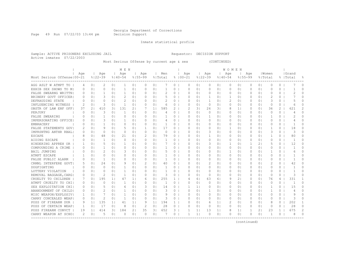Page 49 Run 07/22/03 13:44 pm Decision Support

Inmate statistical profile

Sample: ACTIVE PRISONERS EXCLUDING JAIL Requestor: DECISION SUPPORT Active inmates 07/22/2003

Most Serious Offense by current age & sex (CONTINUED)

|                              |                |                |                |                | M E N         |                |               |                |                |                |             |                |             |                | WOMEN    |                |          |                |                |              |              |          |
|------------------------------|----------------|----------------|----------------|----------------|---------------|----------------|---------------|----------------|----------------|----------------|-------------|----------------|-------------|----------------|----------|----------------|----------|----------------|----------------|--------------|--------------|----------|
|                              | Age            |                | Age            |                | Age           |                | Age           |                | Men            |                | Age         |                | Age         |                | Age      |                | Age      |                | Women          |              | Grand        |          |
| Most Serious Offense   00-21 |                |                | $8122 - 39$    |                | $8140 - 54$   |                | $8155 - 99$   |                | % Total        |                | $8100 - 21$ |                | $8122 - 39$ | $8140 - 54$    |          | $8155 - 99$    |          |                | % Total        |              | %  Total     | 욲        |
| AGG ASLT W ATMPT TO          | $\overline{4}$ | 0 <sub>1</sub> | 2              | 0 <sub>1</sub> | -1            | 0 <sub>1</sub> | 0             | $\circ$        |                | 0              | $\Omega$    | 0 <sub>1</sub> | 0           | 0 <sub>1</sub> | 0        | 0 <sub>1</sub> | 0        | 0 <sub>1</sub> | 0              | 0            |              | $\Omega$ |
| EXHIB SEX SHOWS TO MI        | 0              | 0 <sub>1</sub> | $\Omega$       | 0 <sub>1</sub> | 1             | 0 <sub>1</sub> | 0             | 0 <sup>1</sup> | 1              | 0              | $\Omega$    | 0 <sub>1</sub> | 0           | 01             | 0        | 0 <sub>1</sub> | 0        | 0 <sup>1</sup> | 0              | 0            | -1           | $\Omega$ |
| FALSE SWEARNG WRITTN!        | $\Omega$       | 0 <sup>1</sup> | 1              | $\Omega$       | $\mathbf{1}$  | 0 <sub>1</sub> | $\Omega$      | 0              | $\mathcal{D}$  | 0              | $\Omega$    | 0 <sup>1</sup> | 0           | 0 <sub>1</sub> | $\Omega$ | 0 <sup>1</sup> | O        | 0 <sup>1</sup> | $\Omega$       | $\Omega$     | 2            | $\Omega$ |
| BRIBERY GOVT OFFICER!        | $\Omega$       | 0 <sup>1</sup> | 3              | 0              | $\mathcal{D}$ | 0 <sub>1</sub> | $\Omega$      | 0 <sup>1</sup> |                | $\circ$        | $\Omega$    | 0 <sub>1</sub> | 1           | 0 <sub>1</sub> | 1        | 0 <sup>1</sup> | $\Omega$ | 0 <sup>1</sup> | $\overline{c}$ | 0            |              | $\Omega$ |
| DEFRAUDING STATE             | $\Omega$       | 0 <sup>1</sup> | $\Omega$       | 0 <sup>1</sup> | 2             | 0 <sub>1</sub> | 0             | 0 <sub>1</sub> | 2              | $\circ$        | O           | 0 <sub>1</sub> | 1           | 01             | 2        | 01             | $\Omega$ | 0 <sup>1</sup> | 3              | 0            | 5            | $\Omega$ |
| INFLUENCING WITNESS          | 2              | 0 <sup>1</sup> | 3              | 0 <sub>1</sub> | -1            | 0 <sub>1</sub> | $\Omega$      | 0 <sub>1</sub> | 6              | $\circ$        | O           | 0 <sub>1</sub> | 0           | 0 <sub>1</sub> | $\Omega$ | 0 <sub>1</sub> | $\Omega$ | 0 <sup>1</sup> | $\Omega$       | 0            | 6            | 0        |
| OBSTR OF LAW ENF OFF         | 37             | 21             | 410            | 31             | 131           | 2 <sub>1</sub> | 7             | 1 <sub>1</sub> | 585            | $\overline{2}$ | 2           | 3 I            | 26          | 31             | 8        | 1 <sub>1</sub> | 0        | 0 <sup>1</sup> | 36             | 2            | 621          | 2        |
| PERJURY                      | $\Omega$       | 0 <sup>1</sup> | 3              | $\Omega$       | -1            | 0 <sub>1</sub> | $\Omega$      | $\Omega$       | $\overline{4}$ | $0-1$          | $\Omega$    | 0 <sub>1</sub> | $\circ$     | 0 <sub>1</sub> | $\Omega$ | 0 <sup>1</sup> | $\Omega$ | $\Omega$       | $\Omega$       | $\Omega$     | 4            | $\Omega$ |
| FALSE SWEARING               | 0              | 0 <sup>1</sup> | 1              | 0 <sub>1</sub> | $\circ$       | 0 <sub>1</sub> | 0             | 0 <sub>1</sub> |                | $\circ$        | $\Omega$    | 0 <sub>1</sub> | 1           | 01             | 0        | 0 <sup>1</sup> | 0        | $\overline{0}$ | $\mathbf{1}$   | 0            | 2            | $\cap$   |
| IMPERSONATING OFFICE         | 0              | 0 <sup>1</sup> | 3              | 0 <sup>1</sup> | $\mathbf{1}$  | 0 <sub>1</sub> | $\Omega$      | 0 <sub>1</sub> | $\overline{4}$ | 0 <sub>1</sub> | $\Omega$    | 0 <sup>1</sup> | 0           | 0 <sub>1</sub> | $\Omega$ | 0 <sub>1</sub> | $\Omega$ | 0 <sup>1</sup> | $\Omega$       | $\circ$      | 4            | $\Omega$ |
| <b>EMBRACERY</b>             | $\Omega$       | 0 <sup>1</sup> | 1              | 0 <sup>1</sup> | $\Omega$      | 0 <sub>1</sub> | $\Omega$      | 0 <sup>1</sup> | 1              | 0 <sub>1</sub> | $\Omega$    | 0 <sup>1</sup> | 0           | 0 <sub>1</sub> | $\Omega$ | $\Omega$       | $\Omega$ | $\Omega$       | $\Omega$       | $\Omega$     | -1           | $\Omega$ |
| FALSE STATEMENTS GOVI        | 2              | 0 <sup>1</sup> | Q              | 0 <sub>1</sub> | 5             | 0 <sub>1</sub> | $\mathbf{1}$  | 0 <sub>1</sub> | 17             | 0 <sub>1</sub> | O           | 0 <sub>1</sub> | 0           | 0 <sub>1</sub> | 1        | 0 <sub>1</sub> | 0        | 0 <sup>1</sup> | 1              | $\circ$      | 18           | $\Omega$ |
| IMPRSNTNG ANTHR RBAL         | 0              | 0 <sup>1</sup> | $\Omega$       | 0 <sup>1</sup> | $\Omega$      | 0 <sup>1</sup> | $\Omega$      | 0 <sub>1</sub> | 0              | 0 <sub>1</sub> | $\bigcap$   | 0 <sub>1</sub> | 3           | 0 <sub>1</sub> | $\Omega$ | 0 <sub>1</sub> | $\Omega$ | $\Omega$       | 3              | 0            | 3            | 0        |
| <b>ESCAPE</b>                | 8              | 0 <sup>1</sup> | 48             | 0 <sup>1</sup> | 21            | 0 <sub>1</sub> | $\mathcal{L}$ | 0 <sup>1</sup> | 79             | $0-1$          | 0           | 0 <sup>1</sup> | 1           | 0 <sub>1</sub> | $\Omega$ | 0 <sub>1</sub> | 0        | $\Omega$       | 1              | $\Omega$     | 80           | $\Omega$ |
| AIDING ESCAPE                | $\Omega$       | 0 <sup>1</sup> | -1             | $\Omega$       | $\Omega$      | 0 <sub>1</sub> | $\Omega$      | 0 <sup>1</sup> |                | $0-1$          | 0           | 0 <sup>1</sup> | 0           | 0 <sub>1</sub> | $\Omega$ | 0 <sub>1</sub> | 0        | 0 <sup>1</sup> | $\Omega$       | 0            |              | O        |
| HINDERING APPREH OR          |                | 0 <sup>1</sup> | 5              | 0 <sub>1</sub> | 1             | 0 <sub>1</sub> | 0             | 0              |                | $\circ$        | 0           | 0 <sub>1</sub> | 3           | 01             | 1        | 0 <sub>1</sub> |          | 21             | 5              | 0            | 12           | $\Omega$ |
| COMPOUNDING A CRIME          | O              | 0 <sup>1</sup> | 1              | $\Omega$       | $\Omega$      | 0 <sub>1</sub> | $\Omega$      | 0              |                | $\circ$        | $\Omega$    | 0 <sup>1</sup> | 0           | 0 <sub>1</sub> | $\circ$  | 0 <sub>1</sub> | $\Omega$ | 0 <sup>1</sup> | $\Omega$       | 0            |              | $\Omega$ |
| BAIL JUMPING                 | O              | 0 <sup>1</sup> | 2              | $\Omega$       | 3             | 0 <sub>1</sub> | $\Omega$      | $\Omega$       | 5              | $\circ$        | $\Omega$    | 0 <sup>1</sup> | 0           | 0 <sub>1</sub> | 1        | $\Omega$       | $\Omega$ | $\Omega$       | -1             | $\Omega$     | 6            | 0        |
| ATMPT ESCAPE                 | -1             | 0 <sup>1</sup> | $\Omega$       | $\Omega$       | $\Omega$      | 0 <sub>1</sub> | 0             | 0 <sup>1</sup> | -1.            | $\circ$        | O           | 0 <sub>1</sub> | $\Omega$    | 0 <sub>1</sub> | $\Omega$ | $\Omega$       | $\Omega$ | $\Omega$       | $\Omega$       | $\Omega$     | -1           | $\Omega$ |
| FALSE PUBLIC ALARM           | 0              | 0 <sup>1</sup> | 1              | $\Omega$       | $\Omega$      | 0 <sub>1</sub> | 0             | $\Omega$       | -1             | $\Omega$       | O           | 0 <sub>1</sub> | $\Omega$    | 01             | $\Omega$ | $\Omega$       | 0        | $\Omega$       | $\Omega$       | $\Omega$     | -1           | 0        |
| CRMNL INTERFERE GOVT         | 5              | 0 <sup>1</sup> | 24             | 0 <sub>1</sub> | 9             | 0 <sub>1</sub> | 2             | 0 <sub>1</sub> | 40             | $0-1$          | O           | 0 <sub>1</sub> | 2           | 01             | 0        | 0 <sub>1</sub> | $\Omega$ | 0 <sup>1</sup> | 2              | $\circ$      | 42           | $\Omega$ |
| DOGFIGHTING                  | 0              | 0 <sup>1</sup> | $\Omega$       | 0 <sub>1</sub> | 1             | 0 <sub>1</sub> | $\Omega$      | 0 <sub>1</sub> | -1             | $0-1$          | $\Omega$    | 0 <sup>1</sup> | 0           | 0 <sub>1</sub> | 0        | 0 <sub>1</sub> | 0        | 0 <sub>1</sub> | $\Omega$       | $\circ$      | -1           | O        |
| LOTTERY VIOLATION            | 0              | 0 <sup>1</sup> | $\Omega$       | 0 <sub>1</sub> | $\mathbf{1}$  | 0 <sub>1</sub> | $\Omega$      | 0 <sub>1</sub> | -1             | $\circ$        | 0           | 0 <sup>1</sup> | 0           | 01             | 0        | 0 <sub>1</sub> | 0        | 0 <sub>1</sub> | $\circ$        | $\Omega$     | -1           | $\Omega$ |
| REMOVAL BAGGAGE, CARGI       | 0              | 0 <sup>1</sup> | 2              | 0 <sub>1</sub> | $\mathbf{1}$  | 0 <sub>1</sub> | $\Omega$      | 0 <sub>1</sub> | 3              | $\circ$        | $\Omega$    | 0 <sub>1</sub> | $\circ$     | 0 <sub>1</sub> | $\circ$  | 0 <sup>1</sup> | 0        | 0 <sub>1</sub> | $\Omega$       | $\Omega$     | 3            | $\Omega$ |
| CRUELTY TO CHILDREN          | 7              | 0 <sup>1</sup> | 195            | 1 <sup>1</sup> | 47            | 1 <sub>1</sub> | 6             | 0 <sub>1</sub> | 255            | 1 <sup>1</sup> | 4           | 61             | 63          | 61             | 9        | 2 <sub>1</sub> | $\Omega$ | 0 <sub>1</sub> | 76             | 4            | 331          | -1       |
| ATMPT CRUELTY TO CHI         | 0              | 0 <sub>1</sub> | $\Omega$       | 0 <sub>1</sub> | $\mathbf{1}$  | 0 <sub>1</sub> | $\Omega$      | 0 <sub>1</sub> | 1              | 0 <sub>1</sub> | $\Omega$    | 0 <sub>1</sub> | 0           | 0 <sub>1</sub> | $\Omega$ | 0 <sub>1</sub> | $\Omega$ | 0 <sub>1</sub> | $\Omega$       | $\Omega$     | $\mathbf{1}$ | $\Omega$ |
| SEX EXPLOITATION CHI         | $\Omega$       | 0 <sup>1</sup> | 5              | 0 <sup>1</sup> | 6             | 0 <sub>1</sub> | 3             | 0 <sub>1</sub> | 14             | 0 <sub>1</sub> | 1           | 11             | $\Omega$    | 0 <sub>1</sub> | $\Omega$ | 0 <sub>1</sub> | $\Omega$ | $\Omega$       | 1              | $\Omega$     | 1.5          | $\Omega$ |
| ABANDONMENT OF CHILD!        | 0              | 0 <sup>1</sup> | $\overline{2}$ | 0 <sub>1</sub> | 1             | 0 <sup>1</sup> | $\Omega$      | 0 <sub>1</sub> | 3              | 0 <sub>1</sub> | $\Omega$    | 0 <sup>1</sup> | 1           | 0 <sub>1</sub> | $\Omega$ | 0 <sub>1</sub> | 0        | 0 <sub>1</sub> | 1              | $\circ$      | 4            | $\Omega$ |
| MISC WEAPON/EXPLOSIV         | 1              | 0 <sup>1</sup> | 7              | 0 <sub>1</sub> | 1             | 0 <sub>1</sub> | $\Omega$      | 0 <sub>1</sub> | 9              | $0-1$          | $\Omega$    | 0 <sup>1</sup> | 0           | 0 <sub>1</sub> | $\Omega$ | 0 <sub>1</sub> | 0        | 0 <sub>1</sub> | $\Omega$       | $\circ$      | 9            | $\Omega$ |
| CARRY CONCEALED WEAP!        | $\Omega$       | 0 <sup>1</sup> | 2              | 0 <sub>1</sub> | $\mathbf{1}$  | 0 <sub>1</sub> | $\Omega$      | 0              | 3              | $\circ$        | $\Omega$    | 0 <sub>1</sub> | 0           | 0 <sub>1</sub> | 0        | 0 <sub>1</sub> | O        | 0 <sub>1</sub> | $\Omega$       | $\Omega$     | 3            | $\Omega$ |
| POSS OF FIREARM DUR          | 9              | 1 <sub>1</sub> | 135            | 1 <sup>1</sup> | 41            | 1 <sub>1</sub> | 9             | 1 <sub>1</sub> | 194            | $\mathbf{1}$   | $\Omega$    | 0 <sup>1</sup> | 6           | 1 <sub>1</sub> | 2        | 0 <sub>1</sub> | 0        | 0 <sup>1</sup> | 8              | 0            | 202          |          |
| POSS OF CERTAIN WEAP         | 1              | $\circ$        | 17             | 0 <sub>1</sub> | 8             | 0 <sub>1</sub> | $\mathcal{D}$ | 0              | 28             | $\circ$        | $\Omega$    | 0 <sub>1</sub> | 0           | 0 <sub>1</sub> | $\Omega$ | 0 <sup>1</sup> | 0        | 0 <sup>1</sup> | $\Omega$       | $\Omega$     | 2.8          | $\Omega$ |
| POSS FIREARM CONVCT          | 19             | 1 <sub>1</sub> | 414            | 31             | 184           | 2 <sub>1</sub> | 35            | 3 <sup>1</sup> | 652            | 3.             | 1           | 1 <sup>1</sup> | 13          | 1 <sub>1</sub> | 8        | $1\vert$       |          | 2 <sub>1</sub> | 23             | $\mathbf{1}$ | 675          | 2        |
| CARRY WEAPON AT SCHOI        | 2              | 0 <sup>1</sup> | 5              | 0 <sup>1</sup> | $\Omega$      | 0 <sup>1</sup> | $\Omega$      | 0              |                | $\Omega$       | 1           | $\mathbf{1}$   | $\Omega$    | 01             | $\Omega$ | 0              | $\Omega$ | $\Omega$       | 1              | $\Omega$     | 8            | 0        |
|                              |                |                |                |                |               |                |               |                |                |                |             |                |             |                |          |                |          |                |                |              |              |          |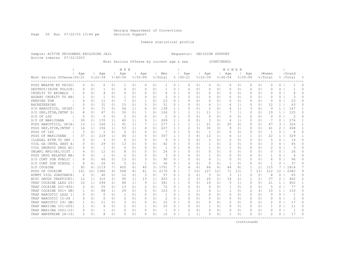Page 50 Run 07/22/03 13:44 pm Decision Support

Inmate statistical profile

Sample: ACTIVE PRISONERS EXCLUDING JAIL Requestor: DECISION SUPPORT Active inmates 07/22/2003

Most Serious Offense by current age & sex (CONTINUED)

|                              | M E N    |                |              |                |               |                |               |                |              |              | WOMEN       |                |                |                |              |                |             |                |                |                      |                |              |
|------------------------------|----------|----------------|--------------|----------------|---------------|----------------|---------------|----------------|--------------|--------------|-------------|----------------|----------------|----------------|--------------|----------------|-------------|----------------|----------------|----------------------|----------------|--------------|
|                              | Age      |                | Age          |                | Age           |                | Age           |                | Men          |              | Age         |                | Age            |                | Age          |                | Age         |                | Women          |                      | Grand          |              |
| Most Serious Offense   00-21 |          |                | $8122 - 39$  |                | $8140 - 54$   |                | $8155 - 99$   |                | % Total      |              | $8100 - 21$ |                | $8122 - 39$    |                | $8140 - 54$  |                | $8155 - 99$ |                | % Total        |                      | %   Total      | 욲            |
| POSS WEAPON BY PRISO         | 0        | 0 <sub>1</sub> | 0            | 0 <sub>1</sub> |               | 0 <sub>1</sub> | $\Omega$      | 0 <sub>1</sub> |              | 0            | 0           | 0 <sub>1</sub> | 0              | 0 <sub>1</sub> | 0            | 0 <sub>1</sub> | $\Omega$    | 0 <sub>1</sub> | 0              | 0                    |                | 0            |
| DESTROY/INJUR POLICE         | $\Omega$ | 0 <sub>1</sub> | -1           | 0 <sub>1</sub> | $\Omega$      | 0 <sub>1</sub> | $\Omega$      | 0              | 1            | 0            | 0           | 0 <sub>1</sub> | 0              | 0 <sub>1</sub> | 0            | 0 <sub>1</sub> | $\Omega$    | 0 <sup>1</sup> | $\Omega$       | 0                    | -1             | 0            |
| CRUELTY TO ANIMALS           | $\Omega$ | 0 <sub>1</sub> | 4            | $\Omega$       | $\Omega$      | 0 <sup>1</sup> | $\Omega$      | $\Omega$       | 4            | $\Omega$     | 0           | $\Omega$       | 0              | 0 <sub>1</sub> | $\Omega$     | $\circ$        | $\Omega$    | $\Omega$       | $\Omega$       | $\Omega$             | 4              | 0            |
| AGGRAV CRUELTY TO ANI        | 1        | 0 <sub>1</sub> | 1            | $\Omega$       | -1            | 0 <sub>1</sub> | $\Omega$      | 0              | 3            | 0            | O           | $\Omega$       | 0              | 0 <sub>1</sub> | 0            | $\circ$        | $\Omega$    | 0 <sup>1</sup> | $\Omega$       | 0                    | 3              | 0            |
| PEEPING TOM                  |          | 0 <sub>1</sub> | 11           | 0 <sub>1</sub> |               | 0 <sub>1</sub> | -1.           | 0 <sub>1</sub> | 23           | 0            | O           | 0 <sub>1</sub> | 0              | 0 <sub>1</sub> | 0            | 0 <sub>1</sub> | $\Omega$    | 0 <sup>1</sup> | $\circ$        | 0                    | 23             | U            |
| RACKETEERING                 | $\Omega$ | 0 <sup>1</sup> | 31           | 0 <sub>1</sub> | 15            | 0 <sub>1</sub> | 5             | 0 <sub>1</sub> | 51           | $\Omega$     | O           | $\Omega$       | 6              | 1 <sub>1</sub> | 6            | 1 <sup>1</sup> | 0           | 0 <sup>1</sup> | 12             | $\mathbf{1}$         | 63             | 0            |
| S/D NARCOTICS, OPIAT         | 5        | 0 <sub>1</sub> | 71           | 0 <sub>1</sub> | 56            | 11             | 6             | 0 <sub>1</sub> | 138          | 1.           | 0           | $\Omega$       | 2              | 0 <sup>1</sup> | 4            | 1 <sup>1</sup> | 3           | 61             | 9              | $\mathbf{1}$         | 147            |              |
| S/D DEP, STIM, CNTRF D       | 8        | 0 <sub>1</sub> | 67           | 0 <sub>1</sub> | 30            | 0 <sub>1</sub> | -1.           | $\Omega$       | 106          | $\Omega$     | -1          | 1 <sup>1</sup> | 11             | 1 <sub>1</sub> |              | 1 <sup>1</sup> | $\Omega$    | 0 <sub>1</sub> | 19             | $\mathbf{1}$         | 125            | $\Omega$     |
| S/D OF LSD                   | $\Omega$ | 0 <sup>1</sup> | 0            | 0 <sub>1</sub> | 2             | 0 <sub>1</sub> | $\Omega$      | 0 <sup>1</sup> | 2            | 0            | $\Omega$    | 0 <sub>1</sub> | $\circ$        | 0 <sub>1</sub> | 0            | 0 <sub>1</sub> | $\Omega$    | 0 <sup>1</sup> | $\circ$        | 0                    | $\overline{c}$ | $\Omega$     |
| S/D OF MARIJUANA             | 30       | 21             | 170          | 1 <sup>1</sup> | 60            | 1 <sub>1</sub> | 9             | 1 <sup>1</sup> | 269          | $\mathbf{1}$ | O           | $\Omega$       | 3              | 0 <sub>1</sub> | 4            | 1 <sub>1</sub> | 0           | 0 <sup>1</sup> | 7              | $\Omega$             | 276            | 1            |
| POSS NARCOTICS, OPIA         | 13       | 11             | 166          | 1 <sup>1</sup> | 91            | 1 <sub>1</sub> | 7             | 1 <sup>1</sup> | 277          | $\mathbf{1}$ | 1           | 1 <sup>1</sup> | 21             | 2 <sub>1</sub> | 25           | 4              | $\Omega$    | 0 <sub>1</sub> | 47             | 3                    | 324            | $\mathbf{1}$ |
| POSS DEP, STIM, CNTRF        | 14       | 1 <sup>1</sup> | 156          | 11             | 53            | 1 <sub>1</sub> | 4             | 0 <sub>1</sub> | 227          | $\mathbf{1}$ | 2           | 31             | 30             | 31             | 9            | 21             | 0           | 0 <sup>1</sup> | 41             | $\mathbf{2}^{\circ}$ | 268            | 1            |
| POSS OF LSD                  | 3        | 0 <sup>1</sup> | 2            | 0 <sub>1</sub> | 2             | 0 <sub>1</sub> | $\Omega$      | 0 <sub>1</sub> | -7           | $\circ$      | $\Omega$    | $\Omega$       | $\overline{1}$ | 0 <sup>1</sup> | $\Omega$     | 0 <sub>1</sub> | 0           | 0 <sub>1</sub> | $\overline{1}$ | 0                    | 8              | $\Omega$     |
| POSS OF MARIJUANA            | 37       | 21             | 218          | 1 <sup>1</sup> | 46            | 11             | 6             | 01             | 307          | 1            | 3           | 4              | 12.            | 1 <sup>1</sup> | 6            | 1 <sup>1</sup> | -1          | 21             | 22             | $\mathbf{1}$         | 329            | -1           |
| ILLEGAL ATTM TO OBT          | $\Omega$ | 0 <sub>1</sub> | 3            | 0 <sup>1</sup> | 6             | 0 <sub>1</sub> | $\Omega$      | $\Omega$       | 9            | 0            | 0           | $\Omega$       | 3              | 0 <sub>1</sub> | 2            | 0 <sub>1</sub> | $\Omega$    | 0 <sub>1</sub> | 5              | $\Omega$             | 14             | 0            |
| VIOL GA CNTRL SBST AI        | 0        | 0 <sub>1</sub> | 29           | 0 <sub>1</sub> | 13            | 01             | $\Omega$      | 0              | 42           | 0            | 0           | 0 <sub>1</sub> | 1              | 0 <sub>1</sub> | 2            | 0 <sub>1</sub> | 0           | 0 <sup>1</sup> | 3              | 0                    | 45             | $\Omega$     |
| VIOL DNGROUS DRGS ACI        |          | 0 <sub>1</sub> | $\mathbf{1}$ | 0 <sub>1</sub> | $\cap$        | 0 <sub>1</sub> | $\Omega$      | $\Omega$       | $\mathbf{1}$ | $\Omega$     | $\Omega$    | $\Omega$       | $\mathbf{1}$   | 0 <sub>1</sub> | $\mathbf{1}$ | $\circ$        | $\Omega$    | 0 <sup>1</sup> | 2              | 0                    | 3              | $\cap$       |
| UNLWFL MFG/DEL/DIST          |          | 0 <sup>1</sup> | 12           | 0 <sup>1</sup> | 8             | $\Omega$       | $\Omega$      | $\Omega$       | 24           | $\Omega$     | O           | $\cap$         | $\Omega$       | $\Omega$       | $\Omega$     | $\Omega$       | $\bigcap$   | $\Omega$       | $\bigcap$      | $\Omega$             | 2.4            | 0            |
| POSS DRUG RELATED MA         |          | 0 <sub>1</sub> | -1           | 01             | $\mathcal{D}$ | 0 <sup>1</sup> | $\Omega$      | $\Omega$       | 3            | 0            | O           | 01             | -1.            | $\Omega$       | $\Omega$     | 01             | $\Omega$    | 01             | -1             | $\Omega$             | 4              | 0            |
| S/D CONT SUB PUBLIC          |          | 0 <sub>1</sub> | 66           | $\Omega$       | 13            | 0 <sup>1</sup> | 3             | $\Omega$       | 90           | $\Omega$     | O           | $\Omega$       | 6              | 1 <sup>1</sup> | $\Omega$     | $\Omega$       | $\Omega$    | $\Omega$       | 6              | 0                    | 96             | 0            |
| S/D CONT SUB SCHOOL          | 4        | 0 <sub>1</sub> | 26           | 0 <sub>1</sub> | -5            | 0 <sub>1</sub> | 1             | 0 <sub>1</sub> | 36           | 0            | O           | $\circ$        | 0              | 0 <sup>1</sup> | 1            | 0 <sub>1</sub> | 0           | 0 <sup>1</sup> | 1              | 0                    | 37             | $\Omega$     |
| S/D COCAINE                  | 92       | 61             | 1119         | 71             | 450           | 61             | 40            | 31             | 1701         | 7            | 4           | 61             | 66             | 61             | 44           | 8 <sup>1</sup> |             | 21             | 115            |                      | 1816           |              |
| POSS OF COCAINE              | 161      | 101            | 1380         | 9 <sub>1</sub> | 568           | 81             | 61            | 5 <sub>1</sub> | 2170         | 8            |             | 101            | 127            | 121            | 71           | 131            |             | 131            | 212            | 12                   | 2382           | 9            |
| ATMPT VIOL SUBSTANCE         | 2        | 0 <sup>1</sup> | 40           | 0 <sub>1</sub> | 12            | 0 <sup>1</sup> | 3             | 0 <sub>1</sub> | 57           | 0            | $\circ$     | $\circ$        | 5              | 0 <sub>1</sub> | 3            | 1 <sup>1</sup> | $\circ$     | 0 <sup>1</sup> | 8              | $\Omega$             | 65             | $\Omega$     |
| MISC DRUGS TRAFFICKI         | 12       | 1 <sup>1</sup> | 310          | 2 <sub>1</sub> | 90            | 1 <sub>1</sub> | 13            | 1 <sup>1</sup> | 425          | 2            | 2           | 31             | 20             | 2 <sub>1</sub> | 14           | 2 <sub>1</sub> | 1           | 21             | 37             | $\overline{2}$       | 462            | 2            |
| TRAF COCAINE LESS 20         | 10       | 1 <sup>1</sup> | 294          | 2 <sub>1</sub> | 68            | 1 <sup>1</sup> | 9             | 1 <sup>1</sup> | 381          | $\mathbf{1}$ | $\Omega$    | $\Omega$       | 16             | 2 <sub>1</sub> | 5            | 1 <sub>1</sub> | $\Omega$    | 0 <sup>1</sup> | 21             | $\mathbf{1}$         | 402            | 1            |
| TRAF COCAINE 201-400         | 2        | 0 <sub>1</sub> | 55           | 0 <sub>1</sub> | 13            | 0 <sub>1</sub> | $\mathcal{L}$ | $\Omega$ 1     | 72           | $\Omega$     | $\Omega$    | $\Omega$       | 4              | 0 <sub>1</sub> | $\mathbf{1}$ | 0 <sub>1</sub> | $\Omega$    | 0 <sub>1</sub> | 5              | $\Omega$             | 77             | $\Omega$     |
| TRAF COCAINE 401+ GM         | 1        | 0 <sub>1</sub> | 88           | 1 <sup>1</sup> | 29            | 0 <sub>1</sub> | 5             | 0 <sub>1</sub> | 123          | $\circ$      | -1          | 1 <sub>1</sub> | 6              | 1 <sup>1</sup> | $\mathbf{1}$ | 0 <sub>1</sub> | 2           | 4              | 10             | $\mathbf{1}$         | 133            | 0            |
| TRAF NARCOTIC LESS 1         | $\Omega$ | 0 <sub>1</sub> | $\Omega$     | 0 <sub>1</sub> | $\mathbf{1}$  | 0 <sub>1</sub> | $\Omega$      | 0 <sub>1</sub> | $\mathbf{1}$ | 0            | $\Omega$    | 0 <sup>1</sup> | 0              | 0 <sub>1</sub> | $\Omega$     | 0 <sub>1</sub> | 0           | 0 <sup>1</sup> | $\Omega$       | $\circ$              | $\overline{1}$ | $\Omega$     |
| TRAF NARCOTIC 15-28          | $\Omega$ | 0 <sub>1</sub> | O            | 0 <sup>1</sup> | $\mathcal{D}$ | 0 <sub>1</sub> | $\Omega$      | 0              | 2            | 0            | O           | $\Omega$       | 0              | 0 <sub>1</sub> | $\Omega$     | 0 <sub>1</sub> | $\Omega$    | 0 <sup>1</sup> | $\Omega$       | 0                    | 2              | $\Omega$     |
| TRAF NARCOTIC 29+ GM         | 1        | 0 <sub>1</sub> | 11           | 0 <sub>1</sub> | 3             | 0 <sub>1</sub> | $\Omega$      | $\Omega$       | 15           | 0            | 0           | $\Omega$       | 0              | 0 <sub>1</sub> | 2            | 0 <sub>1</sub> | $\Omega$    | 0 <sup>1</sup> | 2              | $\Omega$             | 17             | $\Omega$     |
| TRAF MARIJNA 101-2001        | 1        | 0 <sup>1</sup> | 6            | 0 <sub>1</sub> |               | 0 <sub>1</sub> | $\mathbf{1}$  | $\Omega$       | 10           | $\Omega$     | 0           | $\Omega$       | 1              | 0 <sup>1</sup> | $\Omega$     | 0 <sub>1</sub> | $\Omega$    | 0 <sup>1</sup> | 1              | $\Omega$             | 11             | 0            |
| TRAF MARIJNA 2001-101        | $\Omega$ | 0 <sub>1</sub> |              | 0 <sub>1</sub> | $\Omega$      | 0 <sub>1</sub> | 0             | 0              | -1           | $\Omega$     | $\Omega$    | $\circ$        | 0              | 0 <sub>1</sub> | $\circ$      | $\circ$        | $\Omega$    | 0 <sup>1</sup> | $\Omega$       | 0                    | 1              | $\Omega$     |
| TRAF AMPHTMINE 28-191        | 2        | 0 <sub>1</sub> | 8            | $\Omega$       | .5            | 0 <sub>1</sub> | $\Omega$      | $\Omega$       | 15           | $\Omega$     | -1          | 1 <sup>1</sup> | $\Omega$       | 0 <sup>1</sup> | -1           | $\circ$        | $\bigcap$   | $\Omega$       | 2              | $\Omega$             | 17             | $\Omega$     |
|                              |          |                |              |                |               |                |               |                |              |              |             |                |                |                |              |                |             |                |                |                      |                |              |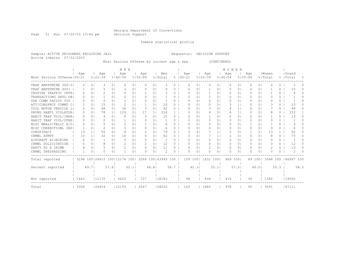Page 51 Run 07/22/03 13:44 pm Decision Support

Inmate statistical profile

Sample: ACTIVE PRISONERS EXCLUDING JAIL Requestor: DECISION SUPPORT Active inmates 07/22/2003

Most Serious Offense by current age & sex (CONTINUED)

|                              | M E N    |                |                                  |                |             |                |                  |                |                    |          | <b>WOMEN</b> |     |                |                   |                |             |                |             |                |          |              |            |                |  |
|------------------------------|----------|----------------|----------------------------------|----------------|-------------|----------------|------------------|----------------|--------------------|----------|--------------|-----|----------------|-------------------|----------------|-------------|----------------|-------------|----------------|----------|--------------|------------|----------------|--|
|                              | Age      |                | Age                              |                | Age         |                | Age              |                | Men                |          |              | Age |                | Age               |                | Aqe         |                | Age         |                | Women    |              | Grand      |                |  |
| Most Serious Offense   00-21 |          |                | $8122 - 39$                      |                | $8140 - 54$ |                | $8155 - 99$      |                | % Total            |          | $8100 - 21$  |     |                | $8122 - 39$       |                | $8140 - 54$ |                | $8155 - 99$ |                | % Total  |              | %   Total  | $\frac{6}{10}$ |  |
| TRAF AMPHTMINE 200-31        | 0        | $\circ$        | 3                                | 0 <sub>1</sub> | O           | 01             | $\Omega$         | 0              | 3                  | 0        |              | O   | 01             | 0                 | 01             | 0           | $\circ$        | 0           | 01             | O        | 0            |            |                |  |
| TRAF AMPHTMINE 400+          |          | $\Omega$       |                                  | $\Omega$       | 3           | $\Omega$       | O                | 0              | 9                  | 0        |              | O   | 01             |                   | 01             | 0           | $\Omega$       |             | $\Omega$       |          | 0            | 10         |                |  |
| CNSPIRE TRAFFIC CNTR         | 0        | $\Omega$       | 2                                | $\Omega$       | O           | $\Omega$       |                  | 01             |                    | $\Omega$ |              | O   | 0 <sub>1</sub> |                   | 01             | 0           | $\Omega$       |             | $\Omega$       |          | 0            |            |                |  |
| TRANSACTIONS DRUG OB         | 0        | $\Omega$       |                                  | 0 <sup>1</sup> | ∩           | 0 <sub>1</sub> | 0                | 01             |                    | $\Omega$ |              |     | $\Omega$       | 0                 | 01             | $\Omega$    | $\circ$        |             | 0 <sup>1</sup> |          | $\Omega$     |            |                |  |
| USE COMM FACLTY VIO          | O.       | 0              | O.                               | 0 <sub>1</sub> |             | 01             | <sup>0</sup>     | 0              |                    | 0        |              | n   | $\Omega$       | $\Omega$          | 0 <sub>1</sub> | 0           | 0              | 0           | 0 <sup>1</sup> | O        | $\Omega$     |            | n.             |  |
| ATT/CONSPRCY COMMT C         |          | 0              | 15                               | 01             | 2           | 01             |                  | 0              | 20                 | $\Omega$ |              | O   | 0 <sub>1</sub> | 0                 | 01             | 3           | 1 <sup>1</sup> | 0           | 01             |          | 0            | 23         | 0              |  |
| VIOL MOTOR VEHICLE L         | 5        | 0 <sup>1</sup> | 48                               | $\Omega$       | 36          | 0 <sub>1</sub> | 3                | 0              | 92                 | $\Omega$ |              | U   | $\Omega$       | 3                 | 01             | 4           | 1 <sup>1</sup> | O           | $\Omega$       |          | $\Omega$     | 99         | n.             |  |
| DRVNG HABTL VIOLATOR         | 0        | 0 <sup>1</sup> | 78                               | 11             | 129         | 21             | 17               | 1 <sub>1</sub> | 224                |          |              | O   | $\Omega$       | 4                 | 01             | 4           | 1 <sup>1</sup> | O           | $\Omega$       | 8        | $\Omega$     | 232        |                |  |
| HABIT TRAF VOIL/IMPA!        | 0        | $\Omega$       | 4                                | 0 <sup>1</sup> | 8           | 0 <sub>1</sub> | 3                | 01             | 15                 | $\Omega$ |              |     | $\Omega$       |                   | 01             | $\Omega$    | $\Omega$       |             | $\Omega$       |          | $\Omega$     | 16         | <sup>o</sup>   |  |
| HABIT TRAF VIOL/OTHE         | 0        | $\Omega$       | Ω                                | 0 <sub>1</sub> |             | $\Omega$       | O.               | 0              |                    | $\Omega$ |              |     | $\Omega$       | $\Omega$          | 0 <sub>1</sub> | 0           | 0              |             | 0 <sup>1</sup> | O        | $\Omega$     |            | 0              |  |
| MISC MRALS/PBLIC H/S         | $\Omega$ | $\Omega$       |                                  | 01             |             | 01             |                  | 0.             | 8                  | $\Omega$ |              |     | 01             | $\Omega$          | 01             | $\Omega$    | $\Omega$       |             | 2 <sub>1</sub> |          | 0            |            |                |  |
| MISC CORRECTIONL INS         |          | $\Omega$       |                                  | $\Omega$       |             | $\Omega$       | $\left( \right)$ | 0              | 6                  | $\Omega$ |              |     | $\Omega$       | $\Omega$          | 01             | 0           | $\Omega$       |             | $\Omega$       | 0        | $\Omega$     | 6          |                |  |
| CONSPIRACY                   | 13       | 11             | 56                               | 01             | 8           | 01             |                  | 0              | 79                 | 0        |              |     | 41             |                   |                | 2           | 0              |             | 21             | 13       | $\mathbf{1}$ | 92         |                |  |
| CRMNL ATMPT                  | 10       | 11             | 32                               | 0 <sub>1</sub> | 16          | 01             | 4                | 01             | 62                 | 0        |              | O   | $\Omega$       |                   | 1 <sup>1</sup> | 1           | 0              |             | 0 <sup>1</sup> | 8        | 0            | 70         |                |  |
| AIRCRAFT HIJACKING           | O        | 0 <sub>1</sub> |                                  | 0 <sub>1</sub> | $\Omega$    | 0 <sub>1</sub> | O.               | 0              |                    | $\Omega$ |              | O   | $\Omega$       | $\Omega$          | 0 <sub>1</sub> | $\Omega$    | 0              |             | 0 <sup>1</sup> | O        | 0            |            | 0              |  |
| CRMNL SOLICITATION           | O        | 0 <sup>1</sup> | 8                                | 0 <sub>1</sub> |             | 0 <sub>1</sub> |                  | 01             | 12                 | $\Omega$ |              |     | $\Omega$       | 0                 | 0 <sub>1</sub> | $\Omega$    | $\Omega$       | $\Omega$    | 0 <sup>1</sup> | O        | $\Omega$     | 12         | $\Omega$       |  |
| PARTY TO A CRIME             |          | 0              | 5                                | 0 <sup>1</sup> |             | 0 <sub>1</sub> | $\Omega$         | 0              | 11                 | $\Omega$ |              | U   | $\Omega$       |                   | 0 <sub>1</sub> | $\Omega$    | $\Omega$       | 0           | 0 <sup>1</sup> |          | $\Omega$     | 13         | $\Omega$       |  |
| CRMNL TRESPASSING            |          | 0              | Ω                                | 0 <sup>1</sup> |             | 01             | 0                | 0              |                    | 0        |              | U   | $\circ$        | O                 | 01             | $\Omega$    | 0              |             | 01             | O        | 0            |            | 0              |  |
| Total reported               |          |                | 3294 100   26415 100   12176 100 |                |             |                |                  |                | 2064 100 43949 100 |          |              |     |                | 159 100  1831 100 |                | 969 1001    |                |             | 89 1001        | 3048 100 |              | 146997 100 |                |  |
|                              |          |                |                                  |                |             |                |                  |                |                    |          |              |     |                |                   |                |             |                |             |                |          |              |            |                |  |
| Percent reported             |          | 49.71          |                                  | 57.81          |             | 62.1           |                  | 64.8           |                    | 58.7     |              |     | 42.3           |                   | 55.1           |             | 57.51          |             | 60.01          |          | 55.3         |            | 58.5           |  |
|                              |          |                |                                  |                |             |                |                  |                |                    |          |              |     |                |                   |                |             |                |             |                |          |              |            |                |  |
|                              |          |                |                                  |                |             |                |                  |                |                    |          |              |     |                |                   |                |             |                |             |                |          |              |            |                |  |
| Not reported                 | 1663     |                | 111170                           |                | 4623        |                | 727              |                | 18183              |          |              | 94  |                | 836               |                | 416         |                | 36          |                | 1382     |              | 19565      |                |  |
| Total                        | 3306     |                | 126454                           |                | 12193       |                | 2067             |                | 44020              |          |              | 163 |                | 1860              |                | 978         |                | 90          |                | 3091     |              | 47111      |                |  |